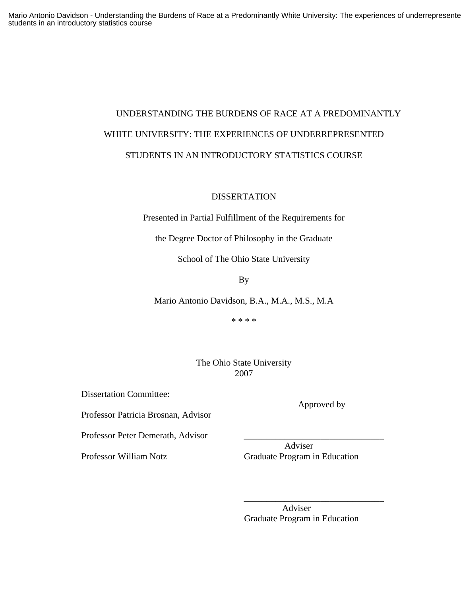# UNDERSTANDING THE BURDENS OF RACE AT A PREDOMINANTLY WHITE UNIVERSITY: THE EXPERIENCES OF UNDERREPRESENTED STUDENTS IN AN INTRODUCTORY STATISTICS COURSE

# DISSERTATION

Presented in Partial Fulfillment of the Requirements for

the Degree Doctor of Philosophy in the Graduate

School of The Ohio State University

By

Mario Antonio Davidson, B.A., M.A., M.S., M.A

\* \* \* \*

The Ohio State University 2007

 $\overline{\phantom{a}}$  , and the contract of the contract of the contract of the contract of the contract of the contract of the contract of the contract of the contract of the contract of the contract of the contract of the contrac

Dissertation Committee:

Professor Patricia Brosnan, Advisor

Professor Peter Demerath, Advisor

Approved by

 Adviser Professor William Notz Graduate Program in Education

> Adviser Graduate Program in Education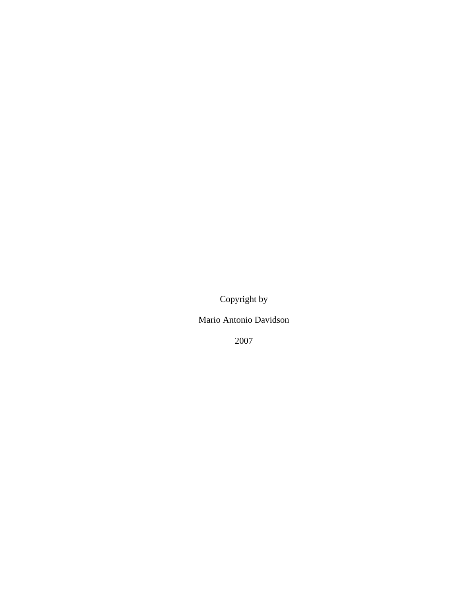Copyright by

Mario Antonio Davidson

2007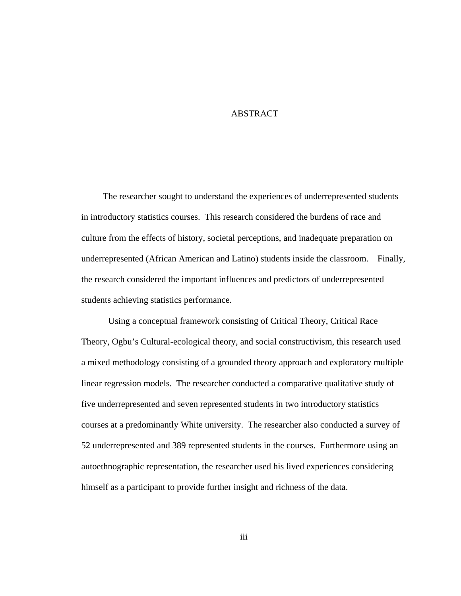# ABSTRACT

 The researcher sought to understand the experiences of underrepresented students in introductory statistics courses. This research considered the burdens of race and culture from the effects of history, societal perceptions, and inadequate preparation on underrepresented (African American and Latino) students inside the classroom. Finally, the research considered the important influences and predictors of underrepresented students achieving statistics performance.

Using a conceptual framework consisting of Critical Theory, Critical Race Theory, Ogbu's Cultural-ecological theory, and social constructivism, this research used a mixed methodology consisting of a grounded theory approach and exploratory multiple linear regression models. The researcher conducted a comparative qualitative study of five underrepresented and seven represented students in two introductory statistics courses at a predominantly White university. The researcher also conducted a survey of 52 underrepresented and 389 represented students in the courses. Furthermore using an autoethnographic representation, the researcher used his lived experiences considering himself as a participant to provide further insight and richness of the data.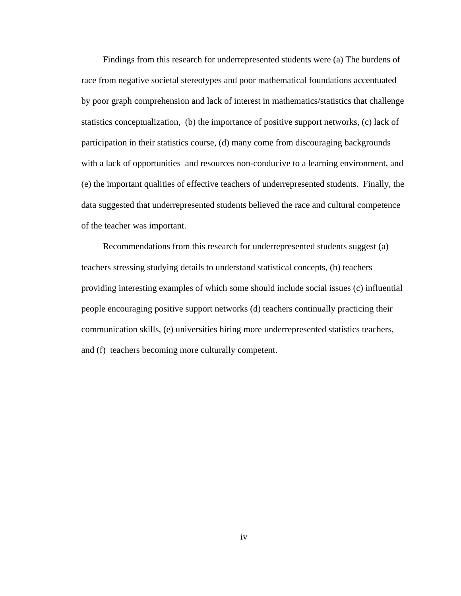Findings from this research for underrepresented students were (a) The burdens of race from negative societal stereotypes and poor mathematical foundations accentuated by poor graph comprehension and lack of interest in mathematics/statistics that challenge statistics conceptualization, (b) the importance of positive support networks, (c) lack of participation in their statistics course, (d) many come from discouraging backgrounds with a lack of opportunities and resources non-conducive to a learning environment, and (e) the important qualities of effective teachers of underrepresented students. Finally, the data suggested that underrepresented students believed the race and cultural competence of the teacher was important.

Recommendations from this research for underrepresented students suggest (a) teachers stressing studying details to understand statistical concepts, (b) teachers providing interesting examples of which some should include social issues (c) influential people encouraging positive support networks (d) teachers continually practicing their communication skills, (e) universities hiring more underrepresented statistics teachers, and (f) teachers becoming more culturally competent.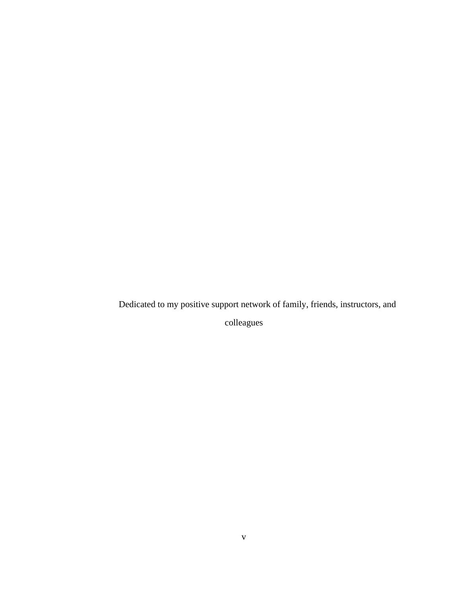Dedicated to my positive support network of family, friends, instructors, and

colleagues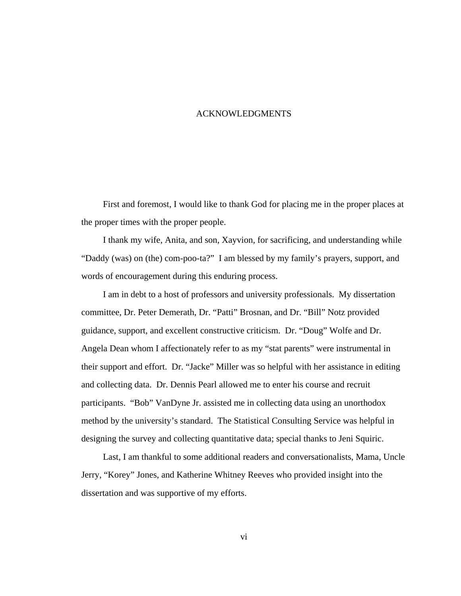#### ACKNOWLEDGMENTS

 First and foremost, I would like to thank God for placing me in the proper places at the proper times with the proper people.

 I thank my wife, Anita, and son, Xayvion, for sacrificing, and understanding while "Daddy (was) on (the) com-poo-ta?" I am blessed by my family's prayers, support, and words of encouragement during this enduring process.

 I am in debt to a host of professors and university professionals. My dissertation committee, Dr. Peter Demerath, Dr. "Patti" Brosnan, and Dr. "Bill" Notz provided guidance, support, and excellent constructive criticism. Dr. "Doug" Wolfe and Dr. Angela Dean whom I affectionately refer to as my "stat parents" were instrumental in their support and effort. Dr. "Jacke" Miller was so helpful with her assistance in editing and collecting data. Dr. Dennis Pearl allowed me to enter his course and recruit participants. "Bob" VanDyne Jr. assisted me in collecting data using an unorthodox method by the university's standard. The Statistical Consulting Service was helpful in designing the survey and collecting quantitative data; special thanks to Jeni Squiric.

 Last, I am thankful to some additional readers and conversationalists, Mama, Uncle Jerry, "Korey" Jones, and Katherine Whitney Reeves who provided insight into the dissertation and was supportive of my efforts.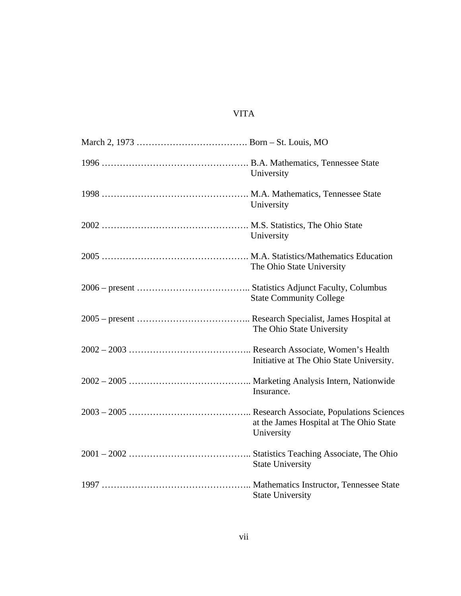# VITA

| University                                            |
|-------------------------------------------------------|
| University                                            |
| University                                            |
| The Ohio State University                             |
| <b>State Community College</b>                        |
| The Ohio State University                             |
| Initiative at The Ohio State University.              |
| Insurance.                                            |
| at the James Hospital at The Ohio State<br>University |
| <b>State University</b>                               |
| <b>State University</b>                               |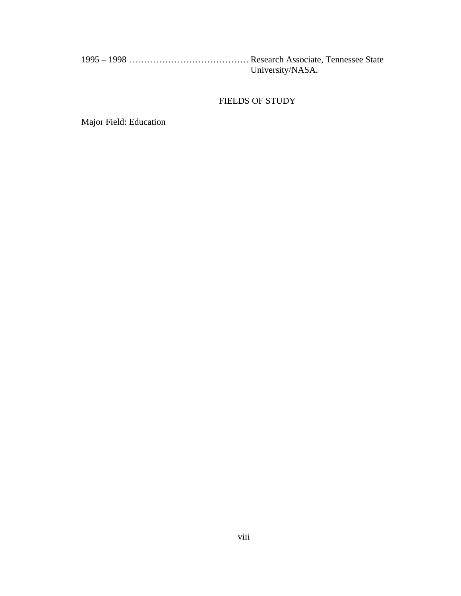| University/NASA. |
|------------------|

# FIELDS OF STUDY

Major Field: Education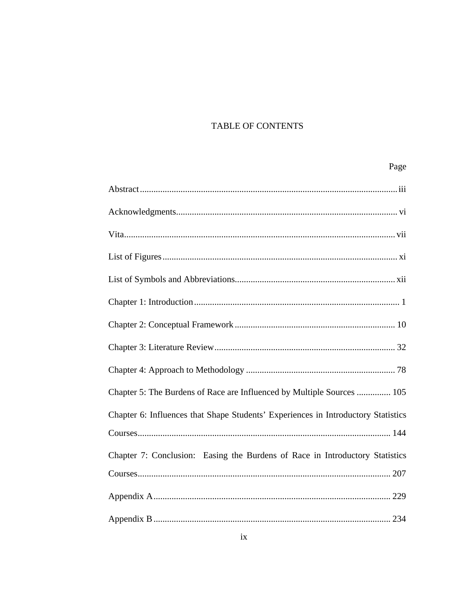# TABLE OF CONTENTS

| Page                                                                              |
|-----------------------------------------------------------------------------------|
|                                                                                   |
|                                                                                   |
|                                                                                   |
|                                                                                   |
|                                                                                   |
|                                                                                   |
|                                                                                   |
|                                                                                   |
|                                                                                   |
| Chapter 5: The Burdens of Race are Influenced by Multiple Sources  105            |
| Chapter 6: Influences that Shape Students' Experiences in Introductory Statistics |
|                                                                                   |
| Chapter 7: Conclusion: Easing the Burdens of Race in Introductory Statistics      |
|                                                                                   |
|                                                                                   |
|                                                                                   |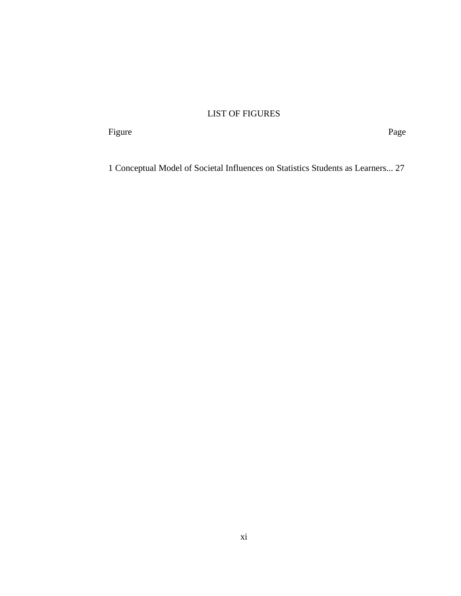# LIST OF FIGURES

Figure Page

1 Conceptual Model of Societal Influences on Statistics Students as Learners... 27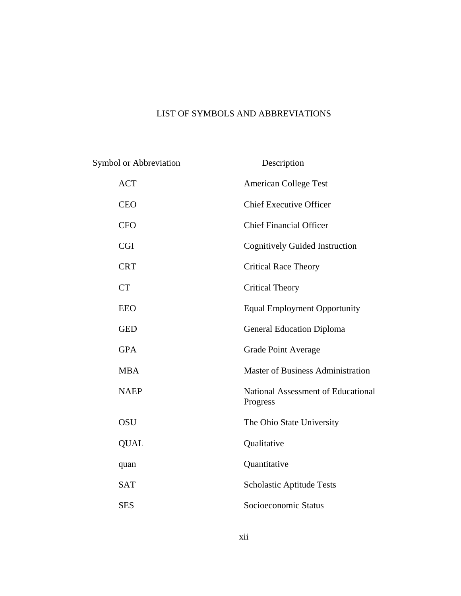# LIST OF SYMBOLS AND ABBREVIATIONS

Symbol or Abbreviation Description ACT American College Test CEO Chief Executive Officer CFO Chief Financial Officer CGI Cognitively Guided Instruction CRT Critical Race Theory CT Critical Theory EEO Equal Employment Opportunity GED General Education Diploma GPA Grade Point Average MBA Master of Business Administration NAEP National Assessment of Educational Progress OSU The Ohio State University QUAL Qualitative quan Quantitative SAT Scholastic Aptitude Tests SES Socioeconomic Status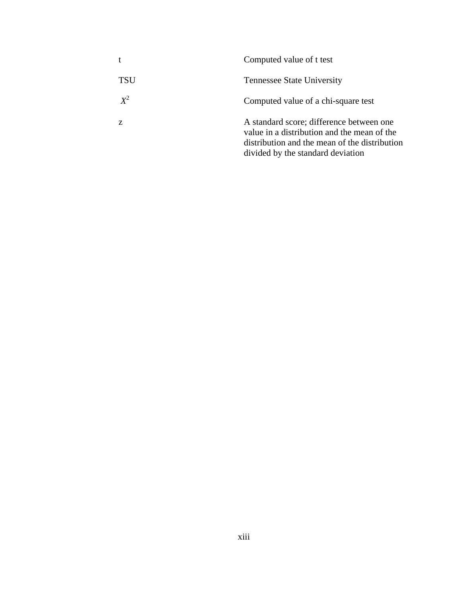|       | Computed value of t test                                                                                                                                                      |
|-------|-------------------------------------------------------------------------------------------------------------------------------------------------------------------------------|
| TSU   | <b>Tennessee State University</b>                                                                                                                                             |
| $X^2$ | Computed value of a chi-square test                                                                                                                                           |
| Z     | A standard score; difference between one<br>value in a distribution and the mean of the<br>distribution and the mean of the distribution<br>divided by the standard deviation |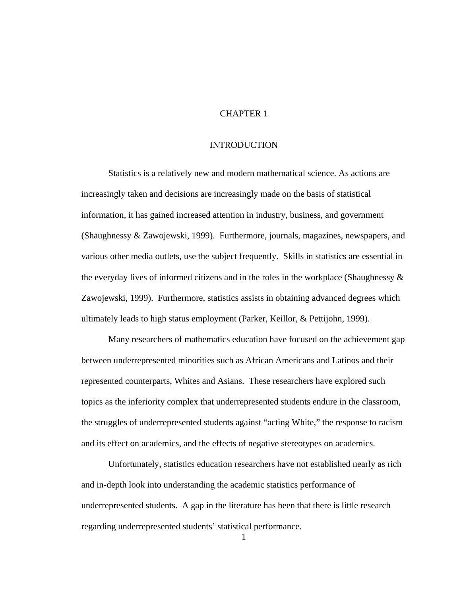# CHAPTER 1

# INTRODUCTION

Statistics is a relatively new and modern mathematical science. As actions are increasingly taken and decisions are increasingly made on the basis of statistical information, it has gained increased attention in industry, business, and government (Shaughnessy & Zawojewski, 1999). Furthermore, journals, magazines, newspapers, and various other media outlets, use the subject frequently. Skills in statistics are essential in the everyday lives of informed citizens and in the roles in the workplace (Shaughnessy & Zawojewski, 1999). Furthermore, statistics assists in obtaining advanced degrees which ultimately leads to high status employment (Parker, Keillor, & Pettijohn, 1999).

 Many researchers of mathematics education have focused on the achievement gap between underrepresented minorities such as African Americans and Latinos and their represented counterparts, Whites and Asians. These researchers have explored such topics as the inferiority complex that underrepresented students endure in the classroom, the struggles of underrepresented students against "acting White," the response to racism and its effect on academics, and the effects of negative stereotypes on academics.

Unfortunately, statistics education researchers have not established nearly as rich and in-depth look into understanding the academic statistics performance of underrepresented students. A gap in the literature has been that there is little research regarding underrepresented students' statistical performance.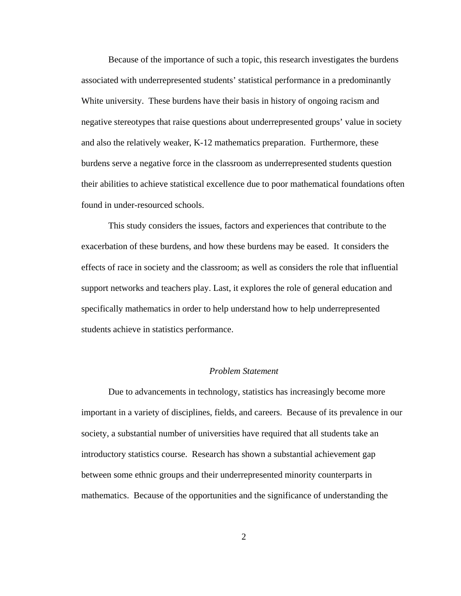Because of the importance of such a topic, this research investigates the burdens associated with underrepresented students' statistical performance in a predominantly White university. These burdens have their basis in history of ongoing racism and negative stereotypes that raise questions about underrepresented groups' value in society and also the relatively weaker, K-12 mathematics preparation. Furthermore, these burdens serve a negative force in the classroom as underrepresented students question their abilities to achieve statistical excellence due to poor mathematical foundations often found in under-resourced schools.

This study considers the issues, factors and experiences that contribute to the exacerbation of these burdens, and how these burdens may be eased. It considers the effects of race in society and the classroom; as well as considers the role that influential support networks and teachers play. Last, it explores the role of general education and specifically mathematics in order to help understand how to help underrepresented students achieve in statistics performance.

## *Problem Statement*

Due to advancements in technology, statistics has increasingly become more important in a variety of disciplines, fields, and careers. Because of its prevalence in our society, a substantial number of universities have required that all students take an introductory statistics course. Research has shown a substantial achievement gap between some ethnic groups and their underrepresented minority counterparts in mathematics. Because of the opportunities and the significance of understanding the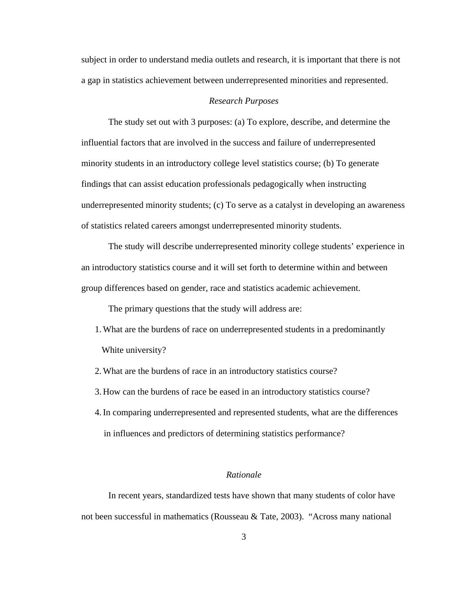subject in order to understand media outlets and research, it is important that there is not a gap in statistics achievement between underrepresented minorities and represented.

# *Research Purposes*

The study set out with 3 purposes: (a) To explore, describe, and determine the influential factors that are involved in the success and failure of underrepresented minority students in an introductory college level statistics course; (b) To generate findings that can assist education professionals pedagogically when instructing underrepresented minority students; (c) To serve as a catalyst in developing an awareness of statistics related careers amongst underrepresented minority students.

The study will describe underrepresented minority college students' experience in an introductory statistics course and it will set forth to determine within and between group differences based on gender, race and statistics academic achievement.

The primary questions that the study will address are:

- 1.What are the burdens of race on underrepresented students in a predominantly White university?
- 2.What are the burdens of race in an introductory statistics course?
- 3. How can the burdens of race be eased in an introductory statistics course?
- 4.In comparing underrepresented and represented students, what are the differences in influences and predictors of determining statistics performance?

#### *Rationale*

 In recent years, standardized tests have shown that many students of color have not been successful in mathematics (Rousseau & Tate, 2003). "Across many national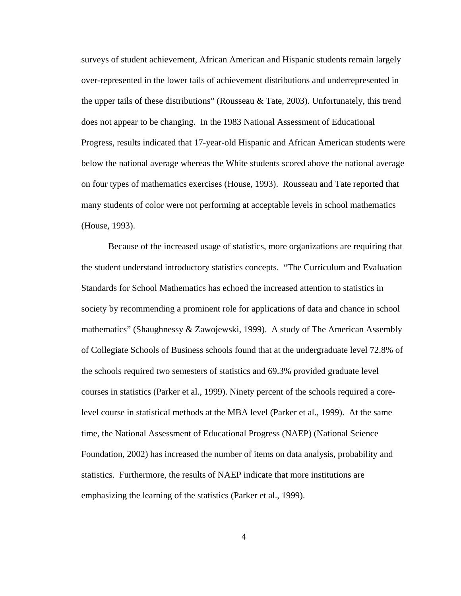surveys of student achievement, African American and Hispanic students remain largely over-represented in the lower tails of achievement distributions and underrepresented in the upper tails of these distributions" (Rousseau  $\&$  Tate, 2003). Unfortunately, this trend does not appear to be changing. In the 1983 National Assessment of Educational Progress, results indicated that 17-year-old Hispanic and African American students were below the national average whereas the White students scored above the national average on four types of mathematics exercises (House, 1993). Rousseau and Tate reported that many students of color were not performing at acceptable levels in school mathematics (House, 1993).

 Because of the increased usage of statistics, more organizations are requiring that the student understand introductory statistics concepts. "The Curriculum and Evaluation Standards for School Mathematics has echoed the increased attention to statistics in society by recommending a prominent role for applications of data and chance in school mathematics" (Shaughnessy & Zawojewski, 1999). A study of The American Assembly of Collegiate Schools of Business schools found that at the undergraduate level 72.8% of the schools required two semesters of statistics and 69.3% provided graduate level courses in statistics (Parker et al., 1999). Ninety percent of the schools required a corelevel course in statistical methods at the MBA level (Parker et al., 1999). At the same time, the National Assessment of Educational Progress (NAEP) (National Science Foundation, 2002) has increased the number of items on data analysis, probability and statistics. Furthermore, the results of NAEP indicate that more institutions are emphasizing the learning of the statistics (Parker et al., 1999).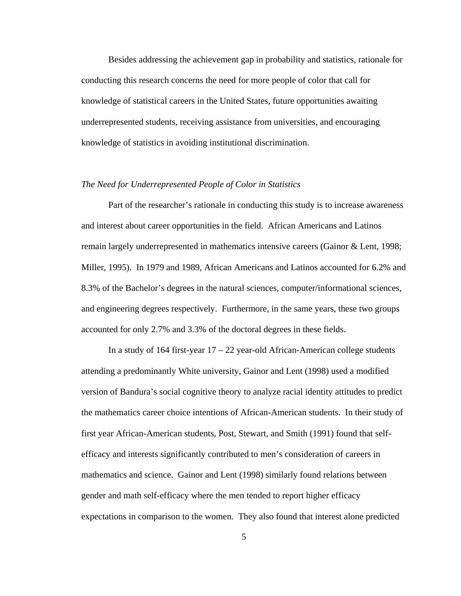Besides addressing the achievement gap in probability and statistics, rationale for conducting this research concerns the need for more people of color that call for knowledge of statistical careers in the United States, future opportunities awaiting underrepresented students, receiving assistance from universities, and encouraging knowledge of statistics in avoiding institutional discrimination.

# *The Need for Underrepresented People of Color in Statistics*

Part of the researcher's rationale in conducting this study is to increase awareness and interest about career opportunities in the field. African Americans and Latinos remain largely underrepresented in mathematics intensive careers (Gainor & Lent, 1998; Miller, 1995). In 1979 and 1989, African Americans and Latinos accounted for 6.2% and 8.3% of the Bachelor's degrees in the natural sciences, computer/informational sciences, and engineering degrees respectively. Furthermore, in the same years, these two groups accounted for only 2.7% and 3.3% of the doctoral degrees in these fields.

In a study of 164 first-year  $17 - 22$  year-old African-American college students attending a predominantly White university, Gainor and Lent (1998) used a modified version of Bandura's social cognitive theory to analyze racial identity attitudes to predict the mathematics career choice intentions of African-American students. In their study of first year African-American students, Post, Stewart, and Smith (1991) found that selfefficacy and interests significantly contributed to men's consideration of careers in mathematics and science. Gainor and Lent (1998) similarly found relations between gender and math self-efficacy where the men tended to report higher efficacy expectations in comparison to the women. They also found that interest alone predicted

5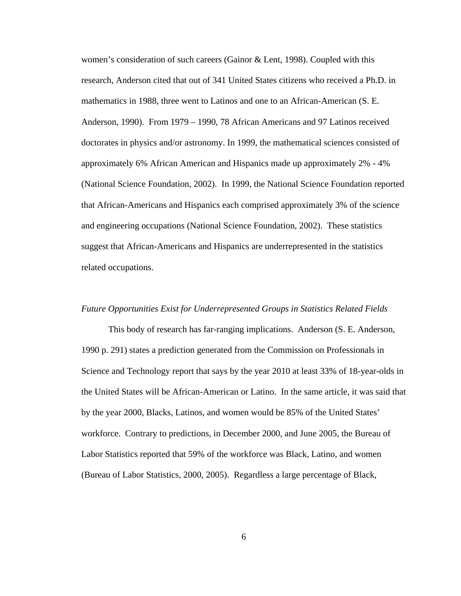women's consideration of such careers (Gainor  $&$  Lent, 1998). Coupled with this research, Anderson cited that out of 341 United States citizens who received a Ph.D. in mathematics in 1988, three went to Latinos and one to an African-American (S. E. Anderson, 1990). From 1979 – 1990, 78 African Americans and 97 Latinos received doctorates in physics and/or astronomy. In 1999, the mathematical sciences consisted of approximately 6% African American and Hispanics made up approximately 2% - 4% (National Science Foundation, 2002). In 1999, the National Science Foundation reported that African-Americans and Hispanics each comprised approximately 3% of the science and engineering occupations (National Science Foundation, 2002). These statistics suggest that African-Americans and Hispanics are underrepresented in the statistics related occupations.

#### *Future Opportunities Exist for Underrepresented Groups in Statistics Related Fields*

 This body of research has far-ranging implications. Anderson (S. E. Anderson, 1990 p. 291) states a prediction generated from the Commission on Professionals in Science and Technology report that says by the year 2010 at least 33% of 18-year-olds in the United States will be African-American or Latino. In the same article, it was said that by the year 2000, Blacks, Latinos, and women would be 85% of the United States' workforce. Contrary to predictions, in December 2000, and June 2005, the Bureau of Labor Statistics reported that 59% of the workforce was Black, Latino, and women (Bureau of Labor Statistics, 2000, 2005). Regardless a large percentage of Black,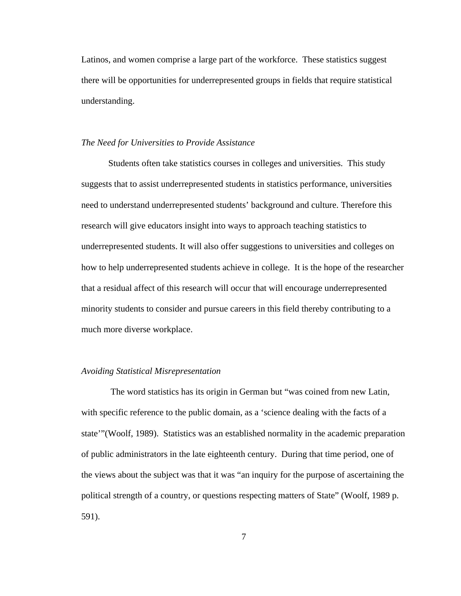Latinos, and women comprise a large part of the workforce. These statistics suggest there will be opportunities for underrepresented groups in fields that require statistical understanding.

#### *The Need for Universities to Provide Assistance*

Students often take statistics courses in colleges and universities. This study suggests that to assist underrepresented students in statistics performance, universities need to understand underrepresented students' background and culture. Therefore this research will give educators insight into ways to approach teaching statistics to underrepresented students. It will also offer suggestions to universities and colleges on how to help underrepresented students achieve in college. It is the hope of the researcher that a residual affect of this research will occur that will encourage underrepresented minority students to consider and pursue careers in this field thereby contributing to a much more diverse workplace.

#### *Avoiding Statistical Misrepresentation*

 The word statistics has its origin in German but "was coined from new Latin, with specific reference to the public domain, as a 'science dealing with the facts of a state'"(Woolf, 1989). Statistics was an established normality in the academic preparation of public administrators in the late eighteenth century. During that time period, one of the views about the subject was that it was "an inquiry for the purpose of ascertaining the political strength of a country, or questions respecting matters of State" (Woolf, 1989 p. 591).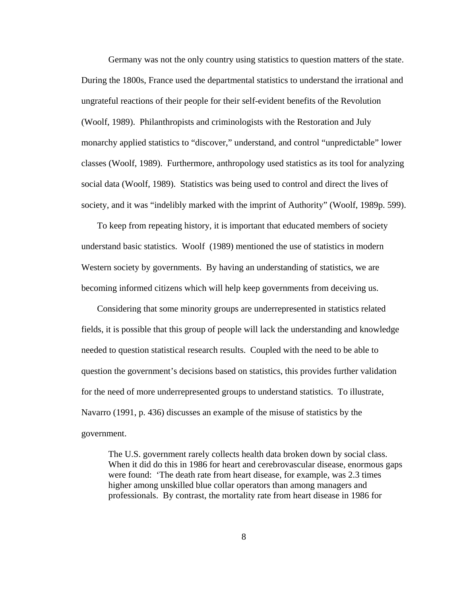Germany was not the only country using statistics to question matters of the state. During the 1800s, France used the departmental statistics to understand the irrational and ungrateful reactions of their people for their self-evident benefits of the Revolution (Woolf, 1989). Philanthropists and criminologists with the Restoration and July monarchy applied statistics to "discover," understand, and control "unpredictable" lower classes (Woolf, 1989). Furthermore, anthropology used statistics as its tool for analyzing social data (Woolf, 1989). Statistics was being used to control and direct the lives of society, and it was "indelibly marked with the imprint of Authority" (Woolf, 1989p. 599).

To keep from repeating history, it is important that educated members of society understand basic statistics. Woolf (1989) mentioned the use of statistics in modern Western society by governments. By having an understanding of statistics, we are becoming informed citizens which will help keep governments from deceiving us.

Considering that some minority groups are underrepresented in statistics related fields, it is possible that this group of people will lack the understanding and knowledge needed to question statistical research results. Coupled with the need to be able to question the government's decisions based on statistics, this provides further validation for the need of more underrepresented groups to understand statistics. To illustrate, Navarro (1991, p. 436) discusses an example of the misuse of statistics by the government.

The U.S. government rarely collects health data broken down by social class. When it did do this in 1986 for heart and cerebrovascular disease, enormous gaps were found: 'The death rate from heart disease, for example, was 2.3 times higher among unskilled blue collar operators than among managers and professionals. By contrast, the mortality rate from heart disease in 1986 for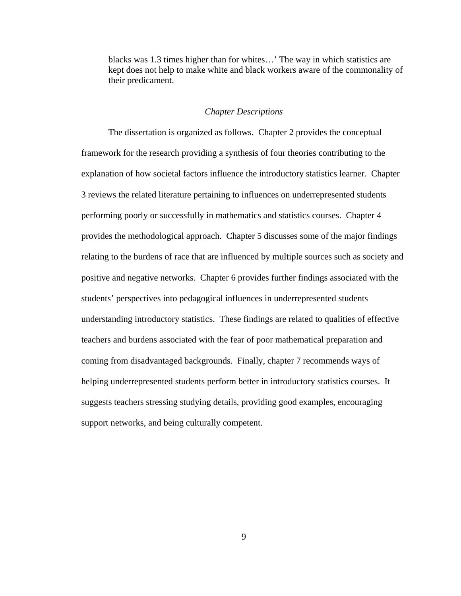blacks was 1.3 times higher than for whites…' The way in which statistics are kept does not help to make white and black workers aware of the commonality of their predicament.

### *Chapter Descriptions*

The dissertation is organized as follows. Chapter 2 provides the conceptual framework for the research providing a synthesis of four theories contributing to the explanation of how societal factors influence the introductory statistics learner. Chapter 3 reviews the related literature pertaining to influences on underrepresented students performing poorly or successfully in mathematics and statistics courses. Chapter 4 provides the methodological approach. Chapter 5 discusses some of the major findings relating to the burdens of race that are influenced by multiple sources such as society and positive and negative networks. Chapter 6 provides further findings associated with the students' perspectives into pedagogical influences in underrepresented students understanding introductory statistics. These findings are related to qualities of effective teachers and burdens associated with the fear of poor mathematical preparation and coming from disadvantaged backgrounds. Finally, chapter 7 recommends ways of helping underrepresented students perform better in introductory statistics courses. It suggests teachers stressing studying details, providing good examples, encouraging support networks, and being culturally competent.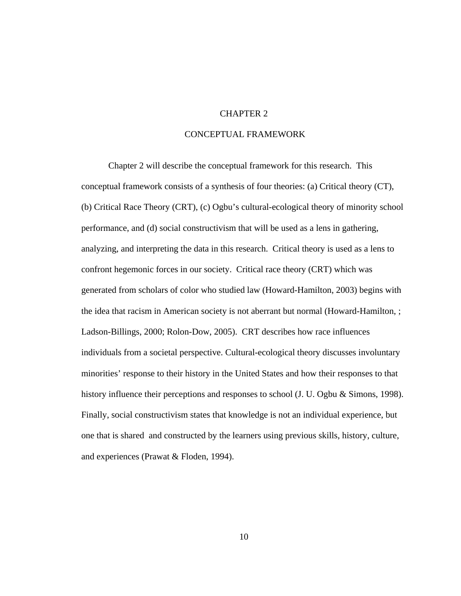## CHAPTER 2

# CONCEPTUAL FRAMEWORK

Chapter 2 will describe the conceptual framework for this research. This conceptual framework consists of a synthesis of four theories: (a) Critical theory (CT), (b) Critical Race Theory (CRT), (c) Ogbu's cultural-ecological theory of minority school performance, and (d) social constructivism that will be used as a lens in gathering, analyzing, and interpreting the data in this research. Critical theory is used as a lens to confront hegemonic forces in our society. Critical race theory (CRT) which was generated from scholars of color who studied law (Howard-Hamilton, 2003) begins with the idea that racism in American society is not aberrant but normal (Howard-Hamilton, ; Ladson-Billings, 2000; Rolon-Dow, 2005). CRT describes how race influences individuals from a societal perspective. Cultural-ecological theory discusses involuntary minorities' response to their history in the United States and how their responses to that history influence their perceptions and responses to school (J. U. Ogbu & Simons, 1998). Finally, social constructivism states that knowledge is not an individual experience, but one that is shared and constructed by the learners using previous skills, history, culture, and experiences (Prawat & Floden, 1994).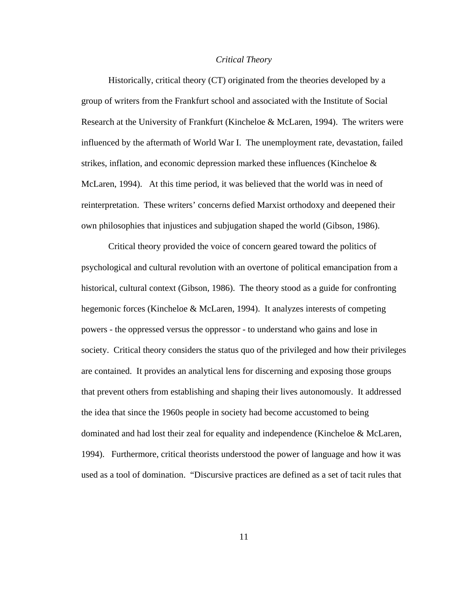#### *Critical Theory*

Historically, critical theory (CT) originated from the theories developed by a group of writers from the Frankfurt school and associated with the Institute of Social Research at the University of Frankfurt (Kincheloe & McLaren, 1994). The writers were influenced by the aftermath of World War I. The unemployment rate, devastation, failed strikes, inflation, and economic depression marked these influences (Kincheloe  $\&$ McLaren, 1994). At this time period, it was believed that the world was in need of reinterpretation. These writers' concerns defied Marxist orthodoxy and deepened their own philosophies that injustices and subjugation shaped the world (Gibson, 1986).

Critical theory provided the voice of concern geared toward the politics of psychological and cultural revolution with an overtone of political emancipation from a historical, cultural context (Gibson, 1986). The theory stood as a guide for confronting hegemonic forces (Kincheloe & McLaren, 1994). It analyzes interests of competing powers - the oppressed versus the oppressor - to understand who gains and lose in society. Critical theory considers the status quo of the privileged and how their privileges are contained. It provides an analytical lens for discerning and exposing those groups that prevent others from establishing and shaping their lives autonomously. It addressed the idea that since the 1960s people in society had become accustomed to being dominated and had lost their zeal for equality and independence (Kincheloe & McLaren, 1994). Furthermore, critical theorists understood the power of language and how it was used as a tool of domination. "Discursive practices are defined as a set of tacit rules that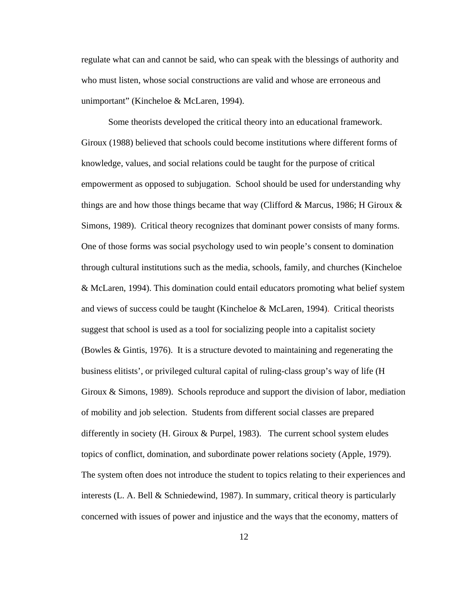regulate what can and cannot be said, who can speak with the blessings of authority and who must listen, whose social constructions are valid and whose are erroneous and unimportant" (Kincheloe & McLaren, 1994).

Some theorists developed the critical theory into an educational framework. Giroux (1988) believed that schools could become institutions where different forms of knowledge, values, and social relations could be taught for the purpose of critical empowerment as opposed to subjugation. School should be used for understanding why things are and how those things became that way (Clifford & Marcus, 1986; H Giroux  $\&$ Simons, 1989). Critical theory recognizes that dominant power consists of many forms. One of those forms was social psychology used to win people's consent to domination through cultural institutions such as the media, schools, family, and churches (Kincheloe & McLaren, 1994). This domination could entail educators promoting what belief system and views of success could be taught (Kincheloe & McLaren, 1994). Critical theorists suggest that school is used as a tool for socializing people into a capitalist society (Bowles & Gintis, 1976). It is a structure devoted to maintaining and regenerating the business elitists', or privileged cultural capital of ruling-class group's way of life (H Giroux & Simons, 1989). Schools reproduce and support the division of labor, mediation of mobility and job selection. Students from different social classes are prepared differently in society (H. Giroux & Purpel, 1983). The current school system eludes topics of conflict, domination, and subordinate power relations society (Apple, 1979). The system often does not introduce the student to topics relating to their experiences and interests (L. A. Bell & Schniedewind, 1987). In summary, critical theory is particularly concerned with issues of power and injustice and the ways that the economy, matters of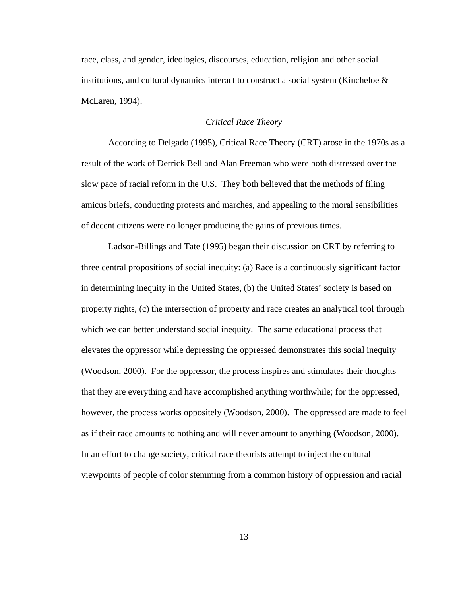race, class, and gender, ideologies, discourses, education, religion and other social institutions, and cultural dynamics interact to construct a social system (Kincheloe  $\&$ McLaren, 1994).

## *Critical Race Theory*

According to Delgado (1995), Critical Race Theory (CRT) arose in the 1970s as a result of the work of Derrick Bell and Alan Freeman who were both distressed over the slow pace of racial reform in the U.S. They both believed that the methods of filing amicus briefs, conducting protests and marches, and appealing to the moral sensibilities of decent citizens were no longer producing the gains of previous times.

Ladson-Billings and Tate (1995) began their discussion on CRT by referring to three central propositions of social inequity: (a) Race is a continuously significant factor in determining inequity in the United States, (b) the United States' society is based on property rights, (c) the intersection of property and race creates an analytical tool through which we can better understand social inequity. The same educational process that elevates the oppressor while depressing the oppressed demonstrates this social inequity (Woodson, 2000). For the oppressor, the process inspires and stimulates their thoughts that they are everything and have accomplished anything worthwhile; for the oppressed, however, the process works oppositely (Woodson, 2000). The oppressed are made to feel as if their race amounts to nothing and will never amount to anything (Woodson, 2000). In an effort to change society, critical race theorists attempt to inject the cultural viewpoints of people of color stemming from a common history of oppression and racial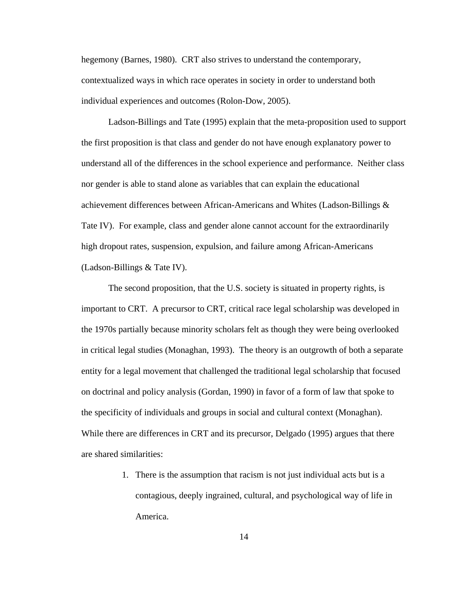hegemony (Barnes, 1980). CRT also strives to understand the contemporary, contextualized ways in which race operates in society in order to understand both individual experiences and outcomes (Rolon-Dow, 2005).

Ladson-Billings and Tate (1995) explain that the meta-proposition used to support the first proposition is that class and gender do not have enough explanatory power to understand all of the differences in the school experience and performance. Neither class nor gender is able to stand alone as variables that can explain the educational achievement differences between African-Americans and Whites (Ladson-Billings & Tate IV). For example, class and gender alone cannot account for the extraordinarily high dropout rates, suspension, expulsion, and failure among African-Americans (Ladson-Billings & Tate IV).

The second proposition, that the U.S. society is situated in property rights, is important to CRT. A precursor to CRT, critical race legal scholarship was developed in the 1970s partially because minority scholars felt as though they were being overlooked in critical legal studies (Monaghan, 1993). The theory is an outgrowth of both a separate entity for a legal movement that challenged the traditional legal scholarship that focused on doctrinal and policy analysis (Gordan, 1990) in favor of a form of law that spoke to the specificity of individuals and groups in social and cultural context (Monaghan). While there are differences in CRT and its precursor, Delgado (1995) argues that there are shared similarities:

> 1. There is the assumption that racism is not just individual acts but is a contagious, deeply ingrained, cultural, and psychological way of life in America.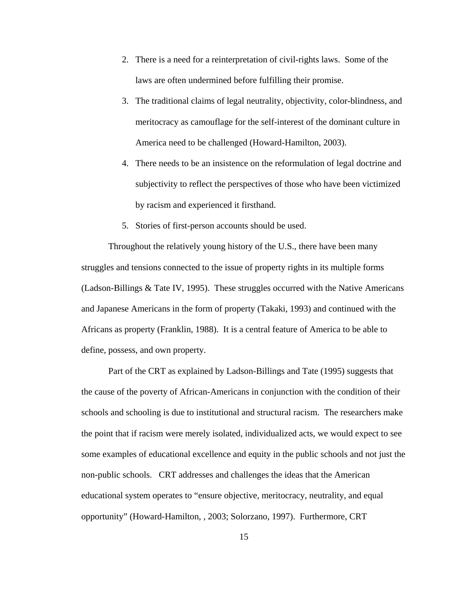- 2. There is a need for a reinterpretation of civil-rights laws. Some of the laws are often undermined before fulfilling their promise.
- 3. The traditional claims of legal neutrality, objectivity, color-blindness, and meritocracy as camouflage for the self-interest of the dominant culture in America need to be challenged (Howard-Hamilton, 2003).
- 4. There needs to be an insistence on the reformulation of legal doctrine and subjectivity to reflect the perspectives of those who have been victimized by racism and experienced it firsthand.
- 5. Stories of first-person accounts should be used.

Throughout the relatively young history of the U.S., there have been many struggles and tensions connected to the issue of property rights in its multiple forms (Ladson-Billings & Tate IV, 1995). These struggles occurred with the Native Americans and Japanese Americans in the form of property (Takaki, 1993) and continued with the Africans as property (Franklin, 1988). It is a central feature of America to be able to define, possess, and own property.

Part of the CRT as explained by Ladson-Billings and Tate (1995) suggests that the cause of the poverty of African-Americans in conjunction with the condition of their schools and schooling is due to institutional and structural racism. The researchers make the point that if racism were merely isolated, individualized acts, we would expect to see some examples of educational excellence and equity in the public schools and not just the non-public schools. CRT addresses and challenges the ideas that the American educational system operates to "ensure objective, meritocracy, neutrality, and equal opportunity" (Howard-Hamilton, , 2003; Solorzano, 1997). Furthermore, CRT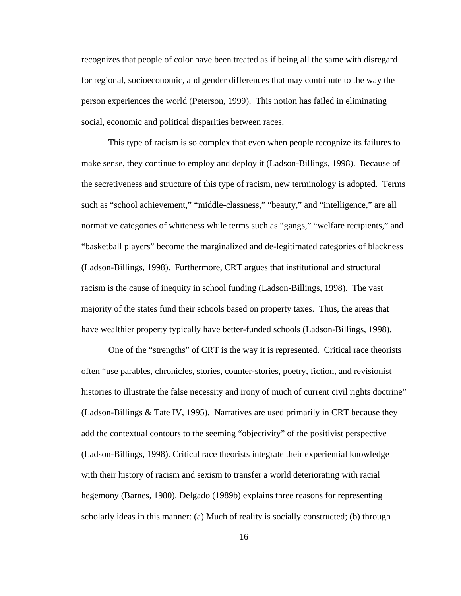recognizes that people of color have been treated as if being all the same with disregard for regional, socioeconomic, and gender differences that may contribute to the way the person experiences the world (Peterson, 1999). This notion has failed in eliminating social, economic and political disparities between races.

This type of racism is so complex that even when people recognize its failures to make sense, they continue to employ and deploy it (Ladson-Billings, 1998). Because of the secretiveness and structure of this type of racism, new terminology is adopted. Terms such as "school achievement," "middle-classness," "beauty," and "intelligence," are all normative categories of whiteness while terms such as "gangs," "welfare recipients," and "basketball players" become the marginalized and de-legitimated categories of blackness (Ladson-Billings, 1998). Furthermore, CRT argues that institutional and structural racism is the cause of inequity in school funding (Ladson-Billings, 1998). The vast majority of the states fund their schools based on property taxes. Thus, the areas that have wealthier property typically have better-funded schools (Ladson-Billings, 1998).

One of the "strengths" of CRT is the way it is represented. Critical race theorists often "use parables, chronicles, stories, counter-stories, poetry, fiction, and revisionist histories to illustrate the false necessity and irony of much of current civil rights doctrine" (Ladson-Billings & Tate IV, 1995). Narratives are used primarily in CRT because they add the contextual contours to the seeming "objectivity" of the positivist perspective (Ladson-Billings, 1998). Critical race theorists integrate their experiential knowledge with their history of racism and sexism to transfer a world deteriorating with racial hegemony (Barnes, 1980). Delgado (1989b) explains three reasons for representing scholarly ideas in this manner: (a) Much of reality is socially constructed; (b) through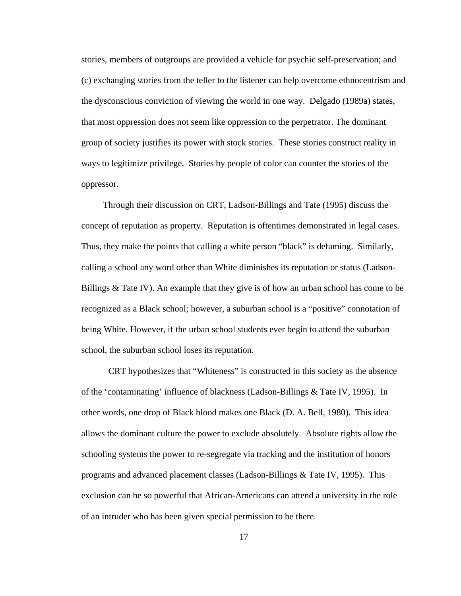stories, members of outgroups are provided a vehicle for psychic self-preservation; and (c) exchanging stories from the teller to the listener can help overcome ethnocentrism and the dysconscious conviction of viewing the world in one way. Delgado (1989a) states, that most oppression does not seem like oppression to the perpetrator. The dominant group of society justifies its power with stock stories. These stories construct reality in ways to legitimize privilege. Stories by people of color can counter the stories of the oppressor.

 Through their discussion on CRT, Ladson-Billings and Tate (1995) discuss the concept of reputation as property. Reputation is oftentimes demonstrated in legal cases. Thus, they make the points that calling a white person "black" is defaming. Similarly, calling a school any word other than White diminishes its reputation or status (Ladson-Billings & Tate IV). An example that they give is of how an urban school has come to be recognized as a Black school; however, a suburban school is a "positive" connotation of being White. However, if the urban school students ever begin to attend the suburban school, the suburban school loses its reputation.

CRT hypothesizes that "Whiteness" is constructed in this society as the absence of the 'contaminating' influence of blackness (Ladson-Billings & Tate IV, 1995). In other words, one drop of Black blood makes one Black (D. A. Bell, 1980). This idea allows the dominant culture the power to exclude absolutely. Absolute rights allow the schooling systems the power to re-segregate via tracking and the institution of honors programs and advanced placement classes (Ladson-Billings & Tate IV, 1995). This exclusion can be so powerful that African-Americans can attend a university in the role of an intruder who has been given special permission to be there.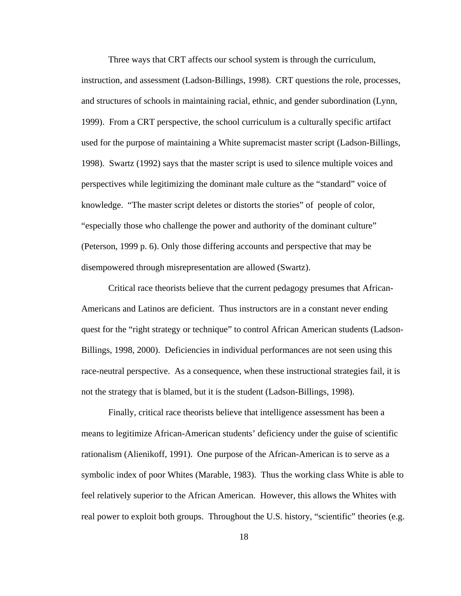Three ways that CRT affects our school system is through the curriculum, instruction, and assessment (Ladson-Billings, 1998). CRT questions the role, processes, and structures of schools in maintaining racial, ethnic, and gender subordination (Lynn, 1999). From a CRT perspective, the school curriculum is a culturally specific artifact used for the purpose of maintaining a White supremacist master script (Ladson-Billings, 1998). Swartz (1992) says that the master script is used to silence multiple voices and perspectives while legitimizing the dominant male culture as the "standard" voice of knowledge. "The master script deletes or distorts the stories" of people of color, "especially those who challenge the power and authority of the dominant culture" (Peterson, 1999 p. 6). Only those differing accounts and perspective that may be disempowered through misrepresentation are allowed (Swartz).

Critical race theorists believe that the current pedagogy presumes that African-Americans and Latinos are deficient. Thus instructors are in a constant never ending quest for the "right strategy or technique" to control African American students (Ladson-Billings, 1998, 2000). Deficiencies in individual performances are not seen using this race-neutral perspective. As a consequence, when these instructional strategies fail, it is not the strategy that is blamed, but it is the student (Ladson-Billings, 1998).

Finally, critical race theorists believe that intelligence assessment has been a means to legitimize African-American students' deficiency under the guise of scientific rationalism (Alienikoff, 1991). One purpose of the African-American is to serve as a symbolic index of poor Whites (Marable, 1983). Thus the working class White is able to feel relatively superior to the African American. However, this allows the Whites with real power to exploit both groups. Throughout the U.S. history, "scientific" theories (e.g.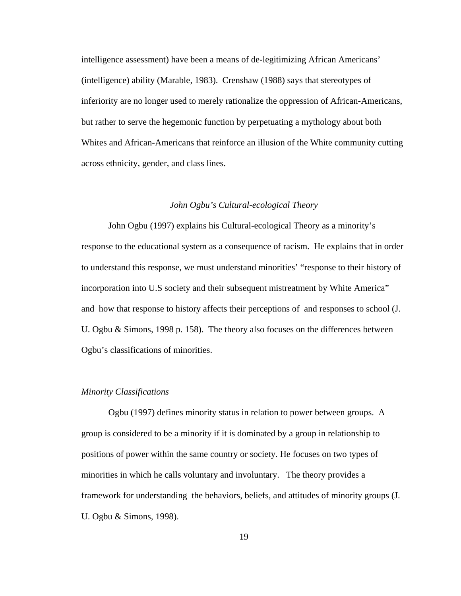intelligence assessment) have been a means of de-legitimizing African Americans' (intelligence) ability (Marable, 1983). Crenshaw (1988) says that stereotypes of inferiority are no longer used to merely rationalize the oppression of African-Americans, but rather to serve the hegemonic function by perpetuating a mythology about both Whites and African-Americans that reinforce an illusion of the White community cutting across ethnicity, gender, and class lines.

#### *John Ogbu's Cultural-ecological Theory*

John Ogbu (1997) explains his Cultural-ecological Theory as a minority's response to the educational system as a consequence of racism. He explains that in order to understand this response, we must understand minorities' "response to their history of incorporation into U.S society and their subsequent mistreatment by White America" and how that response to history affects their perceptions of and responses to school (J. U. Ogbu & Simons, 1998 p. 158). The theory also focuses on the differences between Ogbu's classifications of minorities.

#### *Minority Classifications*

Ogbu (1997) defines minority status in relation to power between groups. A group is considered to be a minority if it is dominated by a group in relationship to positions of power within the same country or society. He focuses on two types of minorities in which he calls voluntary and involuntary. The theory provides a framework for understanding the behaviors, beliefs, and attitudes of minority groups (J. U. Ogbu & Simons, 1998).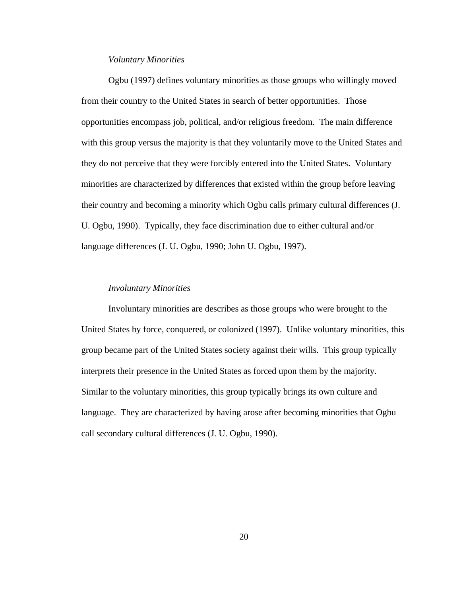## *Voluntary Minorities*

Ogbu (1997) defines voluntary minorities as those groups who willingly moved from their country to the United States in search of better opportunities. Those opportunities encompass job, political, and/or religious freedom. The main difference with this group versus the majority is that they voluntarily move to the United States and they do not perceive that they were forcibly entered into the United States. Voluntary minorities are characterized by differences that existed within the group before leaving their country and becoming a minority which Ogbu calls primary cultural differences (J. U. Ogbu, 1990). Typically, they face discrimination due to either cultural and/or language differences (J. U. Ogbu, 1990; John U. Ogbu, 1997).

#### *Involuntary Minorities*

Involuntary minorities are describes as those groups who were brought to the United States by force, conquered, or colonized (1997). Unlike voluntary minorities, this group became part of the United States society against their wills. This group typically interprets their presence in the United States as forced upon them by the majority. Similar to the voluntary minorities, this group typically brings its own culture and language. They are characterized by having arose after becoming minorities that Ogbu call secondary cultural differences (J. U. Ogbu, 1990).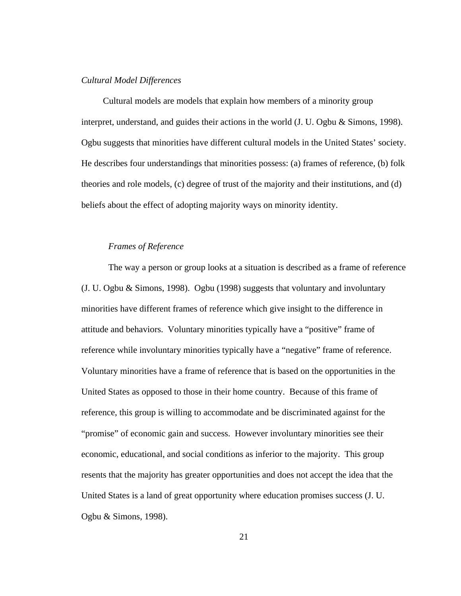#### *Cultural Model Differences*

 Cultural models are models that explain how members of a minority group interpret, understand, and guides their actions in the world (J. U. Ogbu & Simons, 1998). Ogbu suggests that minorities have different cultural models in the United States' society. He describes four understandings that minorities possess: (a) frames of reference, (b) folk theories and role models, (c) degree of trust of the majority and their institutions, and (d) beliefs about the effect of adopting majority ways on minority identity.

#### *Frames of Reference*

The way a person or group looks at a situation is described as a frame of reference (J. U. Ogbu & Simons, 1998). Ogbu (1998) suggests that voluntary and involuntary minorities have different frames of reference which give insight to the difference in attitude and behaviors. Voluntary minorities typically have a "positive" frame of reference while involuntary minorities typically have a "negative" frame of reference. Voluntary minorities have a frame of reference that is based on the opportunities in the United States as opposed to those in their home country. Because of this frame of reference, this group is willing to accommodate and be discriminated against for the "promise" of economic gain and success. However involuntary minorities see their economic, educational, and social conditions as inferior to the majority. This group resents that the majority has greater opportunities and does not accept the idea that the United States is a land of great opportunity where education promises success (J. U. Ogbu & Simons, 1998).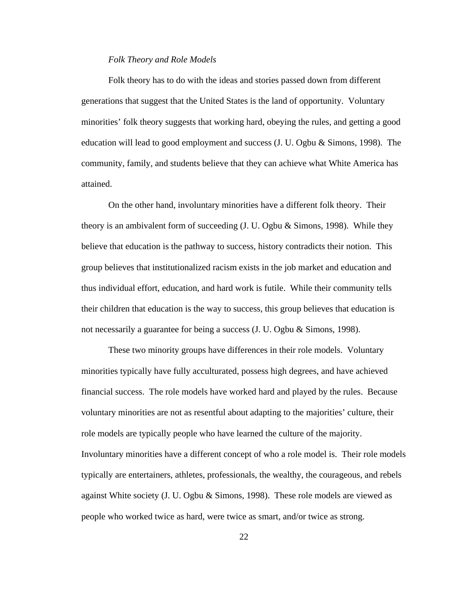#### *Folk Theory and Role Models*

Folk theory has to do with the ideas and stories passed down from different generations that suggest that the United States is the land of opportunity. Voluntary minorities' folk theory suggests that working hard, obeying the rules, and getting a good education will lead to good employment and success  $(J, U, Ogbu \& Simons, 1998)$ . The community, family, and students believe that they can achieve what White America has attained.

On the other hand, involuntary minorities have a different folk theory. Their theory is an ambivalent form of succeeding (J. U. Ogbu & Simons, 1998). While they believe that education is the pathway to success, history contradicts their notion. This group believes that institutionalized racism exists in the job market and education and thus individual effort, education, and hard work is futile. While their community tells their children that education is the way to success, this group believes that education is not necessarily a guarantee for being a success (J. U. Ogbu & Simons, 1998).

These two minority groups have differences in their role models. Voluntary minorities typically have fully acculturated, possess high degrees, and have achieved financial success. The role models have worked hard and played by the rules. Because voluntary minorities are not as resentful about adapting to the majorities' culture, their role models are typically people who have learned the culture of the majority. Involuntary minorities have a different concept of who a role model is. Their role models typically are entertainers, athletes, professionals, the wealthy, the courageous, and rebels against White society (J. U. Ogbu & Simons, 1998). These role models are viewed as people who worked twice as hard, were twice as smart, and/or twice as strong.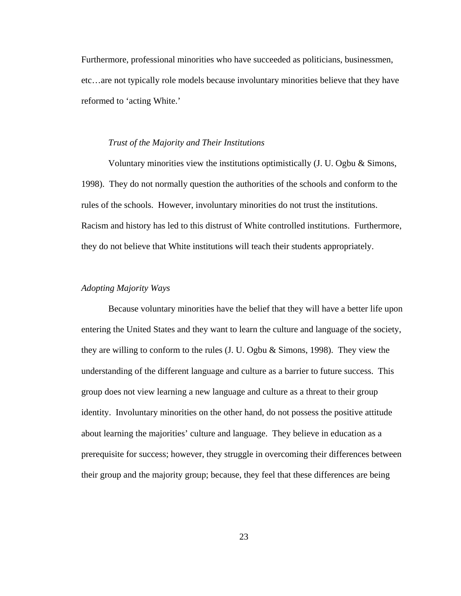Furthermore, professional minorities who have succeeded as politicians, businessmen, etc…are not typically role models because involuntary minorities believe that they have reformed to 'acting White.'

#### *Trust of the Majority and Their Institutions*

Voluntary minorities view the institutions optimistically (J. U. Ogbu & Simons, 1998). They do not normally question the authorities of the schools and conform to the rules of the schools. However, involuntary minorities do not trust the institutions. Racism and history has led to this distrust of White controlled institutions. Furthermore, they do not believe that White institutions will teach their students appropriately.

#### *Adopting Majority Ways*

Because voluntary minorities have the belief that they will have a better life upon entering the United States and they want to learn the culture and language of the society, they are willing to conform to the rules (J. U. Ogbu & Simons, 1998). They view the understanding of the different language and culture as a barrier to future success. This group does not view learning a new language and culture as a threat to their group identity. Involuntary minorities on the other hand, do not possess the positive attitude about learning the majorities' culture and language. They believe in education as a prerequisite for success; however, they struggle in overcoming their differences between their group and the majority group; because, they feel that these differences are being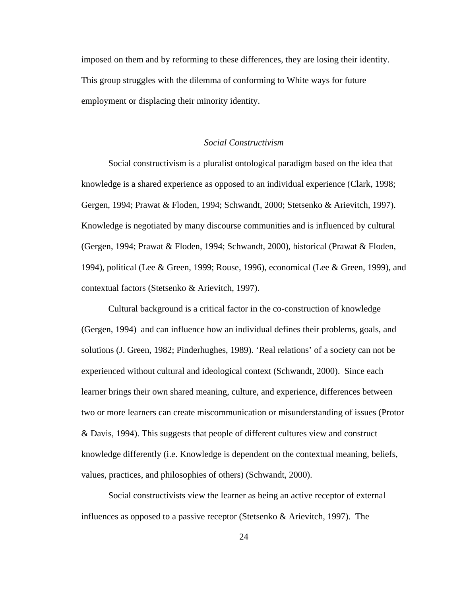imposed on them and by reforming to these differences, they are losing their identity. This group struggles with the dilemma of conforming to White ways for future employment or displacing their minority identity.

### *Social Constructivism*

Social constructivism is a pluralist ontological paradigm based on the idea that knowledge is a shared experience as opposed to an individual experience (Clark, 1998; Gergen, 1994; Prawat & Floden, 1994; Schwandt, 2000; Stetsenko & Arievitch, 1997). Knowledge is negotiated by many discourse communities and is influenced by cultural (Gergen, 1994; Prawat & Floden, 1994; Schwandt, 2000), historical (Prawat & Floden, 1994), political (Lee & Green, 1999; Rouse, 1996), economical (Lee & Green, 1999), and contextual factors (Stetsenko & Arievitch, 1997).

Cultural background is a critical factor in the co-construction of knowledge (Gergen, 1994) and can influence how an individual defines their problems, goals, and solutions (J. Green, 1982; Pinderhughes, 1989). 'Real relations' of a society can not be experienced without cultural and ideological context (Schwandt, 2000). Since each learner brings their own shared meaning, culture, and experience, differences between two or more learners can create miscommunication or misunderstanding of issues (Protor & Davis, 1994). This suggests that people of different cultures view and construct knowledge differently (i.e. Knowledge is dependent on the contextual meaning, beliefs, values, practices, and philosophies of others) (Schwandt, 2000).

Social constructivists view the learner as being an active receptor of external influences as opposed to a passive receptor (Stetsenko  $\&$  Arievitch, 1997). The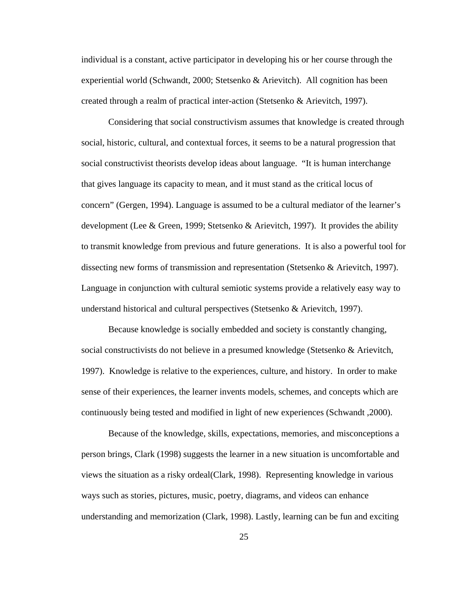individual is a constant, active participator in developing his or her course through the experiential world (Schwandt, 2000; Stetsenko & Arievitch). All cognition has been created through a realm of practical inter-action (Stetsenko & Arievitch, 1997).

Considering that social constructivism assumes that knowledge is created through social, historic, cultural, and contextual forces, it seems to be a natural progression that social constructivist theorists develop ideas about language. "It is human interchange that gives language its capacity to mean, and it must stand as the critical locus of concern" (Gergen, 1994). Language is assumed to be a cultural mediator of the learner's development (Lee & Green, 1999; Stetsenko & Arievitch, 1997). It provides the ability to transmit knowledge from previous and future generations. It is also a powerful tool for dissecting new forms of transmission and representation (Stetsenko & Arievitch, 1997). Language in conjunction with cultural semiotic systems provide a relatively easy way to understand historical and cultural perspectives (Stetsenko & Arievitch, 1997).

Because knowledge is socially embedded and society is constantly changing, social constructivists do not believe in a presumed knowledge (Stetsenko & Arievitch, 1997). Knowledge is relative to the experiences, culture, and history. In order to make sense of their experiences, the learner invents models, schemes, and concepts which are continuously being tested and modified in light of new experiences (Schwandt ,2000).

Because of the knowledge, skills, expectations, memories, and misconceptions a person brings, Clark (1998) suggests the learner in a new situation is uncomfortable and views the situation as a risky ordeal(Clark, 1998). Representing knowledge in various ways such as stories, pictures, music, poetry, diagrams, and videos can enhance understanding and memorization (Clark, 1998). Lastly, learning can be fun and exciting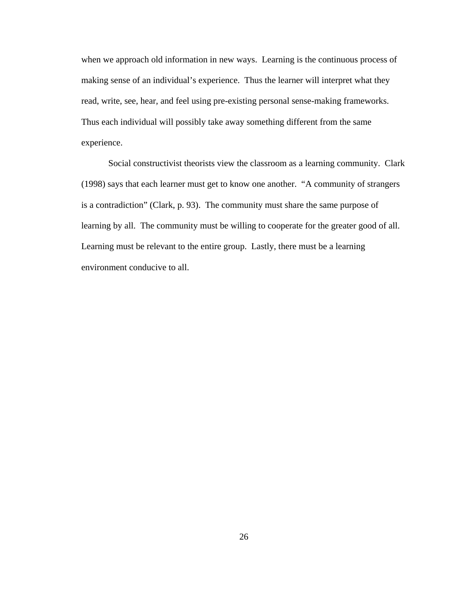when we approach old information in new ways. Learning is the continuous process of making sense of an individual's experience. Thus the learner will interpret what they read, write, see, hear, and feel using pre-existing personal sense-making frameworks. Thus each individual will possibly take away something different from the same experience.

Social constructivist theorists view the classroom as a learning community. Clark (1998) says that each learner must get to know one another. "A community of strangers is a contradiction" (Clark, p. 93). The community must share the same purpose of learning by all. The community must be willing to cooperate for the greater good of all. Learning must be relevant to the entire group. Lastly, there must be a learning environment conducive to all.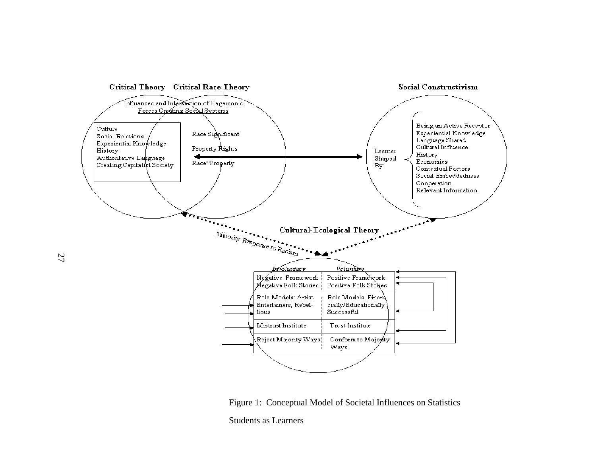

Figure 1: Conceptual Model of Societal Influences on Statistics

Students as Learners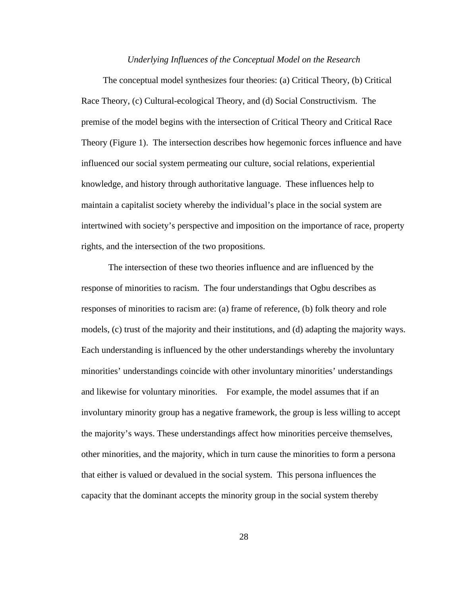#### *Underlying Influences of the Conceptual Model on the Research*

 The conceptual model synthesizes four theories: (a) Critical Theory, (b) Critical Race Theory, (c) Cultural-ecological Theory, and (d) Social Constructivism. The premise of the model begins with the intersection of Critical Theory and Critical Race Theory (Figure 1). The intersection describes how hegemonic forces influence and have influenced our social system permeating our culture, social relations, experiential knowledge, and history through authoritative language. These influences help to maintain a capitalist society whereby the individual's place in the social system are intertwined with society's perspective and imposition on the importance of race, property rights, and the intersection of the two propositions.

The intersection of these two theories influence and are influenced by the response of minorities to racism. The four understandings that Ogbu describes as responses of minorities to racism are: (a) frame of reference, (b) folk theory and role models, (c) trust of the majority and their institutions, and (d) adapting the majority ways. Each understanding is influenced by the other understandings whereby the involuntary minorities' understandings coincide with other involuntary minorities' understandings and likewise for voluntary minorities. For example, the model assumes that if an involuntary minority group has a negative framework, the group is less willing to accept the majority's ways. These understandings affect how minorities perceive themselves, other minorities, and the majority, which in turn cause the minorities to form a persona that either is valued or devalued in the social system. This persona influences the capacity that the dominant accepts the minority group in the social system thereby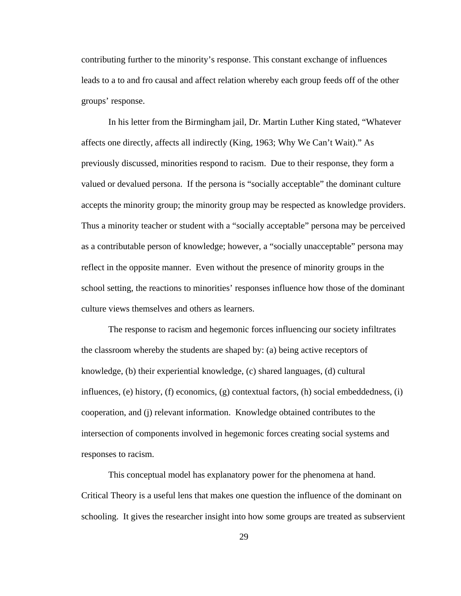contributing further to the minority's response. This constant exchange of influences leads to a to and fro causal and affect relation whereby each group feeds off of the other groups' response.

In his letter from the Birmingham jail, Dr. Martin Luther King stated, "Whatever affects one directly, affects all indirectly (King, 1963; Why We Can't Wait)." As previously discussed, minorities respond to racism. Due to their response, they form a valued or devalued persona. If the persona is "socially acceptable" the dominant culture accepts the minority group; the minority group may be respected as knowledge providers. Thus a minority teacher or student with a "socially acceptable" persona may be perceived as a contributable person of knowledge; however, a "socially unacceptable" persona may reflect in the opposite manner. Even without the presence of minority groups in the school setting, the reactions to minorities' responses influence how those of the dominant culture views themselves and others as learners.

The response to racism and hegemonic forces influencing our society infiltrates the classroom whereby the students are shaped by: (a) being active receptors of knowledge, (b) their experiential knowledge, (c) shared languages, (d) cultural influences, (e) history, (f) economics, (g) contextual factors, (h) social embeddedness, (i) cooperation, and (j) relevant information. Knowledge obtained contributes to the intersection of components involved in hegemonic forces creating social systems and responses to racism.

This conceptual model has explanatory power for the phenomena at hand. Critical Theory is a useful lens that makes one question the influence of the dominant on schooling. It gives the researcher insight into how some groups are treated as subservient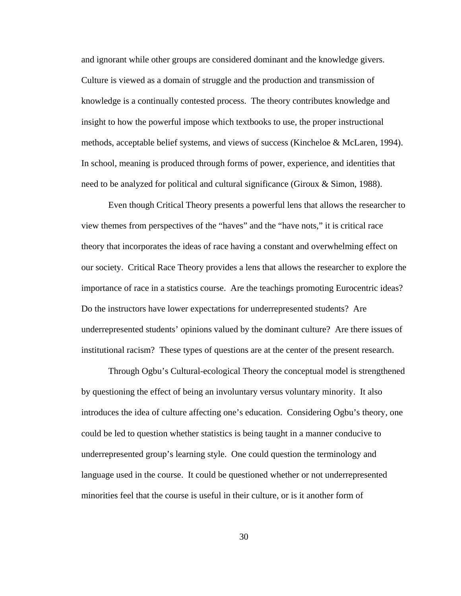and ignorant while other groups are considered dominant and the knowledge givers. Culture is viewed as a domain of struggle and the production and transmission of knowledge is a continually contested process. The theory contributes knowledge and insight to how the powerful impose which textbooks to use, the proper instructional methods, acceptable belief systems, and views of success (Kincheloe & McLaren, 1994). In school, meaning is produced through forms of power, experience, and identities that need to be analyzed for political and cultural significance (Giroux & Simon, 1988).

Even though Critical Theory presents a powerful lens that allows the researcher to view themes from perspectives of the "haves" and the "have nots," it is critical race theory that incorporates the ideas of race having a constant and overwhelming effect on our society. Critical Race Theory provides a lens that allows the researcher to explore the importance of race in a statistics course. Are the teachings promoting Eurocentric ideas? Do the instructors have lower expectations for underrepresented students? Are underrepresented students' opinions valued by the dominant culture? Are there issues of institutional racism? These types of questions are at the center of the present research.

Through Ogbu's Cultural-ecological Theory the conceptual model is strengthened by questioning the effect of being an involuntary versus voluntary minority. It also introduces the idea of culture affecting one's education. Considering Ogbu's theory, one could be led to question whether statistics is being taught in a manner conducive to underrepresented group's learning style. One could question the terminology and language used in the course. It could be questioned whether or not underrepresented minorities feel that the course is useful in their culture, or is it another form of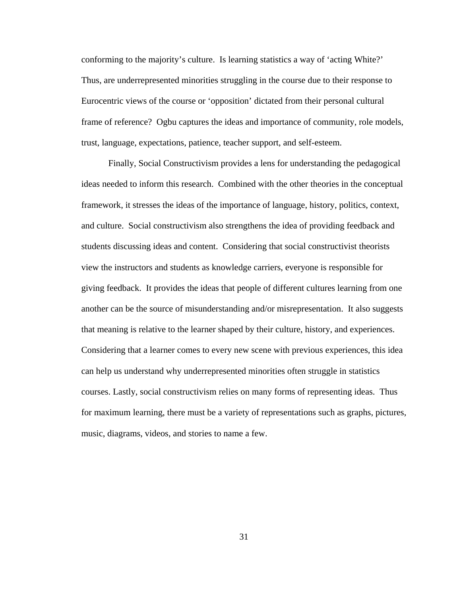conforming to the majority's culture. Is learning statistics a way of 'acting White?' Thus, are underrepresented minorities struggling in the course due to their response to Eurocentric views of the course or 'opposition' dictated from their personal cultural frame of reference? Ogbu captures the ideas and importance of community, role models, trust, language, expectations, patience, teacher support, and self-esteem.

Finally, Social Constructivism provides a lens for understanding the pedagogical ideas needed to inform this research. Combined with the other theories in the conceptual framework, it stresses the ideas of the importance of language, history, politics, context, and culture. Social constructivism also strengthens the idea of providing feedback and students discussing ideas and content. Considering that social constructivist theorists view the instructors and students as knowledge carriers, everyone is responsible for giving feedback. It provides the ideas that people of different cultures learning from one another can be the source of misunderstanding and/or misrepresentation. It also suggests that meaning is relative to the learner shaped by their culture, history, and experiences. Considering that a learner comes to every new scene with previous experiences, this idea can help us understand why underrepresented minorities often struggle in statistics courses. Lastly, social constructivism relies on many forms of representing ideas. Thus for maximum learning, there must be a variety of representations such as graphs, pictures, music, diagrams, videos, and stories to name a few.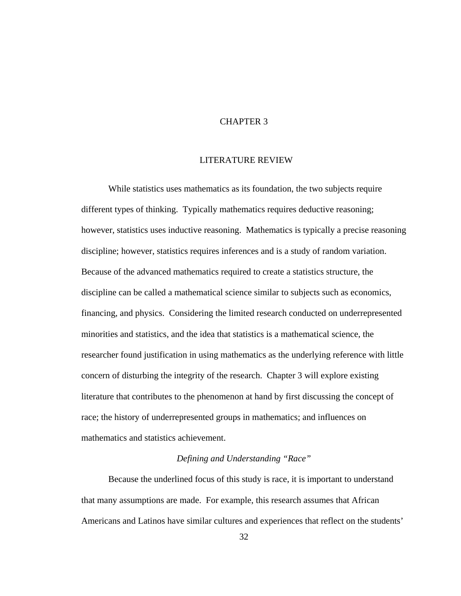# CHAPTER 3

## LITERATURE REVIEW

While statistics uses mathematics as its foundation, the two subjects require different types of thinking. Typically mathematics requires deductive reasoning; however, statistics uses inductive reasoning. Mathematics is typically a precise reasoning discipline; however, statistics requires inferences and is a study of random variation. Because of the advanced mathematics required to create a statistics structure, the discipline can be called a mathematical science similar to subjects such as economics, financing, and physics. Considering the limited research conducted on underrepresented minorities and statistics, and the idea that statistics is a mathematical science, the researcher found justification in using mathematics as the underlying reference with little concern of disturbing the integrity of the research. Chapter 3 will explore existing literature that contributes to the phenomenon at hand by first discussing the concept of race; the history of underrepresented groups in mathematics; and influences on mathematics and statistics achievement.

# *Defining and Understanding "Race"*

Because the underlined focus of this study is race, it is important to understand that many assumptions are made. For example, this research assumes that African Americans and Latinos have similar cultures and experiences that reflect on the students'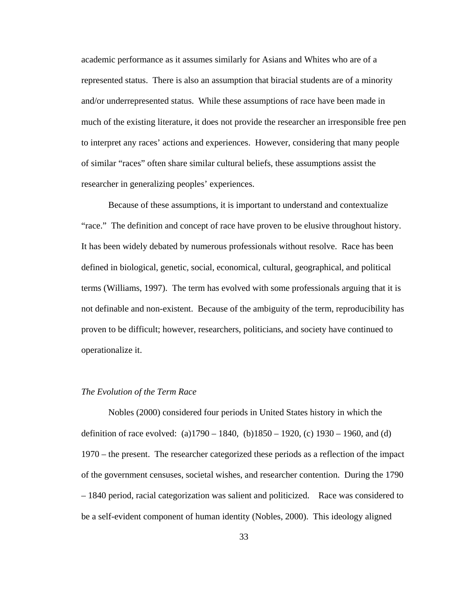academic performance as it assumes similarly for Asians and Whites who are of a represented status. There is also an assumption that biracial students are of a minority and/or underrepresented status. While these assumptions of race have been made in much of the existing literature, it does not provide the researcher an irresponsible free pen to interpret any races' actions and experiences. However, considering that many people of similar "races" often share similar cultural beliefs, these assumptions assist the researcher in generalizing peoples' experiences.

Because of these assumptions, it is important to understand and contextualize "race." The definition and concept of race have proven to be elusive throughout history. It has been widely debated by numerous professionals without resolve. Race has been defined in biological, genetic, social, economical, cultural, geographical, and political terms (Williams, 1997). The term has evolved with some professionals arguing that it is not definable and non-existent. Because of the ambiguity of the term, reproducibility has proven to be difficult; however, researchers, politicians, and society have continued to operationalize it.

### *The Evolution of the Term Race*

Nobles (2000) considered four periods in United States history in which the definition of race evolved: (a)1790 – 1840, (b)1850 – 1920, (c) 1930 – 1960, and (d) 1970 – the present. The researcher categorized these periods as a reflection of the impact of the government censuses, societal wishes, and researcher contention. During the 1790 – 1840 period, racial categorization was salient and politicized. Race was considered to be a self-evident component of human identity (Nobles, 2000). This ideology aligned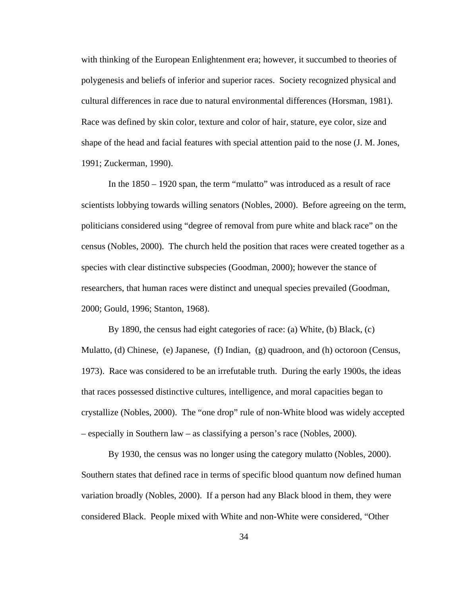with thinking of the European Enlightenment era; however, it succumbed to theories of polygenesis and beliefs of inferior and superior races. Society recognized physical and cultural differences in race due to natural environmental differences (Horsman, 1981). Race was defined by skin color, texture and color of hair, stature, eye color, size and shape of the head and facial features with special attention paid to the nose (J. M. Jones, 1991; Zuckerman, 1990).

In the 1850 – 1920 span, the term "mulatto" was introduced as a result of race scientists lobbying towards willing senators (Nobles, 2000). Before agreeing on the term, politicians considered using "degree of removal from pure white and black race" on the census (Nobles, 2000). The church held the position that races were created together as a species with clear distinctive subspecies (Goodman, 2000); however the stance of researchers, that human races were distinct and unequal species prevailed (Goodman, 2000; Gould, 1996; Stanton, 1968).

By 1890, the census had eight categories of race: (a) White, (b) Black, (c) Mulatto, (d) Chinese, (e) Japanese, (f) Indian, (g) quadroon, and (h) octoroon (Census, 1973). Race was considered to be an irrefutable truth. During the early 1900s, the ideas that races possessed distinctive cultures, intelligence, and moral capacities began to crystallize (Nobles, 2000). The "one drop" rule of non-White blood was widely accepted – especially in Southern law – as classifying a person's race (Nobles, 2000).

By 1930, the census was no longer using the category mulatto (Nobles, 2000). Southern states that defined race in terms of specific blood quantum now defined human variation broadly (Nobles, 2000). If a person had any Black blood in them, they were considered Black. People mixed with White and non-White were considered, "Other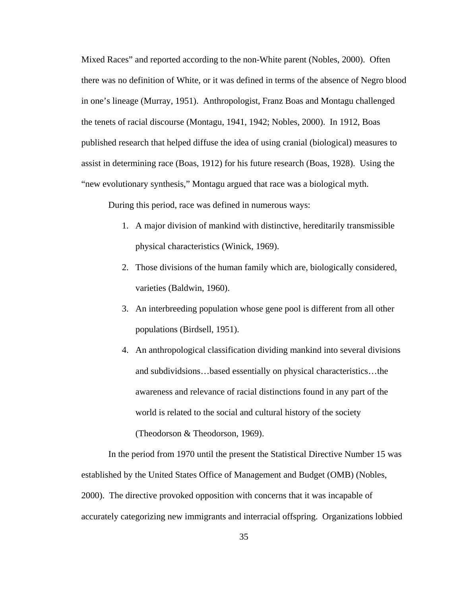Mixed Races" and reported according to the non-White parent (Nobles, 2000). Often there was no definition of White, or it was defined in terms of the absence of Negro blood in one's lineage (Murray, 1951). Anthropologist, Franz Boas and Montagu challenged the tenets of racial discourse (Montagu, 1941, 1942; Nobles, 2000). In 1912, Boas published research that helped diffuse the idea of using cranial (biological) measures to assist in determining race (Boas, 1912) for his future research (Boas, 1928). Using the "new evolutionary synthesis," Montagu argued that race was a biological myth.

During this period, race was defined in numerous ways:

- 1. A major division of mankind with distinctive, hereditarily transmissible physical characteristics (Winick, 1969).
- 2. Those divisions of the human family which are, biologically considered, varieties (Baldwin, 1960).
- 3. An interbreeding population whose gene pool is different from all other populations (Birdsell, 1951).
- 4. An anthropological classification dividing mankind into several divisions and subdividsions…based essentially on physical characteristics…the awareness and relevance of racial distinctions found in any part of the world is related to the social and cultural history of the society (Theodorson & Theodorson, 1969).

In the period from 1970 until the present the Statistical Directive Number 15 was established by the United States Office of Management and Budget (OMB) (Nobles, 2000). The directive provoked opposition with concerns that it was incapable of accurately categorizing new immigrants and interracial offspring. Organizations lobbied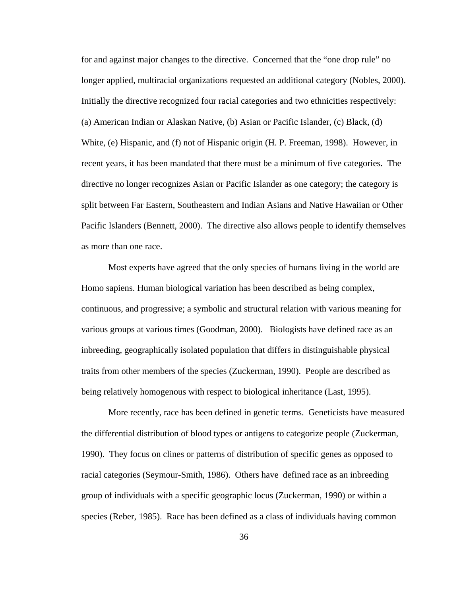for and against major changes to the directive. Concerned that the "one drop rule" no longer applied, multiracial organizations requested an additional category (Nobles, 2000). Initially the directive recognized four racial categories and two ethnicities respectively: (a) American Indian or Alaskan Native, (b) Asian or Pacific Islander, (c) Black, (d) White, (e) Hispanic, and (f) not of Hispanic origin (H. P. Freeman, 1998). However, in recent years, it has been mandated that there must be a minimum of five categories. The directive no longer recognizes Asian or Pacific Islander as one category; the category is split between Far Eastern, Southeastern and Indian Asians and Native Hawaiian or Other Pacific Islanders (Bennett, 2000). The directive also allows people to identify themselves as more than one race.

Most experts have agreed that the only species of humans living in the world are Homo sapiens. Human biological variation has been described as being complex, continuous, and progressive; a symbolic and structural relation with various meaning for various groups at various times (Goodman, 2000). Biologists have defined race as an inbreeding, geographically isolated population that differs in distinguishable physical traits from other members of the species (Zuckerman, 1990). People are described as being relatively homogenous with respect to biological inheritance (Last, 1995).

More recently, race has been defined in genetic terms. Geneticists have measured the differential distribution of blood types or antigens to categorize people (Zuckerman, 1990). They focus on clines or patterns of distribution of specific genes as opposed to racial categories (Seymour-Smith, 1986). Others have defined race as an inbreeding group of individuals with a specific geographic locus (Zuckerman, 1990) or within a species (Reber, 1985). Race has been defined as a class of individuals having common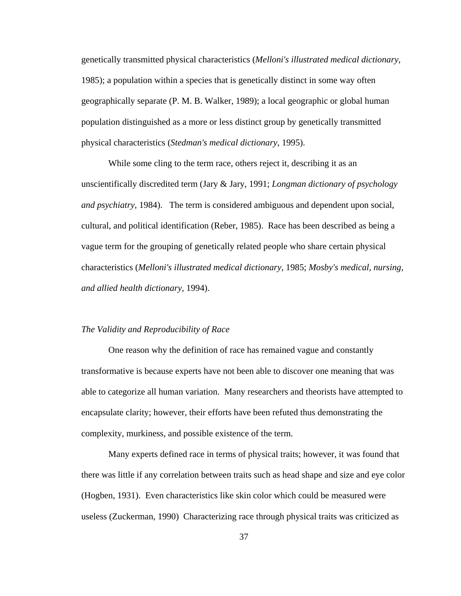genetically transmitted physical characteristics (*Melloni's illustrated medical dictionary*, 1985); a population within a species that is genetically distinct in some way often geographically separate (P. M. B. Walker, 1989); a local geographic or global human population distinguished as a more or less distinct group by genetically transmitted physical characteristics (*Stedman's medical dictionary*, 1995).

While some cling to the term race, others reject it, describing it as an unscientifically discredited term (Jary & Jary, 1991; *Longman dictionary of psychology and psychiatry*, 1984). The term is considered ambiguous and dependent upon social, cultural, and political identification (Reber, 1985). Race has been described as being a vague term for the grouping of genetically related people who share certain physical characteristics (*Melloni's illustrated medical dictionary*, 1985; *Mosby's medical, nursing, and allied health dictionary*, 1994).

## *The Validity and Reproducibility of Race*

One reason why the definition of race has remained vague and constantly transformative is because experts have not been able to discover one meaning that was able to categorize all human variation. Many researchers and theorists have attempted to encapsulate clarity; however, their efforts have been refuted thus demonstrating the complexity, murkiness, and possible existence of the term.

Many experts defined race in terms of physical traits; however, it was found that there was little if any correlation between traits such as head shape and size and eye color (Hogben, 1931). Even characteristics like skin color which could be measured were useless (Zuckerman, 1990) Characterizing race through physical traits was criticized as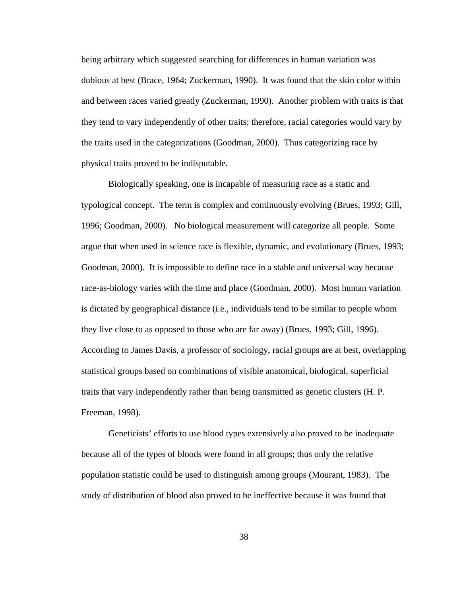being arbitrary which suggested searching for differences in human variation was dubious at best (Brace, 1964; Zuckerman, 1990). It was found that the skin color within and between races varied greatly (Zuckerman, 1990). Another problem with traits is that they tend to vary independently of other traits; therefore, racial categories would vary by the traits used in the categorizations (Goodman, 2000). Thus categorizing race by physical traits proved to be indisputable.

Biologically speaking, one is incapable of measuring race as a static and typological concept. The term is complex and continuously evolving (Brues, 1993; Gill, 1996; Goodman, 2000). No biological measurement will categorize all people. Some argue that when used in science race is flexible, dynamic, and evolutionary (Brues, 1993; Goodman, 2000). It is impossible to define race in a stable and universal way because race-as-biology varies with the time and place (Goodman, 2000). Most human variation is dictated by geographical distance (i.e., individuals tend to be similar to people whom they live close to as opposed to those who are far away) (Brues, 1993; Gill, 1996). According to James Davis, a professor of sociology, racial groups are at best, overlapping statistical groups based on combinations of visible anatomical, biological, superficial traits that vary independently rather than being transmitted as genetic clusters (H. P. Freeman, 1998).

Geneticists' efforts to use blood types extensively also proved to be inadequate because all of the types of bloods were found in all groups; thus only the relative population statistic could be used to distinguish among groups (Mourant, 1983). The study of distribution of blood also proved to be ineffective because it was found that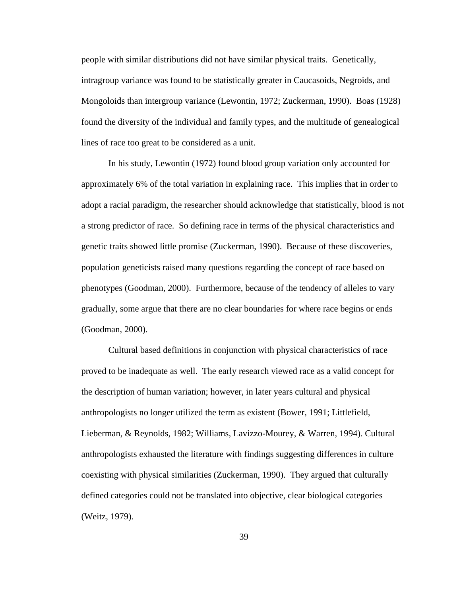people with similar distributions did not have similar physical traits. Genetically, intragroup variance was found to be statistically greater in Caucasoids, Negroids, and Mongoloids than intergroup variance (Lewontin, 1972; Zuckerman, 1990). Boas (1928) found the diversity of the individual and family types, and the multitude of genealogical lines of race too great to be considered as a unit.

In his study, Lewontin (1972) found blood group variation only accounted for approximately 6% of the total variation in explaining race. This implies that in order to adopt a racial paradigm, the researcher should acknowledge that statistically, blood is not a strong predictor of race. So defining race in terms of the physical characteristics and genetic traits showed little promise (Zuckerman, 1990). Because of these discoveries, population geneticists raised many questions regarding the concept of race based on phenotypes (Goodman, 2000). Furthermore, because of the tendency of alleles to vary gradually, some argue that there are no clear boundaries for where race begins or ends (Goodman, 2000).

Cultural based definitions in conjunction with physical characteristics of race proved to be inadequate as well. The early research viewed race as a valid concept for the description of human variation; however, in later years cultural and physical anthropologists no longer utilized the term as existent (Bower, 1991; Littlefield, Lieberman, & Reynolds, 1982; Williams, Lavizzo-Mourey, & Warren, 1994). Cultural anthropologists exhausted the literature with findings suggesting differences in culture coexisting with physical similarities (Zuckerman, 1990). They argued that culturally defined categories could not be translated into objective, clear biological categories (Weitz, 1979).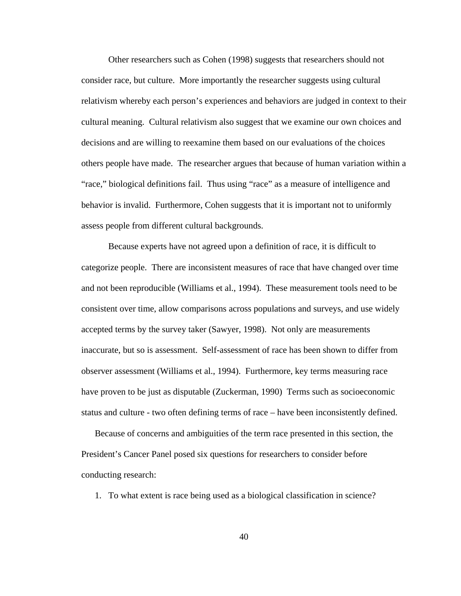Other researchers such as Cohen (1998) suggests that researchers should not consider race, but culture. More importantly the researcher suggests using cultural relativism whereby each person's experiences and behaviors are judged in context to their cultural meaning. Cultural relativism also suggest that we examine our own choices and decisions and are willing to reexamine them based on our evaluations of the choices others people have made. The researcher argues that because of human variation within a "race," biological definitions fail. Thus using "race" as a measure of intelligence and behavior is invalid. Furthermore, Cohen suggests that it is important not to uniformly assess people from different cultural backgrounds.

Because experts have not agreed upon a definition of race, it is difficult to categorize people. There are inconsistent measures of race that have changed over time and not been reproducible (Williams et al., 1994). These measurement tools need to be consistent over time, allow comparisons across populations and surveys, and use widely accepted terms by the survey taker (Sawyer, 1998). Not only are measurements inaccurate, but so is assessment. Self-assessment of race has been shown to differ from observer assessment (Williams et al., 1994). Furthermore, key terms measuring race have proven to be just as disputable (Zuckerman, 1990) Terms such as socioeconomic status and culture - two often defining terms of race – have been inconsistently defined.

Because of concerns and ambiguities of the term race presented in this section, the President's Cancer Panel posed six questions for researchers to consider before conducting research:

1. To what extent is race being used as a biological classification in science?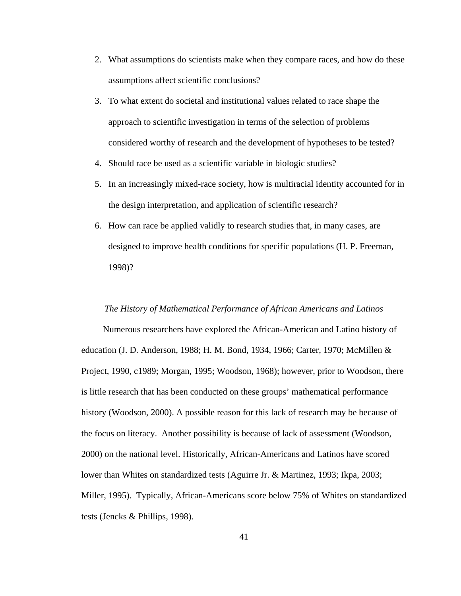- 2. What assumptions do scientists make when they compare races, and how do these assumptions affect scientific conclusions?
- 3. To what extent do societal and institutional values related to race shape the approach to scientific investigation in terms of the selection of problems considered worthy of research and the development of hypotheses to be tested?
- 4. Should race be used as a scientific variable in biologic studies?
- 5. In an increasingly mixed-race society, how is multiracial identity accounted for in the design interpretation, and application of scientific research?
- 6. How can race be applied validly to research studies that, in many cases, are designed to improve health conditions for specific populations (H. P. Freeman, 1998)?

### *The History of Mathematical Performance of African Americans and Latinos*

 Numerous researchers have explored the African-American and Latino history of education (J. D. Anderson, 1988; H. M. Bond, 1934, 1966; Carter, 1970; McMillen & Project, 1990, c1989; Morgan, 1995; Woodson, 1968); however, prior to Woodson, there is little research that has been conducted on these groups' mathematical performance history (Woodson, 2000). A possible reason for this lack of research may be because of the focus on literacy. Another possibility is because of lack of assessment (Woodson, 2000) on the national level. Historically, African-Americans and Latinos have scored lower than Whites on standardized tests (Aguirre Jr. & Martinez, 1993; Ikpa, 2003; Miller, 1995). Typically, African-Americans score below 75% of Whites on standardized tests (Jencks & Phillips, 1998).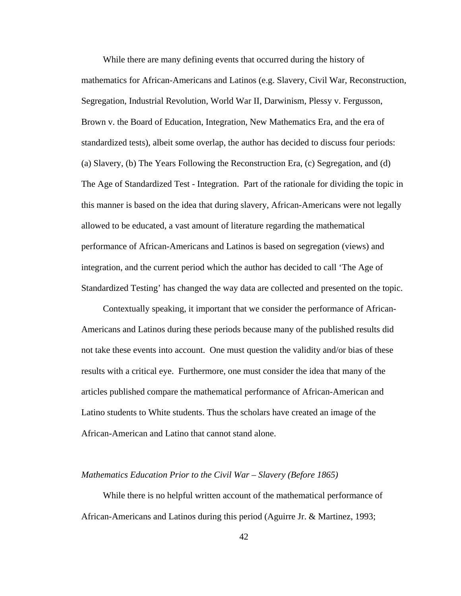While there are many defining events that occurred during the history of mathematics for African-Americans and Latinos (e.g. Slavery, Civil War, Reconstruction, Segregation, Industrial Revolution, World War II, Darwinism, Plessy v. Fergusson, Brown v. the Board of Education, Integration, New Mathematics Era, and the era of standardized tests), albeit some overlap, the author has decided to discuss four periods: (a) Slavery, (b) The Years Following the Reconstruction Era, (c) Segregation, and (d) The Age of Standardized Test - Integration. Part of the rationale for dividing the topic in this manner is based on the idea that during slavery, African-Americans were not legally allowed to be educated, a vast amount of literature regarding the mathematical performance of African-Americans and Latinos is based on segregation (views) and integration, and the current period which the author has decided to call 'The Age of Standardized Testing' has changed the way data are collected and presented on the topic.

 Contextually speaking, it important that we consider the performance of African-Americans and Latinos during these periods because many of the published results did not take these events into account. One must question the validity and/or bias of these results with a critical eye. Furthermore, one must consider the idea that many of the articles published compare the mathematical performance of African-American and Latino students to White students. Thus the scholars have created an image of the African-American and Latino that cannot stand alone.

## *Mathematics Education Prior to the Civil War – Slavery (Before 1865)*

 While there is no helpful written account of the mathematical performance of African-Americans and Latinos during this period (Aguirre Jr. & Martinez, 1993;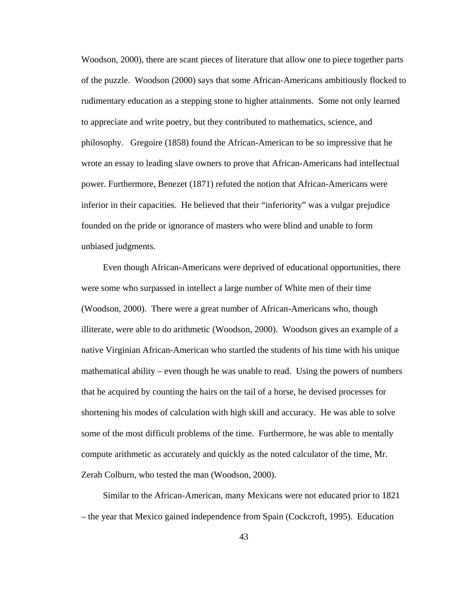Woodson, 2000), there are scant pieces of literature that allow one to piece together parts of the puzzle. Woodson (2000) says that some African-Americans ambitiously flocked to rudimentary education as a stepping stone to higher attainments. Some not only learned to appreciate and write poetry, but they contributed to mathematics, science, and philosophy. Gregoire (1858) found the African-American to be so impressive that he wrote an essay to leading slave owners to prove that African-Americans had intellectual power. Furthermore, Benezet (1871) refuted the notion that African-Americans were inferior in their capacities. He believed that their "inferiority" was a vulgar prejudice founded on the pride or ignorance of masters who were blind and unable to form unbiased judgments.

 Even though African-Americans were deprived of educational opportunities, there were some who surpassed in intellect a large number of White men of their time (Woodson, 2000). There were a great number of African-Americans who, though illiterate, were able to do arithmetic (Woodson, 2000). Woodson gives an example of a native Virginian African-American who startled the students of his time with his unique mathematical ability – even though he was unable to read. Using the powers of numbers that he acquired by counting the hairs on the tail of a horse, he devised processes for shortening his modes of calculation with high skill and accuracy. He was able to solve some of the most difficult problems of the time. Furthermore, he was able to mentally compute arithmetic as accurately and quickly as the noted calculator of the time, Mr. Zerah Colburn, who tested the man (Woodson, 2000).

 Similar to the African-American, many Mexicans were not educated prior to 1821 – the year that Mexico gained independence from Spain (Cockcroft, 1995). Education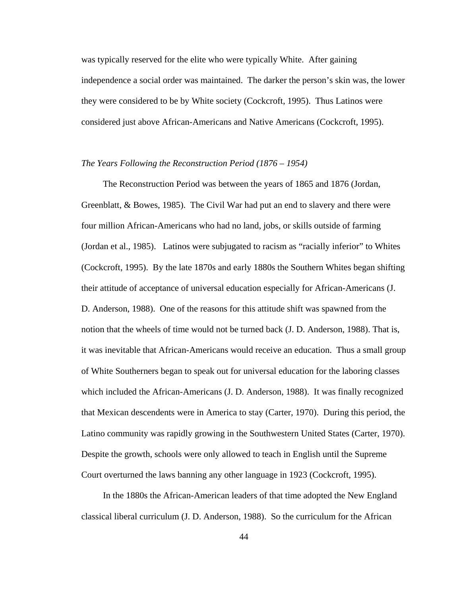was typically reserved for the elite who were typically White. After gaining independence a social order was maintained. The darker the person's skin was, the lower they were considered to be by White society (Cockcroft, 1995). Thus Latinos were considered just above African-Americans and Native Americans (Cockcroft, 1995).

# *The Years Following the Reconstruction Period (1876 – 1954)*

 The Reconstruction Period was between the years of 1865 and 1876 (Jordan, Greenblatt, & Bowes, 1985). The Civil War had put an end to slavery and there were four million African-Americans who had no land, jobs, or skills outside of farming (Jordan et al., 1985). Latinos were subjugated to racism as "racially inferior" to Whites (Cockcroft, 1995). By the late 1870s and early 1880s the Southern Whites began shifting their attitude of acceptance of universal education especially for African-Americans (J. D. Anderson, 1988). One of the reasons for this attitude shift was spawned from the notion that the wheels of time would not be turned back (J. D. Anderson, 1988). That is, it was inevitable that African-Americans would receive an education. Thus a small group of White Southerners began to speak out for universal education for the laboring classes which included the African-Americans (J. D. Anderson, 1988). It was finally recognized that Mexican descendents were in America to stay (Carter, 1970). During this period, the Latino community was rapidly growing in the Southwestern United States (Carter, 1970). Despite the growth, schools were only allowed to teach in English until the Supreme Court overturned the laws banning any other language in 1923 (Cockcroft, 1995).

 In the 1880s the African-American leaders of that time adopted the New England classical liberal curriculum (J. D. Anderson, 1988). So the curriculum for the African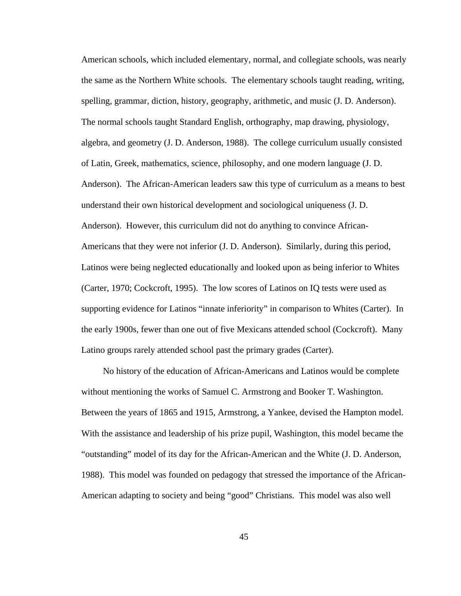American schools, which included elementary, normal, and collegiate schools, was nearly the same as the Northern White schools. The elementary schools taught reading, writing, spelling, grammar, diction, history, geography, arithmetic, and music (J. D. Anderson). The normal schools taught Standard English, orthography, map drawing, physiology, algebra, and geometry (J. D. Anderson, 1988). The college curriculum usually consisted of Latin, Greek, mathematics, science, philosophy, and one modern language (J. D. Anderson). The African-American leaders saw this type of curriculum as a means to best understand their own historical development and sociological uniqueness (J. D. Anderson). However, this curriculum did not do anything to convince African-Americans that they were not inferior (J. D. Anderson). Similarly, during this period, Latinos were being neglected educationally and looked upon as being inferior to Whites (Carter, 1970; Cockcroft, 1995). The low scores of Latinos on IQ tests were used as supporting evidence for Latinos "innate inferiority" in comparison to Whites (Carter). In the early 1900s, fewer than one out of five Mexicans attended school (Cockcroft). Many Latino groups rarely attended school past the primary grades (Carter).

 No history of the education of African-Americans and Latinos would be complete without mentioning the works of Samuel C. Armstrong and Booker T. Washington. Between the years of 1865 and 1915, Armstrong, a Yankee, devised the Hampton model. With the assistance and leadership of his prize pupil, Washington, this model became the "outstanding" model of its day for the African-American and the White (J. D. Anderson, 1988). This model was founded on pedagogy that stressed the importance of the African-American adapting to society and being "good" Christians. This model was also well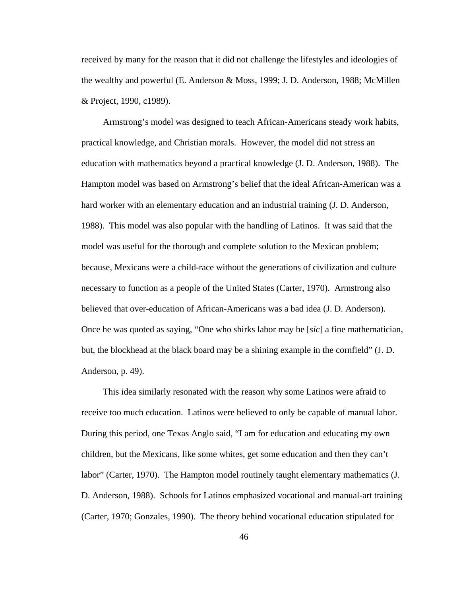received by many for the reason that it did not challenge the lifestyles and ideologies of the wealthy and powerful (E. Anderson & Moss, 1999; J. D. Anderson, 1988; McMillen & Project, 1990, c1989).

 Armstrong's model was designed to teach African-Americans steady work habits, practical knowledge, and Christian morals. However, the model did not stress an education with mathematics beyond a practical knowledge (J. D. Anderson, 1988). The Hampton model was based on Armstrong's belief that the ideal African-American was a hard worker with an elementary education and an industrial training (J. D. Anderson, 1988). This model was also popular with the handling of Latinos. It was said that the model was useful for the thorough and complete solution to the Mexican problem; because, Mexicans were a child-race without the generations of civilization and culture necessary to function as a people of the United States (Carter, 1970). Armstrong also believed that over-education of African-Americans was a bad idea (J. D. Anderson). Once he was quoted as saying, "One who shirks labor may be [*sic*] a fine mathematician, but, the blockhead at the black board may be a shining example in the cornfield" (J. D. Anderson, p. 49).

 This idea similarly resonated with the reason why some Latinos were afraid to receive too much education. Latinos were believed to only be capable of manual labor. During this period, one Texas Anglo said, "I am for education and educating my own children, but the Mexicans, like some whites, get some education and then they can't labor" (Carter, 1970). The Hampton model routinely taught elementary mathematics (J. D. Anderson, 1988). Schools for Latinos emphasized vocational and manual-art training (Carter, 1970; Gonzales, 1990). The theory behind vocational education stipulated for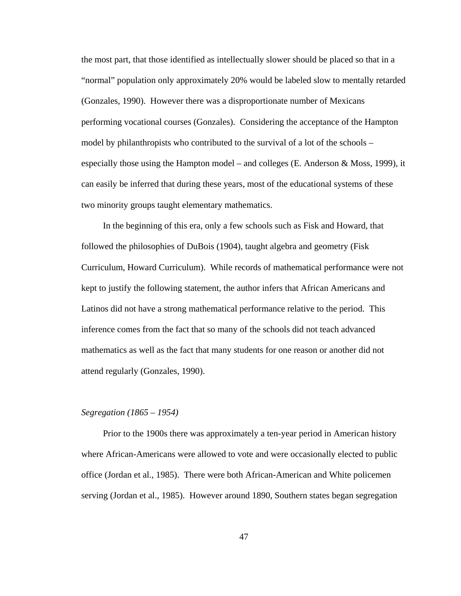the most part, that those identified as intellectually slower should be placed so that in a "normal" population only approximately 20% would be labeled slow to mentally retarded (Gonzales, 1990). However there was a disproportionate number of Mexicans performing vocational courses (Gonzales). Considering the acceptance of the Hampton model by philanthropists who contributed to the survival of a lot of the schools – especially those using the Hampton model – and colleges (E. Anderson & Moss, 1999), it can easily be inferred that during these years, most of the educational systems of these two minority groups taught elementary mathematics.

 In the beginning of this era, only a few schools such as Fisk and Howard, that followed the philosophies of DuBois (1904), taught algebra and geometry (Fisk Curriculum, Howard Curriculum). While records of mathematical performance were not kept to justify the following statement, the author infers that African Americans and Latinos did not have a strong mathematical performance relative to the period. This inference comes from the fact that so many of the schools did not teach advanced mathematics as well as the fact that many students for one reason or another did not attend regularly (Gonzales, 1990).

# *Segregation (1865 – 1954)*

 Prior to the 1900s there was approximately a ten-year period in American history where African-Americans were allowed to vote and were occasionally elected to public office (Jordan et al., 1985). There were both African-American and White policemen serving (Jordan et al., 1985). However around 1890, Southern states began segregation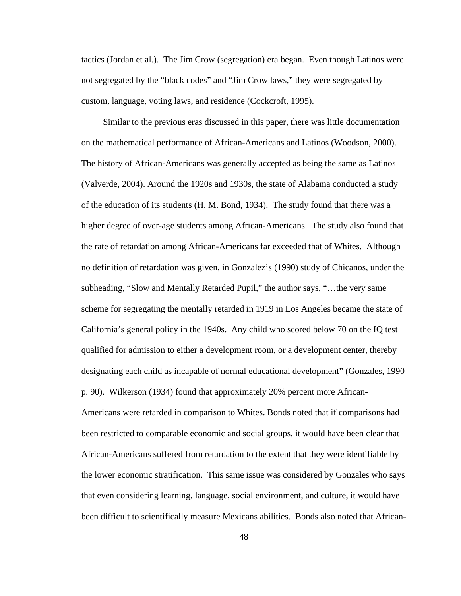tactics (Jordan et al.). The Jim Crow (segregation) era began. Even though Latinos were not segregated by the "black codes" and "Jim Crow laws," they were segregated by custom, language, voting laws, and residence (Cockcroft, 1995).

 Similar to the previous eras discussed in this paper, there was little documentation on the mathematical performance of African-Americans and Latinos (Woodson, 2000). The history of African-Americans was generally accepted as being the same as Latinos (Valverde, 2004). Around the 1920s and 1930s, the state of Alabama conducted a study of the education of its students (H. M. Bond, 1934). The study found that there was a higher degree of over-age students among African-Americans. The study also found that the rate of retardation among African-Americans far exceeded that of Whites. Although no definition of retardation was given, in Gonzalez's (1990) study of Chicanos, under the subheading, "Slow and Mentally Retarded Pupil," the author says, "…the very same scheme for segregating the mentally retarded in 1919 in Los Angeles became the state of California's general policy in the 1940s. Any child who scored below 70 on the IQ test qualified for admission to either a development room, or a development center, thereby designating each child as incapable of normal educational development" (Gonzales, 1990 p. 90). Wilkerson (1934) found that approximately 20% percent more African-Americans were retarded in comparison to Whites. Bonds noted that if comparisons had been restricted to comparable economic and social groups, it would have been clear that African-Americans suffered from retardation to the extent that they were identifiable by the lower economic stratification. This same issue was considered by Gonzales who says that even considering learning, language, social environment, and culture, it would have been difficult to scientifically measure Mexicans abilities. Bonds also noted that African-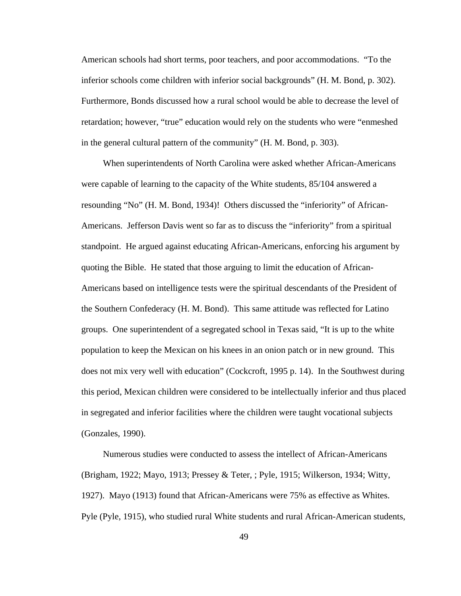American schools had short terms, poor teachers, and poor accommodations. "To the inferior schools come children with inferior social backgrounds" (H. M. Bond, p. 302). Furthermore, Bonds discussed how a rural school would be able to decrease the level of retardation; however, "true" education would rely on the students who were "enmeshed in the general cultural pattern of the community" (H. M. Bond, p. 303).

 When superintendents of North Carolina were asked whether African-Americans were capable of learning to the capacity of the White students, 85/104 answered a resounding "No" (H. M. Bond, 1934)! Others discussed the "inferiority" of African-Americans. Jefferson Davis went so far as to discuss the "inferiority" from a spiritual standpoint. He argued against educating African-Americans, enforcing his argument by quoting the Bible. He stated that those arguing to limit the education of African-Americans based on intelligence tests were the spiritual descendants of the President of the Southern Confederacy (H. M. Bond). This same attitude was reflected for Latino groups. One superintendent of a segregated school in Texas said, "It is up to the white population to keep the Mexican on his knees in an onion patch or in new ground. This does not mix very well with education" (Cockcroft, 1995 p. 14). In the Southwest during this period, Mexican children were considered to be intellectually inferior and thus placed in segregated and inferior facilities where the children were taught vocational subjects (Gonzales, 1990).

 Numerous studies were conducted to assess the intellect of African-Americans (Brigham, 1922; Mayo, 1913; Pressey & Teter, ; Pyle, 1915; Wilkerson, 1934; Witty, 1927). Mayo (1913) found that African-Americans were 75% as effective as Whites. Pyle (Pyle, 1915), who studied rural White students and rural African-American students,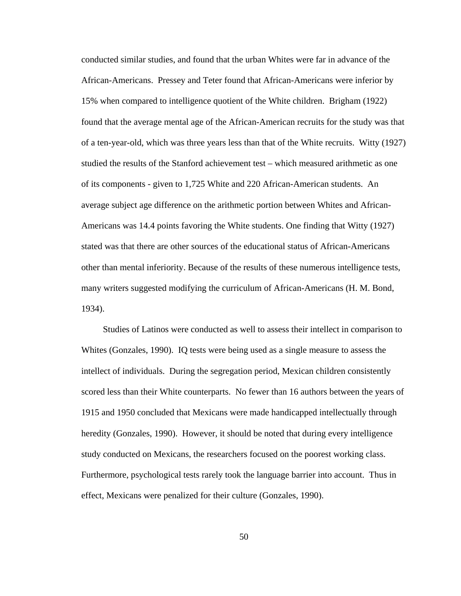conducted similar studies, and found that the urban Whites were far in advance of the African-Americans. Pressey and Teter found that African-Americans were inferior by 15% when compared to intelligence quotient of the White children. Brigham (1922) found that the average mental age of the African-American recruits for the study was that of a ten-year-old, which was three years less than that of the White recruits. Witty (1927) studied the results of the Stanford achievement test – which measured arithmetic as one of its components - given to 1,725 White and 220 African-American students. An average subject age difference on the arithmetic portion between Whites and African-Americans was 14.4 points favoring the White students. One finding that Witty (1927) stated was that there are other sources of the educational status of African-Americans other than mental inferiority. Because of the results of these numerous intelligence tests, many writers suggested modifying the curriculum of African-Americans (H. M. Bond, 1934).

 Studies of Latinos were conducted as well to assess their intellect in comparison to Whites (Gonzales, 1990). IQ tests were being used as a single measure to assess the intellect of individuals. During the segregation period, Mexican children consistently scored less than their White counterparts. No fewer than 16 authors between the years of 1915 and 1950 concluded that Mexicans were made handicapped intellectually through heredity (Gonzales, 1990). However, it should be noted that during every intelligence study conducted on Mexicans, the researchers focused on the poorest working class. Furthermore, psychological tests rarely took the language barrier into account. Thus in effect, Mexicans were penalized for their culture (Gonzales, 1990).

50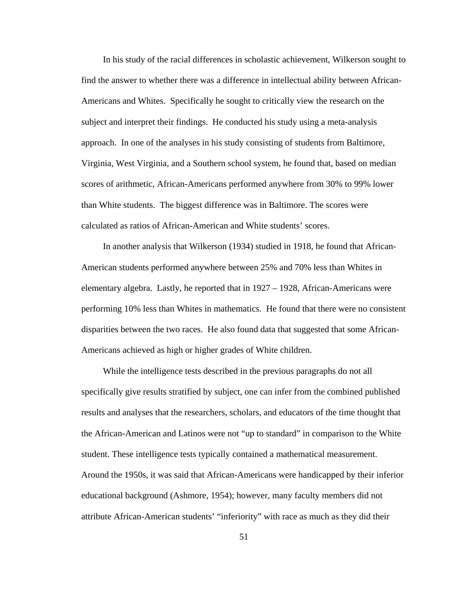In his study of the racial differences in scholastic achievement, Wilkerson sought to find the answer to whether there was a difference in intellectual ability between African-Americans and Whites. Specifically he sought to critically view the research on the subject and interpret their findings. He conducted his study using a meta-analysis approach. In one of the analyses in his study consisting of students from Baltimore, Virginia, West Virginia, and a Southern school system, he found that, based on median scores of arithmetic, African-Americans performed anywhere from 30% to 99% lower than White students. The biggest difference was in Baltimore. The scores were calculated as ratios of African-American and White students' scores.

 In another analysis that Wilkerson (1934) studied in 1918, he found that African-American students performed anywhere between 25% and 70% less than Whites in elementary algebra. Lastly, he reported that in 1927 – 1928, African-Americans were performing 10% less than Whites in mathematics. He found that there were no consistent disparities between the two races. He also found data that suggested that some African-Americans achieved as high or higher grades of White children.

 While the intelligence tests described in the previous paragraphs do not all specifically give results stratified by subject, one can infer from the combined published results and analyses that the researchers, scholars, and educators of the time thought that the African-American and Latinos were not "up to standard" in comparison to the White student. These intelligence tests typically contained a mathematical measurement. Around the 1950s, it was said that African-Americans were handicapped by their inferior educational background (Ashmore, 1954); however, many faculty members did not attribute African-American students' "inferiority" with race as much as they did their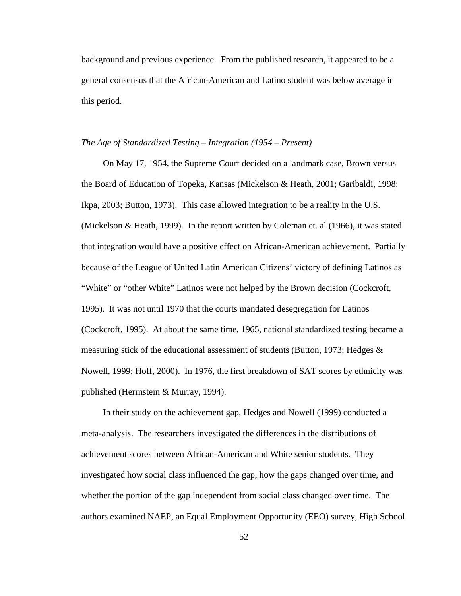background and previous experience. From the published research, it appeared to be a general consensus that the African-American and Latino student was below average in this period.

# *The Age of Standardized Testing – Integration (1954 – Present)*

 On May 17, 1954, the Supreme Court decided on a landmark case, Brown versus the Board of Education of Topeka, Kansas (Mickelson & Heath, 2001; Garibaldi, 1998; Ikpa, 2003; Button, 1973). This case allowed integration to be a reality in the U.S. (Mickelson & Heath, 1999). In the report written by Coleman et. al (1966), it was stated that integration would have a positive effect on African-American achievement. Partially because of the League of United Latin American Citizens' victory of defining Latinos as "White" or "other White" Latinos were not helped by the Brown decision (Cockcroft, 1995). It was not until 1970 that the courts mandated desegregation for Latinos (Cockcroft, 1995). At about the same time, 1965, national standardized testing became a measuring stick of the educational assessment of students (Button, 1973; Hedges & Nowell, 1999; Hoff, 2000). In 1976, the first breakdown of SAT scores by ethnicity was published (Herrnstein & Murray, 1994).

 In their study on the achievement gap, Hedges and Nowell (1999) conducted a meta-analysis. The researchers investigated the differences in the distributions of achievement scores between African-American and White senior students. They investigated how social class influenced the gap, how the gaps changed over time, and whether the portion of the gap independent from social class changed over time. The authors examined NAEP, an Equal Employment Opportunity (EEO) survey, High School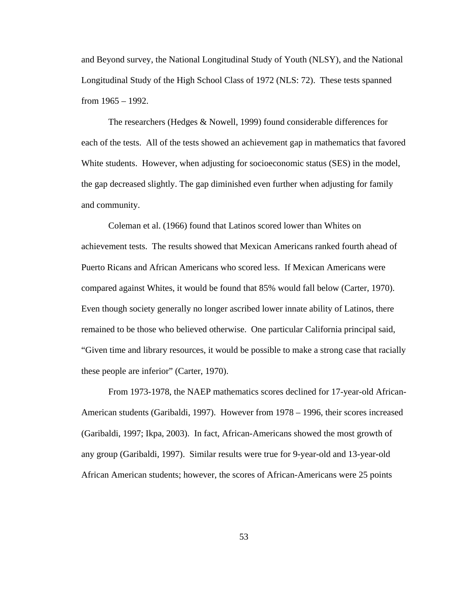and Beyond survey, the National Longitudinal Study of Youth (NLSY), and the National Longitudinal Study of the High School Class of 1972 (NLS: 72). These tests spanned from 1965 – 1992.

The researchers (Hedges & Nowell, 1999) found considerable differences for each of the tests. All of the tests showed an achievement gap in mathematics that favored White students. However, when adjusting for socioeconomic status (SES) in the model, the gap decreased slightly. The gap diminished even further when adjusting for family and community.

Coleman et al. (1966) found that Latinos scored lower than Whites on achievement tests. The results showed that Mexican Americans ranked fourth ahead of Puerto Ricans and African Americans who scored less. If Mexican Americans were compared against Whites, it would be found that 85% would fall below (Carter, 1970). Even though society generally no longer ascribed lower innate ability of Latinos, there remained to be those who believed otherwise. One particular California principal said, "Given time and library resources, it would be possible to make a strong case that racially these people are inferior" (Carter, 1970).

From 1973-1978, the NAEP mathematics scores declined for 17-year-old African-American students (Garibaldi, 1997). However from 1978 – 1996, their scores increased (Garibaldi, 1997; Ikpa, 2003). In fact, African-Americans showed the most growth of any group (Garibaldi, 1997). Similar results were true for 9-year-old and 13-year-old African American students; however, the scores of African-Americans were 25 points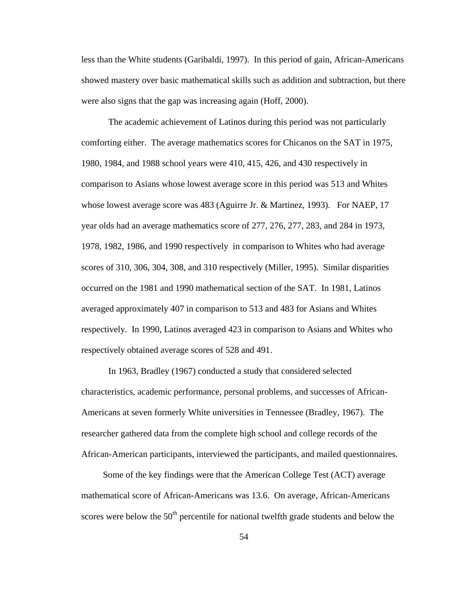less than the White students (Garibaldi, 1997). In this period of gain, African-Americans showed mastery over basic mathematical skills such as addition and subtraction, but there were also signs that the gap was increasing again (Hoff, 2000).

The academic achievement of Latinos during this period was not particularly comforting either. The average mathematics scores for Chicanos on the SAT in 1975, 1980, 1984, and 1988 school years were 410, 415, 426, and 430 respectively in comparison to Asians whose lowest average score in this period was 513 and Whites whose lowest average score was 483 (Aguirre Jr. & Martinez, 1993). For NAEP, 17 year olds had an average mathematics score of 277, 276, 277, 283, and 284 in 1973, 1978, 1982, 1986, and 1990 respectively in comparison to Whites who had average scores of 310, 306, 304, 308, and 310 respectively (Miller, 1995). Similar disparities occurred on the 1981 and 1990 mathematical section of the SAT. In 1981, Latinos averaged approximately 407 in comparison to 513 and 483 for Asians and Whites respectively. In 1990, Latinos averaged 423 in comparison to Asians and Whites who respectively obtained average scores of 528 and 491.

In 1963, Bradley (1967) conducted a study that considered selected characteristics, academic performance, personal problems, and successes of African-Americans at seven formerly White universities in Tennessee (Bradley, 1967). The researcher gathered data from the complete high school and college records of the African-American participants, interviewed the participants, and mailed questionnaires.

 Some of the key findings were that the American College Test (ACT) average mathematical score of African-Americans was 13.6. On average, African-Americans scores were below the  $50<sup>th</sup>$  percentile for national twelfth grade students and below the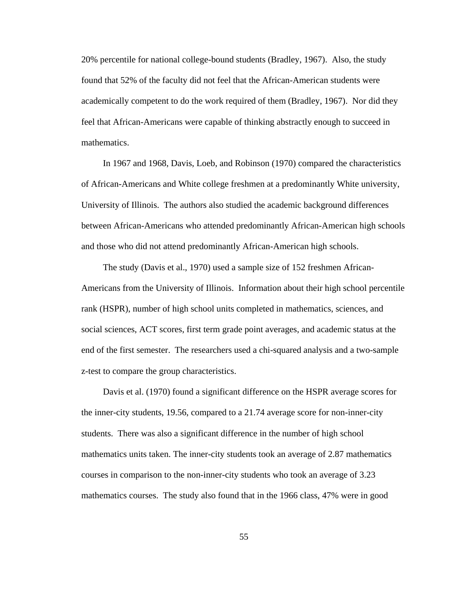20% percentile for national college-bound students (Bradley, 1967). Also, the study found that 52% of the faculty did not feel that the African-American students were academically competent to do the work required of them (Bradley, 1967). Nor did they feel that African-Americans were capable of thinking abstractly enough to succeed in mathematics.

 In 1967 and 1968, Davis, Loeb, and Robinson (1970) compared the characteristics of African-Americans and White college freshmen at a predominantly White university, University of Illinois. The authors also studied the academic background differences between African-Americans who attended predominantly African-American high schools and those who did not attend predominantly African-American high schools.

 The study (Davis et al., 1970) used a sample size of 152 freshmen African-Americans from the University of Illinois. Information about their high school percentile rank (HSPR), number of high school units completed in mathematics, sciences, and social sciences, ACT scores, first term grade point averages, and academic status at the end of the first semester. The researchers used a chi-squared analysis and a two-sample z-test to compare the group characteristics.

 Davis et al. (1970) found a significant difference on the HSPR average scores for the inner-city students, 19.56, compared to a 21.74 average score for non-inner-city students. There was also a significant difference in the number of high school mathematics units taken. The inner-city students took an average of 2.87 mathematics courses in comparison to the non-inner-city students who took an average of 3.23 mathematics courses. The study also found that in the 1966 class, 47% were in good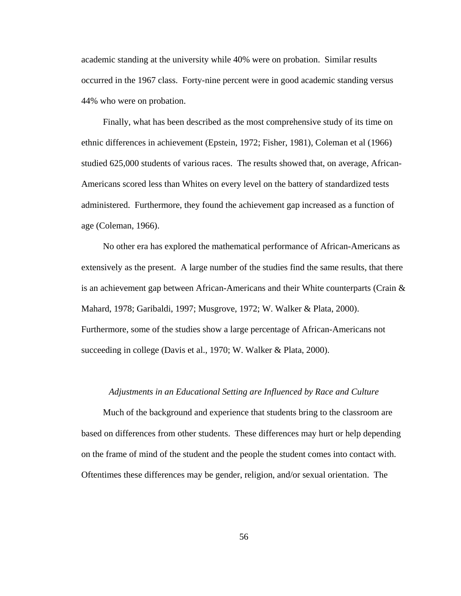academic standing at the university while 40% were on probation. Similar results occurred in the 1967 class. Forty-nine percent were in good academic standing versus 44% who were on probation.

 Finally, what has been described as the most comprehensive study of its time on ethnic differences in achievement (Epstein, 1972; Fisher, 1981), Coleman et al (1966) studied 625,000 students of various races. The results showed that, on average, African-Americans scored less than Whites on every level on the battery of standardized tests administered. Furthermore, they found the achievement gap increased as a function of age (Coleman, 1966).

 No other era has explored the mathematical performance of African-Americans as extensively as the present. A large number of the studies find the same results, that there is an achievement gap between African-Americans and their White counterparts (Crain & Mahard, 1978; Garibaldi, 1997; Musgrove, 1972; W. Walker & Plata, 2000). Furthermore, some of the studies show a large percentage of African-Americans not succeeding in college (Davis et al., 1970; W. Walker & Plata, 2000).

# *Adjustments in an Educational Setting are Influenced by Race and Culture*

 Much of the background and experience that students bring to the classroom are based on differences from other students. These differences may hurt or help depending on the frame of mind of the student and the people the student comes into contact with. Oftentimes these differences may be gender, religion, and/or sexual orientation. The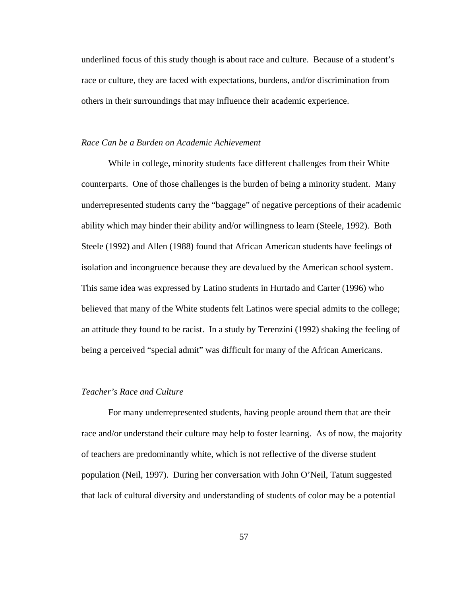underlined focus of this study though is about race and culture. Because of a student's race or culture, they are faced with expectations, burdens, and/or discrimination from others in their surroundings that may influence their academic experience.

## *Race Can be a Burden on Academic Achievement*

While in college, minority students face different challenges from their White counterparts. One of those challenges is the burden of being a minority student. Many underrepresented students carry the "baggage" of negative perceptions of their academic ability which may hinder their ability and/or willingness to learn (Steele, 1992). Both Steele (1992) and Allen (1988) found that African American students have feelings of isolation and incongruence because they are devalued by the American school system. This same idea was expressed by Latino students in Hurtado and Carter (1996) who believed that many of the White students felt Latinos were special admits to the college; an attitude they found to be racist. In a study by Terenzini (1992) shaking the feeling of being a perceived "special admit" was difficult for many of the African Americans.

# *Teacher's Race and Culture*

For many underrepresented students, having people around them that are their race and/or understand their culture may help to foster learning. As of now, the majority of teachers are predominantly white, which is not reflective of the diverse student population (Neil, 1997). During her conversation with John O'Neil, Tatum suggested that lack of cultural diversity and understanding of students of color may be a potential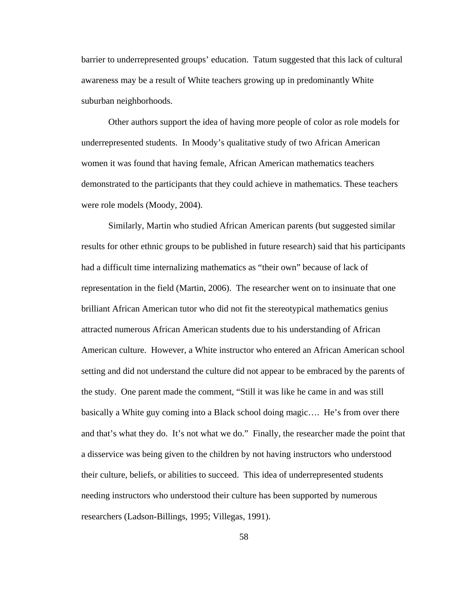barrier to underrepresented groups' education. Tatum suggested that this lack of cultural awareness may be a result of White teachers growing up in predominantly White suburban neighborhoods.

Other authors support the idea of having more people of color as role models for underrepresented students. In Moody's qualitative study of two African American women it was found that having female, African American mathematics teachers demonstrated to the participants that they could achieve in mathematics. These teachers were role models (Moody, 2004).

Similarly, Martin who studied African American parents (but suggested similar results for other ethnic groups to be published in future research) said that his participants had a difficult time internalizing mathematics as "their own" because of lack of representation in the field (Martin, 2006). The researcher went on to insinuate that one brilliant African American tutor who did not fit the stereotypical mathematics genius attracted numerous African American students due to his understanding of African American culture. However, a White instructor who entered an African American school setting and did not understand the culture did not appear to be embraced by the parents of the study. One parent made the comment, "Still it was like he came in and was still basically a White guy coming into a Black school doing magic…. He's from over there and that's what they do. It's not what we do." Finally, the researcher made the point that a disservice was being given to the children by not having instructors who understood their culture, beliefs, or abilities to succeed. This idea of underrepresented students needing instructors who understood their culture has been supported by numerous researchers (Ladson-Billings, 1995; Villegas, 1991).

58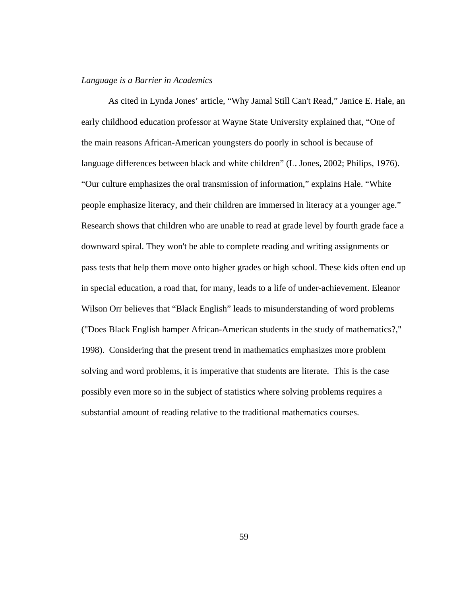# *Language is a Barrier in Academics*

As cited in Lynda Jones' article, "Why Jamal Still Can't Read," Janice E. Hale, an early childhood education professor at Wayne State University explained that, "One of the main reasons African-American youngsters do poorly in school is because of language differences between black and white children" (L. Jones, 2002; Philips, 1976). "Our culture emphasizes the oral transmission of information," explains Hale. "White people emphasize literacy, and their children are immersed in literacy at a younger age." Research shows that children who are unable to read at grade level by fourth grade face a downward spiral. They won't be able to complete reading and writing assignments or pass tests that help them move onto higher grades or high school. These kids often end up in special education, a road that, for many, leads to a life of under-achievement. Eleanor Wilson Orr believes that "Black English" leads to misunderstanding of word problems ("Does Black English hamper African-American students in the study of mathematics?," 1998). Considering that the present trend in mathematics emphasizes more problem solving and word problems, it is imperative that students are literate. This is the case possibly even more so in the subject of statistics where solving problems requires a substantial amount of reading relative to the traditional mathematics courses.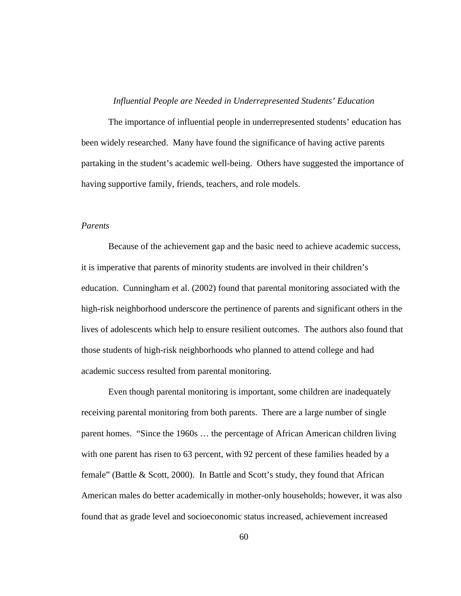# *Influential People are Needed in Underrepresented Students' Education*

The importance of influential people in underrepresented students' education has been widely researched. Many have found the significance of having active parents partaking in the student's academic well-being. Others have suggested the importance of having supportive family, friends, teachers, and role models.

## *Parents*

Because of the achievement gap and the basic need to achieve academic success, it is imperative that parents of minority students are involved in their children's education. Cunningham et al. (2002) found that parental monitoring associated with the high-risk neighborhood underscore the pertinence of parents and significant others in the lives of adolescents which help to ensure resilient outcomes. The authors also found that those students of high-risk neighborhoods who planned to attend college and had academic success resulted from parental monitoring.

Even though parental monitoring is important, some children are inadequately receiving parental monitoring from both parents. There are a large number of single parent homes. "Since the 1960s … the percentage of African American children living with one parent has risen to 63 percent, with 92 percent of these families headed by a female" (Battle & Scott, 2000). In Battle and Scott's study, they found that African American males do better academically in mother-only households; however, it was also found that as grade level and socioeconomic status increased, achievement increased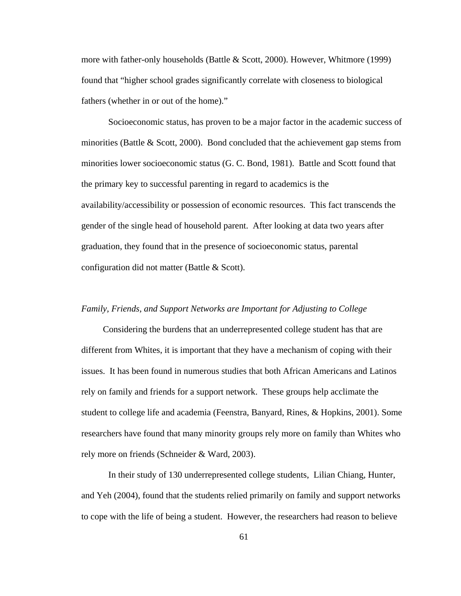more with father-only households (Battle & Scott, 2000). However, Whitmore (1999) found that "higher school grades significantly correlate with closeness to biological fathers (whether in or out of the home)."

Socioeconomic status, has proven to be a major factor in the academic success of minorities (Battle  $&$  Scott, 2000). Bond concluded that the achievement gap stems from minorities lower socioeconomic status (G. C. Bond, 1981). Battle and Scott found that the primary key to successful parenting in regard to academics is the availability/accessibility or possession of economic resources. This fact transcends the gender of the single head of household parent. After looking at data two years after graduation, they found that in the presence of socioeconomic status, parental configuration did not matter (Battle & Scott).

#### *Family, Friends, and Support Networks are Important for Adjusting to College*

 Considering the burdens that an underrepresented college student has that are different from Whites, it is important that they have a mechanism of coping with their issues. It has been found in numerous studies that both African Americans and Latinos rely on family and friends for a support network. These groups help acclimate the student to college life and academia (Feenstra, Banyard, Rines, & Hopkins, 2001). Some researchers have found that many minority groups rely more on family than Whites who rely more on friends (Schneider & Ward, 2003).

In their study of 130 underrepresented college students, Lilian Chiang, Hunter, and Yeh (2004), found that the students relied primarily on family and support networks to cope with the life of being a student. However, the researchers had reason to believe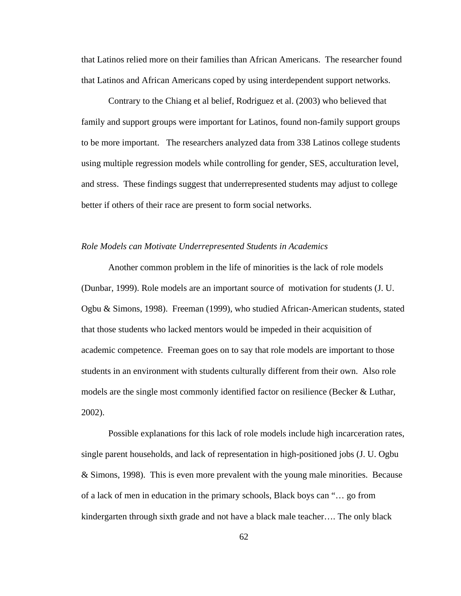that Latinos relied more on their families than African Americans. The researcher found that Latinos and African Americans coped by using interdependent support networks.

Contrary to the Chiang et al belief, Rodriguez et al. (2003) who believed that family and support groups were important for Latinos, found non-family support groups to be more important. The researchers analyzed data from 338 Latinos college students using multiple regression models while controlling for gender, SES, acculturation level, and stress. These findings suggest that underrepresented students may adjust to college better if others of their race are present to form social networks.

## *Role Models can Motivate Underrepresented Students in Academics*

Another common problem in the life of minorities is the lack of role models (Dunbar, 1999). Role models are an important source of motivation for students (J. U. Ogbu & Simons, 1998). Freeman (1999), who studied African-American students, stated that those students who lacked mentors would be impeded in their acquisition of academic competence. Freeman goes on to say that role models are important to those students in an environment with students culturally different from their own. Also role models are the single most commonly identified factor on resilience (Becker & Luthar, 2002).

Possible explanations for this lack of role models include high incarceration rates, single parent households, and lack of representation in high-positioned jobs (J. U. Ogbu & Simons, 1998). This is even more prevalent with the young male minorities. Because of a lack of men in education in the primary schools, Black boys can "… go from kindergarten through sixth grade and not have a black male teacher…. The only black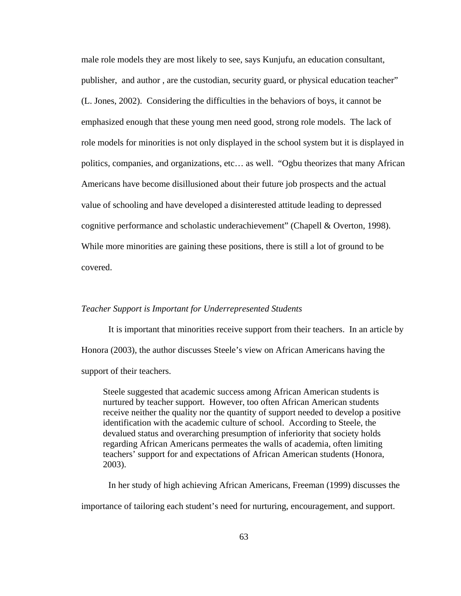male role models they are most likely to see, says Kunjufu, an education consultant, publisher, and author , are the custodian, security guard, or physical education teacher" (L. Jones, 2002). Considering the difficulties in the behaviors of boys, it cannot be emphasized enough that these young men need good, strong role models. The lack of role models for minorities is not only displayed in the school system but it is displayed in politics, companies, and organizations, etc… as well. "Ogbu theorizes that many African Americans have become disillusioned about their future job prospects and the actual value of schooling and have developed a disinterested attitude leading to depressed cognitive performance and scholastic underachievement" (Chapell & Overton, 1998). While more minorities are gaining these positions, there is still a lot of ground to be covered.

# *Teacher Support is Important for Underrepresented Students*

It is important that minorities receive support from their teachers. In an article by Honora (2003), the author discusses Steele's view on African Americans having the support of their teachers.

Steele suggested that academic success among African American students is nurtured by teacher support. However, too often African American students receive neither the quality nor the quantity of support needed to develop a positive identification with the academic culture of school. According to Steele, the devalued status and overarching presumption of inferiority that society holds regarding African Americans permeates the walls of academia, often limiting teachers' support for and expectations of African American students (Honora, 2003).

In her study of high achieving African Americans, Freeman (1999) discusses the

importance of tailoring each student's need for nurturing, encouragement, and support.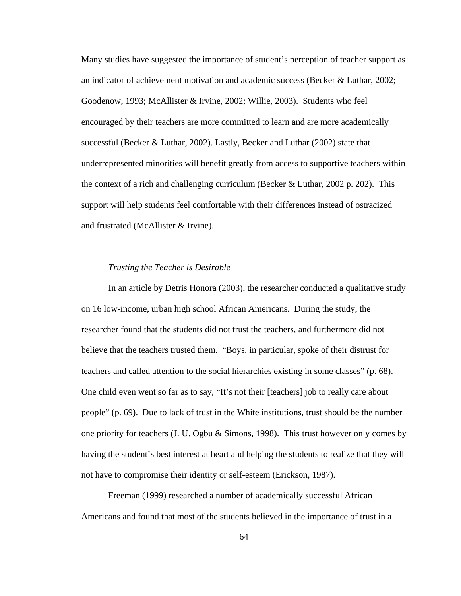Many studies have suggested the importance of student's perception of teacher support as an indicator of achievement motivation and academic success (Becker & Luthar, 2002; Goodenow, 1993; McAllister & Irvine, 2002; Willie, 2003). Students who feel encouraged by their teachers are more committed to learn and are more academically successful (Becker & Luthar, 2002). Lastly, Becker and Luthar (2002) state that underrepresented minorities will benefit greatly from access to supportive teachers within the context of a rich and challenging curriculum (Becker & Luthar, 2002 p. 202). This support will help students feel comfortable with their differences instead of ostracized and frustrated (McAllister & Irvine).

#### *Trusting the Teacher is Desirable*

In an article by Detris Honora (2003), the researcher conducted a qualitative study on 16 low-income, urban high school African Americans. During the study, the researcher found that the students did not trust the teachers, and furthermore did not believe that the teachers trusted them. "Boys, in particular, spoke of their distrust for teachers and called attention to the social hierarchies existing in some classes" (p. 68). One child even went so far as to say, "It's not their [teachers] job to really care about people" (p. 69). Due to lack of trust in the White institutions, trust should be the number one priority for teachers (J. U. Ogbu  $\&$  Simons, 1998). This trust however only comes by having the student's best interest at heart and helping the students to realize that they will not have to compromise their identity or self-esteem (Erickson, 1987).

Freeman (1999) researched a number of academically successful African Americans and found that most of the students believed in the importance of trust in a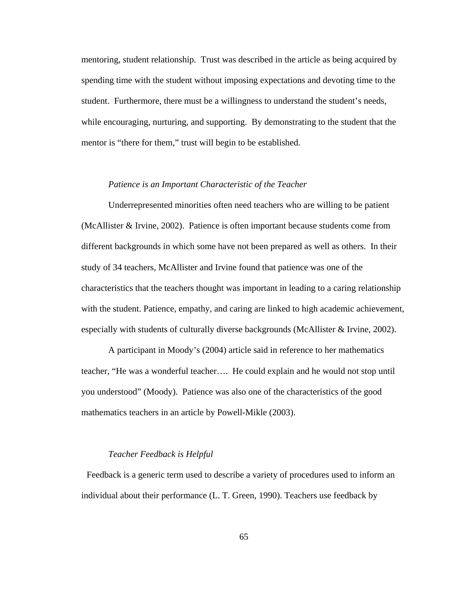mentoring, student relationship. Trust was described in the article as being acquired by spending time with the student without imposing expectations and devoting time to the student. Furthermore, there must be a willingness to understand the student's needs, while encouraging, nurturing, and supporting. By demonstrating to the student that the mentor is "there for them," trust will begin to be established.

### *Patience is an Important Characteristic of the Teacher*

Underrepresented minorities often need teachers who are willing to be patient (McAllister & Irvine, 2002). Patience is often important because students come from different backgrounds in which some have not been prepared as well as others. In their study of 34 teachers, McAllister and Irvine found that patience was one of the characteristics that the teachers thought was important in leading to a caring relationship with the student. Patience, empathy, and caring are linked to high academic achievement, especially with students of culturally diverse backgrounds (McAllister & Irvine, 2002).

A participant in Moody's (2004) article said in reference to her mathematics teacher, "He was a wonderful teacher…. He could explain and he would not stop until you understood" (Moody). Patience was also one of the characteristics of the good mathematics teachers in an article by Powell-Mikle (2003).

#### *Teacher Feedback is Helpful*

Feedback is a generic term used to describe a variety of procedures used to inform an individual about their performance (L. T. Green, 1990). Teachers use feedback by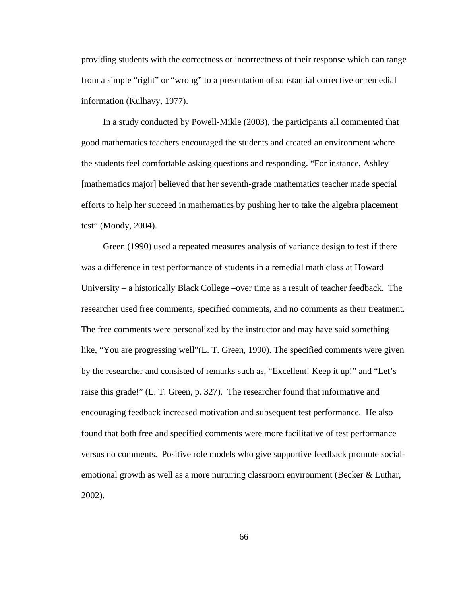providing students with the correctness or incorrectness of their response which can range from a simple "right" or "wrong" to a presentation of substantial corrective or remedial information (Kulhavy, 1977).

 In a study conducted by Powell-Mikle (2003), the participants all commented that good mathematics teachers encouraged the students and created an environment where the students feel comfortable asking questions and responding. "For instance, Ashley [mathematics major] believed that her seventh-grade mathematics teacher made special efforts to help her succeed in mathematics by pushing her to take the algebra placement test" (Moody, 2004).

 Green (1990) used a repeated measures analysis of variance design to test if there was a difference in test performance of students in a remedial math class at Howard University – a historically Black College –over time as a result of teacher feedback. The researcher used free comments, specified comments, and no comments as their treatment. The free comments were personalized by the instructor and may have said something like, "You are progressing well"(L. T. Green, 1990). The specified comments were given by the researcher and consisted of remarks such as, "Excellent! Keep it up!" and "Let's raise this grade!" (L. T. Green, p. 327). The researcher found that informative and encouraging feedback increased motivation and subsequent test performance. He also found that both free and specified comments were more facilitative of test performance versus no comments. Positive role models who give supportive feedback promote socialemotional growth as well as a more nurturing classroom environment (Becker & Luthar, 2002).

66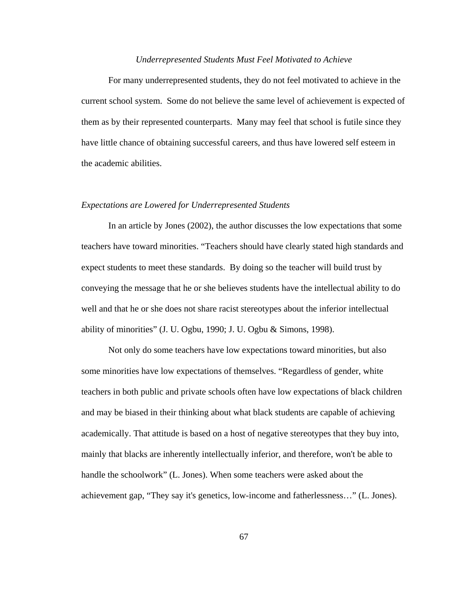#### *Underrepresented Students Must Feel Motivated to Achieve*

For many underrepresented students, they do not feel motivated to achieve in the current school system. Some do not believe the same level of achievement is expected of them as by their represented counterparts. Many may feel that school is futile since they have little chance of obtaining successful careers, and thus have lowered self esteem in the academic abilities.

### *Expectations are Lowered for Underrepresented Students*

In an article by Jones (2002), the author discusses the low expectations that some teachers have toward minorities. "Teachers should have clearly stated high standards and expect students to meet these standards. By doing so the teacher will build trust by conveying the message that he or she believes students have the intellectual ability to do well and that he or she does not share racist stereotypes about the inferior intellectual ability of minorities" (J. U. Ogbu, 1990; J. U. Ogbu & Simons, 1998).

Not only do some teachers have low expectations toward minorities, but also some minorities have low expectations of themselves. "Regardless of gender, white teachers in both public and private schools often have low expectations of black children and may be biased in their thinking about what black students are capable of achieving academically. That attitude is based on a host of negative stereotypes that they buy into, mainly that blacks are inherently intellectually inferior, and therefore, won't be able to handle the schoolwork" (L. Jones). When some teachers were asked about the achievement gap, "They say it's genetics, low-income and fatherlessness…" (L. Jones).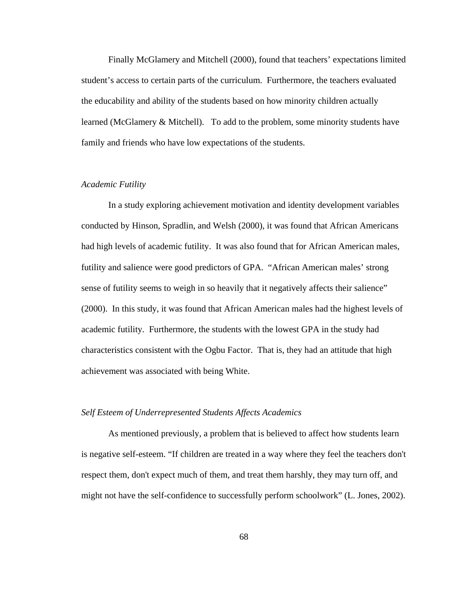Finally McGlamery and Mitchell (2000), found that teachers' expectations limited student's access to certain parts of the curriculum. Furthermore, the teachers evaluated the educability and ability of the students based on how minority children actually learned (McGlamery & Mitchell). To add to the problem, some minority students have family and friends who have low expectations of the students.

## *Academic Futility*

In a study exploring achievement motivation and identity development variables conducted by Hinson, Spradlin, and Welsh (2000), it was found that African Americans had high levels of academic futility. It was also found that for African American males, futility and salience were good predictors of GPA. "African American males' strong sense of futility seems to weigh in so heavily that it negatively affects their salience" (2000). In this study, it was found that African American males had the highest levels of academic futility. Furthermore, the students with the lowest GPA in the study had characteristics consistent with the Ogbu Factor. That is, they had an attitude that high achievement was associated with being White.

### *Self Esteem of Underrepresented Students Affects Academics*

As mentioned previously, a problem that is believed to affect how students learn is negative self-esteem. "If children are treated in a way where they feel the teachers don't respect them, don't expect much of them, and treat them harshly, they may turn off, and might not have the self-confidence to successfully perform schoolwork" (L. Jones, 2002).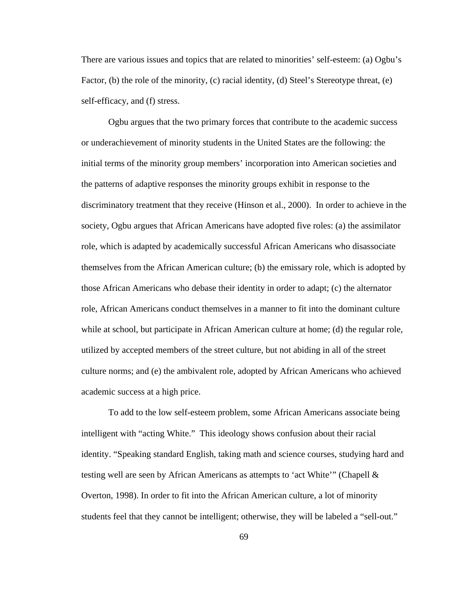There are various issues and topics that are related to minorities' self-esteem: (a) Ogbu's Factor, (b) the role of the minority, (c) racial identity, (d) Steel's Stereotype threat, (e) self-efficacy, and (f) stress.

Ogbu argues that the two primary forces that contribute to the academic success or underachievement of minority students in the United States are the following: the initial terms of the minority group members' incorporation into American societies and the patterns of adaptive responses the minority groups exhibit in response to the discriminatory treatment that they receive (Hinson et al., 2000). In order to achieve in the society, Ogbu argues that African Americans have adopted five roles: (a) the assimilator role, which is adapted by academically successful African Americans who disassociate themselves from the African American culture; (b) the emissary role, which is adopted by those African Americans who debase their identity in order to adapt; (c) the alternator role, African Americans conduct themselves in a manner to fit into the dominant culture while at school, but participate in African American culture at home; (d) the regular role, utilized by accepted members of the street culture, but not abiding in all of the street culture norms; and (e) the ambivalent role, adopted by African Americans who achieved academic success at a high price.

To add to the low self-esteem problem, some African Americans associate being intelligent with "acting White." This ideology shows confusion about their racial identity. "Speaking standard English, taking math and science courses, studying hard and testing well are seen by African Americans as attempts to 'act White'" (Chapell & Overton, 1998). In order to fit into the African American culture, a lot of minority students feel that they cannot be intelligent; otherwise, they will be labeled a "sell-out."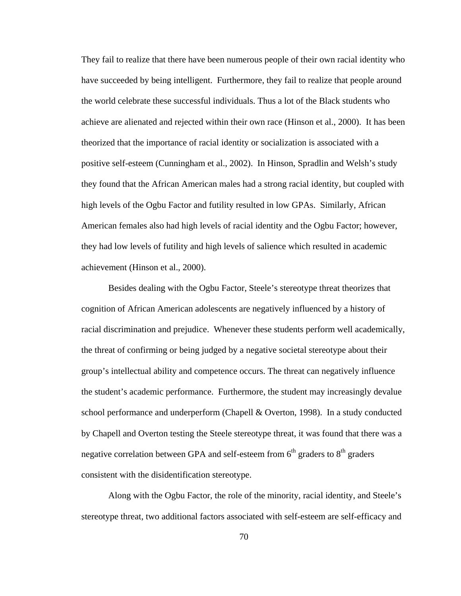They fail to realize that there have been numerous people of their own racial identity who have succeeded by being intelligent. Furthermore, they fail to realize that people around the world celebrate these successful individuals. Thus a lot of the Black students who achieve are alienated and rejected within their own race (Hinson et al., 2000). It has been theorized that the importance of racial identity or socialization is associated with a positive self-esteem (Cunningham et al., 2002). In Hinson, Spradlin and Welsh's study they found that the African American males had a strong racial identity, but coupled with high levels of the Ogbu Factor and futility resulted in low GPAs. Similarly, African American females also had high levels of racial identity and the Ogbu Factor; however, they had low levels of futility and high levels of salience which resulted in academic achievement (Hinson et al., 2000).

Besides dealing with the Ogbu Factor, Steele's stereotype threat theorizes that cognition of African American adolescents are negatively influenced by a history of racial discrimination and prejudice. Whenever these students perform well academically, the threat of confirming or being judged by a negative societal stereotype about their group's intellectual ability and competence occurs. The threat can negatively influence the student's academic performance. Furthermore, the student may increasingly devalue school performance and underperform (Chapell & Overton, 1998). In a study conducted by Chapell and Overton testing the Steele stereotype threat, it was found that there was a negative correlation between GPA and self-esteem from  $6<sup>th</sup>$  graders to  $8<sup>th</sup>$  graders consistent with the disidentification stereotype.

Along with the Ogbu Factor, the role of the minority, racial identity, and Steele's stereotype threat, two additional factors associated with self-esteem are self-efficacy and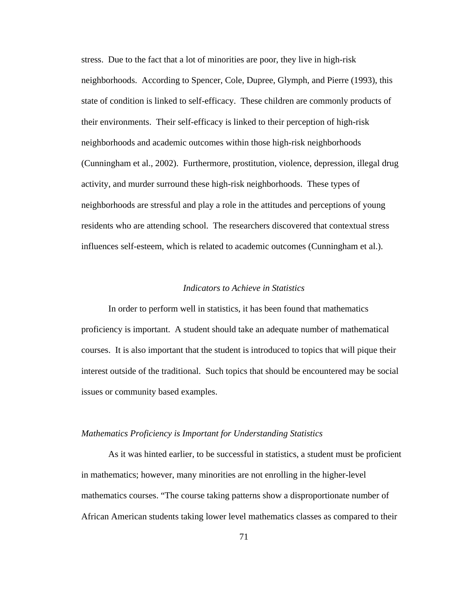stress. Due to the fact that a lot of minorities are poor, they live in high-risk neighborhoods. According to Spencer, Cole, Dupree, Glymph, and Pierre (1993), this state of condition is linked to self-efficacy. These children are commonly products of their environments. Their self-efficacy is linked to their perception of high-risk neighborhoods and academic outcomes within those high-risk neighborhoods (Cunningham et al., 2002). Furthermore, prostitution, violence, depression, illegal drug activity, and murder surround these high-risk neighborhoods. These types of neighborhoods are stressful and play a role in the attitudes and perceptions of young residents who are attending school. The researchers discovered that contextual stress influences self-esteem, which is related to academic outcomes (Cunningham et al.).

# *Indicators to Achieve in Statistics*

In order to perform well in statistics, it has been found that mathematics proficiency is important. A student should take an adequate number of mathematical courses. It is also important that the student is introduced to topics that will pique their interest outside of the traditional. Such topics that should be encountered may be social issues or community based examples.

### *Mathematics Proficiency is Important for Understanding Statistics*

As it was hinted earlier, to be successful in statistics, a student must be proficient in mathematics; however, many minorities are not enrolling in the higher-level mathematics courses. "The course taking patterns show a disproportionate number of African American students taking lower level mathematics classes as compared to their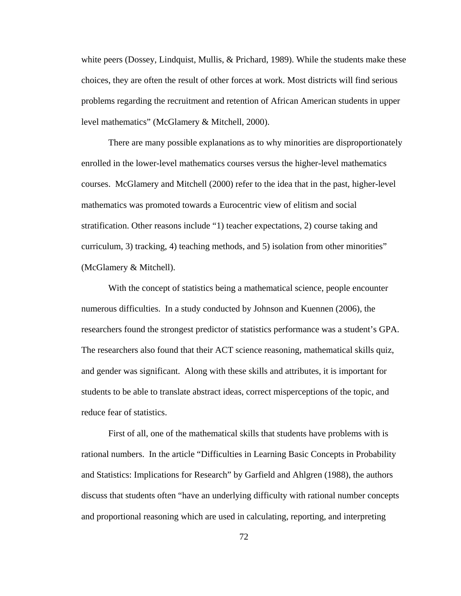white peers (Dossey, Lindquist, Mullis, & Prichard, 1989). While the students make these choices, they are often the result of other forces at work. Most districts will find serious problems regarding the recruitment and retention of African American students in upper level mathematics" (McGlamery & Mitchell, 2000).

There are many possible explanations as to why minorities are disproportionately enrolled in the lower-level mathematics courses versus the higher-level mathematics courses. McGlamery and Mitchell (2000) refer to the idea that in the past, higher-level mathematics was promoted towards a Eurocentric view of elitism and social stratification. Other reasons include "1) teacher expectations, 2) course taking and curriculum, 3) tracking, 4) teaching methods, and 5) isolation from other minorities" (McGlamery & Mitchell).

With the concept of statistics being a mathematical science, people encounter numerous difficulties. In a study conducted by Johnson and Kuennen (2006), the researchers found the strongest predictor of statistics performance was a student's GPA. The researchers also found that their ACT science reasoning, mathematical skills quiz, and gender was significant. Along with these skills and attributes, it is important for students to be able to translate abstract ideas, correct misperceptions of the topic, and reduce fear of statistics.

First of all, one of the mathematical skills that students have problems with is rational numbers. In the article "Difficulties in Learning Basic Concepts in Probability and Statistics: Implications for Research" by Garfield and Ahlgren (1988), the authors discuss that students often "have an underlying difficulty with rational number concepts and proportional reasoning which are used in calculating, reporting, and interpreting

72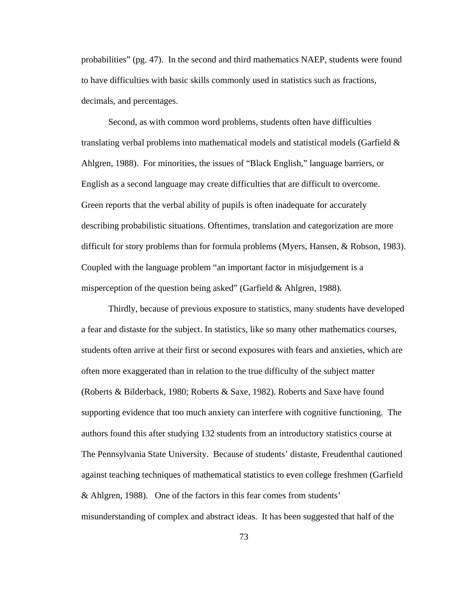probabilities" (pg. 47). In the second and third mathematics NAEP, students were found to have difficulties with basic skills commonly used in statistics such as fractions, decimals, and percentages.

Second, as with common word problems, students often have difficulties translating verbal problems into mathematical models and statistical models (Garfield & Ahlgren, 1988). For minorities, the issues of "Black English," language barriers, or English as a second language may create difficulties that are difficult to overcome. Green reports that the verbal ability of pupils is often inadequate for accurately describing probabilistic situations. Oftentimes, translation and categorization are more difficult for story problems than for formula problems (Myers, Hansen, & Robson, 1983). Coupled with the language problem "an important factor in misjudgement is a misperception of the question being asked" (Garfield & Ahlgren, 1988).

Thirdly, because of previous exposure to statistics, many students have developed a fear and distaste for the subject. In statistics, like so many other mathematics courses, students often arrive at their first or second exposures with fears and anxieties, which are often more exaggerated than in relation to the true difficulty of the subject matter (Roberts & Bilderback, 1980; Roberts & Saxe, 1982). Roberts and Saxe have found supporting evidence that too much anxiety can interfere with cognitive functioning. The authors found this after studying 132 students from an introductory statistics course at The Pennsylvania State University. Because of students' distaste, Freudenthal cautioned against teaching techniques of mathematical statistics to even college freshmen (Garfield & Ahlgren, 1988). One of the factors in this fear comes from students' misunderstanding of complex and abstract ideas. It has been suggested that half of the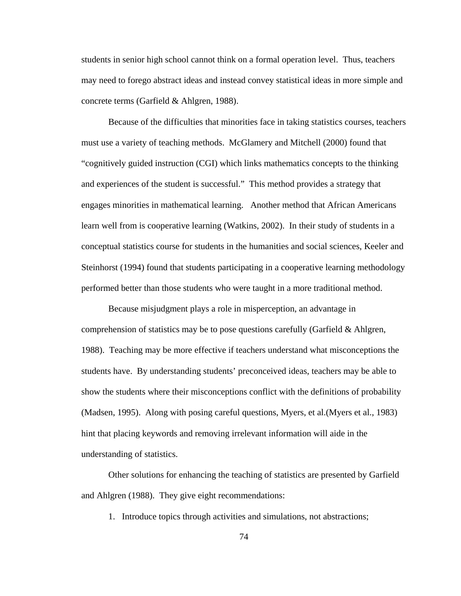students in senior high school cannot think on a formal operation level. Thus, teachers may need to forego abstract ideas and instead convey statistical ideas in more simple and concrete terms (Garfield & Ahlgren, 1988).

Because of the difficulties that minorities face in taking statistics courses, teachers must use a variety of teaching methods. McGlamery and Mitchell (2000) found that "cognitively guided instruction (CGI) which links mathematics concepts to the thinking and experiences of the student is successful." This method provides a strategy that engages minorities in mathematical learning. Another method that African Americans learn well from is cooperative learning (Watkins, 2002). In their study of students in a conceptual statistics course for students in the humanities and social sciences, Keeler and Steinhorst (1994) found that students participating in a cooperative learning methodology performed better than those students who were taught in a more traditional method.

Because misjudgment plays a role in misperception, an advantage in comprehension of statistics may be to pose questions carefully (Garfield & Ahlgren, 1988). Teaching may be more effective if teachers understand what misconceptions the students have. By understanding students' preconceived ideas, teachers may be able to show the students where their misconceptions conflict with the definitions of probability (Madsen, 1995). Along with posing careful questions, Myers, et al.(Myers et al., 1983) hint that placing keywords and removing irrelevant information will aide in the understanding of statistics.

Other solutions for enhancing the teaching of statistics are presented by Garfield and Ahlgren (1988). They give eight recommendations:

1. Introduce topics through activities and simulations, not abstractions;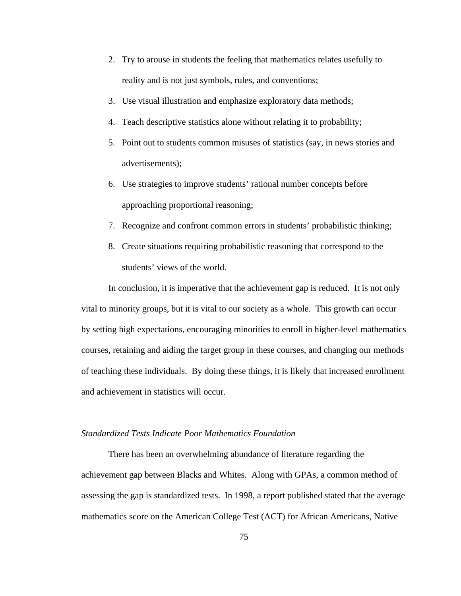- 2. Try to arouse in students the feeling that mathematics relates usefully to reality and is not just symbols, rules, and conventions;
- 3. Use visual illustration and emphasize exploratory data methods;
- 4. Teach descriptive statistics alone without relating it to probability;
- 5. Point out to students common misuses of statistics (say, in news stories and advertisements);
- 6. Use strategies to improve students' rational number concepts before approaching proportional reasoning;
- 7. Recognize and confront common errors in students' probabilistic thinking;
- 8. Create situations requiring probabilistic reasoning that correspond to the students' views of the world.

In conclusion, it is imperative that the achievement gap is reduced. It is not only vital to minority groups, but it is vital to our society as a whole. This growth can occur by setting high expectations, encouraging minorities to enroll in higher-level mathematics courses, retaining and aiding the target group in these courses, and changing our methods of teaching these individuals. By doing these things, it is likely that increased enrollment and achievement in statistics will occur.

## *Standardized Tests Indicate Poor Mathematics Foundation*

There has been an overwhelming abundance of literature regarding the achievement gap between Blacks and Whites. Along with GPAs, a common method of assessing the gap is standardized tests. In 1998, a report published stated that the average mathematics score on the American College Test (ACT) for African Americans, Native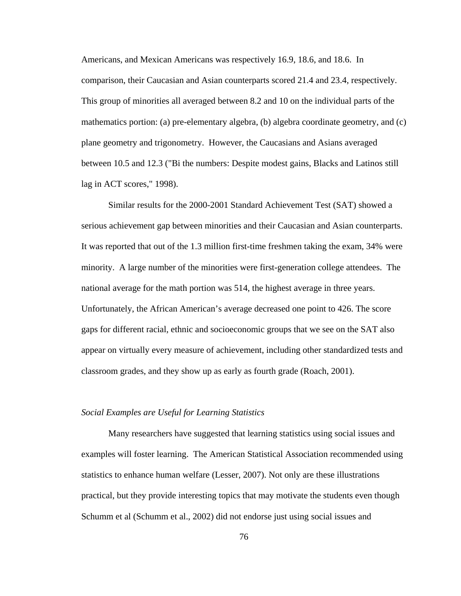Americans, and Mexican Americans was respectively 16.9, 18.6, and 18.6. In comparison, their Caucasian and Asian counterparts scored 21.4 and 23.4, respectively. This group of minorities all averaged between 8.2 and 10 on the individual parts of the mathematics portion: (a) pre-elementary algebra, (b) algebra coordinate geometry, and (c) plane geometry and trigonometry. However, the Caucasians and Asians averaged between 10.5 and 12.3 ("Bi the numbers: Despite modest gains, Blacks and Latinos still lag in ACT scores," 1998).

Similar results for the 2000-2001 Standard Achievement Test (SAT) showed a serious achievement gap between minorities and their Caucasian and Asian counterparts. It was reported that out of the 1.3 million first-time freshmen taking the exam, 34% were minority. A large number of the minorities were first-generation college attendees. The national average for the math portion was 514, the highest average in three years. Unfortunately, the African American's average decreased one point to 426. The score gaps for different racial, ethnic and socioeconomic groups that we see on the SAT also appear on virtually every measure of achievement, including other standardized tests and classroom grades, and they show up as early as fourth grade (Roach, 2001).

## *Social Examples are Useful for Learning Statistics*

Many researchers have suggested that learning statistics using social issues and examples will foster learning. The American Statistical Association recommended using statistics to enhance human welfare (Lesser, 2007). Not only are these illustrations practical, but they provide interesting topics that may motivate the students even though Schumm et al (Schumm et al., 2002) did not endorse just using social issues and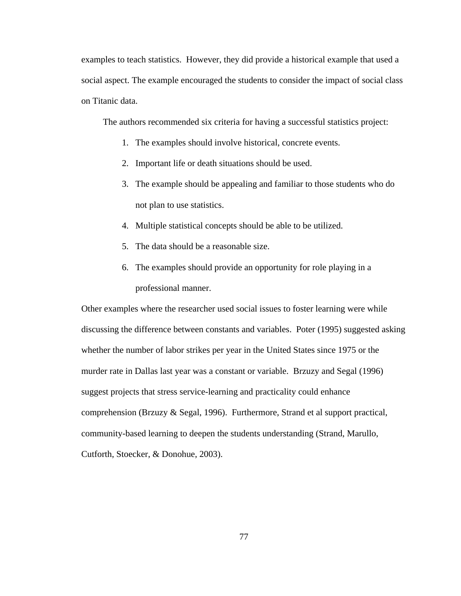examples to teach statistics. However, they did provide a historical example that used a social aspect. The example encouraged the students to consider the impact of social class on Titanic data.

The authors recommended six criteria for having a successful statistics project:

- 1. The examples should involve historical, concrete events.
- 2. Important life or death situations should be used.
- 3. The example should be appealing and familiar to those students who do not plan to use statistics.
- 4. Multiple statistical concepts should be able to be utilized.
- 5. The data should be a reasonable size.
- 6. The examples should provide an opportunity for role playing in a professional manner.

Other examples where the researcher used social issues to foster learning were while discussing the difference between constants and variables. Poter (1995) suggested asking whether the number of labor strikes per year in the United States since 1975 or the murder rate in Dallas last year was a constant or variable. Brzuzy and Segal (1996) suggest projects that stress service-learning and practicality could enhance comprehension (Brzuzy & Segal, 1996). Furthermore, Strand et al support practical, community-based learning to deepen the students understanding (Strand, Marullo, Cutforth, Stoecker, & Donohue, 2003).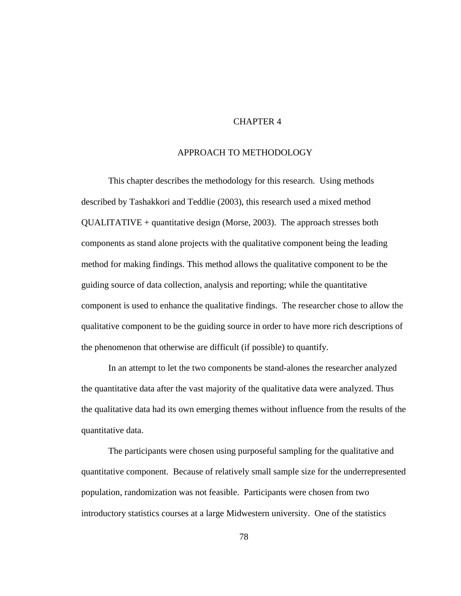# CHAPTER 4

# APPROACH TO METHODOLOGY

This chapter describes the methodology for this research. Using methods described by Tashakkori and Teddlie (2003), this research used a mixed method QUALITATIVE + quantitative design (Morse, 2003). The approach stresses both components as stand alone projects with the qualitative component being the leading method for making findings. This method allows the qualitative component to be the guiding source of data collection, analysis and reporting; while the quantitative component is used to enhance the qualitative findings. The researcher chose to allow the qualitative component to be the guiding source in order to have more rich descriptions of the phenomenon that otherwise are difficult (if possible) to quantify.

In an attempt to let the two components be stand-alones the researcher analyzed the quantitative data after the vast majority of the qualitative data were analyzed. Thus the qualitative data had its own emerging themes without influence from the results of the quantitative data.

The participants were chosen using purposeful sampling for the qualitative and quantitative component. Because of relatively small sample size for the underrepresented population, randomization was not feasible. Participants were chosen from two introductory statistics courses at a large Midwestern university. One of the statistics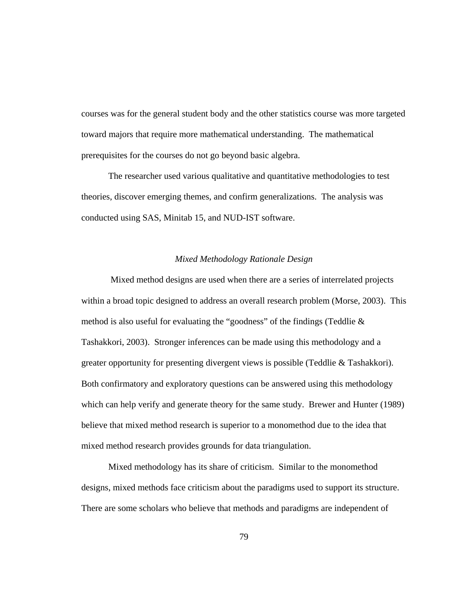courses was for the general student body and the other statistics course was more targeted toward majors that require more mathematical understanding. The mathematical prerequisites for the courses do not go beyond basic algebra.

The researcher used various qualitative and quantitative methodologies to test theories, discover emerging themes, and confirm generalizations. The analysis was conducted using SAS, Minitab 15, and NUD-IST software.

# *Mixed Methodology Rationale Design*

 Mixed method designs are used when there are a series of interrelated projects within a broad topic designed to address an overall research problem (Morse, 2003). This method is also useful for evaluating the "goodness" of the findings (Teddlie & Tashakkori, 2003). Stronger inferences can be made using this methodology and a greater opportunity for presenting divergent views is possible (Teddlie & Tashakkori). Both confirmatory and exploratory questions can be answered using this methodology which can help verify and generate theory for the same study. Brewer and Hunter (1989) believe that mixed method research is superior to a monomethod due to the idea that mixed method research provides grounds for data triangulation.

Mixed methodology has its share of criticism. Similar to the monomethod designs, mixed methods face criticism about the paradigms used to support its structure. There are some scholars who believe that methods and paradigms are independent of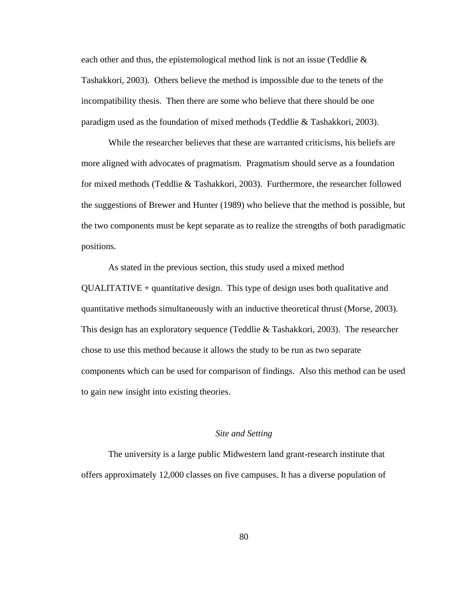each other and thus, the epistemological method link is not an issue (Teddlie  $\&$ Tashakkori, 2003). Others believe the method is impossible due to the tenets of the incompatibility thesis. Then there are some who believe that there should be one paradigm used as the foundation of mixed methods (Teddlie & Tashakkori, 2003).

While the researcher believes that these are warranted criticisms, his beliefs are more aligned with advocates of pragmatism. Pragmatism should serve as a foundation for mixed methods (Teddlie & Tashakkori, 2003). Furthermore, the researcher followed the suggestions of Brewer and Hunter (1989) who believe that the method is possible, but the two components must be kept separate as to realize the strengths of both paradigmatic positions.

As stated in the previous section, this study used a mixed method QUALITATIVE + quantitative design. This type of design uses both qualitative and quantitative methods simultaneously with an inductive theoretical thrust (Morse, 2003). This design has an exploratory sequence (Teddlie & Tashakkori, 2003). The researcher chose to use this method because it allows the study to be run as two separate components which can be used for comparison of findings. Also this method can be used to gain new insight into existing theories.

### *Site and Setting*

 The university is a large public Midwestern land grant-research institute that offers approximately 12,000 classes on five campuses. It has a diverse population of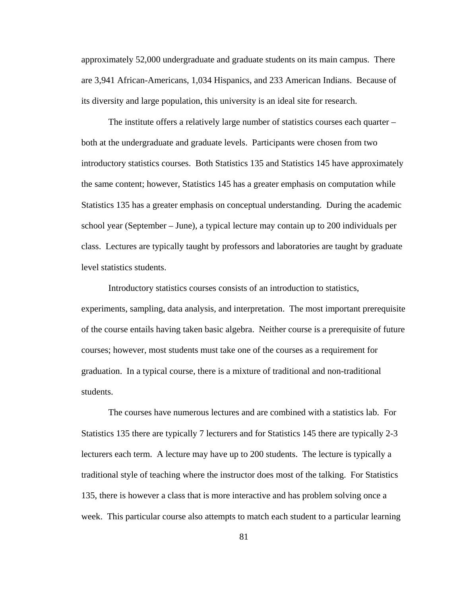approximately 52,000 undergraduate and graduate students on its main campus. There are 3,941 African-Americans, 1,034 Hispanics, and 233 American Indians. Because of its diversity and large population, this university is an ideal site for research.

 The institute offers a relatively large number of statistics courses each quarter – both at the undergraduate and graduate levels. Participants were chosen from two introductory statistics courses. Both Statistics 135 and Statistics 145 have approximately the same content; however, Statistics 145 has a greater emphasis on computation while Statistics 135 has a greater emphasis on conceptual understanding. During the academic school year (September – June), a typical lecture may contain up to 200 individuals per class. Lectures are typically taught by professors and laboratories are taught by graduate level statistics students.

Introductory statistics courses consists of an introduction to statistics, experiments, sampling, data analysis, and interpretation. The most important prerequisite of the course entails having taken basic algebra. Neither course is a prerequisite of future courses; however, most students must take one of the courses as a requirement for graduation. In a typical course, there is a mixture of traditional and non-traditional students.

The courses have numerous lectures and are combined with a statistics lab. For Statistics 135 there are typically 7 lecturers and for Statistics 145 there are typically 2-3 lecturers each term. A lecture may have up to 200 students. The lecture is typically a traditional style of teaching where the instructor does most of the talking. For Statistics 135, there is however a class that is more interactive and has problem solving once a week. This particular course also attempts to match each student to a particular learning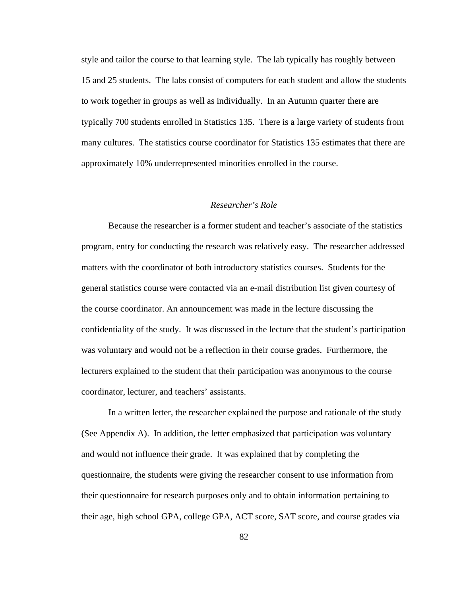style and tailor the course to that learning style. The lab typically has roughly between 15 and 25 students. The labs consist of computers for each student and allow the students to work together in groups as well as individually. In an Autumn quarter there are typically 700 students enrolled in Statistics 135. There is a large variety of students from many cultures. The statistics course coordinator for Statistics 135 estimates that there are approximately 10% underrepresented minorities enrolled in the course.

# *Researcher's Role*

 Because the researcher is a former student and teacher's associate of the statistics program, entry for conducting the research was relatively easy. The researcher addressed matters with the coordinator of both introductory statistics courses. Students for the general statistics course were contacted via an e-mail distribution list given courtesy of the course coordinator. An announcement was made in the lecture discussing the confidentiality of the study. It was discussed in the lecture that the student's participation was voluntary and would not be a reflection in their course grades. Furthermore, the lecturers explained to the student that their participation was anonymous to the course coordinator, lecturer, and teachers' assistants.

In a written letter, the researcher explained the purpose and rationale of the study (See Appendix A). In addition, the letter emphasized that participation was voluntary and would not influence their grade. It was explained that by completing the questionnaire, the students were giving the researcher consent to use information from their questionnaire for research purposes only and to obtain information pertaining to their age, high school GPA, college GPA, ACT score, SAT score, and course grades via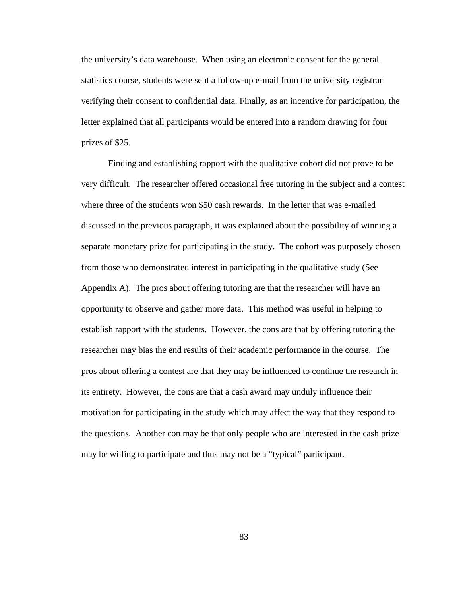the university's data warehouse. When using an electronic consent for the general statistics course, students were sent a follow-up e-mail from the university registrar verifying their consent to confidential data. Finally, as an incentive for participation, the letter explained that all participants would be entered into a random drawing for four prizes of \$25.

 Finding and establishing rapport with the qualitative cohort did not prove to be very difficult. The researcher offered occasional free tutoring in the subject and a contest where three of the students won \$50 cash rewards. In the letter that was e-mailed discussed in the previous paragraph, it was explained about the possibility of winning a separate monetary prize for participating in the study. The cohort was purposely chosen from those who demonstrated interest in participating in the qualitative study (See Appendix A). The pros about offering tutoring are that the researcher will have an opportunity to observe and gather more data. This method was useful in helping to establish rapport with the students. However, the cons are that by offering tutoring the researcher may bias the end results of their academic performance in the course. The pros about offering a contest are that they may be influenced to continue the research in its entirety. However, the cons are that a cash award may unduly influence their motivation for participating in the study which may affect the way that they respond to the questions. Another con may be that only people who are interested in the cash prize may be willing to participate and thus may not be a "typical" participant.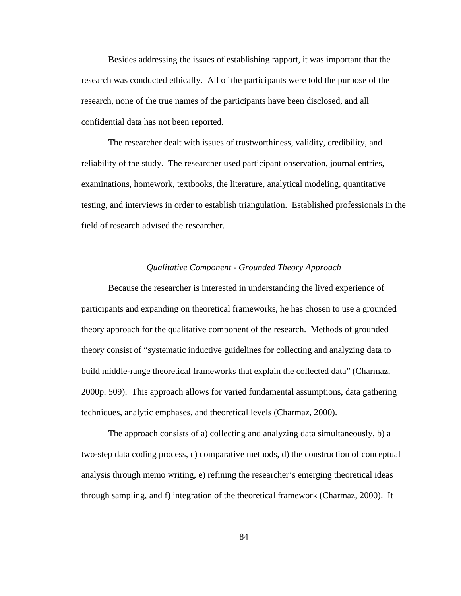Besides addressing the issues of establishing rapport, it was important that the research was conducted ethically. All of the participants were told the purpose of the research, none of the true names of the participants have been disclosed, and all confidential data has not been reported.

 The researcher dealt with issues of trustworthiness, validity, credibility, and reliability of the study. The researcher used participant observation, journal entries, examinations, homework, textbooks, the literature, analytical modeling, quantitative testing, and interviews in order to establish triangulation. Established professionals in the field of research advised the researcher.

### *Qualitative Component - Grounded Theory Approach*

 Because the researcher is interested in understanding the lived experience of participants and expanding on theoretical frameworks, he has chosen to use a grounded theory approach for the qualitative component of the research. Methods of grounded theory consist of "systematic inductive guidelines for collecting and analyzing data to build middle-range theoretical frameworks that explain the collected data" (Charmaz, 2000p. 509). This approach allows for varied fundamental assumptions, data gathering techniques, analytic emphases, and theoretical levels (Charmaz, 2000).

 The approach consists of a) collecting and analyzing data simultaneously, b) a two-step data coding process, c) comparative methods, d) the construction of conceptual analysis through memo writing, e) refining the researcher's emerging theoretical ideas through sampling, and f) integration of the theoretical framework (Charmaz, 2000). It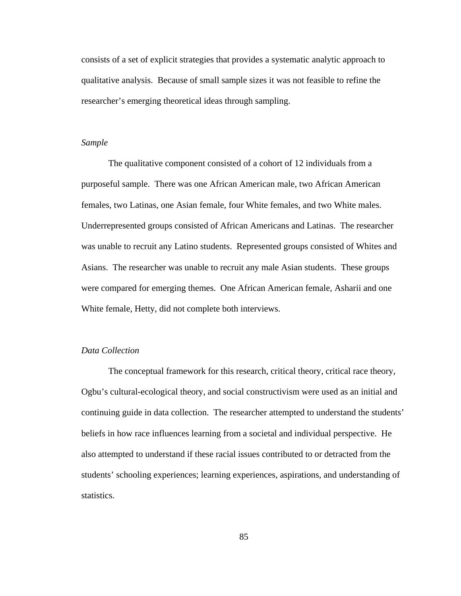consists of a set of explicit strategies that provides a systematic analytic approach to qualitative analysis. Because of small sample sizes it was not feasible to refine the researcher's emerging theoretical ideas through sampling.

# *Sample*

 The qualitative component consisted of a cohort of 12 individuals from a purposeful sample. There was one African American male, two African American females, two Latinas, one Asian female, four White females, and two White males. Underrepresented groups consisted of African Americans and Latinas. The researcher was unable to recruit any Latino students. Represented groups consisted of Whites and Asians. The researcher was unable to recruit any male Asian students. These groups were compared for emerging themes. One African American female, Asharii and one White female, Hetty, did not complete both interviews.

# *Data Collection*

The conceptual framework for this research, critical theory, critical race theory, Ogbu's cultural-ecological theory, and social constructivism were used as an initial and continuing guide in data collection. The researcher attempted to understand the students' beliefs in how race influences learning from a societal and individual perspective. He also attempted to understand if these racial issues contributed to or detracted from the students' schooling experiences; learning experiences, aspirations, and understanding of statistics.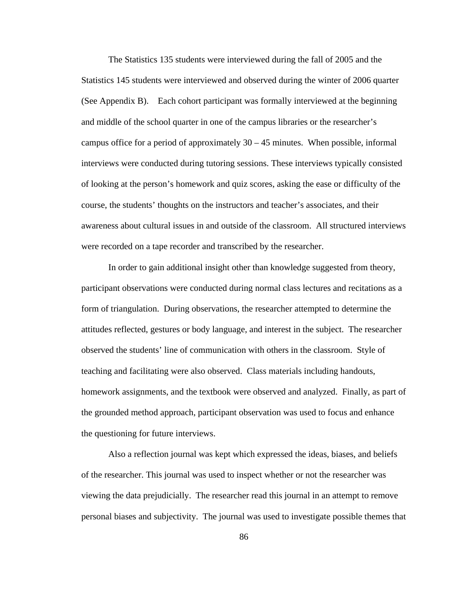The Statistics 135 students were interviewed during the fall of 2005 and the Statistics 145 students were interviewed and observed during the winter of 2006 quarter (See Appendix B). Each cohort participant was formally interviewed at the beginning and middle of the school quarter in one of the campus libraries or the researcher's campus office for a period of approximately  $30 - 45$  minutes. When possible, informal interviews were conducted during tutoring sessions. These interviews typically consisted of looking at the person's homework and quiz scores, asking the ease or difficulty of the course, the students' thoughts on the instructors and teacher's associates, and their awareness about cultural issues in and outside of the classroom. All structured interviews were recorded on a tape recorder and transcribed by the researcher.

In order to gain additional insight other than knowledge suggested from theory, participant observations were conducted during normal class lectures and recitations as a form of triangulation. During observations, the researcher attempted to determine the attitudes reflected, gestures or body language, and interest in the subject. The researcher observed the students' line of communication with others in the classroom. Style of teaching and facilitating were also observed. Class materials including handouts, homework assignments, and the textbook were observed and analyzed. Finally, as part of the grounded method approach, participant observation was used to focus and enhance the questioning for future interviews.

Also a reflection journal was kept which expressed the ideas, biases, and beliefs of the researcher. This journal was used to inspect whether or not the researcher was viewing the data prejudicially. The researcher read this journal in an attempt to remove personal biases and subjectivity. The journal was used to investigate possible themes that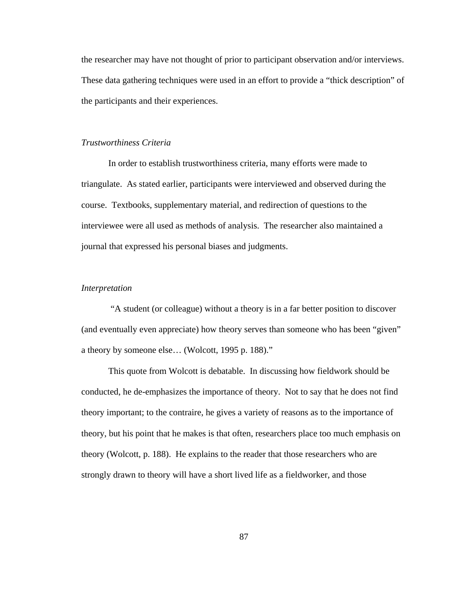the researcher may have not thought of prior to participant observation and/or interviews. These data gathering techniques were used in an effort to provide a "thick description" of the participants and their experiences.

## *Trustworthiness Criteria*

 In order to establish trustworthiness criteria, many efforts were made to triangulate. As stated earlier, participants were interviewed and observed during the course. Textbooks, supplementary material, and redirection of questions to the interviewee were all used as methods of analysis. The researcher also maintained a journal that expressed his personal biases and judgments.

#### *Interpretation*

 "A student (or colleague) without a theory is in a far better position to discover (and eventually even appreciate) how theory serves than someone who has been "given" a theory by someone else… (Wolcott, 1995 p. 188)."

 This quote from Wolcott is debatable. In discussing how fieldwork should be conducted, he de-emphasizes the importance of theory. Not to say that he does not find theory important; to the contraire, he gives a variety of reasons as to the importance of theory, but his point that he makes is that often, researchers place too much emphasis on theory (Wolcott, p. 188). He explains to the reader that those researchers who are strongly drawn to theory will have a short lived life as a fieldworker, and those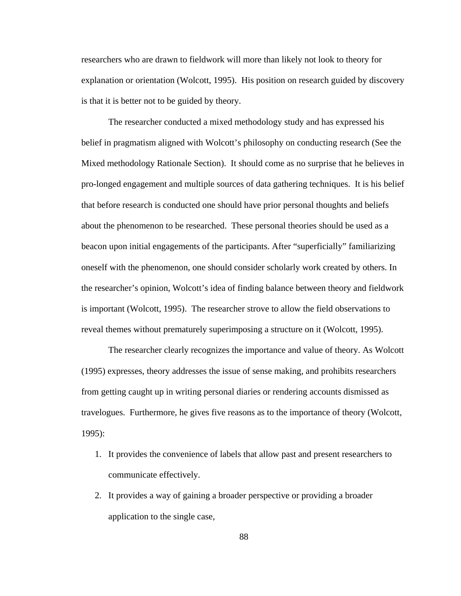researchers who are drawn to fieldwork will more than likely not look to theory for explanation or orientation (Wolcott, 1995). His position on research guided by discovery is that it is better not to be guided by theory.

The researcher conducted a mixed methodology study and has expressed his belief in pragmatism aligned with Wolcott's philosophy on conducting research (See the Mixed methodology Rationale Section). It should come as no surprise that he believes in pro-longed engagement and multiple sources of data gathering techniques. It is his belief that before research is conducted one should have prior personal thoughts and beliefs about the phenomenon to be researched. These personal theories should be used as a beacon upon initial engagements of the participants. After "superficially" familiarizing oneself with the phenomenon, one should consider scholarly work created by others. In the researcher's opinion, Wolcott's idea of finding balance between theory and fieldwork is important (Wolcott, 1995). The researcher strove to allow the field observations to reveal themes without prematurely superimposing a structure on it (Wolcott, 1995).

The researcher clearly recognizes the importance and value of theory. As Wolcott (1995) expresses, theory addresses the issue of sense making, and prohibits researchers from getting caught up in writing personal diaries or rendering accounts dismissed as travelogues. Furthermore, he gives five reasons as to the importance of theory (Wolcott, 1995):

- 1. It provides the convenience of labels that allow past and present researchers to communicate effectively.
- 2. It provides a way of gaining a broader perspective or providing a broader application to the single case,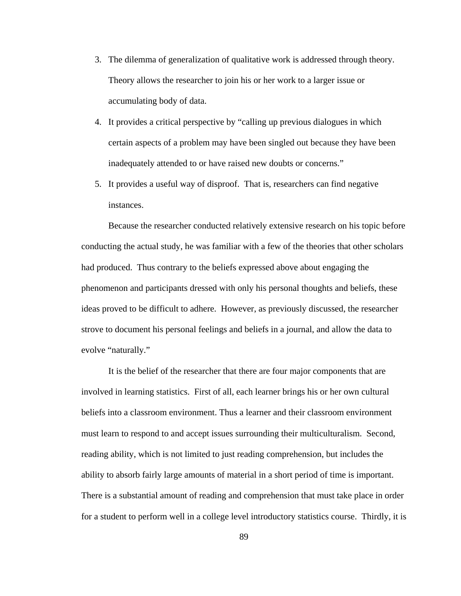- 3. The dilemma of generalization of qualitative work is addressed through theory. Theory allows the researcher to join his or her work to a larger issue or accumulating body of data.
- 4. It provides a critical perspective by "calling up previous dialogues in which certain aspects of a problem may have been singled out because they have been inadequately attended to or have raised new doubts or concerns."
- 5. It provides a useful way of disproof. That is, researchers can find negative instances.

Because the researcher conducted relatively extensive research on his topic before conducting the actual study, he was familiar with a few of the theories that other scholars had produced. Thus contrary to the beliefs expressed above about engaging the phenomenon and participants dressed with only his personal thoughts and beliefs, these ideas proved to be difficult to adhere. However, as previously discussed, the researcher strove to document his personal feelings and beliefs in a journal, and allow the data to evolve "naturally."

It is the belief of the researcher that there are four major components that are involved in learning statistics. First of all, each learner brings his or her own cultural beliefs into a classroom environment. Thus a learner and their classroom environment must learn to respond to and accept issues surrounding their multiculturalism. Second, reading ability, which is not limited to just reading comprehension, but includes the ability to absorb fairly large amounts of material in a short period of time is important. There is a substantial amount of reading and comprehension that must take place in order for a student to perform well in a college level introductory statistics course. Thirdly, it is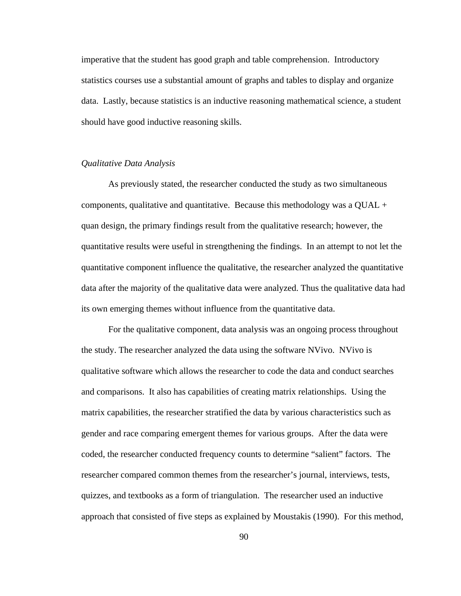imperative that the student has good graph and table comprehension. Introductory statistics courses use a substantial amount of graphs and tables to display and organize data. Lastly, because statistics is an inductive reasoning mathematical science, a student should have good inductive reasoning skills.

# *Qualitative Data Analysis*

 As previously stated, the researcher conducted the study as two simultaneous components, qualitative and quantitative. Because this methodology was a  $QUAL +$ quan design, the primary findings result from the qualitative research; however, the quantitative results were useful in strengthening the findings. In an attempt to not let the quantitative component influence the qualitative, the researcher analyzed the quantitative data after the majority of the qualitative data were analyzed. Thus the qualitative data had its own emerging themes without influence from the quantitative data.

For the qualitative component, data analysis was an ongoing process throughout the study. The researcher analyzed the data using the software NVivo. NVivo is qualitative software which allows the researcher to code the data and conduct searches and comparisons. It also has capabilities of creating matrix relationships. Using the matrix capabilities, the researcher stratified the data by various characteristics such as gender and race comparing emergent themes for various groups. After the data were coded, the researcher conducted frequency counts to determine "salient" factors. The researcher compared common themes from the researcher's journal, interviews, tests, quizzes, and textbooks as a form of triangulation. The researcher used an inductive approach that consisted of five steps as explained by Moustakis (1990). For this method,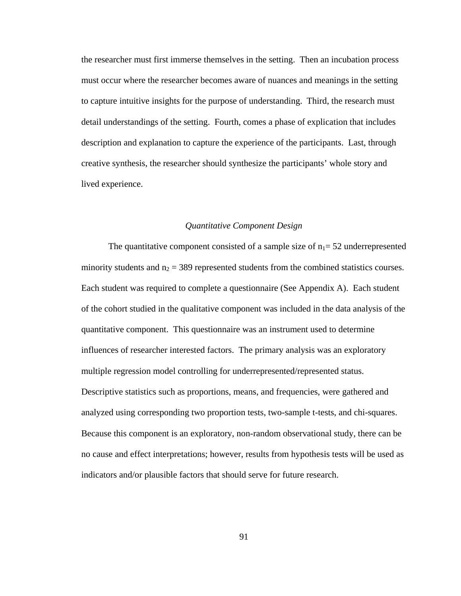the researcher must first immerse themselves in the setting. Then an incubation process must occur where the researcher becomes aware of nuances and meanings in the setting to capture intuitive insights for the purpose of understanding. Third, the research must detail understandings of the setting. Fourth, comes a phase of explication that includes description and explanation to capture the experience of the participants. Last, through creative synthesis, the researcher should synthesize the participants' whole story and lived experience.

## *Quantitative Component Design*

The quantitative component consisted of a sample size of  $n_1$  = 52 underrepresented minority students and  $n_2 = 389$  represented students from the combined statistics courses. Each student was required to complete a questionnaire (See Appendix A). Each student of the cohort studied in the qualitative component was included in the data analysis of the quantitative component. This questionnaire was an instrument used to determine influences of researcher interested factors. The primary analysis was an exploratory multiple regression model controlling for underrepresented/represented status. Descriptive statistics such as proportions, means, and frequencies, were gathered and analyzed using corresponding two proportion tests, two-sample t-tests, and chi-squares. Because this component is an exploratory, non-random observational study, there can be no cause and effect interpretations; however, results from hypothesis tests will be used as indicators and/or plausible factors that should serve for future research.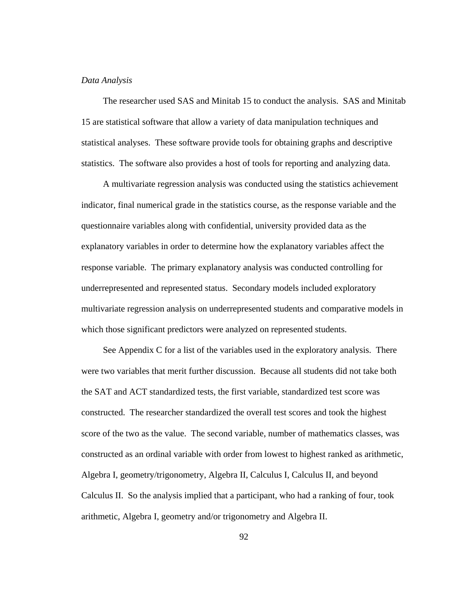#### *Data Analysis*

 The researcher used SAS and Minitab 15 to conduct the analysis. SAS and Minitab 15 are statistical software that allow a variety of data manipulation techniques and statistical analyses. These software provide tools for obtaining graphs and descriptive statistics. The software also provides a host of tools for reporting and analyzing data.

 A multivariate regression analysis was conducted using the statistics achievement indicator, final numerical grade in the statistics course, as the response variable and the questionnaire variables along with confidential, university provided data as the explanatory variables in order to determine how the explanatory variables affect the response variable. The primary explanatory analysis was conducted controlling for underrepresented and represented status. Secondary models included exploratory multivariate regression analysis on underrepresented students and comparative models in which those significant predictors were analyzed on represented students.

 See Appendix C for a list of the variables used in the exploratory analysis. There were two variables that merit further discussion. Because all students did not take both the SAT and ACT standardized tests, the first variable, standardized test score was constructed. The researcher standardized the overall test scores and took the highest score of the two as the value. The second variable, number of mathematics classes, was constructed as an ordinal variable with order from lowest to highest ranked as arithmetic, Algebra I, geometry/trigonometry, Algebra II, Calculus I, Calculus II, and beyond Calculus II. So the analysis implied that a participant, who had a ranking of four, took arithmetic, Algebra I, geometry and/or trigonometry and Algebra II.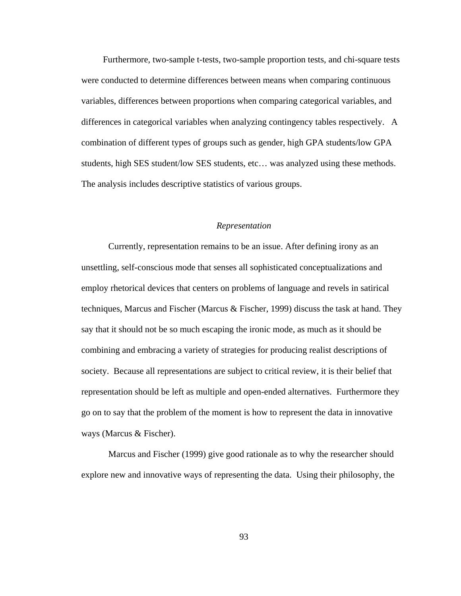Furthermore, two-sample t-tests, two-sample proportion tests, and chi-square tests were conducted to determine differences between means when comparing continuous variables, differences between proportions when comparing categorical variables, and differences in categorical variables when analyzing contingency tables respectively. A combination of different types of groups such as gender, high GPA students/low GPA students, high SES student/low SES students, etc… was analyzed using these methods. The analysis includes descriptive statistics of various groups.

## *Representation*

 Currently, representation remains to be an issue. After defining irony as an unsettling, self-conscious mode that senses all sophisticated conceptualizations and employ rhetorical devices that centers on problems of language and revels in satirical techniques, Marcus and Fischer (Marcus & Fischer, 1999) discuss the task at hand. They say that it should not be so much escaping the ironic mode, as much as it should be combining and embracing a variety of strategies for producing realist descriptions of society. Because all representations are subject to critical review, it is their belief that representation should be left as multiple and open-ended alternatives. Furthermore they go on to say that the problem of the moment is how to represent the data in innovative ways (Marcus & Fischer).

Marcus and Fischer (1999) give good rationale as to why the researcher should explore new and innovative ways of representing the data. Using their philosophy, the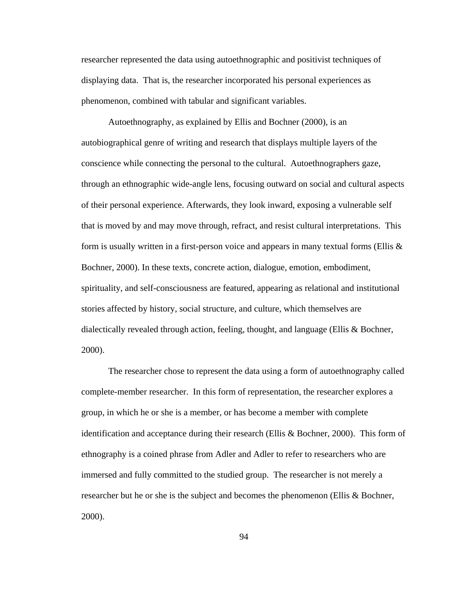researcher represented the data using autoethnographic and positivist techniques of displaying data. That is, the researcher incorporated his personal experiences as phenomenon, combined with tabular and significant variables.

Autoethnography, as explained by Ellis and Bochner (2000), is an autobiographical genre of writing and research that displays multiple layers of the conscience while connecting the personal to the cultural. Autoethnographers gaze, through an ethnographic wide-angle lens, focusing outward on social and cultural aspects of their personal experience. Afterwards, they look inward, exposing a vulnerable self that is moved by and may move through, refract, and resist cultural interpretations. This form is usually written in a first-person voice and appears in many textual forms (Ellis  $\&$ Bochner, 2000). In these texts, concrete action, dialogue, emotion, embodiment, spirituality, and self-consciousness are featured, appearing as relational and institutional stories affected by history, social structure, and culture, which themselves are dialectically revealed through action, feeling, thought, and language (Ellis & Bochner, 2000).

 The researcher chose to represent the data using a form of autoethnography called complete-member researcher. In this form of representation, the researcher explores a group, in which he or she is a member, or has become a member with complete identification and acceptance during their research (Ellis & Bochner, 2000). This form of ethnography is a coined phrase from Adler and Adler to refer to researchers who are immersed and fully committed to the studied group. The researcher is not merely a researcher but he or she is the subject and becomes the phenomenon (Ellis & Bochner, 2000).

94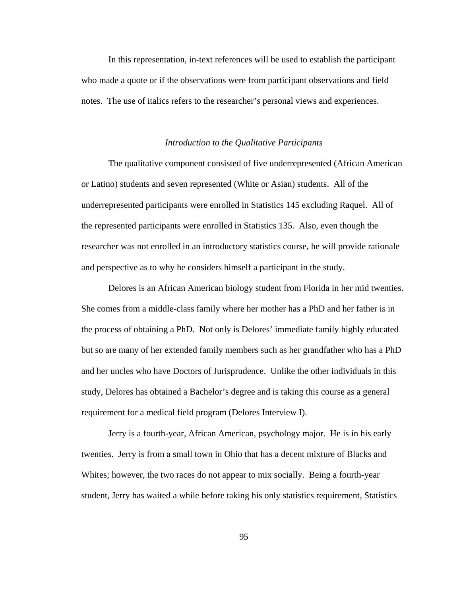In this representation, in-text references will be used to establish the participant who made a quote or if the observations were from participant observations and field notes. The use of italics refers to the researcher's personal views and experiences.

#### *Introduction to the Qualitative Participants*

The qualitative component consisted of five underrepresented (African American or Latino) students and seven represented (White or Asian) students. All of the underrepresented participants were enrolled in Statistics 145 excluding Raquel. All of the represented participants were enrolled in Statistics 135. Also, even though the researcher was not enrolled in an introductory statistics course, he will provide rationale and perspective as to why he considers himself a participant in the study.

Delores is an African American biology student from Florida in her mid twenties. She comes from a middle-class family where her mother has a PhD and her father is in the process of obtaining a PhD. Not only is Delores' immediate family highly educated but so are many of her extended family members such as her grandfather who has a PhD and her uncles who have Doctors of Jurisprudence. Unlike the other individuals in this study, Delores has obtained a Bachelor's degree and is taking this course as a general requirement for a medical field program (Delores Interview I).

Jerry is a fourth-year, African American, psychology major. He is in his early twenties. Jerry is from a small town in Ohio that has a decent mixture of Blacks and Whites; however, the two races do not appear to mix socially. Being a fourth-year student, Jerry has waited a while before taking his only statistics requirement, Statistics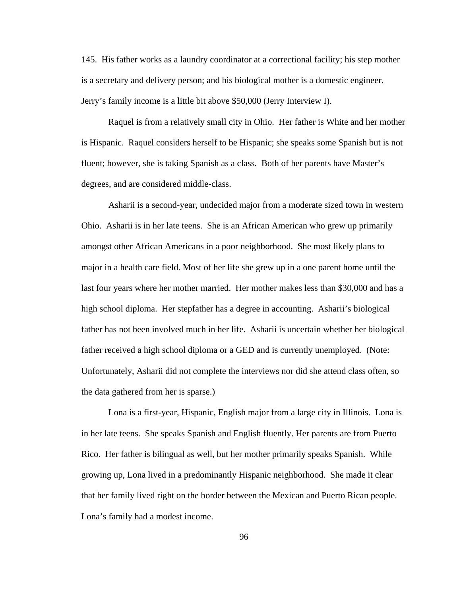145. His father works as a laundry coordinator at a correctional facility; his step mother is a secretary and delivery person; and his biological mother is a domestic engineer. Jerry's family income is a little bit above \$50,000 (Jerry Interview I).

Raquel is from a relatively small city in Ohio. Her father is White and her mother is Hispanic. Raquel considers herself to be Hispanic; she speaks some Spanish but is not fluent; however, she is taking Spanish as a class. Both of her parents have Master's degrees, and are considered middle-class.

Asharii is a second-year, undecided major from a moderate sized town in western Ohio. Asharii is in her late teens. She is an African American who grew up primarily amongst other African Americans in a poor neighborhood. She most likely plans to major in a health care field. Most of her life she grew up in a one parent home until the last four years where her mother married. Her mother makes less than \$30,000 and has a high school diploma. Her stepfather has a degree in accounting. Asharii's biological father has not been involved much in her life. Asharii is uncertain whether her biological father received a high school diploma or a GED and is currently unemployed. (Note: Unfortunately, Asharii did not complete the interviews nor did she attend class often, so the data gathered from her is sparse.)

Lona is a first-year, Hispanic, English major from a large city in Illinois. Lona is in her late teens. She speaks Spanish and English fluently. Her parents are from Puerto Rico. Her father is bilingual as well, but her mother primarily speaks Spanish. While growing up, Lona lived in a predominantly Hispanic neighborhood. She made it clear that her family lived right on the border between the Mexican and Puerto Rican people. Lona's family had a modest income.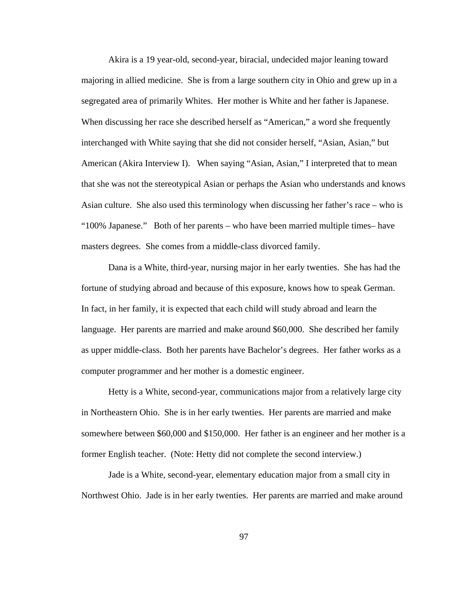Akira is a 19 year-old, second-year, biracial, undecided major leaning toward majoring in allied medicine. She is from a large southern city in Ohio and grew up in a segregated area of primarily Whites. Her mother is White and her father is Japanese. When discussing her race she described herself as "American," a word she frequently interchanged with White saying that she did not consider herself, "Asian, Asian," but American (Akira Interview I). When saying "Asian, Asian," I interpreted that to mean that she was not the stereotypical Asian or perhaps the Asian who understands and knows Asian culture. She also used this terminology when discussing her father's race – who is "100% Japanese." Both of her parents – who have been married multiple times– have masters degrees. She comes from a middle-class divorced family.

Dana is a White, third-year, nursing major in her early twenties. She has had the fortune of studying abroad and because of this exposure, knows how to speak German. In fact, in her family, it is expected that each child will study abroad and learn the language. Her parents are married and make around \$60,000. She described her family as upper middle-class. Both her parents have Bachelor's degrees. Her father works as a computer programmer and her mother is a domestic engineer.

Hetty is a White, second-year, communications major from a relatively large city in Northeastern Ohio. She is in her early twenties. Her parents are married and make somewhere between \$60,000 and \$150,000. Her father is an engineer and her mother is a former English teacher. (Note: Hetty did not complete the second interview.)

Jade is a White, second-year, elementary education major from a small city in Northwest Ohio. Jade is in her early twenties. Her parents are married and make around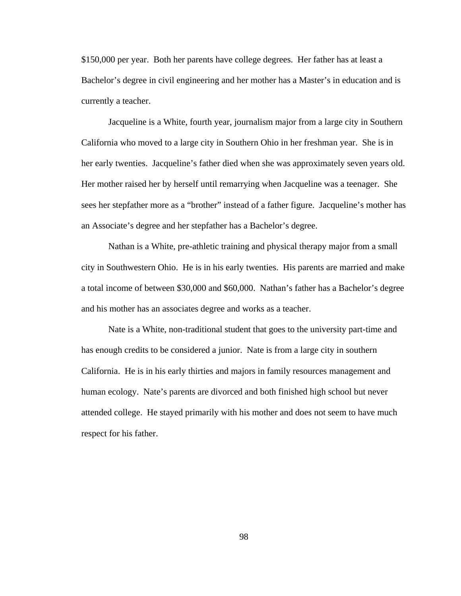\$150,000 per year. Both her parents have college degrees. Her father has at least a Bachelor's degree in civil engineering and her mother has a Master's in education and is currently a teacher.

Jacqueline is a White, fourth year, journalism major from a large city in Southern California who moved to a large city in Southern Ohio in her freshman year. She is in her early twenties. Jacqueline's father died when she was approximately seven years old. Her mother raised her by herself until remarrying when Jacqueline was a teenager. She sees her stepfather more as a "brother" instead of a father figure. Jacqueline's mother has an Associate's degree and her stepfather has a Bachelor's degree.

Nathan is a White, pre-athletic training and physical therapy major from a small city in Southwestern Ohio. He is in his early twenties. His parents are married and make a total income of between \$30,000 and \$60,000. Nathan's father has a Bachelor's degree and his mother has an associates degree and works as a teacher.

Nate is a White, non-traditional student that goes to the university part-time and has enough credits to be considered a junior. Nate is from a large city in southern California. He is in his early thirties and majors in family resources management and human ecology. Nate's parents are divorced and both finished high school but never attended college. He stayed primarily with his mother and does not seem to have much respect for his father.

98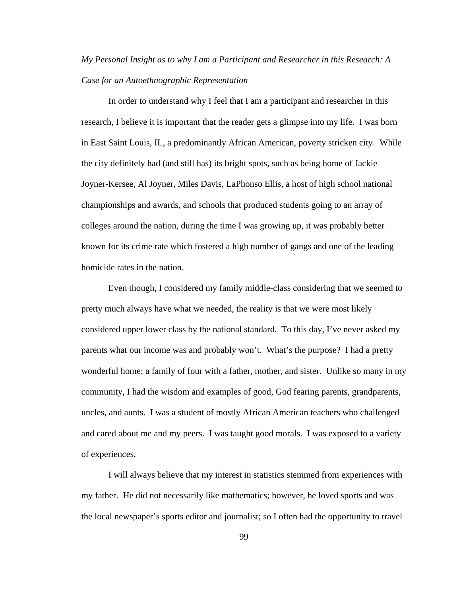# *My Personal Insight as to why I am a Participant and Researcher in this Research: A Case for an Autoethnographic Representation*

In order to understand why I feel that I am a participant and researcher in this research, I believe it is important that the reader gets a glimpse into my life. I was born in East Saint Louis, IL, a predominantly African American, poverty stricken city. While the city definitely had (and still has) its bright spots, such as being home of Jackie Joyner-Kersee, Al Joyner, Miles Davis, LaPhonso Ellis, a host of high school national championships and awards, and schools that produced students going to an array of colleges around the nation, during the time I was growing up, it was probably better known for its crime rate which fostered a high number of gangs and one of the leading homicide rates in the nation.

Even though, I considered my family middle-class considering that we seemed to pretty much always have what we needed, the reality is that we were most likely considered upper lower class by the national standard. To this day, I've never asked my parents what our income was and probably won't. What's the purpose? I had a pretty wonderful home; a family of four with a father, mother, and sister. Unlike so many in my community, I had the wisdom and examples of good, God fearing parents, grandparents, uncles, and aunts. I was a student of mostly African American teachers who challenged and cared about me and my peers. I was taught good morals. I was exposed to a variety of experiences.

I will always believe that my interest in statistics stemmed from experiences with my father. He did not necessarily like mathematics; however, he loved sports and was the local newspaper's sports editor and journalist; so I often had the opportunity to travel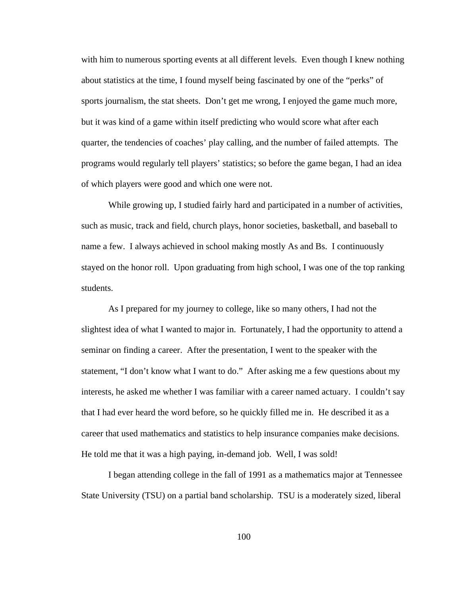with him to numerous sporting events at all different levels. Even though I knew nothing about statistics at the time, I found myself being fascinated by one of the "perks" of sports journalism, the stat sheets. Don't get me wrong, I enjoyed the game much more, but it was kind of a game within itself predicting who would score what after each quarter, the tendencies of coaches' play calling, and the number of failed attempts. The programs would regularly tell players' statistics; so before the game began, I had an idea of which players were good and which one were not.

While growing up, I studied fairly hard and participated in a number of activities, such as music, track and field, church plays, honor societies, basketball, and baseball to name a few. I always achieved in school making mostly As and Bs. I continuously stayed on the honor roll. Upon graduating from high school, I was one of the top ranking students.

As I prepared for my journey to college, like so many others, I had not the slightest idea of what I wanted to major in. Fortunately, I had the opportunity to attend a seminar on finding a career. After the presentation, I went to the speaker with the statement, "I don't know what I want to do." After asking me a few questions about my interests, he asked me whether I was familiar with a career named actuary. I couldn't say that I had ever heard the word before, so he quickly filled me in. He described it as a career that used mathematics and statistics to help insurance companies make decisions. He told me that it was a high paying, in-demand job. Well, I was sold!

I began attending college in the fall of 1991 as a mathematics major at Tennessee State University (TSU) on a partial band scholarship. TSU is a moderately sized, liberal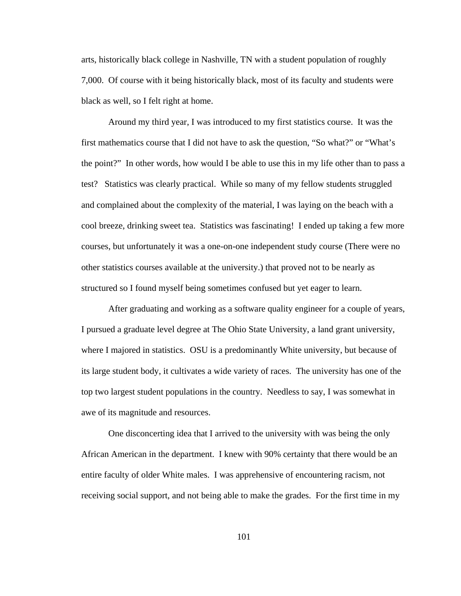arts, historically black college in Nashville, TN with a student population of roughly 7,000. Of course with it being historically black, most of its faculty and students were black as well, so I felt right at home.

Around my third year, I was introduced to my first statistics course. It was the first mathematics course that I did not have to ask the question, "So what?" or "What's the point?" In other words, how would I be able to use this in my life other than to pass a test? Statistics was clearly practical. While so many of my fellow students struggled and complained about the complexity of the material, I was laying on the beach with a cool breeze, drinking sweet tea. Statistics was fascinating! I ended up taking a few more courses, but unfortunately it was a one-on-one independent study course (There were no other statistics courses available at the university.) that proved not to be nearly as structured so I found myself being sometimes confused but yet eager to learn.

After graduating and working as a software quality engineer for a couple of years, I pursued a graduate level degree at The Ohio State University, a land grant university, where I majored in statistics. OSU is a predominantly White university, but because of its large student body, it cultivates a wide variety of races. The university has one of the top two largest student populations in the country. Needless to say, I was somewhat in awe of its magnitude and resources.

One disconcerting idea that I arrived to the university with was being the only African American in the department. I knew with 90% certainty that there would be an entire faculty of older White males. I was apprehensive of encountering racism, not receiving social support, and not being able to make the grades. For the first time in my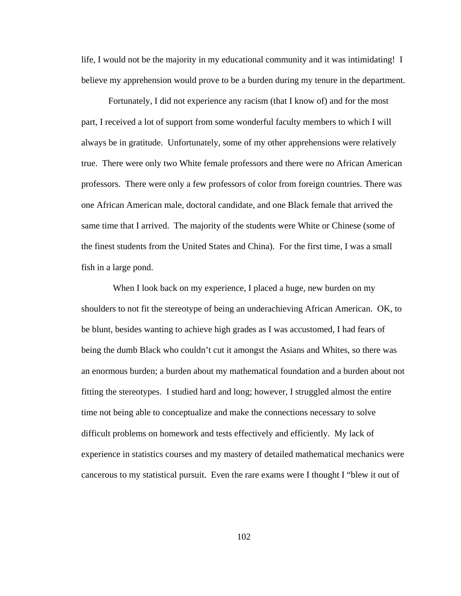life, I would not be the majority in my educational community and it was intimidating! I believe my apprehension would prove to be a burden during my tenure in the department.

Fortunately, I did not experience any racism (that I know of) and for the most part, I received a lot of support from some wonderful faculty members to which I will always be in gratitude. Unfortunately, some of my other apprehensions were relatively true. There were only two White female professors and there were no African American professors. There were only a few professors of color from foreign countries. There was one African American male, doctoral candidate, and one Black female that arrived the same time that I arrived. The majority of the students were White or Chinese (some of the finest students from the United States and China). For the first time, I was a small fish in a large pond.

When I look back on my experience, I placed a huge, new burden on my shoulders to not fit the stereotype of being an underachieving African American. OK, to be blunt, besides wanting to achieve high grades as I was accustomed, I had fears of being the dumb Black who couldn't cut it amongst the Asians and Whites, so there was an enormous burden; a burden about my mathematical foundation and a burden about not fitting the stereotypes. I studied hard and long; however, I struggled almost the entire time not being able to conceptualize and make the connections necessary to solve difficult problems on homework and tests effectively and efficiently. My lack of experience in statistics courses and my mastery of detailed mathematical mechanics were cancerous to my statistical pursuit. Even the rare exams were I thought I "blew it out of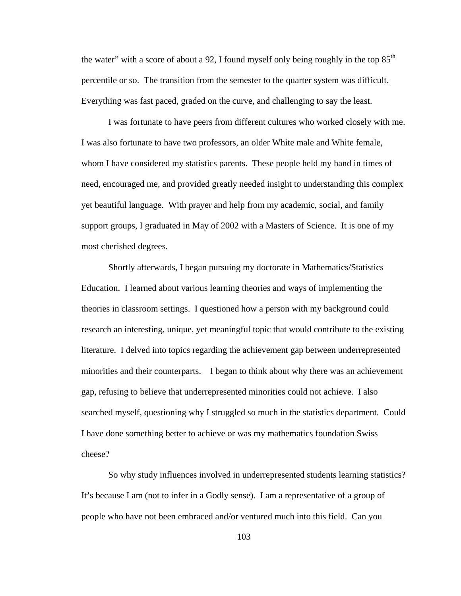the water" with a score of about a 92, I found myself only being roughly in the top  $85<sup>th</sup>$ percentile or so. The transition from the semester to the quarter system was difficult. Everything was fast paced, graded on the curve, and challenging to say the least.

I was fortunate to have peers from different cultures who worked closely with me. I was also fortunate to have two professors, an older White male and White female, whom I have considered my statistics parents. These people held my hand in times of need, encouraged me, and provided greatly needed insight to understanding this complex yet beautiful language. With prayer and help from my academic, social, and family support groups, I graduated in May of 2002 with a Masters of Science. It is one of my most cherished degrees.

Shortly afterwards, I began pursuing my doctorate in Mathematics/Statistics Education. I learned about various learning theories and ways of implementing the theories in classroom settings. I questioned how a person with my background could research an interesting, unique, yet meaningful topic that would contribute to the existing literature. I delved into topics regarding the achievement gap between underrepresented minorities and their counterparts. I began to think about why there was an achievement gap, refusing to believe that underrepresented minorities could not achieve. I also searched myself, questioning why I struggled so much in the statistics department. Could I have done something better to achieve or was my mathematics foundation Swiss cheese?

So why study influences involved in underrepresented students learning statistics? It's because I am (not to infer in a Godly sense). I am a representative of a group of people who have not been embraced and/or ventured much into this field. Can you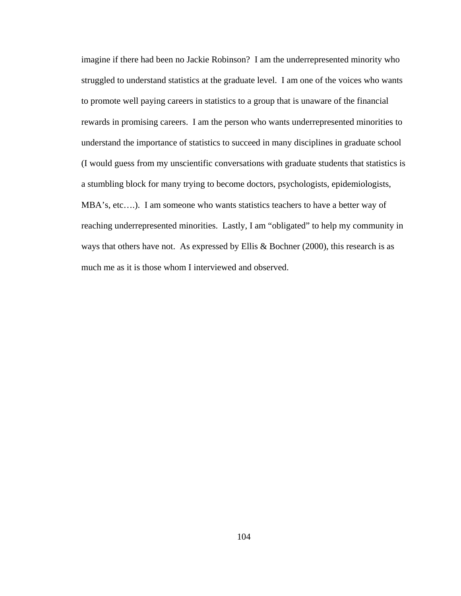imagine if there had been no Jackie Robinson? I am the underrepresented minority who struggled to understand statistics at the graduate level. I am one of the voices who wants to promote well paying careers in statistics to a group that is unaware of the financial rewards in promising careers. I am the person who wants underrepresented minorities to understand the importance of statistics to succeed in many disciplines in graduate school (I would guess from my unscientific conversations with graduate students that statistics is a stumbling block for many trying to become doctors, psychologists, epidemiologists, MBA's, etc....). I am someone who wants statistics teachers to have a better way of reaching underrepresented minorities. Lastly, I am "obligated" to help my community in ways that others have not. As expressed by Ellis & Bochner (2000), this research is as much me as it is those whom I interviewed and observed.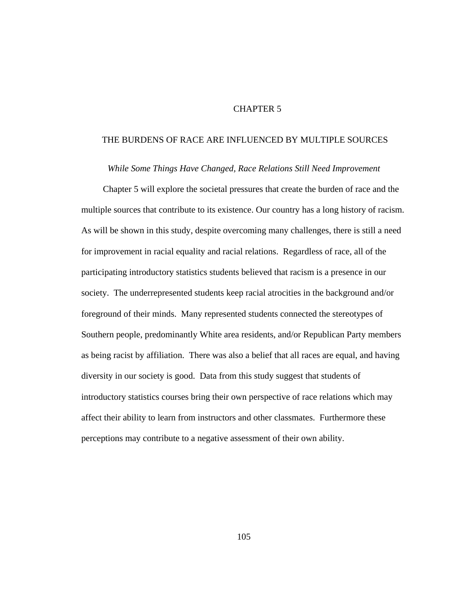## CHAPTER 5

## THE BURDENS OF RACE ARE INFLUENCED BY MULTIPLE SOURCES

*While Some Things Have Changed, Race Relations Still Need Improvement* 

 Chapter 5 will explore the societal pressures that create the burden of race and the multiple sources that contribute to its existence. Our country has a long history of racism. As will be shown in this study, despite overcoming many challenges, there is still a need for improvement in racial equality and racial relations. Regardless of race, all of the participating introductory statistics students believed that racism is a presence in our society. The underrepresented students keep racial atrocities in the background and/or foreground of their minds. Many represented students connected the stereotypes of Southern people, predominantly White area residents, and/or Republican Party members as being racist by affiliation. There was also a belief that all races are equal, and having diversity in our society is good. Data from this study suggest that students of introductory statistics courses bring their own perspective of race relations which may affect their ability to learn from instructors and other classmates. Furthermore these perceptions may contribute to a negative assessment of their own ability.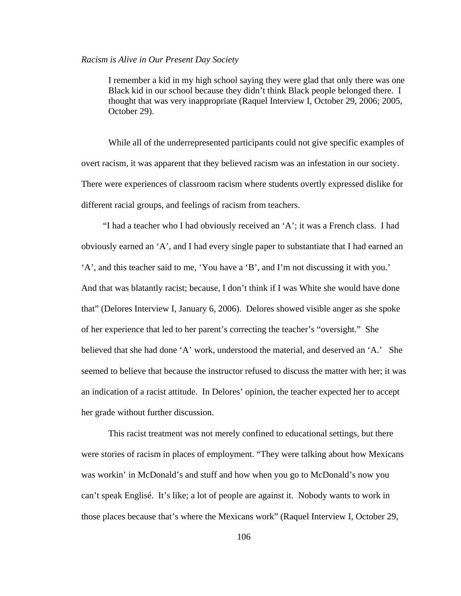#### *Racism is Alive in Our Present Day Society*

I remember a kid in my high school saying they were glad that only there was one Black kid in our school because they didn't think Black people belonged there. I thought that was very inappropriate (Raquel Interview I, October 29, 2006; 2005, October 29).

 While all of the underrepresented participants could not give specific examples of overt racism, it was apparent that they believed racism was an infestation in our society. There were experiences of classroom racism where students overtly expressed dislike for different racial groups, and feelings of racism from teachers.

 "I had a teacher who I had obviously received an 'A'; it was a French class. I had obviously earned an 'A', and I had every single paper to substantiate that I had earned an 'A', and this teacher said to me, 'You have a 'B', and I'm not discussing it with you.' And that was blatantly racist; because, I don't think if I was White she would have done that" (Delores Interview I, January 6, 2006). Delores showed visible anger as she spoke of her experience that led to her parent's correcting the teacher's "oversight." She believed that she had done 'A' work, understood the material, and deserved an 'A.' She seemed to believe that because the instructor refused to discuss the matter with her; it was an indication of a racist attitude. In Delores' opinion, the teacher expected her to accept her grade without further discussion.

This racist treatment was not merely confined to educational settings, but there were stories of racism in places of employment. "They were talking about how Mexicans was workin' in McDonald's and stuff and how when you go to McDonald's now you can't speak Englisé. It's like; a lot of people are against it. Nobody wants to work in those places because that's where the Mexicans work" (Raquel Interview I, October 29,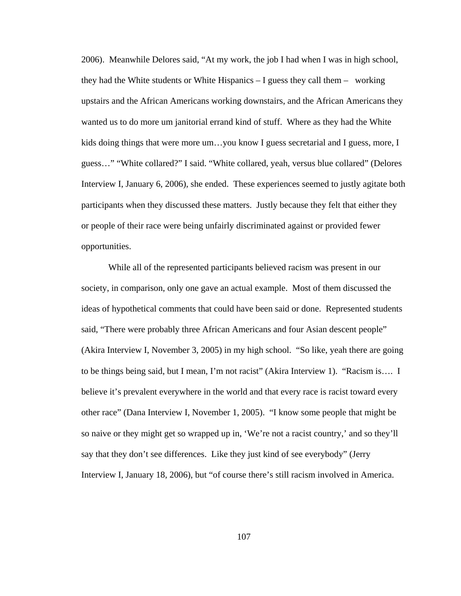2006). Meanwhile Delores said, "At my work, the job I had when I was in high school, they had the White students or White Hispanics  $- I$  guess they call them  $-$  working upstairs and the African Americans working downstairs, and the African Americans they wanted us to do more um janitorial errand kind of stuff. Where as they had the White kids doing things that were more um…you know I guess secretarial and I guess, more, I guess…" "White collared?" I said. "White collared, yeah, versus blue collared" (Delores Interview I, January 6, 2006), she ended. These experiences seemed to justly agitate both participants when they discussed these matters. Justly because they felt that either they or people of their race were being unfairly discriminated against or provided fewer opportunities.

While all of the represented participants believed racism was present in our society, in comparison, only one gave an actual example. Most of them discussed the ideas of hypothetical comments that could have been said or done. Represented students said, "There were probably three African Americans and four Asian descent people" (Akira Interview I, November 3, 2005) in my high school. "So like, yeah there are going to be things being said, but I mean, I'm not racist" (Akira Interview 1). "Racism is…. I believe it's prevalent everywhere in the world and that every race is racist toward every other race" (Dana Interview I, November 1, 2005). "I know some people that might be so naive or they might get so wrapped up in, 'We're not a racist country,' and so they'll say that they don't see differences. Like they just kind of see everybody" (Jerry Interview I, January 18, 2006), but "of course there's still racism involved in America.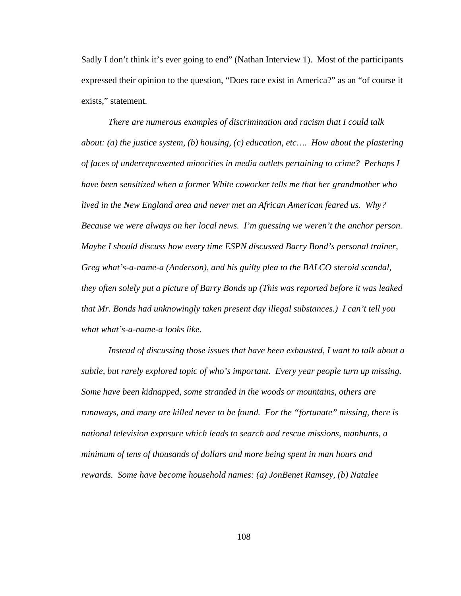Sadly I don't think it's ever going to end" (Nathan Interview 1). Most of the participants expressed their opinion to the question, "Does race exist in America?" as an "of course it exists," statement.

*There are numerous examples of discrimination and racism that I could talk about: (a) the justice system, (b) housing, (c) education, etc…. How about the plastering of faces of underrepresented minorities in media outlets pertaining to crime? Perhaps I have been sensitized when a former White coworker tells me that her grandmother who lived in the New England area and never met an African American feared us. Why? Because we were always on her local news. I'm guessing we weren't the anchor person. Maybe I should discuss how every time ESPN discussed Barry Bond's personal trainer, Greg what's-a-name-a (Anderson), and his guilty plea to the BALCO steroid scandal, they often solely put a picture of Barry Bonds up (This was reported before it was leaked that Mr. Bonds had unknowingly taken present day illegal substances.) I can't tell you what what's-a-name-a looks like.* 

*Instead of discussing those issues that have been exhausted, I want to talk about a subtle, but rarely explored topic of who's important. Every year people turn up missing. Some have been kidnapped, some stranded in the woods or mountains, others are runaways, and many are killed never to be found. For the "fortunate" missing, there is national television exposure which leads to search and rescue missions, manhunts, a minimum of tens of thousands of dollars and more being spent in man hours and rewards. Some have become household names: (a) JonBenet Ramsey, (b) Natalee*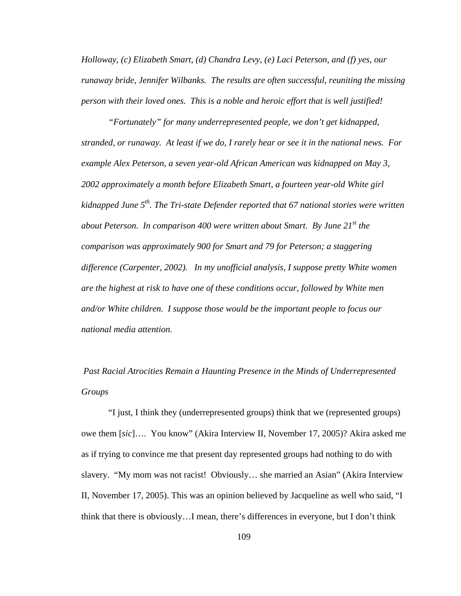*Holloway, (c) Elizabeth Smart, (d) Chandra Levy, (e) Laci Peterson, and (f) yes, our runaway bride, Jennifer Wilbanks. The results are often successful, reuniting the missing person with their loved ones. This is a noble and heroic effort that is well justified!* 

*"Fortunately" for many underrepresented people, we don't get kidnapped, stranded, or runaway. At least if we do, I rarely hear or see it in the national news. For example Alex Peterson, a seven year-old African American was kidnapped on May 3, 2002 approximately a month before Elizabeth Smart, a fourteen year-old White girl kidnapped June 5th. The Tri-state Defender reported that 67 national stories were written about Peterson. In comparison 400 were written about Smart. By June 21st the comparison was approximately 900 for Smart and 79 for Peterson; a staggering difference (Carpenter, 2002). In my unofficial analysis, I suppose pretty White women are the highest at risk to have one of these conditions occur, followed by White men and/or White children. I suppose those would be the important people to focus our national media attention.* 

 *Past Racial Atrocities Remain a Haunting Presence in the Minds of Underrepresented Groups* 

"I just, I think they (underrepresented groups) think that we (represented groups) owe them [*sic*]…. You know" (Akira Interview II, November 17, 2005)? Akira asked me as if trying to convince me that present day represented groups had nothing to do with slavery. "My mom was not racist! Obviously… she married an Asian" (Akira Interview II, November 17, 2005). This was an opinion believed by Jacqueline as well who said, "I think that there is obviously…I mean, there's differences in everyone, but I don't think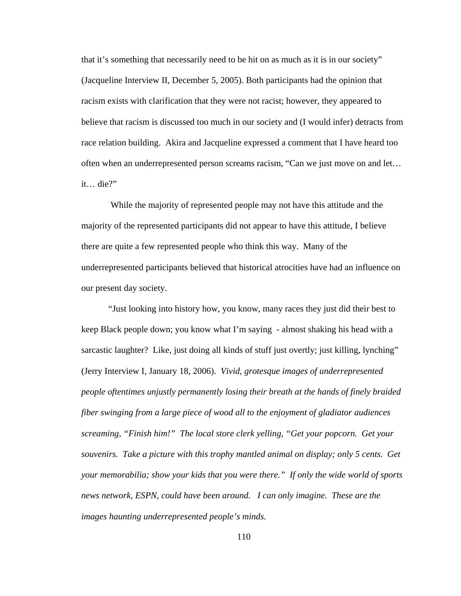that it's something that necessarily need to be hit on as much as it is in our society" (Jacqueline Interview II, December 5, 2005). Both participants had the opinion that racism exists with clarification that they were not racist; however, they appeared to believe that racism is discussed too much in our society and (I would infer) detracts from race relation building. Akira and Jacqueline expressed a comment that I have heard too often when an underrepresented person screams racism, "Can we just move on and let… it… die?"

 While the majority of represented people may not have this attitude and the majority of the represented participants did not appear to have this attitude, I believe there are quite a few represented people who think this way. Many of the underrepresented participants believed that historical atrocities have had an influence on our present day society.

"Just looking into history how, you know, many races they just did their best to keep Black people down; you know what I'm saying - almost shaking his head with a sarcastic laughter? Like, just doing all kinds of stuff just overtly; just killing, lynching" (Jerry Interview I, January 18, 2006). *Vivid, grotesque images of underrepresented people oftentimes unjustly permanently losing their breath at the hands of finely braided fiber swinging from a large piece of wood all to the enjoyment of gladiator audiences screaming, "Finish him!" The local store clerk yelling, "Get your popcorn. Get your souvenirs. Take a picture with this trophy mantled animal on display; only 5 cents. Get your memorabilia; show your kids that you were there." If only the wide world of sports news network, ESPN, could have been around. I can only imagine. These are the images haunting underrepresented people's minds.*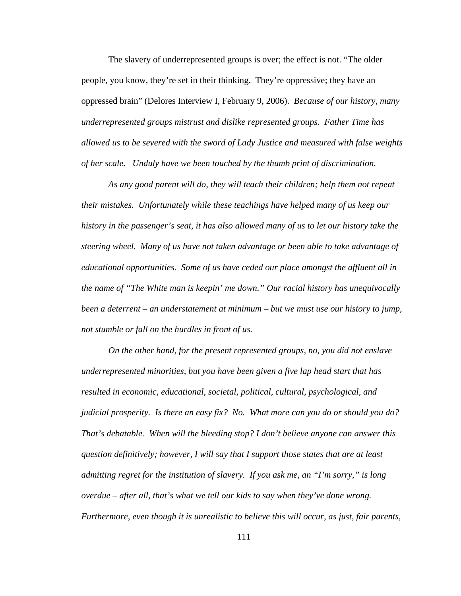The slavery of underrepresented groups is over; the effect is not. "The older people, you know, they're set in their thinking. They're oppressive; they have an oppressed brain" (Delores Interview I, February 9, 2006). *Because of our history, many underrepresented groups mistrust and dislike represented groups. Father Time has allowed us to be severed with the sword of Lady Justice and measured with false weights of her scale. Unduly have we been touched by the thumb print of discrimination.* 

*As any good parent will do, they will teach their children; help them not repeat their mistakes. Unfortunately while these teachings have helped many of us keep our history in the passenger's seat, it has also allowed many of us to let our history take the steering wheel. Many of us have not taken advantage or been able to take advantage of educational opportunities. Some of us have ceded our place amongst the affluent all in the name of "The White man is keepin' me down." Our racial history has unequivocally been a deterrent – an understatement at minimum – but we must use our history to jump, not stumble or fall on the hurdles in front of us.* 

*On the other hand, for the present represented groups, no, you did not enslave underrepresented minorities, but you have been given a five lap head start that has resulted in economic, educational, societal, political, cultural, psychological, and judicial prosperity. Is there an easy fix? No. What more can you do or should you do? That's debatable. When will the bleeding stop? I don't believe anyone can answer this question definitively; however, I will say that I support those states that are at least admitting regret for the institution of slavery. If you ask me, an "I'm sorry," is long overdue – after all, that's what we tell our kids to say when they've done wrong. Furthermore, even though it is unrealistic to believe this will occur, as just, fair parents,*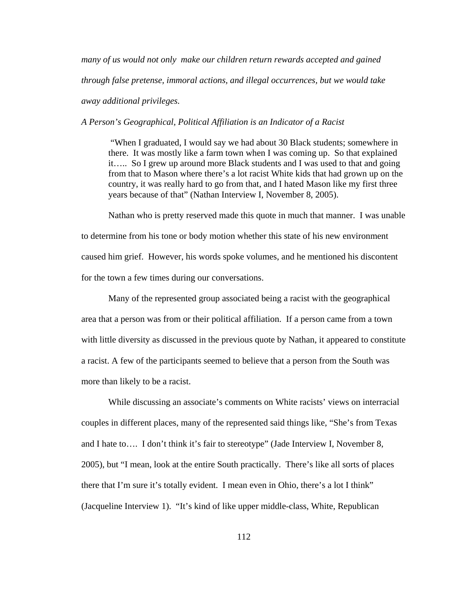*many of us would not only make our children return rewards accepted and gained through false pretense, immoral actions, and illegal occurrences, but we would take away additional privileges.* 

*A Person's Geographical, Political Affiliation is an Indicator of a Racist* 

"When I graduated, I would say we had about 30 Black students; somewhere in there. It was mostly like a farm town when I was coming up. So that explained it….. So I grew up around more Black students and I was used to that and going from that to Mason where there's a lot racist White kids that had grown up on the country, it was really hard to go from that, and I hated Mason like my first three years because of that" (Nathan Interview I, November 8, 2005).

Nathan who is pretty reserved made this quote in much that manner. I was unable to determine from his tone or body motion whether this state of his new environment caused him grief. However, his words spoke volumes, and he mentioned his discontent for the town a few times during our conversations.

Many of the represented group associated being a racist with the geographical area that a person was from or their political affiliation. If a person came from a town with little diversity as discussed in the previous quote by Nathan, it appeared to constitute a racist. A few of the participants seemed to believe that a person from the South was more than likely to be a racist.

While discussing an associate's comments on White racists' views on interracial couples in different places, many of the represented said things like, "She's from Texas and I hate to…. I don't think it's fair to stereotype" (Jade Interview I, November 8, 2005), but "I mean, look at the entire South practically. There's like all sorts of places there that I'm sure it's totally evident. I mean even in Ohio, there's a lot I think" (Jacqueline Interview 1). "It's kind of like upper middle-class, White, Republican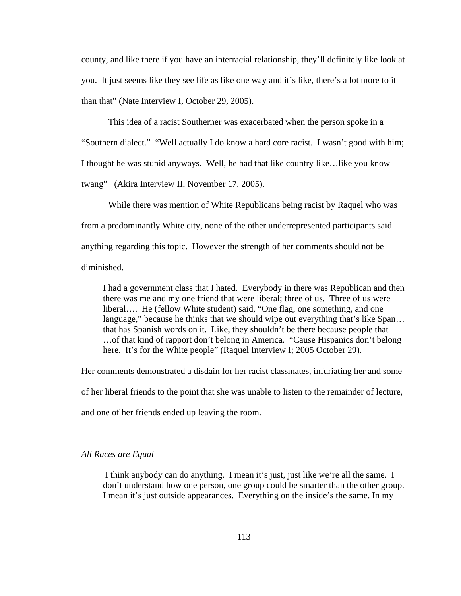county, and like there if you have an interracial relationship, they'll definitely like look at you. It just seems like they see life as like one way and it's like, there's a lot more to it than that" (Nate Interview I, October 29, 2005).

This idea of a racist Southerner was exacerbated when the person spoke in a "Southern dialect." "Well actually I do know a hard core racist. I wasn't good with him; I thought he was stupid anyways. Well, he had that like country like…like you know twang" (Akira Interview II, November 17, 2005).

While there was mention of White Republicans being racist by Raquel who was from a predominantly White city, none of the other underrepresented participants said anything regarding this topic. However the strength of her comments should not be diminished.

I had a government class that I hated. Everybody in there was Republican and then there was me and my one friend that were liberal; three of us. Three of us were liberal…. He (fellow White student) said, "One flag, one something, and one language," because he thinks that we should wipe out everything that's like Span... that has Spanish words on it. Like, they shouldn't be there because people that …of that kind of rapport don't belong in America. "Cause Hispanics don't belong here. It's for the White people" (Raquel Interview I; 2005 October 29).

Her comments demonstrated a disdain for her racist classmates, infuriating her and some

of her liberal friends to the point that she was unable to listen to the remainder of lecture,

and one of her friends ended up leaving the room.

## *All Races are Equal*

 I think anybody can do anything. I mean it's just, just like we're all the same. I don't understand how one person, one group could be smarter than the other group. I mean it's just outside appearances. Everything on the inside's the same. In my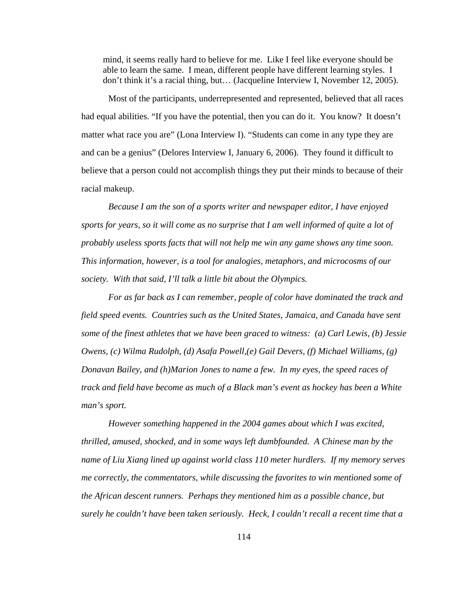mind, it seems really hard to believe for me. Like I feel like everyone should be able to learn the same. I mean, different people have different learning styles. I don't think it's a racial thing, but… (Jacqueline Interview I, November 12, 2005).

Most of the participants, underrepresented and represented, believed that all races had equal abilities. "If you have the potential, then you can do it. You know? It doesn't matter what race you are" (Lona Interview I). "Students can come in any type they are and can be a genius" (Delores Interview I, January 6, 2006). They found it difficult to believe that a person could not accomplish things they put their minds to because of their racial makeup.

*Because I am the son of a sports writer and newspaper editor, I have enjoyed sports for years, so it will come as no surprise that I am well informed of quite a lot of probably useless sports facts that will not help me win any game shows any time soon. This information, however, is a tool for analogies, metaphors, and microcosms of our society. With that said, I'll talk a little bit about the Olympics.* 

*For as far back as I can remember, people of color have dominated the track and field speed events. Countries such as the United States, Jamaica, and Canada have sent some of the finest athletes that we have been graced to witness: (a) Carl Lewis, (b) Jessie Owens, (c) Wilma Rudolph, (d) Asafa Powell,(e) Gail Devers, (f) Michael Williams, (g) Donavan Bailey, and (h)Marion Jones to name a few. In my eyes, the speed races of track and field have become as much of a Black man's event as hockey has been a White man's sport.* 

*However something happened in the 2004 games about which I was excited, thrilled, amused, shocked, and in some ways left dumbfounded. A Chinese man by the name of Liu Xiang lined up against world class 110 meter hurdlers. If my memory serves me correctly, the commentators, while discussing the favorites to win mentioned some of the African descent runners. Perhaps they mentioned him as a possible chance, but surely he couldn't have been taken seriously. Heck, I couldn't recall a recent time that a*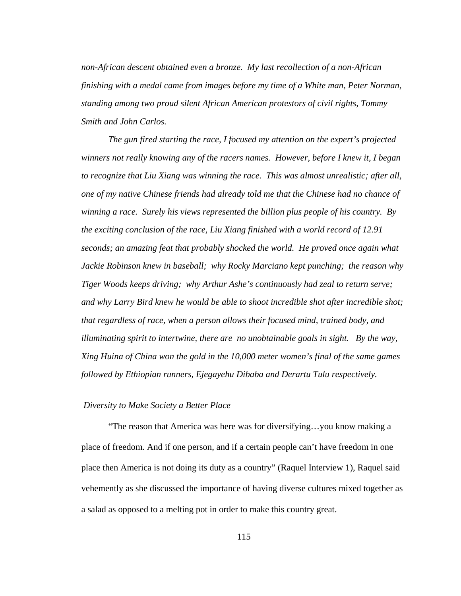*non-African descent obtained even a bronze. My last recollection of a non-African finishing with a medal came from images before my time of a White man, Peter Norman, standing among two proud silent African American protestors of civil rights, Tommy Smith and John Carlos.* 

*The gun fired starting the race, I focused my attention on the expert's projected winners not really knowing any of the racers names. However, before I knew it, I began to recognize that Liu Xiang was winning the race. This was almost unrealistic; after all, one of my native Chinese friends had already told me that the Chinese had no chance of winning a race. Surely his views represented the billion plus people of his country. By the exciting conclusion of the race, Liu Xiang finished with a world record of 12.91 seconds; an amazing feat that probably shocked the world. He proved once again what Jackie Robinson knew in baseball; why Rocky Marciano kept punching; the reason why Tiger Woods keeps driving; why Arthur Ashe's continuously had zeal to return serve; and why Larry Bird knew he would be able to shoot incredible shot after incredible shot; that regardless of race, when a person allows their focused mind, trained body, and illuminating spirit to intertwine, there are no unobtainable goals in sight. By the way, Xing Huina of China won the gold in the 10,000 meter women's final of the same games followed by Ethiopian runners, Ejegayehu Dibaba and Derartu Tulu respectively.* 

## *Diversity to Make Society a Better Place*

"The reason that America was here was for diversifying…you know making a place of freedom. And if one person, and if a certain people can't have freedom in one place then America is not doing its duty as a country" (Raquel Interview 1), Raquel said vehemently as she discussed the importance of having diverse cultures mixed together as a salad as opposed to a melting pot in order to make this country great.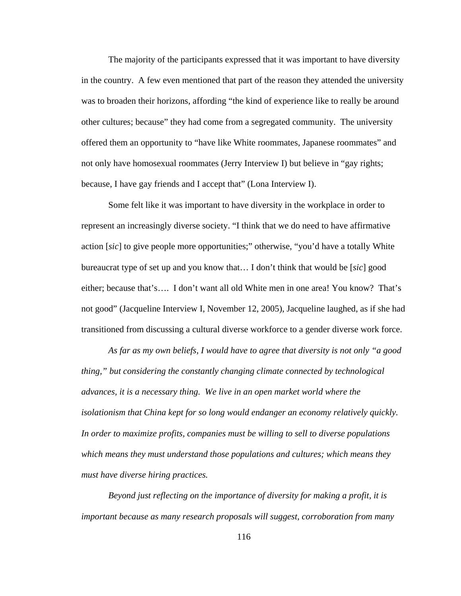The majority of the participants expressed that it was important to have diversity in the country. A few even mentioned that part of the reason they attended the university was to broaden their horizons, affording "the kind of experience like to really be around other cultures; because" they had come from a segregated community. The university offered them an opportunity to "have like White roommates, Japanese roommates" and not only have homosexual roommates (Jerry Interview I) but believe in "gay rights; because, I have gay friends and I accept that" (Lona Interview I).

Some felt like it was important to have diversity in the workplace in order to represent an increasingly diverse society. "I think that we do need to have affirmative action [*sic*] to give people more opportunities;" otherwise, "you'd have a totally White bureaucrat type of set up and you know that… I don't think that would be [*sic*] good either; because that's…. I don't want all old White men in one area! You know? That's not good" (Jacqueline Interview I, November 12, 2005), Jacqueline laughed, as if she had transitioned from discussing a cultural diverse workforce to a gender diverse work force.

*As far as my own beliefs, I would have to agree that diversity is not only "a good thing," but considering the constantly changing climate connected by technological advances, it is a necessary thing. We live in an open market world where the isolationism that China kept for so long would endanger an economy relatively quickly. In order to maximize profits, companies must be willing to sell to diverse populations which means they must understand those populations and cultures; which means they must have diverse hiring practices.* 

*Beyond just reflecting on the importance of diversity for making a profit, it is important because as many research proposals will suggest, corroboration from many*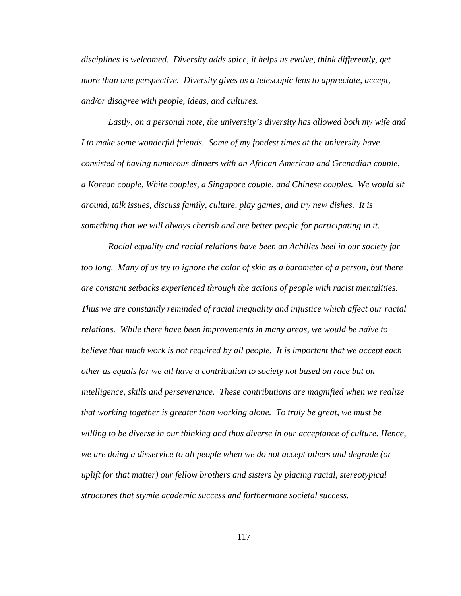*disciplines is welcomed. Diversity adds spice, it helps us evolve, think differently, get more than one perspective. Diversity gives us a telescopic lens to appreciate, accept, and/or disagree with people, ideas, and cultures.* 

*Lastly, on a personal note, the university's diversity has allowed both my wife and I to make some wonderful friends. Some of my fondest times at the university have consisted of having numerous dinners with an African American and Grenadian couple, a Korean couple, White couples, a Singapore couple, and Chinese couples. We would sit around, talk issues, discuss family, culture, play games, and try new dishes. It is something that we will always cherish and are better people for participating in it.* 

*Racial equality and racial relations have been an Achilles heel in our society far too long. Many of us try to ignore the color of skin as a barometer of a person, but there are constant setbacks experienced through the actions of people with racist mentalities. Thus we are constantly reminded of racial inequality and injustice which affect our racial relations. While there have been improvements in many areas, we would be naïve to believe that much work is not required by all people. It is important that we accept each other as equals for we all have a contribution to society not based on race but on intelligence, skills and perseverance. These contributions are magnified when we realize that working together is greater than working alone. To truly be great, we must be*  willing to be diverse in our thinking and thus diverse in our acceptance of culture. Hence, *we are doing a disservice to all people when we do not accept others and degrade (or uplift for that matter) our fellow brothers and sisters by placing racial, stereotypical structures that stymie academic success and furthermore societal success.*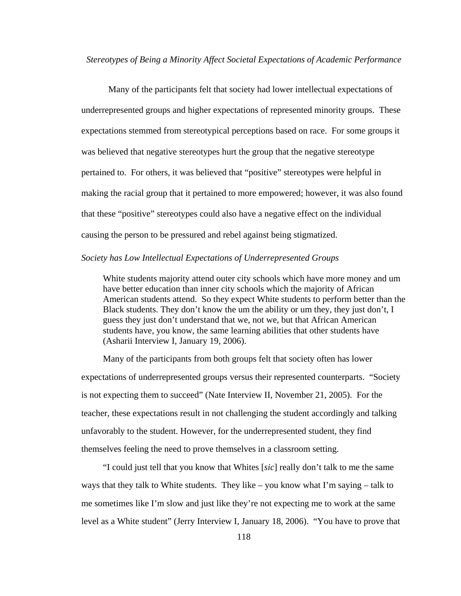*Stereotypes of Being a Minority Affect Societal Expectations of Academic Performance* 

Many of the participants felt that society had lower intellectual expectations of underrepresented groups and higher expectations of represented minority groups. These expectations stemmed from stereotypical perceptions based on race. For some groups it was believed that negative stereotypes hurt the group that the negative stereotype pertained to. For others, it was believed that "positive" stereotypes were helpful in making the racial group that it pertained to more empowered; however, it was also found that these "positive" stereotypes could also have a negative effect on the individual causing the person to be pressured and rebel against being stigmatized.

### *Society has Low Intellectual Expectations of Underrepresented Groups*

White students majority attend outer city schools which have more money and um have better education than inner city schools which the majority of African American students attend. So they expect White students to perform better than the Black students. They don't know the um the ability or um they, they just don't, I guess they just don't understand that we, not we, but that African American students have, you know, the same learning abilities that other students have (Asharii Interview I, January 19, 2006).

 Many of the participants from both groups felt that society often has lower expectations of underrepresented groups versus their represented counterparts. "Society is not expecting them to succeed" (Nate Interview II, November 21, 2005). For the teacher, these expectations result in not challenging the student accordingly and talking unfavorably to the student. However, for the underrepresented student, they find themselves feeling the need to prove themselves in a classroom setting.

 "I could just tell that you know that Whites [*sic*] really don't talk to me the same ways that they talk to White students. They like – you know what I'm saying – talk to me sometimes like I'm slow and just like they're not expecting me to work at the same level as a White student" (Jerry Interview I, January 18, 2006). "You have to prove that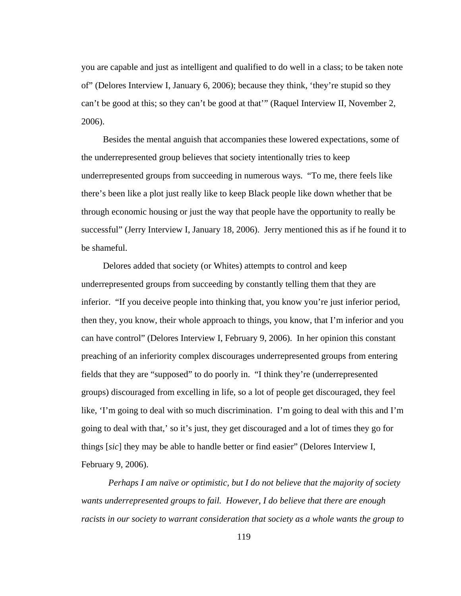you are capable and just as intelligent and qualified to do well in a class; to be taken note of" (Delores Interview I, January 6, 2006); because they think, 'they're stupid so they can't be good at this; so they can't be good at that'" (Raquel Interview II, November 2, 2006).

 Besides the mental anguish that accompanies these lowered expectations, some of the underrepresented group believes that society intentionally tries to keep underrepresented groups from succeeding in numerous ways. "To me, there feels like there's been like a plot just really like to keep Black people like down whether that be through economic housing or just the way that people have the opportunity to really be successful" (Jerry Interview I, January 18, 2006). Jerry mentioned this as if he found it to be shameful.

 Delores added that society (or Whites) attempts to control and keep underrepresented groups from succeeding by constantly telling them that they are inferior. "If you deceive people into thinking that, you know you're just inferior period, then they, you know, their whole approach to things, you know, that I'm inferior and you can have control" (Delores Interview I, February 9, 2006). In her opinion this constant preaching of an inferiority complex discourages underrepresented groups from entering fields that they are "supposed" to do poorly in. "I think they're (underrepresented groups) discouraged from excelling in life, so a lot of people get discouraged, they feel like, 'I'm going to deal with so much discrimination. I'm going to deal with this and I'm going to deal with that,' so it's just, they get discouraged and a lot of times they go for things [*sic*] they may be able to handle better or find easier" (Delores Interview I, February 9, 2006).

*Perhaps I am naïve or optimistic, but I do not believe that the majority of society wants underrepresented groups to fail. However, I do believe that there are enough racists in our society to warrant consideration that society as a whole wants the group to*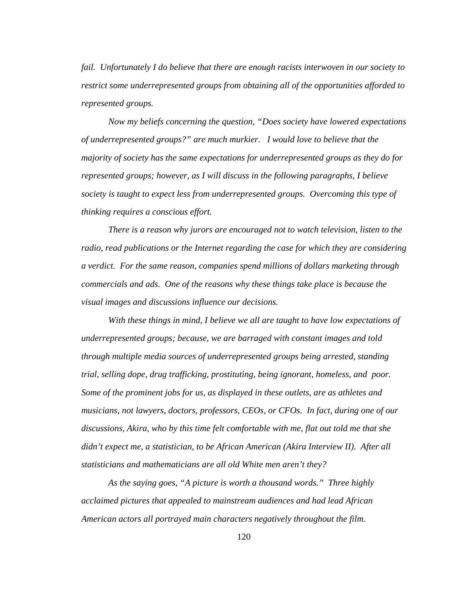*fail. Unfortunately I do believe that there are enough racists interwoven in our society to restrict some underrepresented groups from obtaining all of the opportunities afforded to represented groups.* 

*Now my beliefs concerning the question, "Does society have lowered expectations of underrepresented groups?" are much murkier. I would love to believe that the majority of society has the same expectations for underrepresented groups as they do for represented groups; however, as I will discuss in the following paragraphs, I believe society is taught to expect less from underrepresented groups. Overcoming this type of thinking requires a conscious effort.* 

*There is a reason why jurors are encouraged not to watch television, listen to the radio, read publications or the Internet regarding the case for which they are considering a verdict. For the same reason, companies spend millions of dollars marketing through commercials and ads. One of the reasons why these things take place is because the visual images and discussions influence our decisions.* 

*With these things in mind, I believe we all are taught to have low expectations of underrepresented groups; because, we are barraged with constant images and told through multiple media sources of underrepresented groups being arrested, standing trial, selling dope, drug trafficking, prostituting, being ignorant, homeless, and poor. Some of the prominent jobs for us, as displayed in these outlets, are as athletes and musicians, not lawyers, doctors, professors, CEOs, or CFOs. In fact, during one of our discussions, Akira, who by this time felt comfortable with me, flat out told me that she didn't expect me, a statistician, to be African American (Akira Interview II). After all statisticians and mathematicians are all old White men aren't they?* 

*As the saying goes, "A picture is worth a thousand words." Three highly acclaimed pictures that appealed to mainstream audiences and had lead African American actors all portrayed main characters negatively throughout the film.*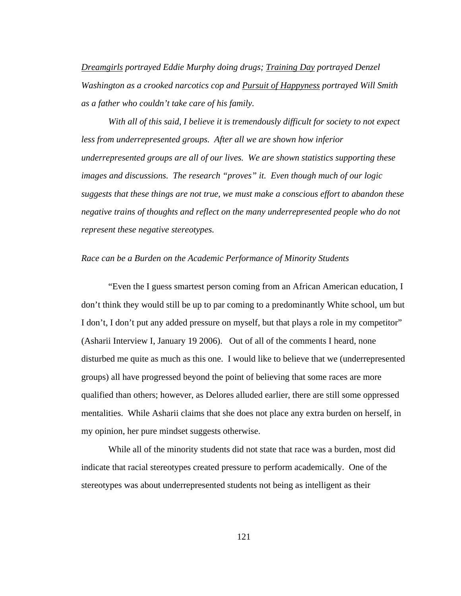*Dreamgirls portrayed Eddie Murphy doing drugs; Training Day portrayed Denzel Washington as a crooked narcotics cop and Pursuit of Happyness portrayed Will Smith as a father who couldn't take care of his family.* 

*With all of this said, I believe it is tremendously difficult for society to not expect less from underrepresented groups. After all we are shown how inferior underrepresented groups are all of our lives. We are shown statistics supporting these images and discussions. The research "proves" it. Even though much of our logic suggests that these things are not true, we must make a conscious effort to abandon these negative trains of thoughts and reflect on the many underrepresented people who do not represent these negative stereotypes.* 

## *Race can be a Burden on the Academic Performance of Minority Students*

"Even the I guess smartest person coming from an African American education, I don't think they would still be up to par coming to a predominantly White school, um but I don't, I don't put any added pressure on myself, but that plays a role in my competitor" (Asharii Interview I, January 19 2006). Out of all of the comments I heard, none disturbed me quite as much as this one. I would like to believe that we (underrepresented groups) all have progressed beyond the point of believing that some races are more qualified than others; however, as Delores alluded earlier, there are still some oppressed mentalities. While Asharii claims that she does not place any extra burden on herself, in my opinion, her pure mindset suggests otherwise.

While all of the minority students did not state that race was a burden, most did indicate that racial stereotypes created pressure to perform academically. One of the stereotypes was about underrepresented students not being as intelligent as their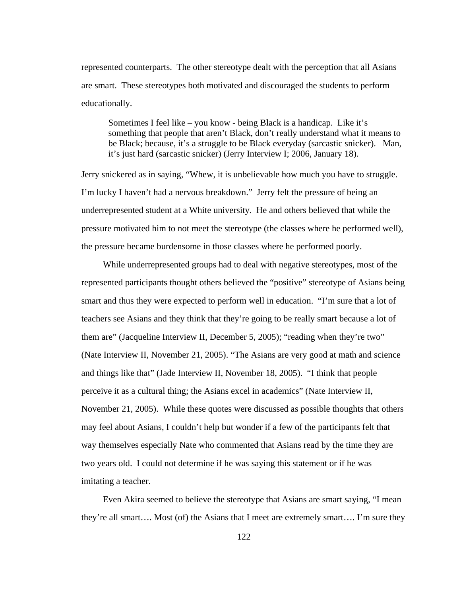represented counterparts. The other stereotype dealt with the perception that all Asians are smart. These stereotypes both motivated and discouraged the students to perform educationally.

Sometimes I feel like – you know - being Black is a handicap. Like it's something that people that aren't Black, don't really understand what it means to be Black; because, it's a struggle to be Black everyday (sarcastic snicker). Man, it's just hard (sarcastic snicker) (Jerry Interview I; 2006, January 18).

Jerry snickered as in saying, "Whew, it is unbelievable how much you have to struggle. I'm lucky I haven't had a nervous breakdown." Jerry felt the pressure of being an underrepresented student at a White university. He and others believed that while the pressure motivated him to not meet the stereotype (the classes where he performed well), the pressure became burdensome in those classes where he performed poorly.

 While underrepresented groups had to deal with negative stereotypes, most of the represented participants thought others believed the "positive" stereotype of Asians being smart and thus they were expected to perform well in education. "I'm sure that a lot of teachers see Asians and they think that they're going to be really smart because a lot of them are" (Jacqueline Interview II, December 5, 2005); "reading when they're two" (Nate Interview II, November 21, 2005). "The Asians are very good at math and science and things like that" (Jade Interview II, November 18, 2005). "I think that people perceive it as a cultural thing; the Asians excel in academics" (Nate Interview II, November 21, 2005). While these quotes were discussed as possible thoughts that others may feel about Asians, I couldn't help but wonder if a few of the participants felt that way themselves especially Nate who commented that Asians read by the time they are two years old. I could not determine if he was saying this statement or if he was imitating a teacher.

 Even Akira seemed to believe the stereotype that Asians are smart saying, "I mean they're all smart…. Most (of) the Asians that I meet are extremely smart…. I'm sure they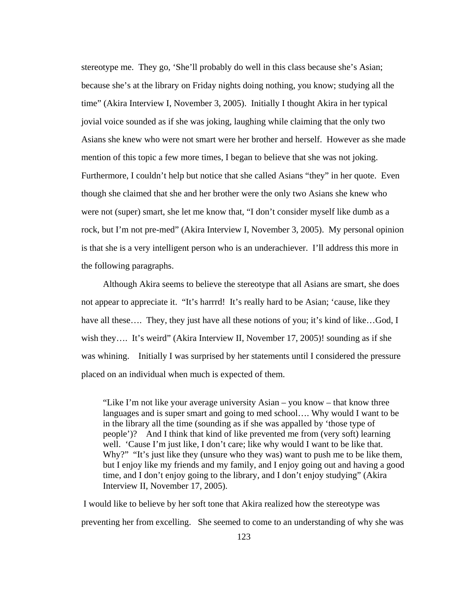stereotype me. They go, 'She'll probably do well in this class because she's Asian; because she's at the library on Friday nights doing nothing, you know; studying all the time" (Akira Interview I, November 3, 2005). Initially I thought Akira in her typical jovial voice sounded as if she was joking, laughing while claiming that the only two Asians she knew who were not smart were her brother and herself. However as she made mention of this topic a few more times, I began to believe that she was not joking. Furthermore, I couldn't help but notice that she called Asians "they" in her quote. Even though she claimed that she and her brother were the only two Asians she knew who were not (super) smart, she let me know that, "I don't consider myself like dumb as a rock, but I'm not pre-med" (Akira Interview I, November 3, 2005). My personal opinion is that she is a very intelligent person who is an underachiever. I'll address this more in the following paragraphs.

 Although Akira seems to believe the stereotype that all Asians are smart, she does not appear to appreciate it. "It's harrrd! It's really hard to be Asian; 'cause, like they have all these…. They, they just have all these notions of you; it's kind of like...God, I wish they…. It's weird" (Akira Interview II, November 17, 2005)! sounding as if she was whining. Initially I was surprised by her statements until I considered the pressure placed on an individual when much is expected of them.

"Like I'm not like your average university Asian – you know – that know three languages and is super smart and going to med school…. Why would I want to be in the library all the time (sounding as if she was appalled by 'those type of people')? And I think that kind of like prevented me from (very soft) learning well. 'Cause I'm just like, I don't care; like why would I want to be like that. Why?" "It's just like they (unsure who they was) want to push me to be like them, but I enjoy like my friends and my family, and I enjoy going out and having a good time, and I don't enjoy going to the library, and I don't enjoy studying" (Akira Interview II, November 17, 2005).

 I would like to believe by her soft tone that Akira realized how the stereotype was preventing her from excelling. She seemed to come to an understanding of why she was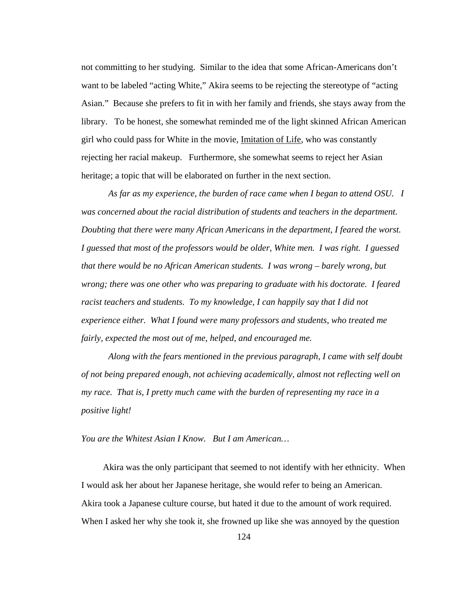not committing to her studying. Similar to the idea that some African-Americans don't want to be labeled "acting White," Akira seems to be rejecting the stereotype of "acting Asian." Because she prefers to fit in with her family and friends, she stays away from the library. To be honest, she somewhat reminded me of the light skinned African American girl who could pass for White in the movie, Imitation of Life, who was constantly rejecting her racial makeup. Furthermore, she somewhat seems to reject her Asian heritage; a topic that will be elaborated on further in the next section.

*As far as my experience, the burden of race came when I began to attend OSU. I was concerned about the racial distribution of students and teachers in the department. Doubting that there were many African Americans in the department, I feared the worst. I guessed that most of the professors would be older, White men. I was right. I guessed that there would be no African American students. I was wrong – barely wrong, but wrong; there was one other who was preparing to graduate with his doctorate. I feared*  racist teachers and students. To my knowledge, I can happily say that I did not *experience either. What I found were many professors and students, who treated me fairly, expected the most out of me, helped, and encouraged me.* 

*Along with the fears mentioned in the previous paragraph, I came with self doubt of not being prepared enough, not achieving academically, almost not reflecting well on my race. That is, I pretty much came with the burden of representing my race in a positive light!* 

*You are the Whitest Asian I Know. But I am American…* 

 Akira was the only participant that seemed to not identify with her ethnicity. When I would ask her about her Japanese heritage, she would refer to being an American. Akira took a Japanese culture course, but hated it due to the amount of work required. When I asked her why she took it, she frowned up like she was annoyed by the question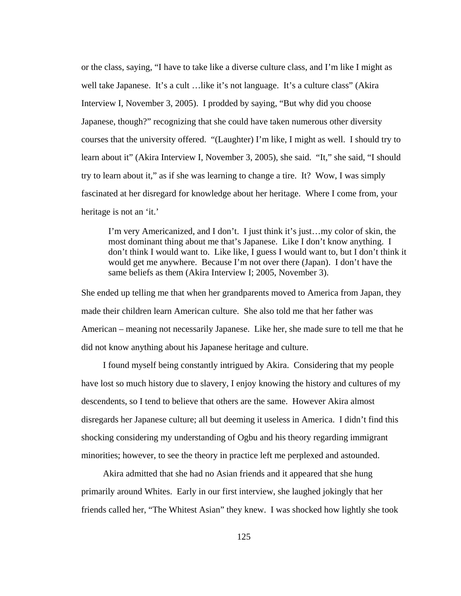or the class, saying, "I have to take like a diverse culture class, and I'm like I might as well take Japanese. It's a cult …like it's not language. It's a culture class" (Akira Interview I, November 3, 2005). I prodded by saying, "But why did you choose Japanese, though?" recognizing that she could have taken numerous other diversity courses that the university offered. "(Laughter) I'm like, I might as well. I should try to learn about it" (Akira Interview I, November 3, 2005), she said. "It," she said, "I should try to learn about it," as if she was learning to change a tire. It? Wow, I was simply fascinated at her disregard for knowledge about her heritage. Where I come from, your heritage is not an 'it.'

I'm very Americanized, and I don't. I just think it's just…my color of skin, the most dominant thing about me that's Japanese. Like I don't know anything. I don't think I would want to. Like like, I guess I would want to, but I don't think it would get me anywhere. Because I'm not over there (Japan). I don't have the same beliefs as them (Akira Interview I; 2005, November 3).

She ended up telling me that when her grandparents moved to America from Japan, they made their children learn American culture. She also told me that her father was American – meaning not necessarily Japanese. Like her, she made sure to tell me that he did not know anything about his Japanese heritage and culture.

 I found myself being constantly intrigued by Akira. Considering that my people have lost so much history due to slavery, I enjoy knowing the history and cultures of my descendents, so I tend to believe that others are the same. However Akira almost disregards her Japanese culture; all but deeming it useless in America. I didn't find this shocking considering my understanding of Ogbu and his theory regarding immigrant minorities; however, to see the theory in practice left me perplexed and astounded.

 Akira admitted that she had no Asian friends and it appeared that she hung primarily around Whites. Early in our first interview, she laughed jokingly that her friends called her, "The Whitest Asian" they knew. I was shocked how lightly she took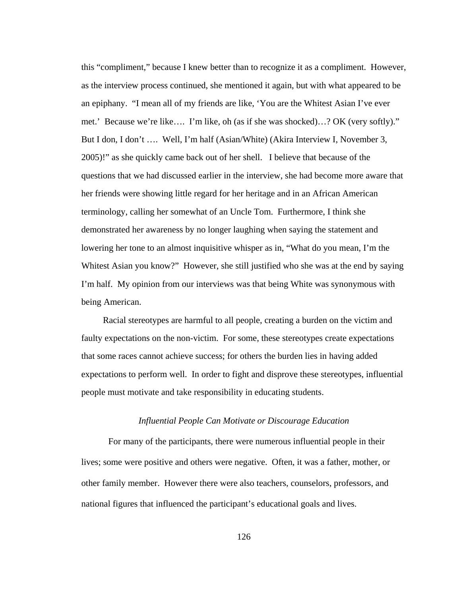this "compliment," because I knew better than to recognize it as a compliment. However, as the interview process continued, she mentioned it again, but with what appeared to be an epiphany. "I mean all of my friends are like, 'You are the Whitest Asian I've ever met.' Because we're like…. I'm like, oh (as if she was shocked)…? OK (very softly)." But I don, I don't …. Well, I'm half (Asian/White) (Akira Interview I, November 3, 2005)!" as she quickly came back out of her shell. I believe that because of the questions that we had discussed earlier in the interview, she had become more aware that her friends were showing little regard for her heritage and in an African American terminology, calling her somewhat of an Uncle Tom. Furthermore, I think she demonstrated her awareness by no longer laughing when saying the statement and lowering her tone to an almost inquisitive whisper as in, "What do you mean, I'm the Whitest Asian you know?" However, she still justified who she was at the end by saying I'm half. My opinion from our interviews was that being White was synonymous with being American.

 Racial stereotypes are harmful to all people, creating a burden on the victim and faulty expectations on the non-victim. For some, these stereotypes create expectations that some races cannot achieve success; for others the burden lies in having added expectations to perform well. In order to fight and disprove these stereotypes, influential people must motivate and take responsibility in educating students.

#### *Influential People Can Motivate or Discourage Education*

 For many of the participants, there were numerous influential people in their lives; some were positive and others were negative. Often, it was a father, mother, or other family member. However there were also teachers, counselors, professors, and national figures that influenced the participant's educational goals and lives.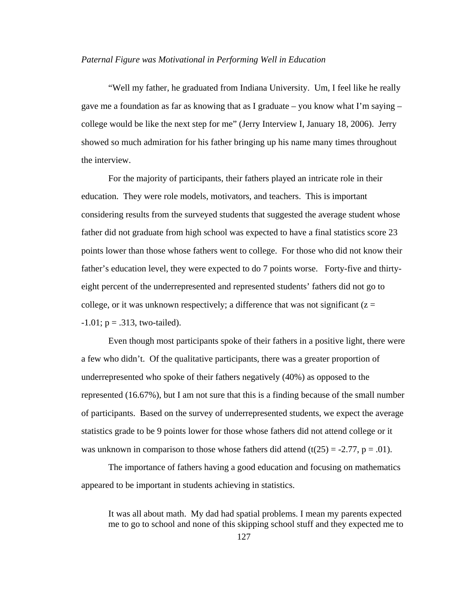#### *Paternal Figure was Motivational in Performing Well in Education*

"Well my father, he graduated from Indiana University. Um, I feel like he really gave me a foundation as far as knowing that as I graduate – you know what I'm saying – college would be like the next step for me" (Jerry Interview I, January 18, 2006). Jerry showed so much admiration for his father bringing up his name many times throughout the interview.

For the majority of participants, their fathers played an intricate role in their education. They were role models, motivators, and teachers. This is important considering results from the surveyed students that suggested the average student whose father did not graduate from high school was expected to have a final statistics score 23 points lower than those whose fathers went to college. For those who did not know their father's education level, they were expected to do 7 points worse. Forty-five and thirtyeight percent of the underrepresented and represented students' fathers did not go to college, or it was unknown respectively; a difference that was not significant  $(z =$  $-1.01$ ;  $p = .313$ , two-tailed).

Even though most participants spoke of their fathers in a positive light, there were a few who didn't. Of the qualitative participants, there was a greater proportion of underrepresented who spoke of their fathers negatively (40%) as opposed to the represented (16.67%), but I am not sure that this is a finding because of the small number of participants. Based on the survey of underrepresented students, we expect the average statistics grade to be 9 points lower for those whose fathers did not attend college or it was unknown in comparison to those whose fathers did attend  $(t(25) = -2.77, p = .01)$ .

The importance of fathers having a good education and focusing on mathematics appeared to be important in students achieving in statistics.

It was all about math. My dad had spatial problems. I mean my parents expected me to go to school and none of this skipping school stuff and they expected me to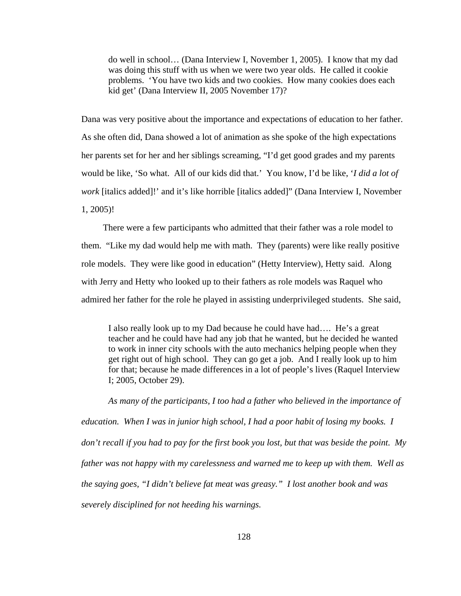do well in school… (Dana Interview I, November 1, 2005). I know that my dad was doing this stuff with us when we were two year olds. He called it cookie problems. 'You have two kids and two cookies. How many cookies does each kid get' (Dana Interview II, 2005 November 17)?

Dana was very positive about the importance and expectations of education to her father. As she often did, Dana showed a lot of animation as she spoke of the high expectations her parents set for her and her siblings screaming, "I'd get good grades and my parents would be like, 'So what. All of our kids did that.' You know, I'd be like, '*I did a lot of work* [italics added]!' and it's like horrible [italics added]" (Dana Interview I, November 1, 2005)!

 There were a few participants who admitted that their father was a role model to them. "Like my dad would help me with math. They (parents) were like really positive role models. They were like good in education" (Hetty Interview), Hetty said. Along with Jerry and Hetty who looked up to their fathers as role models was Raquel who admired her father for the role he played in assisting underprivileged students. She said,

I also really look up to my Dad because he could have had…. He's a great teacher and he could have had any job that he wanted, but he decided he wanted to work in inner city schools with the auto mechanics helping people when they get right out of high school. They can go get a job. And I really look up to him for that; because he made differences in a lot of people's lives (Raquel Interview I; 2005, October 29).

*As many of the participants, I too had a father who believed in the importance of education. When I was in junior high school, I had a poor habit of losing my books. I don't recall if you had to pay for the first book you lost, but that was beside the point. My father was not happy with my carelessness and warned me to keep up with them. Well as the saying goes, "I didn't believe fat meat was greasy." I lost another book and was severely disciplined for not heeding his warnings.*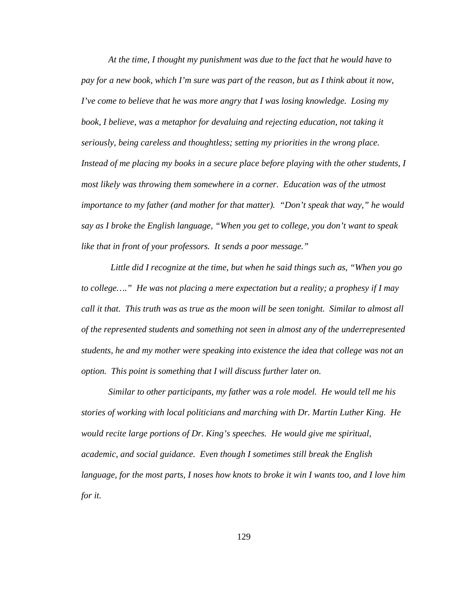*At the time, I thought my punishment was due to the fact that he would have to pay for a new book, which I'm sure was part of the reason, but as I think about it now, I've come to believe that he was more angry that I was losing knowledge. Losing my book, I believe, was a metaphor for devaluing and rejecting education, not taking it seriously, being careless and thoughtless; setting my priorities in the wrong place. Instead of me placing my books in a secure place before playing with the other students, I most likely was throwing them somewhere in a corner. Education was of the utmost importance to my father (and mother for that matter). "Don't speak that way," he would say as I broke the English language, "When you get to college, you don't want to speak like that in front of your professors. It sends a poor message."* 

 *Little did I recognize at the time, but when he said things such as, "When you go to college…." He was not placing a mere expectation but a reality; a prophesy if I may call it that. This truth was as true as the moon will be seen tonight. Similar to almost all of the represented students and something not seen in almost any of the underrepresented students, he and my mother were speaking into existence the idea that college was not an option. This point is something that I will discuss further later on.* 

*Similar to other participants, my father was a role model. He would tell me his stories of working with local politicians and marching with Dr. Martin Luther King. He would recite large portions of Dr. King's speeches. He would give me spiritual, academic, and social guidance. Even though I sometimes still break the English language, for the most parts, I noses how knots to broke it win I wants too, and I love him for it.*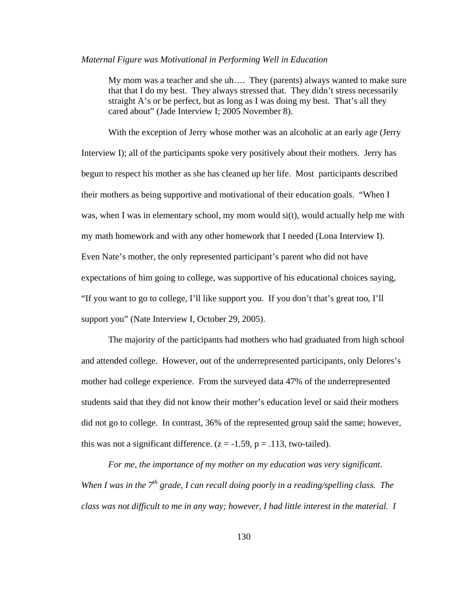#### *Maternal Figure was Motivational in Performing Well in Education*

My mom was a teacher and she uh…. They (parents) always wanted to make sure that that I do my best. They always stressed that. They didn't stress necessarily straight A's or be perfect, but as long as I was doing my best. That's all they cared about" (Jade Interview I; 2005 November 8).

With the exception of Jerry whose mother was an alcoholic at an early age (Jerry Interview I); all of the participants spoke very positively about their mothers. Jerry has begun to respect his mother as she has cleaned up her life. Most participants described their mothers as being supportive and motivational of their education goals. "When I was, when I was in elementary school, my mom would si(t), would actually help me with my math homework and with any other homework that I needed (Lona Interview I). Even Nate's mother, the only represented participant's parent who did not have expectations of him going to college, was supportive of his educational choices saying, "If you want to go to college, I'll like support you. If you don't that's great too, I'll support you" (Nate Interview I, October 29, 2005).

The majority of the participants had mothers who had graduated from high school and attended college. However, out of the underrepresented participants, only Delores's mother had college experience. From the surveyed data 47% of the underrepresented students said that they did not know their mother's education level or said their mothers did not go to college. In contrast, 36% of the represented group said the same; however, this was not a significant difference.  $(z = -1.59, p = .113,$  two-tailed).

*For me, the importance of my mother on my education was very significant. When I was in the 7<sup>th</sup> grade, I can recall doing poorly in a reading/spelling class. The class was not difficult to me in any way; however, I had little interest in the material. I*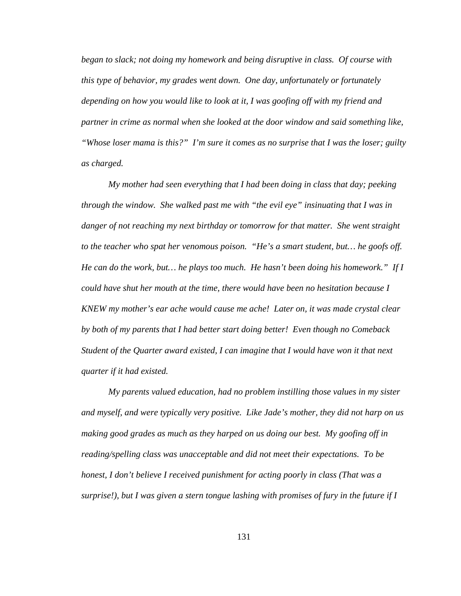*began to slack; not doing my homework and being disruptive in class. Of course with this type of behavior, my grades went down. One day, unfortunately or fortunately depending on how you would like to look at it, I was goofing off with my friend and partner in crime as normal when she looked at the door window and said something like, "Whose loser mama is this?" I'm sure it comes as no surprise that I was the loser; guilty as charged.* 

*My mother had seen everything that I had been doing in class that day; peeking through the window. She walked past me with "the evil eye" insinuating that I was in danger of not reaching my next birthday or tomorrow for that matter. She went straight to the teacher who spat her venomous poison. "He's a smart student, but… he goofs off. He can do the work, but… he plays too much. He hasn't been doing his homework." If I could have shut her mouth at the time, there would have been no hesitation because I KNEW my mother's ear ache would cause me ache! Later on, it was made crystal clear by both of my parents that I had better start doing better! Even though no Comeback Student of the Quarter award existed, I can imagine that I would have won it that next quarter if it had existed.* 

*My parents valued education, had no problem instilling those values in my sister and myself, and were typically very positive. Like Jade's mother, they did not harp on us making good grades as much as they harped on us doing our best. My goofing off in reading/spelling class was unacceptable and did not meet their expectations. To be honest, I don't believe I received punishment for acting poorly in class (That was a surprise!), but I was given a stern tongue lashing with promises of fury in the future if I*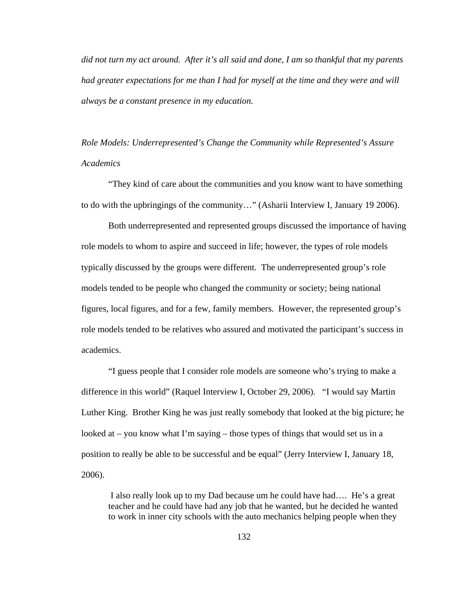*did not turn my act around. After it's all said and done, I am so thankful that my parents had greater expectations for me than I had for myself at the time and they were and will always be a constant presence in my education.* 

*Role Models: Underrepresented's Change the Community while Represented's Assure Academics* 

"They kind of care about the communities and you know want to have something to do with the upbringings of the community…" (Asharii Interview I, January 19 2006).

 Both underrepresented and represented groups discussed the importance of having role models to whom to aspire and succeed in life; however, the types of role models typically discussed by the groups were different. The underrepresented group's role models tended to be people who changed the community or society; being national figures, local figures, and for a few, family members. However, the represented group's role models tended to be relatives who assured and motivated the participant's success in academics.

"I guess people that I consider role models are someone who's trying to make a difference in this world" (Raquel Interview I, October 29, 2006). "I would say Martin Luther King. Brother King he was just really somebody that looked at the big picture; he looked at – you know what I'm saying – those types of things that would set us in a position to really be able to be successful and be equal" (Jerry Interview I, January 18, 2006).

 I also really look up to my Dad because um he could have had…. He's a great teacher and he could have had any job that he wanted, but he decided he wanted to work in inner city schools with the auto mechanics helping people when they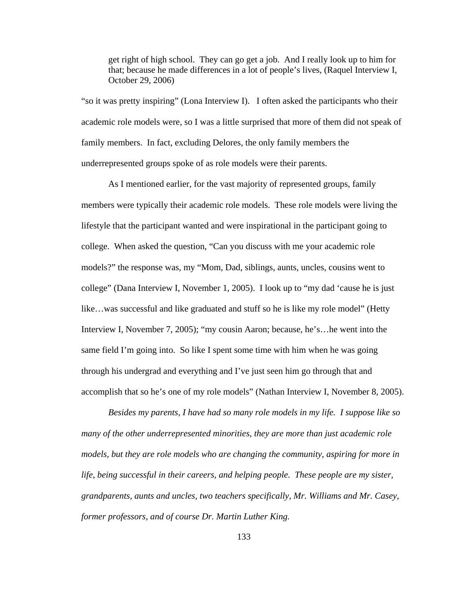get right of high school. They can go get a job. And I really look up to him for that; because he made differences in a lot of people's lives, (Raquel Interview I, October 29, 2006)

"so it was pretty inspiring" (Lona Interview I). I often asked the participants who their academic role models were, so I was a little surprised that more of them did not speak of family members. In fact, excluding Delores, the only family members the underrepresented groups spoke of as role models were their parents.

As I mentioned earlier, for the vast majority of represented groups, family members were typically their academic role models. These role models were living the lifestyle that the participant wanted and were inspirational in the participant going to college. When asked the question, "Can you discuss with me your academic role models?" the response was, my "Mom, Dad, siblings, aunts, uncles, cousins went to college" (Dana Interview I, November 1, 2005). I look up to "my dad 'cause he is just like…was successful and like graduated and stuff so he is like my role model" (Hetty Interview I, November 7, 2005); "my cousin Aaron; because, he's…he went into the same field I'm going into. So like I spent some time with him when he was going through his undergrad and everything and I've just seen him go through that and accomplish that so he's one of my role models" (Nathan Interview I, November 8, 2005).

*Besides my parents, I have had so many role models in my life. I suppose like so many of the other underrepresented minorities, they are more than just academic role models, but they are role models who are changing the community, aspiring for more in life, being successful in their careers, and helping people. These people are my sister, grandparents, aunts and uncles, two teachers specifically, Mr. Williams and Mr. Casey, former professors, and of course Dr. Martin Luther King.*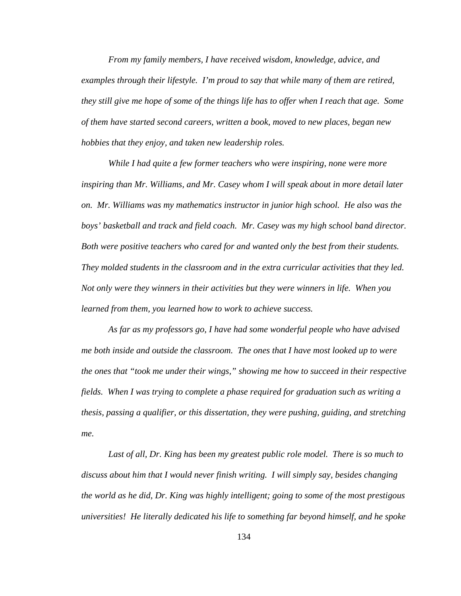*From my family members, I have received wisdom, knowledge, advice, and examples through their lifestyle. I'm proud to say that while many of them are retired, they still give me hope of some of the things life has to offer when I reach that age. Some of them have started second careers, written a book, moved to new places, began new hobbies that they enjoy, and taken new leadership roles.* 

 *While I had quite a few former teachers who were inspiring, none were more inspiring than Mr. Williams, and Mr. Casey whom I will speak about in more detail later on. Mr. Williams was my mathematics instructor in junior high school. He also was the boys' basketball and track and field coach. Mr. Casey was my high school band director. Both were positive teachers who cared for and wanted only the best from their students. They molded students in the classroom and in the extra curricular activities that they led. Not only were they winners in their activities but they were winners in life. When you learned from them, you learned how to work to achieve success.* 

 *As far as my professors go, I have had some wonderful people who have advised me both inside and outside the classroom. The ones that I have most looked up to were the ones that "took me under their wings," showing me how to succeed in their respective fields. When I was trying to complete a phase required for graduation such as writing a thesis, passing a qualifier, or this dissertation, they were pushing, guiding, and stretching me.* 

 *Last of all, Dr. King has been my greatest public role model. There is so much to discuss about him that I would never finish writing. I will simply say, besides changing the world as he did, Dr. King was highly intelligent; going to some of the most prestigous universities! He literally dedicated his life to something far beyond himself, and he spoke*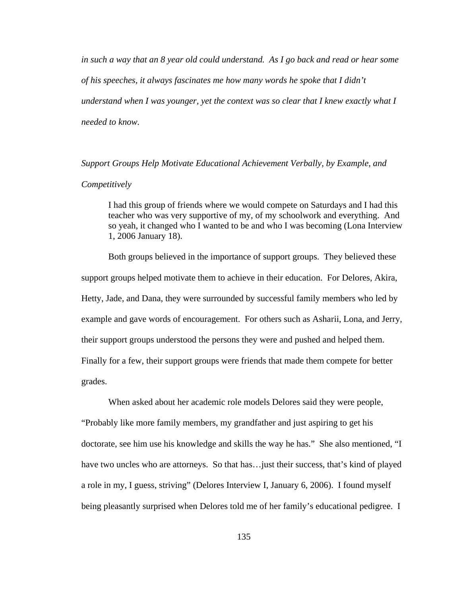*in such a way that an 8 year old could understand. As I go back and read or hear some of his speeches, it always fascinates me how many words he spoke that I didn't understand when I was younger, yet the context was so clear that I knew exactly what I needed to know.* 

*Support Groups Help Motivate Educational Achievement Verbally, by Example, and Competitively* 

I had this group of friends where we would compete on Saturdays and I had this teacher who was very supportive of my, of my schoolwork and everything. And so yeah, it changed who I wanted to be and who I was becoming (Lona Interview 1, 2006 January 18).

 Both groups believed in the importance of support groups. They believed these support groups helped motivate them to achieve in their education. For Delores, Akira, Hetty, Jade, and Dana, they were surrounded by successful family members who led by example and gave words of encouragement. For others such as Asharii, Lona, and Jerry, their support groups understood the persons they were and pushed and helped them. Finally for a few, their support groups were friends that made them compete for better grades.

When asked about her academic role models Delores said they were people,

"Probably like more family members, my grandfather and just aspiring to get his doctorate, see him use his knowledge and skills the way he has." She also mentioned, "I have two uncles who are attorneys. So that has... just their success, that's kind of played a role in my, I guess, striving" (Delores Interview I, January 6, 2006). I found myself being pleasantly surprised when Delores told me of her family's educational pedigree. I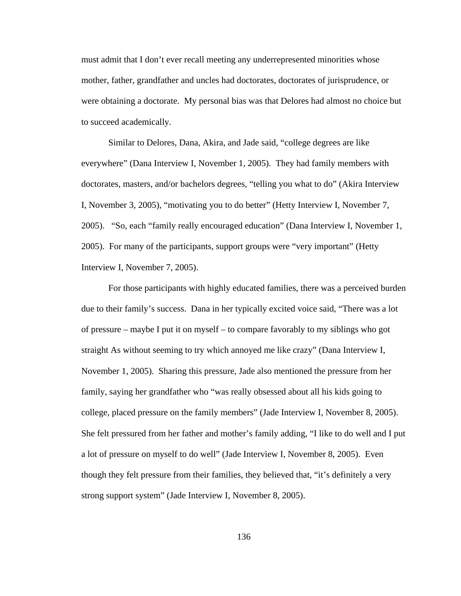must admit that I don't ever recall meeting any underrepresented minorities whose mother, father, grandfather and uncles had doctorates, doctorates of jurisprudence, or were obtaining a doctorate. My personal bias was that Delores had almost no choice but to succeed academically.

Similar to Delores, Dana, Akira, and Jade said, "college degrees are like everywhere" (Dana Interview I, November 1, 2005). They had family members with doctorates, masters, and/or bachelors degrees, "telling you what to do" (Akira Interview I, November 3, 2005), "motivating you to do better" (Hetty Interview I, November 7, 2005). "So, each "family really encouraged education" (Dana Interview I, November 1, 2005). For many of the participants, support groups were "very important" (Hetty Interview I, November 7, 2005).

For those participants with highly educated families, there was a perceived burden due to their family's success. Dana in her typically excited voice said, "There was a lot of pressure – maybe I put it on myself – to compare favorably to my siblings who got straight As without seeming to try which annoyed me like crazy" (Dana Interview I, November 1, 2005). Sharing this pressure, Jade also mentioned the pressure from her family, saying her grandfather who "was really obsessed about all his kids going to college, placed pressure on the family members" (Jade Interview I, November 8, 2005). She felt pressured from her father and mother's family adding, "I like to do well and I put a lot of pressure on myself to do well" (Jade Interview I, November 8, 2005). Even though they felt pressure from their families, they believed that, "it's definitely a very strong support system" (Jade Interview I, November 8, 2005).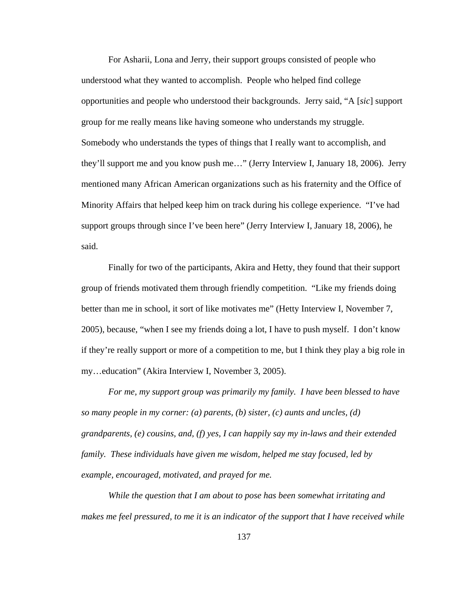For Asharii, Lona and Jerry, their support groups consisted of people who understood what they wanted to accomplish. People who helped find college opportunities and people who understood their backgrounds. Jerry said, "A [*sic*] support group for me really means like having someone who understands my struggle. Somebody who understands the types of things that I really want to accomplish, and they'll support me and you know push me…" (Jerry Interview I, January 18, 2006). Jerry mentioned many African American organizations such as his fraternity and the Office of Minority Affairs that helped keep him on track during his college experience. "I've had support groups through since I've been here" (Jerry Interview I, January 18, 2006), he said.

Finally for two of the participants, Akira and Hetty, they found that their support group of friends motivated them through friendly competition. "Like my friends doing better than me in school, it sort of like motivates me" (Hetty Interview I, November 7, 2005), because, "when I see my friends doing a lot, I have to push myself. I don't know if they're really support or more of a competition to me, but I think they play a big role in my…education" (Akira Interview I, November 3, 2005).

*For me, my support group was primarily my family. I have been blessed to have so many people in my corner: (a) parents, (b) sister, (c) aunts and uncles, (d) grandparents, (e) cousins, and, (f) yes, I can happily say my in-laws and their extended family. These individuals have given me wisdom, helped me stay focused, led by example, encouraged, motivated, and prayed for me.* 

*While the question that I am about to pose has been somewhat irritating and makes me feel pressured, to me it is an indicator of the support that I have received while*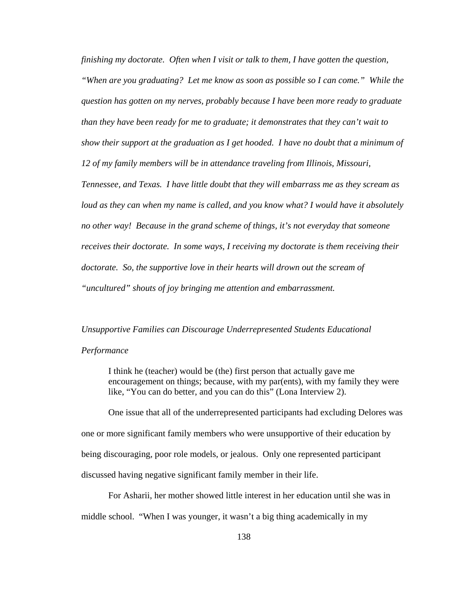*finishing my doctorate. Often when I visit or talk to them, I have gotten the question, "When are you graduating? Let me know as soon as possible so I can come." While the question has gotten on my nerves, probably because I have been more ready to graduate than they have been ready for me to graduate; it demonstrates that they can't wait to show their support at the graduation as I get hooded. I have no doubt that a minimum of 12 of my family members will be in attendance traveling from Illinois, Missouri, Tennessee, and Texas. I have little doubt that they will embarrass me as they scream as loud as they can when my name is called, and you know what? I would have it absolutely no other way! Because in the grand scheme of things, it's not everyday that someone receives their doctorate. In some ways, I receiving my doctorate is them receiving their doctorate. So, the supportive love in their hearts will drown out the scream of "uncultured" shouts of joy bringing me attention and embarrassment.* 

#### *Unsupportive Families can Discourage Underrepresented Students Educational*

#### *Performance*

I think he (teacher) would be (the) first person that actually gave me encouragement on things; because, with my par(ents), with my family they were like, "You can do better, and you can do this" (Lona Interview 2).

 One issue that all of the underrepresented participants had excluding Delores was one or more significant family members who were unsupportive of their education by being discouraging, poor role models, or jealous. Only one represented participant discussed having negative significant family member in their life.

 For Asharii, her mother showed little interest in her education until she was in middle school. "When I was younger, it wasn't a big thing academically in my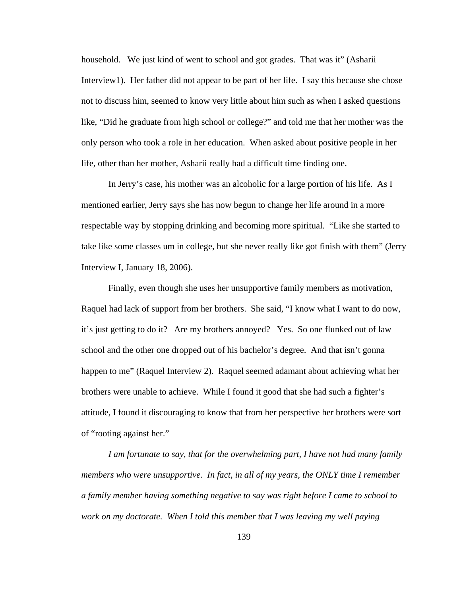household. We just kind of went to school and got grades. That was it" (Asharii Interview1). Her father did not appear to be part of her life. I say this because she chose not to discuss him, seemed to know very little about him such as when I asked questions like, "Did he graduate from high school or college?" and told me that her mother was the only person who took a role in her education. When asked about positive people in her life, other than her mother, Asharii really had a difficult time finding one.

 In Jerry's case, his mother was an alcoholic for a large portion of his life. As I mentioned earlier, Jerry says she has now begun to change her life around in a more respectable way by stopping drinking and becoming more spiritual. "Like she started to take like some classes um in college, but she never really like got finish with them" (Jerry Interview I, January 18, 2006).

 Finally, even though she uses her unsupportive family members as motivation, Raquel had lack of support from her brothers. She said, "I know what I want to do now, it's just getting to do it? Are my brothers annoyed? Yes. So one flunked out of law school and the other one dropped out of his bachelor's degree. And that isn't gonna happen to me" (Raquel Interview 2). Raquel seemed adamant about achieving what her brothers were unable to achieve. While I found it good that she had such a fighter's attitude, I found it discouraging to know that from her perspective her brothers were sort of "rooting against her."

 *I am fortunate to say, that for the overwhelming part, I have not had many family members who were unsupportive. In fact, in all of my years, the ONLY time I remember a family member having something negative to say was right before I came to school to*  work on my doctorate. When I told this member that I was leaving my well paying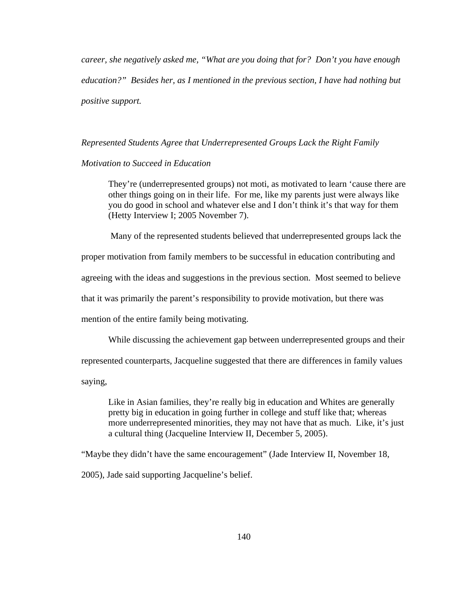*career, she negatively asked me, "What are you doing that for? Don't you have enough education?" Besides her, as I mentioned in the previous section, I have had nothing but positive support.* 

### *Represented Students Agree that Underrepresented Groups Lack the Right Family*

## *Motivation to Succeed in Education*

They're (underrepresented groups) not moti, as motivated to learn 'cause there are other things going on in their life. For me, like my parents just were always like you do good in school and whatever else and I don't think it's that way for them (Hetty Interview I; 2005 November 7).

Many of the represented students believed that underrepresented groups lack the

proper motivation from family members to be successful in education contributing and

agreeing with the ideas and suggestions in the previous section. Most seemed to believe

that it was primarily the parent's responsibility to provide motivation, but there was

mention of the entire family being motivating.

While discussing the achievement gap between underrepresented groups and their

represented counterparts, Jacqueline suggested that there are differences in family values

saying,

Like in Asian families, they're really big in education and Whites are generally pretty big in education in going further in college and stuff like that; whereas more underrepresented minorities, they may not have that as much. Like, it's just a cultural thing (Jacqueline Interview II, December 5, 2005).

"Maybe they didn't have the same encouragement" (Jade Interview II, November 18,

2005), Jade said supporting Jacqueline's belief.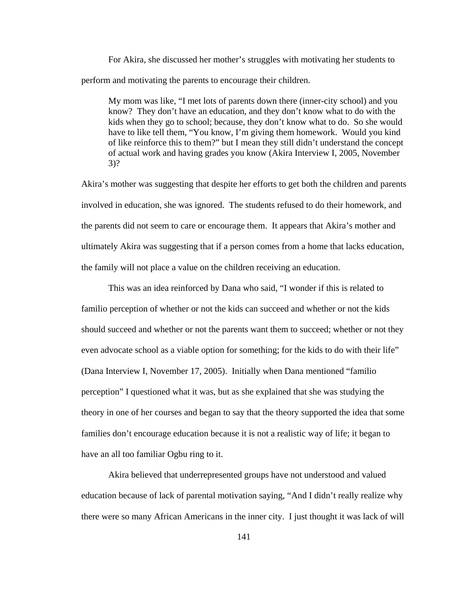For Akira, she discussed her mother's struggles with motivating her students to perform and motivating the parents to encourage their children.

My mom was like, "I met lots of parents down there (inner-city school) and you know? They don't have an education, and they don't know what to do with the kids when they go to school; because, they don't know what to do. So she would have to like tell them, "You know, I'm giving them homework. Would you kind of like reinforce this to them?" but I mean they still didn't understand the concept of actual work and having grades you know (Akira Interview I, 2005, November 3)?

Akira's mother was suggesting that despite her efforts to get both the children and parents involved in education, she was ignored. The students refused to do their homework, and the parents did not seem to care or encourage them. It appears that Akira's mother and ultimately Akira was suggesting that if a person comes from a home that lacks education, the family will not place a value on the children receiving an education.

This was an idea reinforced by Dana who said, "I wonder if this is related to familio perception of whether or not the kids can succeed and whether or not the kids should succeed and whether or not the parents want them to succeed; whether or not they even advocate school as a viable option for something; for the kids to do with their life" (Dana Interview I, November 17, 2005). Initially when Dana mentioned "familio perception" I questioned what it was, but as she explained that she was studying the theory in one of her courses and began to say that the theory supported the idea that some families don't encourage education because it is not a realistic way of life; it began to have an all too familiar Ogbu ring to it.

Akira believed that underrepresented groups have not understood and valued education because of lack of parental motivation saying, "And I didn't really realize why there were so many African Americans in the inner city. I just thought it was lack of will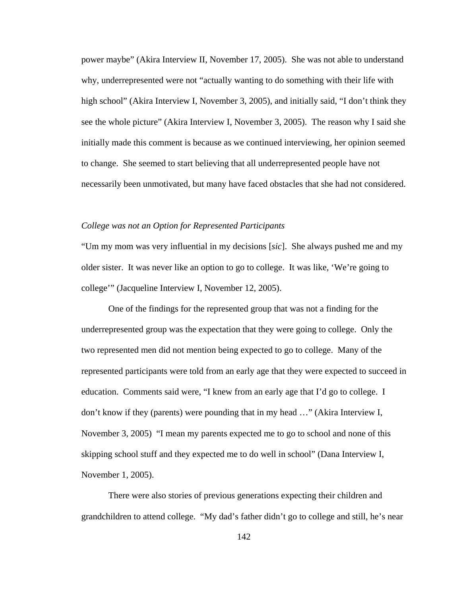power maybe" (Akira Interview II, November 17, 2005). She was not able to understand why, underrepresented were not "actually wanting to do something with their life with high school" (Akira Interview I, November 3, 2005), and initially said, "I don't think they see the whole picture" (Akira Interview I, November 3, 2005). The reason why I said she initially made this comment is because as we continued interviewing, her opinion seemed to change. She seemed to start believing that all underrepresented people have not necessarily been unmotivated, but many have faced obstacles that she had not considered.

## *College was not an Option for Represented Participants*

"Um my mom was very influential in my decisions [*sic*]. She always pushed me and my older sister. It was never like an option to go to college. It was like, 'We're going to college'" (Jacqueline Interview I, November 12, 2005).

 One of the findings for the represented group that was not a finding for the underrepresented group was the expectation that they were going to college. Only the two represented men did not mention being expected to go to college. Many of the represented participants were told from an early age that they were expected to succeed in education. Comments said were, "I knew from an early age that I'd go to college. I don't know if they (parents) were pounding that in my head …" (Akira Interview I, November 3, 2005) "I mean my parents expected me to go to school and none of this skipping school stuff and they expected me to do well in school" (Dana Interview I, November 1, 2005).

There were also stories of previous generations expecting their children and grandchildren to attend college. "My dad's father didn't go to college and still, he's near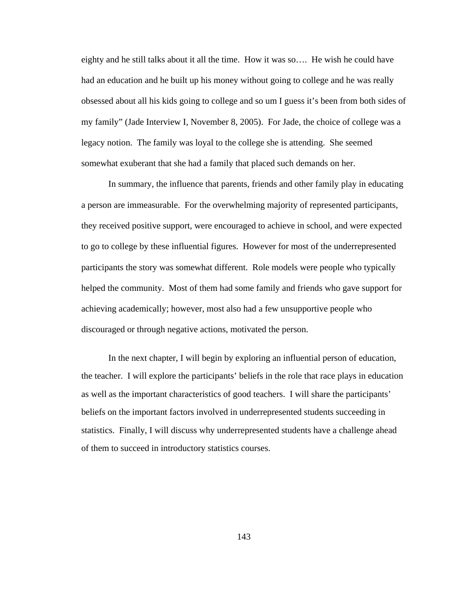eighty and he still talks about it all the time. How it was so…. He wish he could have had an education and he built up his money without going to college and he was really obsessed about all his kids going to college and so um I guess it's been from both sides of my family" (Jade Interview I, November 8, 2005). For Jade, the choice of college was a legacy notion. The family was loyal to the college she is attending. She seemed somewhat exuberant that she had a family that placed such demands on her.

In summary, the influence that parents, friends and other family play in educating a person are immeasurable. For the overwhelming majority of represented participants, they received positive support, were encouraged to achieve in school, and were expected to go to college by these influential figures. However for most of the underrepresented participants the story was somewhat different. Role models were people who typically helped the community. Most of them had some family and friends who gave support for achieving academically; however, most also had a few unsupportive people who discouraged or through negative actions, motivated the person.

In the next chapter, I will begin by exploring an influential person of education, the teacher. I will explore the participants' beliefs in the role that race plays in education as well as the important characteristics of good teachers. I will share the participants' beliefs on the important factors involved in underrepresented students succeeding in statistics. Finally, I will discuss why underrepresented students have a challenge ahead of them to succeed in introductory statistics courses.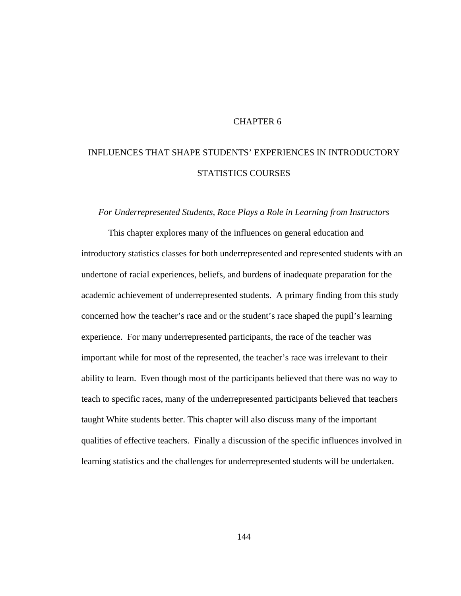# CHAPTER 6

# INFLUENCES THAT SHAPE STUDENTS' EXPERIENCES IN INTRODUCTORY STATISTICS COURSES

## *For Underrepresented Students, Race Plays a Role in Learning from Instructors*

 This chapter explores many of the influences on general education and introductory statistics classes for both underrepresented and represented students with an undertone of racial experiences, beliefs, and burdens of inadequate preparation for the academic achievement of underrepresented students. A primary finding from this study concerned how the teacher's race and or the student's race shaped the pupil's learning experience. For many underrepresented participants, the race of the teacher was important while for most of the represented, the teacher's race was irrelevant to their ability to learn. Even though most of the participants believed that there was no way to teach to specific races, many of the underrepresented participants believed that teachers taught White students better. This chapter will also discuss many of the important qualities of effective teachers. Finally a discussion of the specific influences involved in learning statistics and the challenges for underrepresented students will be undertaken.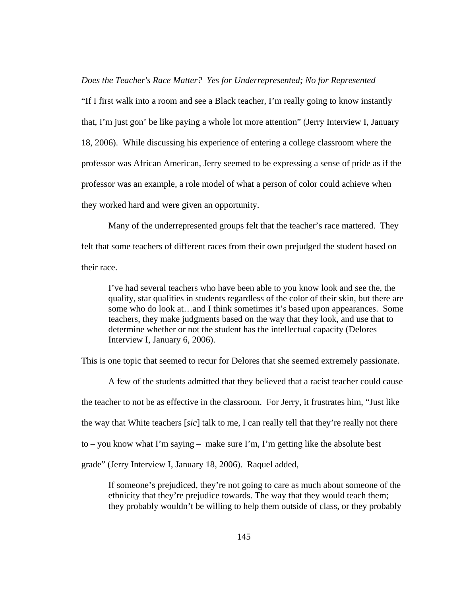*Does the Teacher's Race Matter? Yes for Underrepresented; No for Represented* 

"If I first walk into a room and see a Black teacher, I'm really going to know instantly that, I'm just gon' be like paying a whole lot more attention" (Jerry Interview I, January 18, 2006). While discussing his experience of entering a college classroom where the professor was African American, Jerry seemed to be expressing a sense of pride as if the professor was an example, a role model of what a person of color could achieve when they worked hard and were given an opportunity.

Many of the underrepresented groups felt that the teacher's race mattered. They felt that some teachers of different races from their own prejudged the student based on their race.

I've had several teachers who have been able to you know look and see the, the quality, star qualities in students regardless of the color of their skin, but there are some who do look at…and I think sometimes it's based upon appearances. Some teachers, they make judgments based on the way that they look, and use that to determine whether or not the student has the intellectual capacity (Delores Interview I, January 6, 2006).

This is one topic that seemed to recur for Delores that she seemed extremely passionate.

A few of the students admitted that they believed that a racist teacher could cause the teacher to not be as effective in the classroom. For Jerry, it frustrates him, "Just like the way that White teachers [*sic*] talk to me, I can really tell that they're really not there to – you know what I'm saying – make sure I'm, I'm getting like the absolute best grade" (Jerry Interview I, January 18, 2006). Raquel added,

If someone's prejudiced, they're not going to care as much about someone of the ethnicity that they're prejudice towards. The way that they would teach them; they probably wouldn't be willing to help them outside of class, or they probably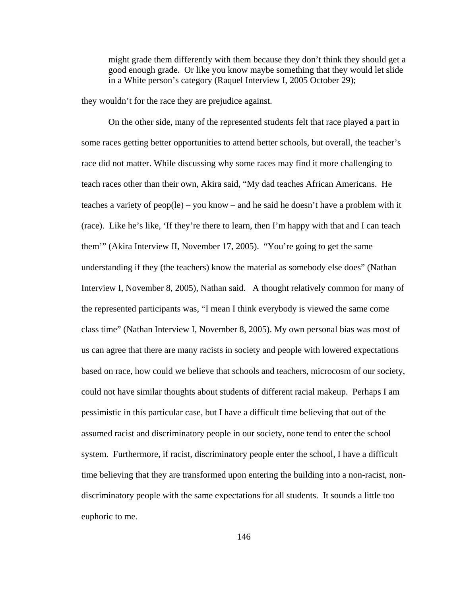might grade them differently with them because they don't think they should get a good enough grade. Or like you know maybe something that they would let slide in a White person's category (Raquel Interview I, 2005 October 29);

they wouldn't for the race they are prejudice against.

 On the other side, many of the represented students felt that race played a part in some races getting better opportunities to attend better schools, but overall, the teacher's race did not matter. While discussing why some races may find it more challenging to teach races other than their own, Akira said, "My dad teaches African Americans. He teaches a variety of peop(le) – you know – and he said he doesn't have a problem with it (race). Like he's like, 'If they're there to learn, then I'm happy with that and I can teach them'" (Akira Interview II, November 17, 2005). "You're going to get the same understanding if they (the teachers) know the material as somebody else does" (Nathan Interview I, November 8, 2005), Nathan said. A thought relatively common for many of the represented participants was, "I mean I think everybody is viewed the same come class time" (Nathan Interview I, November 8, 2005). My own personal bias was most of us can agree that there are many racists in society and people with lowered expectations based on race, how could we believe that schools and teachers, microcosm of our society, could not have similar thoughts about students of different racial makeup. Perhaps I am pessimistic in this particular case, but I have a difficult time believing that out of the assumed racist and discriminatory people in our society, none tend to enter the school system. Furthermore, if racist, discriminatory people enter the school, I have a difficult time believing that they are transformed upon entering the building into a non-racist, nondiscriminatory people with the same expectations for all students. It sounds a little too euphoric to me.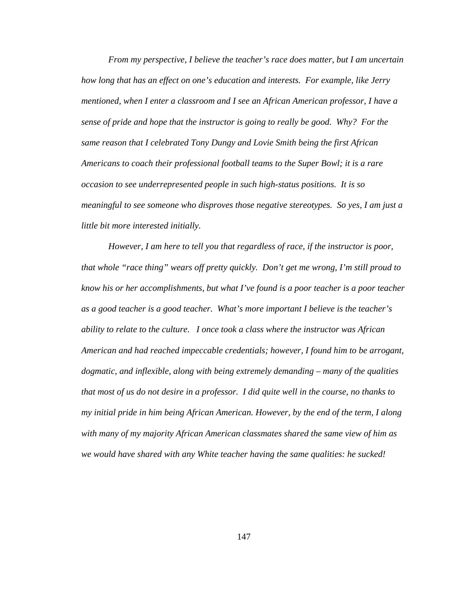*From my perspective, I believe the teacher's race does matter, but I am uncertain how long that has an effect on one's education and interests. For example, like Jerry mentioned, when I enter a classroom and I see an African American professor, I have a sense of pride and hope that the instructor is going to really be good. Why? For the same reason that I celebrated Tony Dungy and Lovie Smith being the first African Americans to coach their professional football teams to the Super Bowl; it is a rare occasion to see underrepresented people in such high-status positions. It is so meaningful to see someone who disproves those negative stereotypes. So yes, I am just a little bit more interested initially.* 

 *However, I am here to tell you that regardless of race, if the instructor is poor, that whole "race thing" wears off pretty quickly. Don't get me wrong, I'm still proud to know his or her accomplishments, but what I've found is a poor teacher is a poor teacher as a good teacher is a good teacher. What's more important I believe is the teacher's ability to relate to the culture. I once took a class where the instructor was African American and had reached impeccable credentials; however, I found him to be arrogant, dogmatic, and inflexible, along with being extremely demanding – many of the qualities that most of us do not desire in a professor. I did quite well in the course, no thanks to my initial pride in him being African American. However, by the end of the term, I along with many of my majority African American classmates shared the same view of him as we would have shared with any White teacher having the same qualities: he sucked!*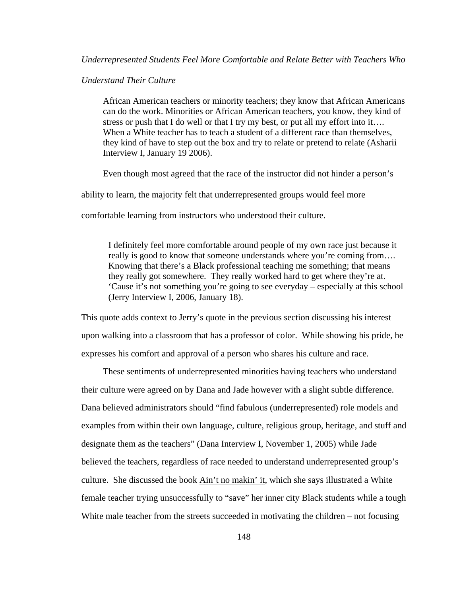# *Understand Their Culture*

African American teachers or minority teachers; they know that African Americans can do the work. Minorities or African American teachers, you know, they kind of stress or push that I do well or that I try my best, or put all my effort into it…. When a White teacher has to teach a student of a different race than themselves, they kind of have to step out the box and try to relate or pretend to relate (Asharii Interview I, January 19 2006).

Even though most agreed that the race of the instructor did not hinder a person's

ability to learn, the majority felt that underrepresented groups would feel more

comfortable learning from instructors who understood their culture.

I definitely feel more comfortable around people of my own race just because it really is good to know that someone understands where you're coming from.... Knowing that there's a Black professional teaching me something; that means they really got somewhere. They really worked hard to get where they're at. 'Cause it's not something you're going to see everyday – especially at this school (Jerry Interview I, 2006, January 18).

This quote adds context to Jerry's quote in the previous section discussing his interest upon walking into a classroom that has a professor of color. While showing his pride, he expresses his comfort and approval of a person who shares his culture and race.

 These sentiments of underrepresented minorities having teachers who understand their culture were agreed on by Dana and Jade however with a slight subtle difference. Dana believed administrators should "find fabulous (underrepresented) role models and examples from within their own language, culture, religious group, heritage, and stuff and designate them as the teachers" (Dana Interview I, November 1, 2005) while Jade believed the teachers, regardless of race needed to understand underrepresented group's culture. She discussed the book Ain't no makin' it, which she says illustrated a White female teacher trying unsuccessfully to "save" her inner city Black students while a tough White male teacher from the streets succeeded in motivating the children – not focusing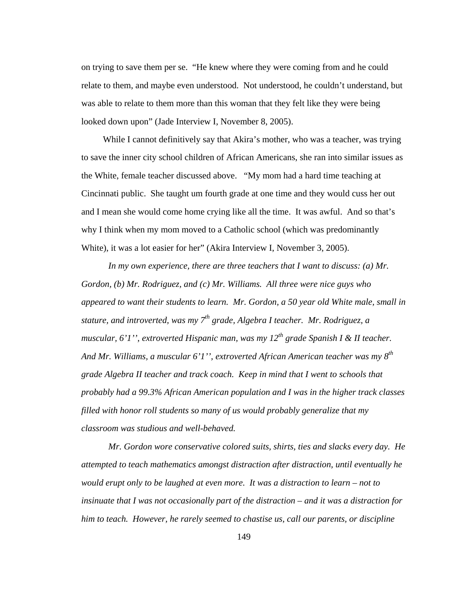on trying to save them per se. "He knew where they were coming from and he could relate to them, and maybe even understood. Not understood, he couldn't understand, but was able to relate to them more than this woman that they felt like they were being looked down upon" (Jade Interview I, November 8, 2005).

While I cannot definitively say that Akira's mother, who was a teacher, was trying to save the inner city school children of African Americans, she ran into similar issues as the White, female teacher discussed above. "My mom had a hard time teaching at Cincinnati public. She taught um fourth grade at one time and they would cuss her out and I mean she would come home crying like all the time. It was awful. And so that's why I think when my mom moved to a Catholic school (which was predominantly White), it was a lot easier for her" (Akira Interview I, November 3, 2005).

*In my own experience, there are three teachers that I want to discuss: (a) Mr. Gordon, (b) Mr. Rodriguez, and (c) Mr. Williams. All three were nice guys who appeared to want their students to learn. Mr. Gordon, a 50 year old White male, small in stature, and introverted, was my 7th grade, Algebra I teacher. Mr. Rodriguez, a muscular, 6'1'', extroverted Hispanic man, was my 12<sup>th</sup> grade Spanish I & II teacher. And Mr. Williams, a muscular 6'1'', extroverted African American teacher was my 8th grade Algebra II teacher and track coach. Keep in mind that I went to schools that probably had a 99.3% African American population and I was in the higher track classes filled with honor roll students so many of us would probably generalize that my classroom was studious and well-behaved.* 

*Mr. Gordon wore conservative colored suits, shirts, ties and slacks every day. He attempted to teach mathematics amongst distraction after distraction, until eventually he would erupt only to be laughed at even more. It was a distraction to learn – not to insinuate that I was not occasionally part of the distraction – and it was a distraction for him to teach. However, he rarely seemed to chastise us, call our parents, or discipline* 

149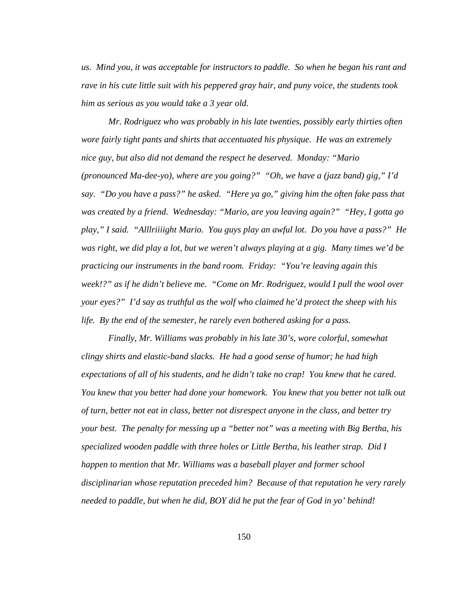*us. Mind you, it was acceptable for instructors to paddle. So when he began his rant and rave in his cute little suit with his peppered gray hair, and puny voice, the students took him as serious as you would take a 3 year old.* 

*Mr. Rodriguez who was probably in his late twenties, possibly early thirties often wore fairly tight pants and shirts that accentuated his physique. He was an extremely nice guy, but also did not demand the respect he deserved. Monday: "Mario (pronounced Ma-dee-yo), where are you going?" "Oh, we have a (jazz band) gig," I'd say. "Do you have a pass?" he asked. "Here ya go," giving him the often fake pass that was created by a friend. Wednesday: "Mario, are you leaving again?" "Hey, I gotta go play," I said. "Alllriiiight Mario. You guys play an awful lot. Do you have a pass?" He was right, we did play a lot, but we weren't always playing at a gig. Many times we'd be practicing our instruments in the band room. Friday: "You're leaving again this week!?" as if he didn't believe me. "Come on Mr. Rodriguez, would I pull the wool over your eyes?" I'd say as truthful as the wolf who claimed he'd protect the sheep with his life. By the end of the semester, he rarely even bothered asking for a pass.* 

*Finally, Mr. Williams was probably in his late 30's, wore colorful, somewhat clingy shirts and elastic-band slacks. He had a good sense of humor; he had high expectations of all of his students, and he didn't take no crap! You knew that he cared. You knew that you better had done your homework. You knew that you better not talk out of turn, better not eat in class, better not disrespect anyone in the class, and better try your best. The penalty for messing up a "better not" was a meeting with Big Bertha, his specialized wooden paddle with three holes or Little Bertha, his leather strap. Did I happen to mention that Mr. Williams was a baseball player and former school disciplinarian whose reputation preceded him? Because of that reputation he very rarely needed to paddle, but when he did, BOY did he put the fear of God in yo' behind!*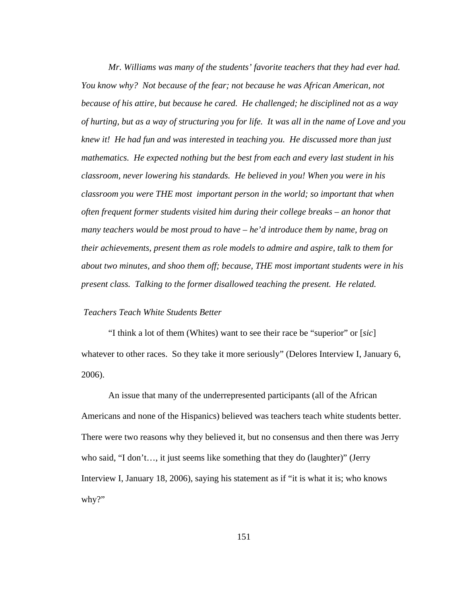*Mr. Williams was many of the students' favorite teachers that they had ever had. You know why? Not because of the fear; not because he was African American, not because of his attire, but because he cared. He challenged; he disciplined not as a way of hurting, but as a way of structuring you for life. It was all in the name of Love and you knew it! He had fun and was interested in teaching you. He discussed more than just mathematics. He expected nothing but the best from each and every last student in his classroom, never lowering his standards. He believed in you! When you were in his classroom you were THE most important person in the world; so important that when often frequent former students visited him during their college breaks – an honor that many teachers would be most proud to have – he'd introduce them by name, brag on their achievements, present them as role models to admire and aspire, talk to them for about two minutes, and shoo them off; because, THE most important students were in his present class. Talking to the former disallowed teaching the present. He related.* 

## *Teachers Teach White Students Better*

"I think a lot of them (Whites) want to see their race be "superior" or [*sic*] whatever to other races. So they take it more seriously" (Delores Interview I, January 6, 2006).

 An issue that many of the underrepresented participants (all of the African Americans and none of the Hispanics) believed was teachers teach white students better. There were two reasons why they believed it, but no consensus and then there was Jerry who said, "I don't…, it just seems like something that they do (laughter)" (Jerry Interview I, January 18, 2006), saying his statement as if "it is what it is; who knows why?"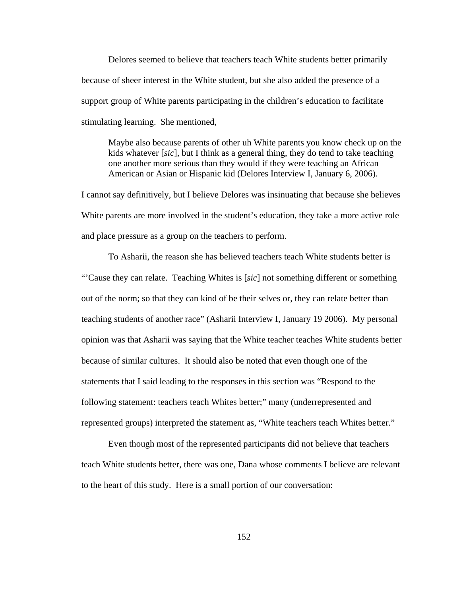Delores seemed to believe that teachers teach White students better primarily because of sheer interest in the White student, but she also added the presence of a support group of White parents participating in the children's education to facilitate stimulating learning. She mentioned,

Maybe also because parents of other uh White parents you know check up on the kids whatever [*sic*], but I think as a general thing, they do tend to take teaching one another more serious than they would if they were teaching an African American or Asian or Hispanic kid (Delores Interview I, January 6, 2006).

I cannot say definitively, but I believe Delores was insinuating that because she believes White parents are more involved in the student's education, they take a more active role and place pressure as a group on the teachers to perform.

 To Asharii, the reason she has believed teachers teach White students better is "'Cause they can relate. Teaching Whites is [*sic*] not something different or something out of the norm; so that they can kind of be their selves or, they can relate better than teaching students of another race" (Asharii Interview I, January 19 2006). My personal opinion was that Asharii was saying that the White teacher teaches White students better because of similar cultures. It should also be noted that even though one of the statements that I said leading to the responses in this section was "Respond to the following statement: teachers teach Whites better;" many (underrepresented and represented groups) interpreted the statement as, "White teachers teach Whites better."

Even though most of the represented participants did not believe that teachers teach White students better, there was one, Dana whose comments I believe are relevant to the heart of this study. Here is a small portion of our conversation: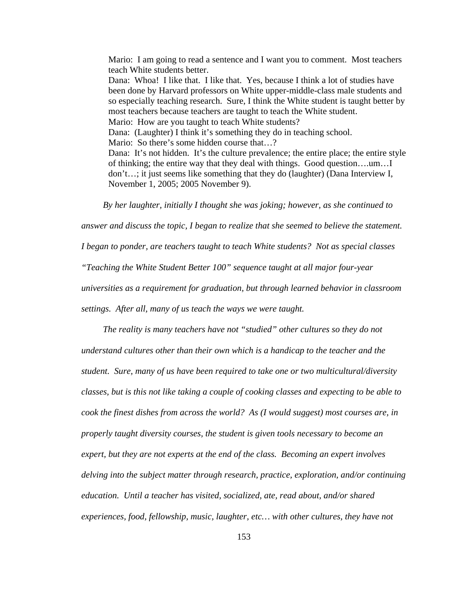Mario: I am going to read a sentence and I want you to comment. Most teachers teach White students better. Dana: Whoa! I like that. I like that. Yes, because I think a lot of studies have been done by Harvard professors on White upper-middle-class male students and so especially teaching research. Sure, I think the White student is taught better by most teachers because teachers are taught to teach the White student. Mario: How are you taught to teach White students? Dana: (Laughter) I think it's something they do in teaching school. Mario: So there's some hidden course that...? Dana: It's not hidden. It's the culture prevalence; the entire place; the entire style of thinking; the entire way that they deal with things. Good question….um…I don't…; it just seems like something that they do (laughter) (Dana Interview I, November 1, 2005; 2005 November 9).

*By her laughter, initially I thought she was joking; however, as she continued to* 

*answer and discuss the topic, I began to realize that she seemed to believe the statement.* 

*I began to ponder, are teachers taught to teach White students? Not as special classes* 

*"Teaching the White Student Better 100" sequence taught at all major four-year* 

*universities as a requirement for graduation, but through learned behavior in classroom* 

*settings. After all, many of us teach the ways we were taught.* 

 *The reality is many teachers have not "studied" other cultures so they do not understand cultures other than their own which is a handicap to the teacher and the student. Sure, many of us have been required to take one or two multicultural/diversity classes, but is this not like taking a couple of cooking classes and expecting to be able to cook the finest dishes from across the world? As (I would suggest) most courses are, in properly taught diversity courses, the student is given tools necessary to become an expert, but they are not experts at the end of the class. Becoming an expert involves delving into the subject matter through research, practice, exploration, and/or continuing education. Until a teacher has visited, socialized, ate, read about, and/or shared experiences, food, fellowship, music, laughter, etc… with other cultures, they have not*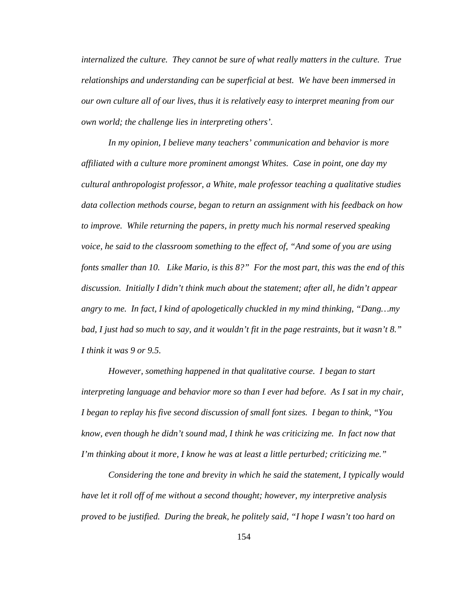*internalized the culture. They cannot be sure of what really matters in the culture. True relationships and understanding can be superficial at best. We have been immersed in our own culture all of our lives, thus it is relatively easy to interpret meaning from our own world; the challenge lies in interpreting others'.* 

*In my opinion, I believe many teachers' communication and behavior is more affiliated with a culture more prominent amongst Whites. Case in point, one day my cultural anthropologist professor, a White, male professor teaching a qualitative studies data collection methods course, began to return an assignment with his feedback on how to improve. While returning the papers, in pretty much his normal reserved speaking voice, he said to the classroom something to the effect of, "And some of you are using fonts smaller than 10. Like Mario, is this 8?" For the most part, this was the end of this discussion. Initially I didn't think much about the statement; after all, he didn't appear angry to me. In fact, I kind of apologetically chuckled in my mind thinking, "Dang…my bad, I just had so much to say, and it wouldn't fit in the page restraints, but it wasn't 8." I think it was 9 or 9.5.* 

*However, something happened in that qualitative course. I began to start interpreting language and behavior more so than I ever had before. As I sat in my chair, I began to replay his five second discussion of small font sizes. I began to think, "You know, even though he didn't sound mad, I think he was criticizing me. In fact now that I'm thinking about it more, I know he was at least a little perturbed; criticizing me."* 

*Considering the tone and brevity in which he said the statement, I typically would have let it roll off of me without a second thought; however, my interpretive analysis proved to be justified. During the break, he politely said, "I hope I wasn't too hard on*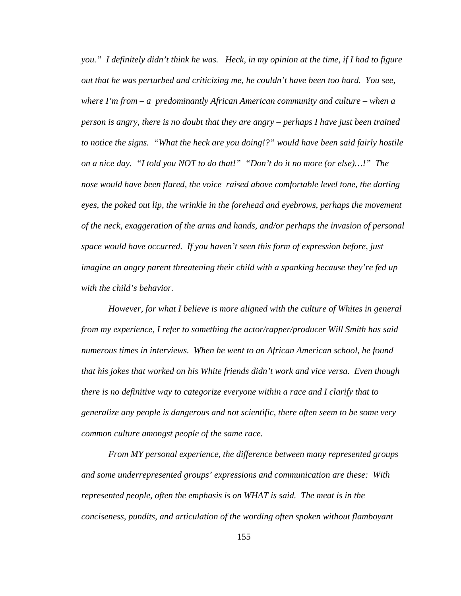*you." I definitely didn't think he was. Heck, in my opinion at the time, if I had to figure out that he was perturbed and criticizing me, he couldn't have been too hard. You see, where I'm from – a predominantly African American community and culture – when a person is angry, there is no doubt that they are angry – perhaps I have just been trained to notice the signs. "What the heck are you doing!?" would have been said fairly hostile on a nice day. "I told you NOT to do that!" "Don't do it no more (or else)…!" The nose would have been flared, the voice raised above comfortable level tone, the darting eyes, the poked out lip, the wrinkle in the forehead and eyebrows, perhaps the movement of the neck, exaggeration of the arms and hands, and/or perhaps the invasion of personal space would have occurred. If you haven't seen this form of expression before, just imagine an angry parent threatening their child with a spanking because they're fed up with the child's behavior.* 

*However, for what I believe is more aligned with the culture of Whites in general from my experience, I refer to something the actor/rapper/producer Will Smith has said numerous times in interviews. When he went to an African American school, he found that his jokes that worked on his White friends didn't work and vice versa. Even though there is no definitive way to categorize everyone within a race and I clarify that to generalize any people is dangerous and not scientific, there often seem to be some very common culture amongst people of the same race.* 

*From MY personal experience, the difference between many represented groups and some underrepresented groups' expressions and communication are these: With represented people, often the emphasis is on WHAT is said. The meat is in the conciseness, pundits, and articulation of the wording often spoken without flamboyant*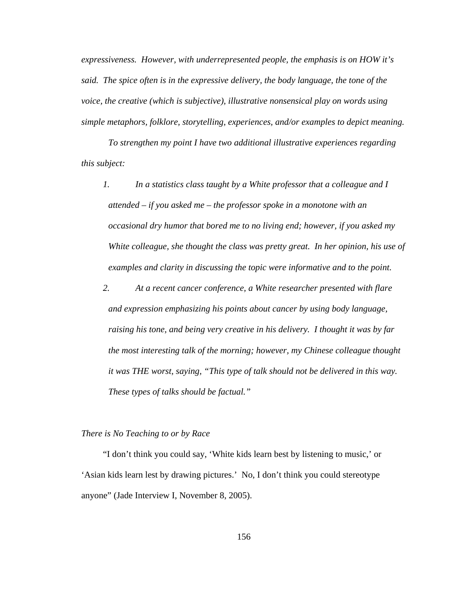*expressiveness. However, with underrepresented people, the emphasis is on HOW it's said. The spice often is in the expressive delivery, the body language, the tone of the voice, the creative (which is subjective), illustrative nonsensical play on words using simple metaphors, folklore, storytelling, experiences, and/or examples to depict meaning.* 

*To strengthen my point I have two additional illustrative experiences regarding this subject:* 

- *1. In a statistics class taught by a White professor that a colleague and I attended – if you asked me – the professor spoke in a monotone with an occasional dry humor that bored me to no living end; however, if you asked my White colleague, she thought the class was pretty great. In her opinion, his use of examples and clarity in discussing the topic were informative and to the point.*
- *2. At a recent cancer conference, a White researcher presented with flare and expression emphasizing his points about cancer by using body language, raising his tone, and being very creative in his delivery. I thought it was by far the most interesting talk of the morning; however, my Chinese colleague thought it was THE worst, saying, "This type of talk should not be delivered in this way. These types of talks should be factual."*

#### *There is No Teaching to or by Race*

 "I don't think you could say, 'White kids learn best by listening to music,' or 'Asian kids learn lest by drawing pictures.' No, I don't think you could stereotype anyone" (Jade Interview I, November 8, 2005).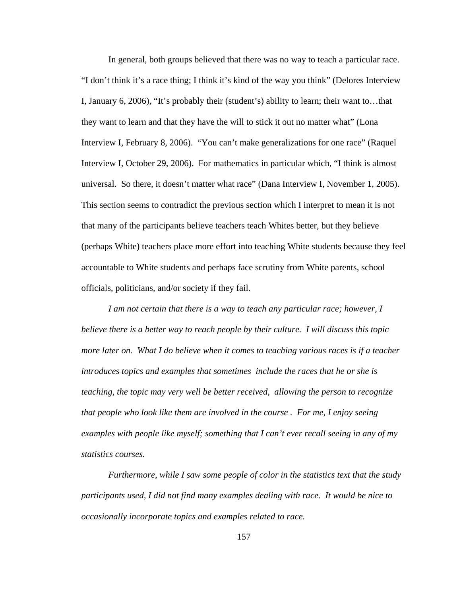In general, both groups believed that there was no way to teach a particular race. "I don't think it's a race thing; I think it's kind of the way you think" (Delores Interview I, January 6, 2006), "It's probably their (student's) ability to learn; their want to…that they want to learn and that they have the will to stick it out no matter what" (Lona Interview I, February 8, 2006). "You can't make generalizations for one race" (Raquel Interview I, October 29, 2006). For mathematics in particular which, "I think is almost universal. So there, it doesn't matter what race" (Dana Interview I, November 1, 2005). This section seems to contradict the previous section which I interpret to mean it is not that many of the participants believe teachers teach Whites better, but they believe (perhaps White) teachers place more effort into teaching White students because they feel accountable to White students and perhaps face scrutiny from White parents, school officials, politicians, and/or society if they fail.

*I am not certain that there is a way to teach any particular race; however, I believe there is a better way to reach people by their culture. I will discuss this topic more later on. What I do believe when it comes to teaching various races is if a teacher introduces topics and examples that sometimes include the races that he or she is teaching, the topic may very well be better received, allowing the person to recognize that people who look like them are involved in the course . For me, I enjoy seeing examples with people like myself; something that I can't ever recall seeing in any of my statistics courses.* 

*Furthermore, while I saw some people of color in the statistics text that the study participants used, I did not find many examples dealing with race. It would be nice to occasionally incorporate topics and examples related to race.*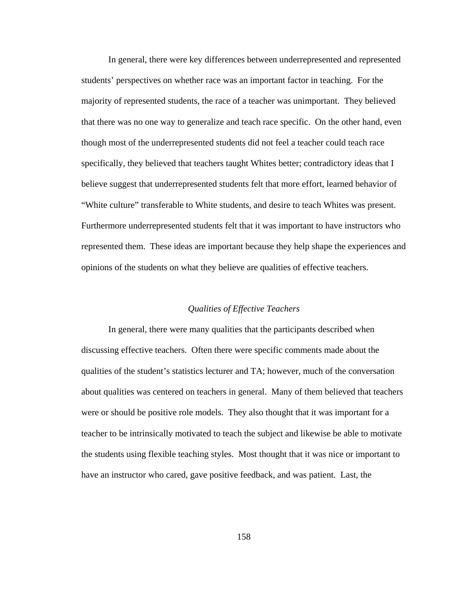In general, there were key differences between underrepresented and represented students' perspectives on whether race was an important factor in teaching. For the majority of represented students, the race of a teacher was unimportant. They believed that there was no one way to generalize and teach race specific. On the other hand, even though most of the underrepresented students did not feel a teacher could teach race specifically, they believed that teachers taught Whites better; contradictory ideas that I believe suggest that underrepresented students felt that more effort, learned behavior of "White culture" transferable to White students, and desire to teach Whites was present. Furthermore underrepresented students felt that it was important to have instructors who represented them. These ideas are important because they help shape the experiences and opinions of the students on what they believe are qualities of effective teachers.

# *Qualities of Effective Teachers*

In general, there were many qualities that the participants described when discussing effective teachers. Often there were specific comments made about the qualities of the student's statistics lecturer and TA; however, much of the conversation about qualities was centered on teachers in general. Many of them believed that teachers were or should be positive role models. They also thought that it was important for a teacher to be intrinsically motivated to teach the subject and likewise be able to motivate the students using flexible teaching styles. Most thought that it was nice or important to have an instructor who cared, gave positive feedback, and was patient. Last, the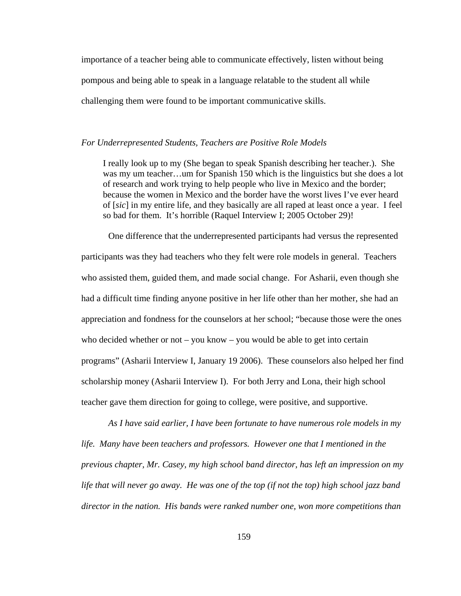importance of a teacher being able to communicate effectively, listen without being pompous and being able to speak in a language relatable to the student all while challenging them were found to be important communicative skills.

## *For Underrepresented Students, Teachers are Positive Role Models*

I really look up to my (She began to speak Spanish describing her teacher.). She was my um teacher…um for Spanish 150 which is the linguistics but she does a lot of research and work trying to help people who live in Mexico and the border; because the women in Mexico and the border have the worst lives I've ever heard of [*sic*] in my entire life, and they basically are all raped at least once a year. I feel so bad for them. It's horrible (Raquel Interview I; 2005 October 29)!

One difference that the underrepresented participants had versus the represented participants was they had teachers who they felt were role models in general. Teachers who assisted them, guided them, and made social change. For Asharii, even though she had a difficult time finding anyone positive in her life other than her mother, she had an appreciation and fondness for the counselors at her school; "because those were the ones who decided whether or not – you know – you would be able to get into certain programs" (Asharii Interview I, January 19 2006). These counselors also helped her find scholarship money (Asharii Interview I). For both Jerry and Lona, their high school teacher gave them direction for going to college, were positive, and supportive.

*As I have said earlier, I have been fortunate to have numerous role models in my life. Many have been teachers and professors. However one that I mentioned in the previous chapter, Mr. Casey, my high school band director, has left an impression on my life that will never go away. He was one of the top (if not the top) high school jazz band director in the nation. His bands were ranked number one, won more competitions than*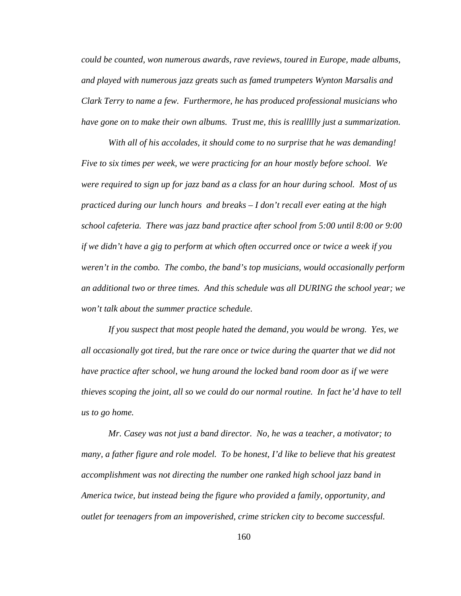*could be counted, won numerous awards, rave reviews, toured in Europe, made albums, and played with numerous jazz greats such as famed trumpeters Wynton Marsalis and Clark Terry to name a few. Furthermore, he has produced professional musicians who have gone on to make their own albums. Trust me, this is reallllly just a summarization.* 

*With all of his accolades, it should come to no surprise that he was demanding! Five to six times per week, we were practicing for an hour mostly before school. We were required to sign up for jazz band as a class for an hour during school. Most of us practiced during our lunch hours and breaks – I don't recall ever eating at the high school cafeteria. There was jazz band practice after school from 5:00 until 8:00 or 9:00 if we didn't have a gig to perform at which often occurred once or twice a week if you weren't in the combo. The combo, the band's top musicians, would occasionally perform an additional two or three times. And this schedule was all DURING the school year; we won't talk about the summer practice schedule.* 

*If you suspect that most people hated the demand, you would be wrong. Yes, we all occasionally got tired, but the rare once or twice during the quarter that we did not have practice after school, we hung around the locked band room door as if we were thieves scoping the joint, all so we could do our normal routine. In fact he'd have to tell us to go home.* 

*Mr. Casey was not just a band director. No, he was a teacher, a motivator; to many, a father figure and role model. To be honest, I'd like to believe that his greatest accomplishment was not directing the number one ranked high school jazz band in America twice, but instead being the figure who provided a family, opportunity, and outlet for teenagers from an impoverished, crime stricken city to become successful.*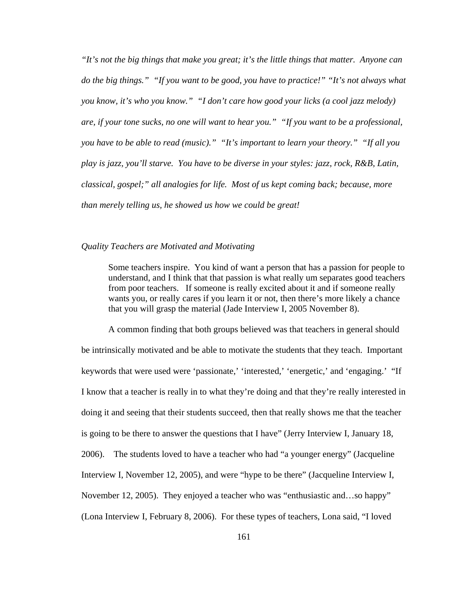*"It's not the big things that make you great; it's the little things that matter. Anyone can do the big things." "If you want to be good, you have to practice!" "It's not always what you know, it's who you know." "I don't care how good your licks (a cool jazz melody) are, if your tone sucks, no one will want to hear you." "If you want to be a professional, you have to be able to read (music)." "It's important to learn your theory." "If all you play is jazz, you'll starve. You have to be diverse in your styles: jazz, rock, R&B, Latin, classical, gospel;" all analogies for life. Most of us kept coming back; because, more than merely telling us, he showed us how we could be great!* 

### *Quality Teachers are Motivated and Motivating*

Some teachers inspire. You kind of want a person that has a passion for people to understand, and I think that that passion is what really um separates good teachers from poor teachers. If someone is really excited about it and if someone really wants you, or really cares if you learn it or not, then there's more likely a chance that you will grasp the material (Jade Interview I, 2005 November 8).

A common finding that both groups believed was that teachers in general should be intrinsically motivated and be able to motivate the students that they teach. Important keywords that were used were 'passionate,' 'interested,' 'energetic,' and 'engaging.' "If I know that a teacher is really in to what they're doing and that they're really interested in doing it and seeing that their students succeed, then that really shows me that the teacher is going to be there to answer the questions that I have" (Jerry Interview I, January 18, 2006). The students loved to have a teacher who had "a younger energy" (Jacqueline Interview I, November 12, 2005), and were "hype to be there" (Jacqueline Interview I, November 12, 2005). They enjoyed a teacher who was "enthusiastic and…so happy" (Lona Interview I, February 8, 2006). For these types of teachers, Lona said, "I loved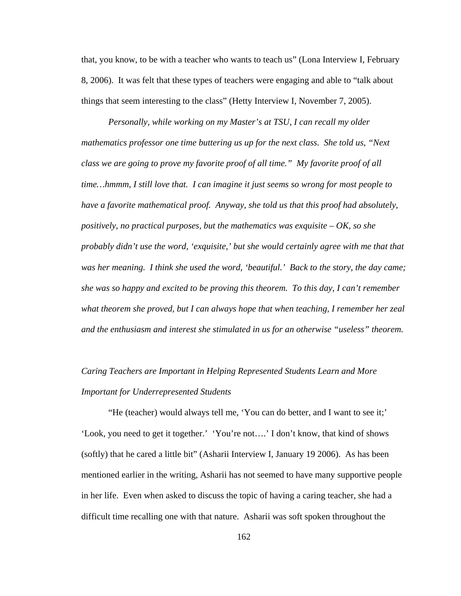that, you know, to be with a teacher who wants to teach us" (Lona Interview I, February 8, 2006). It was felt that these types of teachers were engaging and able to "talk about things that seem interesting to the class" (Hetty Interview I, November 7, 2005).

*Personally, while working on my Master's at TSU, I can recall my older mathematics professor one time buttering us up for the next class. She told us, "Next class we are going to prove my favorite proof of all time." My favorite proof of all time…hmmm, I still love that. I can imagine it just seems so wrong for most people to have a favorite mathematical proof. Anyway, she told us that this proof had absolutely, positively, no practical purposes, but the mathematics was exquisite – OK, so she probably didn't use the word, 'exquisite,' but she would certainly agree with me that that was her meaning. I think she used the word, 'beautiful.' Back to the story, the day came; she was so happy and excited to be proving this theorem. To this day, I can't remember what theorem she proved, but I can always hope that when teaching, I remember her zeal and the enthusiasm and interest she stimulated in us for an otherwise "useless" theorem.* 

# *Caring Teachers are Important in Helping Represented Students Learn and More Important for Underrepresented Students*

"He (teacher) would always tell me, 'You can do better, and I want to see it;' 'Look, you need to get it together.' 'You're not….' I don't know, that kind of shows (softly) that he cared a little bit" (Asharii Interview I, January 19 2006). As has been mentioned earlier in the writing, Asharii has not seemed to have many supportive people in her life. Even when asked to discuss the topic of having a caring teacher, she had a difficult time recalling one with that nature. Asharii was soft spoken throughout the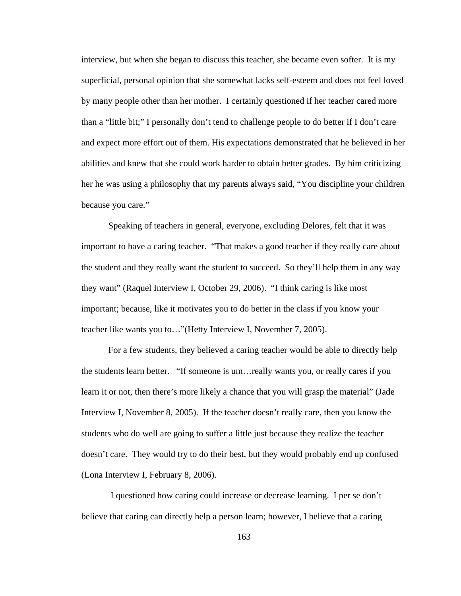interview, but when she began to discuss this teacher, she became even softer. It is my superficial, personal opinion that she somewhat lacks self-esteem and does not feel loved by many people other than her mother. I certainly questioned if her teacher cared more than a "little bit;" I personally don't tend to challenge people to do better if I don't care and expect more effort out of them. His expectations demonstrated that he believed in her abilities and knew that she could work harder to obtain better grades. By him criticizing her he was using a philosophy that my parents always said, "You discipline your children because you care."

Speaking of teachers in general, everyone, excluding Delores, felt that it was important to have a caring teacher. "That makes a good teacher if they really care about the student and they really want the student to succeed. So they'll help them in any way they want" (Raquel Interview I, October 29, 2006). "I think caring is like most important; because, like it motivates you to do better in the class if you know your teacher like wants you to…"(Hetty Interview I, November 7, 2005).

For a few students, they believed a caring teacher would be able to directly help the students learn better. "If someone is um…really wants you, or really cares if you learn it or not, then there's more likely a chance that you will grasp the material" (Jade Interview I, November 8, 2005). If the teacher doesn't really care, then you know the students who do well are going to suffer a little just because they realize the teacher doesn't care. They would try to do their best, but they would probably end up confused (Lona Interview I, February 8, 2006).

 I questioned how caring could increase or decrease learning. I per se don't believe that caring can directly help a person learn; however, I believe that a caring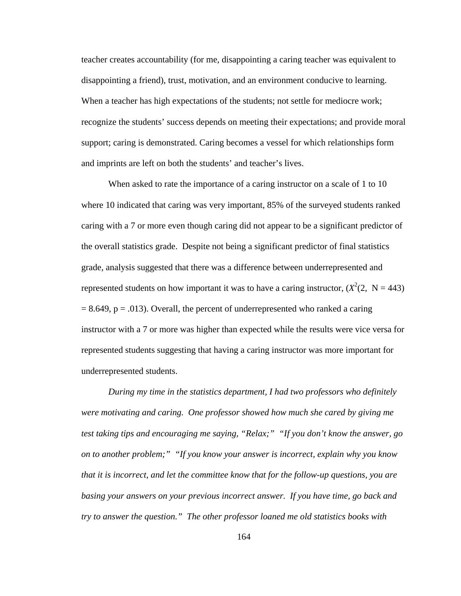teacher creates accountability (for me, disappointing a caring teacher was equivalent to disappointing a friend), trust, motivation, and an environment conducive to learning. When a teacher has high expectations of the students; not settle for mediocre work; recognize the students' success depends on meeting their expectations; and provide moral support; caring is demonstrated. Caring becomes a vessel for which relationships form and imprints are left on both the students' and teacher's lives.

When asked to rate the importance of a caring instructor on a scale of 1 to 10 where 10 indicated that caring was very important, 85% of the surveyed students ranked caring with a 7 or more even though caring did not appear to be a significant predictor of the overall statistics grade. Despite not being a significant predictor of final statistics grade, analysis suggested that there was a difference between underrepresented and represented students on how important it was to have a caring instructor,  $(X^2(2, N = 443))$  $= 8.649$ ,  $p = .013$ ). Overall, the percent of underrepresented who ranked a caring instructor with a 7 or more was higher than expected while the results were vice versa for represented students suggesting that having a caring instructor was more important for underrepresented students.

*During my time in the statistics department, I had two professors who definitely were motivating and caring. One professor showed how much she cared by giving me test taking tips and encouraging me saying, "Relax;" "If you don't know the answer, go on to another problem;" "If you know your answer is incorrect, explain why you know that it is incorrect, and let the committee know that for the follow-up questions, you are basing your answers on your previous incorrect answer. If you have time, go back and try to answer the question." The other professor loaned me old statistics books with*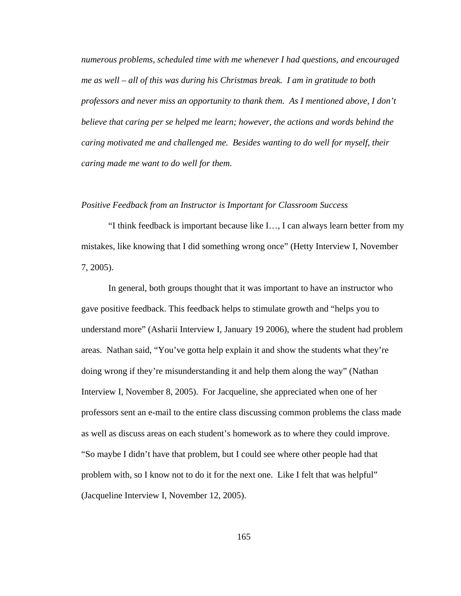*numerous problems, scheduled time with me whenever I had questions, and encouraged me as well – all of this was during his Christmas break. I am in gratitude to both professors and never miss an opportunity to thank them. As I mentioned above, I don't believe that caring per se helped me learn; however, the actions and words behind the caring motivated me and challenged me. Besides wanting to do well for myself, their caring made me want to do well for them.* 

#### *Positive Feedback from an Instructor is Important for Classroom Success*

"I think feedback is important because like I…, I can always learn better from my mistakes, like knowing that I did something wrong once" (Hetty Interview I, November 7, 2005).

In general, both groups thought that it was important to have an instructor who gave positive feedback. This feedback helps to stimulate growth and "helps you to understand more" (Asharii Interview I, January 19 2006), where the student had problem areas. Nathan said, "You've gotta help explain it and show the students what they're doing wrong if they're misunderstanding it and help them along the way" (Nathan Interview I, November 8, 2005). For Jacqueline, she appreciated when one of her professors sent an e-mail to the entire class discussing common problems the class made as well as discuss areas on each student's homework as to where they could improve. "So maybe I didn't have that problem, but I could see where other people had that problem with, so I know not to do it for the next one. Like I felt that was helpful" (Jacqueline Interview I, November 12, 2005).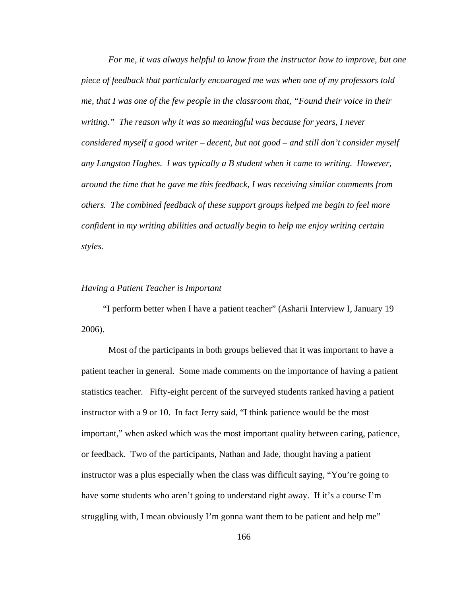*For me, it was always helpful to know from the instructor how to improve, but one piece of feedback that particularly encouraged me was when one of my professors told me, that I was one of the few people in the classroom that, "Found their voice in their writing." The reason why it was so meaningful was because for years, I never considered myself a good writer – decent, but not good – and still don't consider myself any Langston Hughes. I was typically a B student when it came to writing. However, around the time that he gave me this feedback, I was receiving similar comments from others. The combined feedback of these support groups helped me begin to feel more confident in my writing abilities and actually begin to help me enjoy writing certain styles.*

#### *Having a Patient Teacher is Important*

 "I perform better when I have a patient teacher" (Asharii Interview I, January 19 2006).

Most of the participants in both groups believed that it was important to have a patient teacher in general. Some made comments on the importance of having a patient statistics teacher. Fifty-eight percent of the surveyed students ranked having a patient instructor with a 9 or 10. In fact Jerry said, "I think patience would be the most important," when asked which was the most important quality between caring, patience, or feedback. Two of the participants, Nathan and Jade, thought having a patient instructor was a plus especially when the class was difficult saying, "You're going to have some students who aren't going to understand right away. If it's a course I'm struggling with, I mean obviously I'm gonna want them to be patient and help me"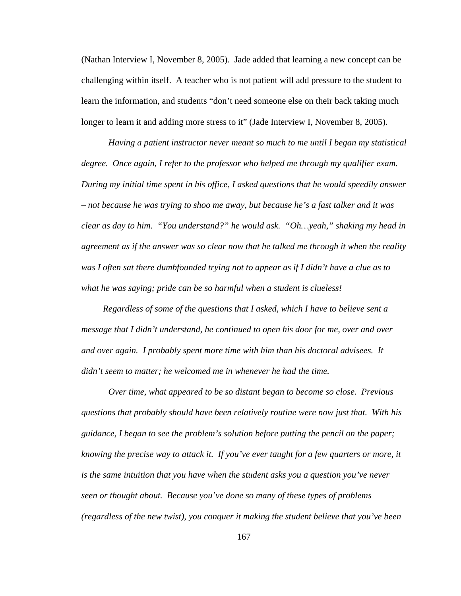(Nathan Interview I, November 8, 2005). Jade added that learning a new concept can be challenging within itself. A teacher who is not patient will add pressure to the student to learn the information, and students "don't need someone else on their back taking much longer to learn it and adding more stress to it" (Jade Interview I, November 8, 2005).

*Having a patient instructor never meant so much to me until I began my statistical degree. Once again, I refer to the professor who helped me through my qualifier exam. During my initial time spent in his office, I asked questions that he would speedily answer – not because he was trying to shoo me away, but because he's a fast talker and it was clear as day to him. "You understand?" he would ask. "Oh…yeah," shaking my head in agreement as if the answer was so clear now that he talked me through it when the reality was I often sat there dumbfounded trying not to appear as if I didn't have a clue as to what he was saying; pride can be so harmful when a student is clueless!* 

 *Regardless of some of the questions that I asked, which I have to believe sent a message that I didn't understand, he continued to open his door for me, over and over and over again. I probably spent more time with him than his doctoral advisees. It didn't seem to matter; he welcomed me in whenever he had the time.* 

*Over time, what appeared to be so distant began to become so close. Previous questions that probably should have been relatively routine were now just that. With his guidance, I began to see the problem's solution before putting the pencil on the paper; knowing the precise way to attack it. If you've ever taught for a few quarters or more, it is the same intuition that you have when the student asks you a question you've never seen or thought about. Because you've done so many of these types of problems (regardless of the new twist), you conquer it making the student believe that you've been*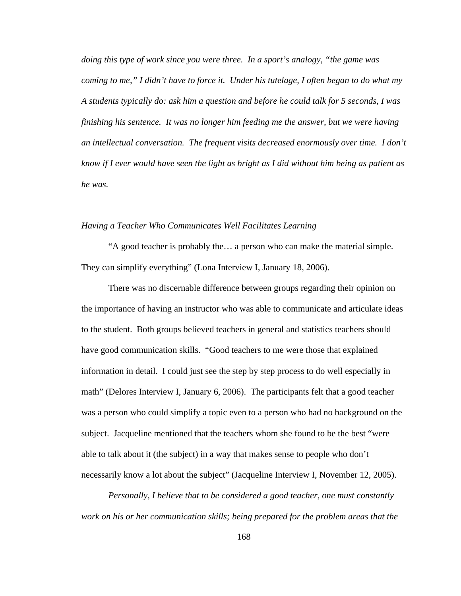*doing this type of work since you were three. In a sport's analogy, "the game was coming to me," I didn't have to force it. Under his tutelage, I often began to do what my A students typically do: ask him a question and before he could talk for 5 seconds, I was finishing his sentence. It was no longer him feeding me the answer, but we were having an intellectual conversation. The frequent visits decreased enormously over time. I don't know if I ever would have seen the light as bright as I did without him being as patient as he was.* 

## *Having a Teacher Who Communicates Well Facilitates Learning*

"A good teacher is probably the… a person who can make the material simple. They can simplify everything" (Lona Interview I, January 18, 2006).

There was no discernable difference between groups regarding their opinion on the importance of having an instructor who was able to communicate and articulate ideas to the student. Both groups believed teachers in general and statistics teachers should have good communication skills. "Good teachers to me were those that explained information in detail. I could just see the step by step process to do well especially in math" (Delores Interview I, January 6, 2006). The participants felt that a good teacher was a person who could simplify a topic even to a person who had no background on the subject. Jacqueline mentioned that the teachers whom she found to be the best "were able to talk about it (the subject) in a way that makes sense to people who don't necessarily know a lot about the subject" (Jacqueline Interview I, November 12, 2005).

*Personally, I believe that to be considered a good teacher, one must constantly work on his or her communication skills; being prepared for the problem areas that the*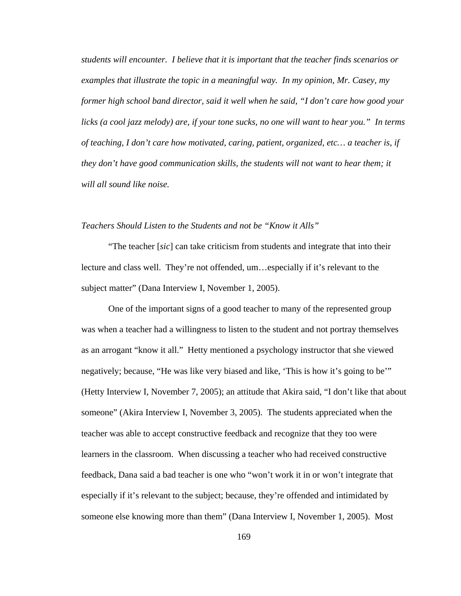*students will encounter. I believe that it is important that the teacher finds scenarios or examples that illustrate the topic in a meaningful way. In my opinion, Mr. Casey, my former high school band director, said it well when he said, "I don't care how good your licks (a cool jazz melody) are, if your tone sucks, no one will want to hear you." In terms of teaching, I don't care how motivated, caring, patient, organized, etc… a teacher is, if they don't have good communication skills, the students will not want to hear them; it will all sound like noise.* 

## *Teachers Should Listen to the Students and not be "Know it Alls"*

"The teacher [*sic*] can take criticism from students and integrate that into their lecture and class well. They're not offended, um…especially if it's relevant to the subject matter" (Dana Interview I, November 1, 2005).

One of the important signs of a good teacher to many of the represented group was when a teacher had a willingness to listen to the student and not portray themselves as an arrogant "know it all." Hetty mentioned a psychology instructor that she viewed negatively; because, "He was like very biased and like, 'This is how it's going to be'" (Hetty Interview I, November 7, 2005); an attitude that Akira said, "I don't like that about someone" (Akira Interview I, November 3, 2005). The students appreciated when the teacher was able to accept constructive feedback and recognize that they too were learners in the classroom. When discussing a teacher who had received constructive feedback, Dana said a bad teacher is one who "won't work it in or won't integrate that especially if it's relevant to the subject; because, they're offended and intimidated by someone else knowing more than them" (Dana Interview I, November 1, 2005). Most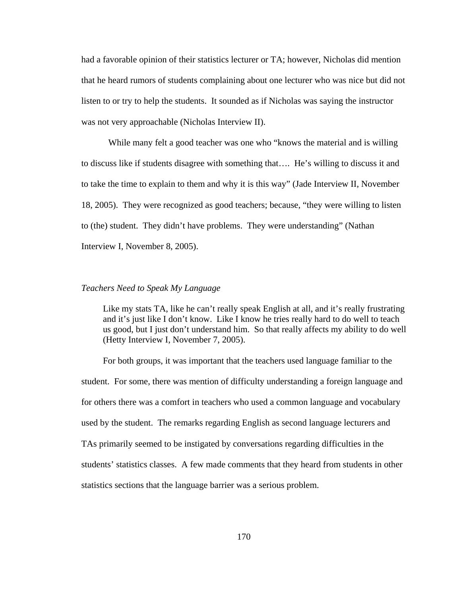had a favorable opinion of their statistics lecturer or TA; however, Nicholas did mention that he heard rumors of students complaining about one lecturer who was nice but did not listen to or try to help the students. It sounded as if Nicholas was saying the instructor was not very approachable (Nicholas Interview II).

While many felt a good teacher was one who "knows the material and is willing to discuss like if students disagree with something that…. He's willing to discuss it and to take the time to explain to them and why it is this way" (Jade Interview II, November 18, 2005). They were recognized as good teachers; because, "they were willing to listen to (the) student. They didn't have problems. They were understanding" (Nathan Interview I, November 8, 2005).

#### *Teachers Need to Speak My Language*

Like my stats TA, like he can't really speak English at all, and it's really frustrating and it's just like I don't know. Like I know he tries really hard to do well to teach us good, but I just don't understand him. So that really affects my ability to do well (Hetty Interview I, November 7, 2005).

 For both groups, it was important that the teachers used language familiar to the student. For some, there was mention of difficulty understanding a foreign language and for others there was a comfort in teachers who used a common language and vocabulary used by the student. The remarks regarding English as second language lecturers and TAs primarily seemed to be instigated by conversations regarding difficulties in the students' statistics classes. A few made comments that they heard from students in other statistics sections that the language barrier was a serious problem.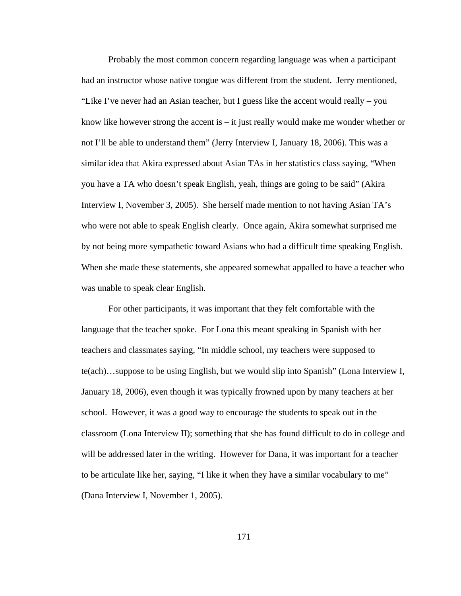Probably the most common concern regarding language was when a participant had an instructor whose native tongue was different from the student. Jerry mentioned, "Like I've never had an Asian teacher, but I guess like the accent would really – you know like however strong the accent is – it just really would make me wonder whether or not I'll be able to understand them" (Jerry Interview I, January 18, 2006). This was a similar idea that Akira expressed about Asian TAs in her statistics class saying, "When you have a TA who doesn't speak English, yeah, things are going to be said" (Akira Interview I, November 3, 2005). She herself made mention to not having Asian TA's who were not able to speak English clearly. Once again, Akira somewhat surprised me by not being more sympathetic toward Asians who had a difficult time speaking English. When she made these statements, she appeared somewhat appalled to have a teacher who was unable to speak clear English.

For other participants, it was important that they felt comfortable with the language that the teacher spoke. For Lona this meant speaking in Spanish with her teachers and classmates saying, "In middle school, my teachers were supposed to te(ach)…suppose to be using English, but we would slip into Spanish" (Lona Interview I, January 18, 2006), even though it was typically frowned upon by many teachers at her school. However, it was a good way to encourage the students to speak out in the classroom (Lona Interview II); something that she has found difficult to do in college and will be addressed later in the writing. However for Dana, it was important for a teacher to be articulate like her, saying, "I like it when they have a similar vocabulary to me" (Dana Interview I, November 1, 2005).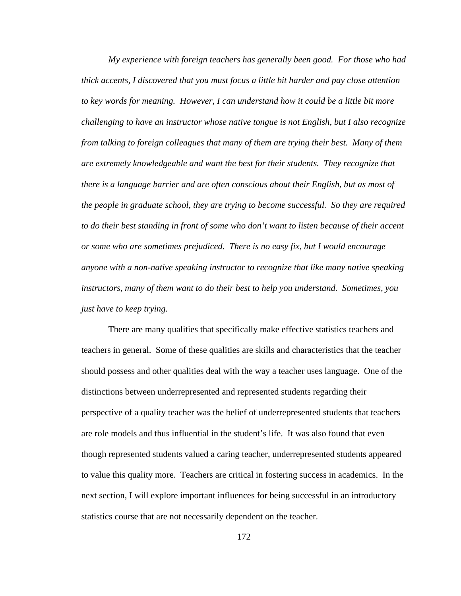*My experience with foreign teachers has generally been good. For those who had thick accents, I discovered that you must focus a little bit harder and pay close attention to key words for meaning. However, I can understand how it could be a little bit more challenging to have an instructor whose native tongue is not English, but I also recognize from talking to foreign colleagues that many of them are trying their best. Many of them are extremely knowledgeable and want the best for their students. They recognize that there is a language barrier and are often conscious about their English, but as most of the people in graduate school, they are trying to become successful. So they are required to do their best standing in front of some who don't want to listen because of their accent or some who are sometimes prejudiced. There is no easy fix, but I would encourage anyone with a non-native speaking instructor to recognize that like many native speaking instructors, many of them want to do their best to help you understand. Sometimes, you just have to keep trying.* 

There are many qualities that specifically make effective statistics teachers and teachers in general. Some of these qualities are skills and characteristics that the teacher should possess and other qualities deal with the way a teacher uses language. One of the distinctions between underrepresented and represented students regarding their perspective of a quality teacher was the belief of underrepresented students that teachers are role models and thus influential in the student's life. It was also found that even though represented students valued a caring teacher, underrepresented students appeared to value this quality more. Teachers are critical in fostering success in academics. In the next section, I will explore important influences for being successful in an introductory statistics course that are not necessarily dependent on the teacher.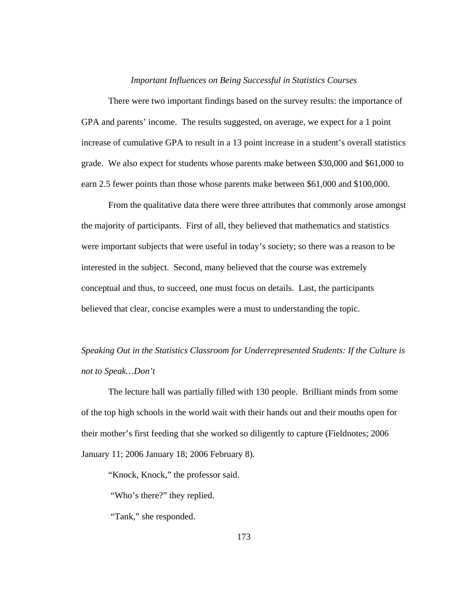### *Important Influences on Being Successful in Statistics Courses*

There were two important findings based on the survey results: the importance of GPA and parents' income. The results suggested, on average, we expect for a 1 point increase of cumulative GPA to result in a 13 point increase in a student's overall statistics grade. We also expect for students whose parents make between \$30,000 and \$61,000 to earn 2.5 fewer points than those whose parents make between \$61,000 and \$100,000.

From the qualitative data there were three attributes that commonly arose amongst the majority of participants. First of all, they believed that mathematics and statistics were important subjects that were useful in today's society; so there was a reason to be interested in the subject. Second, many believed that the course was extremely conceptual and thus, to succeed, one must focus on details. Last, the participants believed that clear, concise examples were a must to understanding the topic.

*Speaking Out in the Statistics Classroom for Underrepresented Students: If the Culture is not to Speak…Don't* 

The lecture hall was partially filled with 130 people. Brilliant minds from some of the top high schools in the world wait with their hands out and their mouths open for their mother's first feeding that she worked so diligently to capture (Fieldnotes; 2006 January 11; 2006 January 18; 2006 February 8).

"Knock, Knock," the professor said.

"Who's there?" they replied.

"Tank," she responded.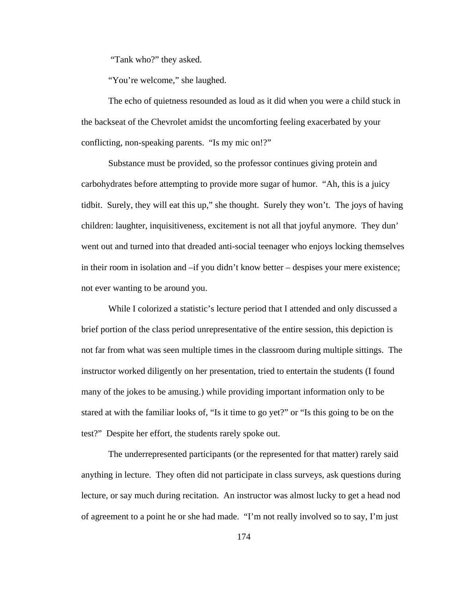"Tank who?" they asked.

"You're welcome," she laughed.

The echo of quietness resounded as loud as it did when you were a child stuck in the backseat of the Chevrolet amidst the uncomforting feeling exacerbated by your conflicting, non-speaking parents. "Is my mic on!?"

Substance must be provided, so the professor continues giving protein and carbohydrates before attempting to provide more sugar of humor. "Ah, this is a juicy tidbit. Surely, they will eat this up," she thought. Surely they won't. The joys of having children: laughter, inquisitiveness, excitement is not all that joyful anymore. They dun' went out and turned into that dreaded anti-social teenager who enjoys locking themselves in their room in isolation and –if you didn't know better – despises your mere existence; not ever wanting to be around you.

While I colorized a statistic's lecture period that I attended and only discussed a brief portion of the class period unrepresentative of the entire session, this depiction is not far from what was seen multiple times in the classroom during multiple sittings. The instructor worked diligently on her presentation, tried to entertain the students (I found many of the jokes to be amusing.) while providing important information only to be stared at with the familiar looks of, "Is it time to go yet?" or "Is this going to be on the test?" Despite her effort, the students rarely spoke out.

The underrepresented participants (or the represented for that matter) rarely said anything in lecture. They often did not participate in class surveys, ask questions during lecture, or say much during recitation. An instructor was almost lucky to get a head nod of agreement to a point he or she had made. "I'm not really involved so to say, I'm just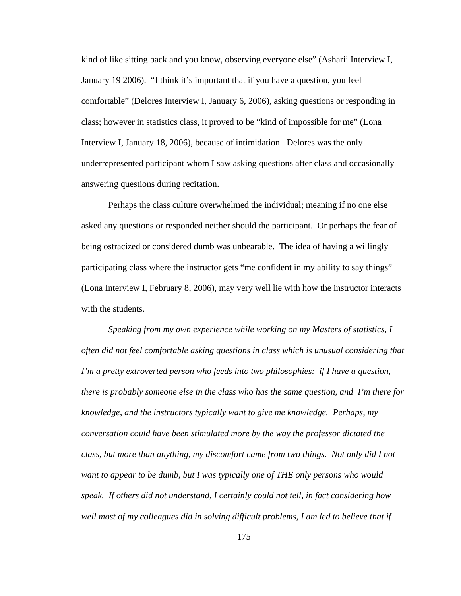kind of like sitting back and you know, observing everyone else" (Asharii Interview I, January 19 2006). "I think it's important that if you have a question, you feel comfortable" (Delores Interview I, January 6, 2006), asking questions or responding in class; however in statistics class, it proved to be "kind of impossible for me" (Lona Interview I, January 18, 2006), because of intimidation. Delores was the only underrepresented participant whom I saw asking questions after class and occasionally answering questions during recitation.

Perhaps the class culture overwhelmed the individual; meaning if no one else asked any questions or responded neither should the participant. Or perhaps the fear of being ostracized or considered dumb was unbearable. The idea of having a willingly participating class where the instructor gets "me confident in my ability to say things" (Lona Interview I, February 8, 2006), may very well lie with how the instructor interacts with the students.

*Speaking from my own experience while working on my Masters of statistics, I often did not feel comfortable asking questions in class which is unusual considering that I'm a pretty extroverted person who feeds into two philosophies: if I have a question, there is probably someone else in the class who has the same question, and I'm there for knowledge, and the instructors typically want to give me knowledge. Perhaps, my conversation could have been stimulated more by the way the professor dictated the class, but more than anything, my discomfort came from two things. Not only did I not want to appear to be dumb, but I was typically one of THE only persons who would speak. If others did not understand, I certainly could not tell, in fact considering how well most of my colleagues did in solving difficult problems, I am led to believe that if*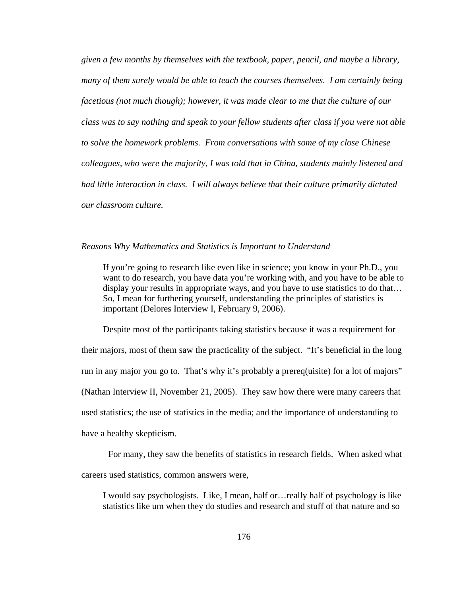*given a few months by themselves with the textbook, paper, pencil, and maybe a library, many of them surely would be able to teach the courses themselves. I am certainly being facetious (not much though); however, it was made clear to me that the culture of our class was to say nothing and speak to your fellow students after class if you were not able to solve the homework problems. From conversations with some of my close Chinese colleagues, who were the majority, I was told that in China, students mainly listened and had little interaction in class. I will always believe that their culture primarily dictated our classroom culture.* 

#### *Reasons Why Mathematics and Statistics is Important to Understand*

If you're going to research like even like in science; you know in your Ph.D., you want to do research, you have data you're working with, and you have to be able to display your results in appropriate ways, and you have to use statistics to do that… So, I mean for furthering yourself, understanding the principles of statistics is important (Delores Interview I, February 9, 2006).

 Despite most of the participants taking statistics because it was a requirement for their majors, most of them saw the practicality of the subject. "It's beneficial in the long run in any major you go to. That's why it's probably a prereq(uisite) for a lot of majors" (Nathan Interview II, November 21, 2005). They saw how there were many careers that used statistics; the use of statistics in the media; and the importance of understanding to have a healthy skepticism.

For many, they saw the benefits of statistics in research fields. When asked what careers used statistics, common answers were,

I would say psychologists. Like, I mean, half or…really half of psychology is like statistics like um when they do studies and research and stuff of that nature and so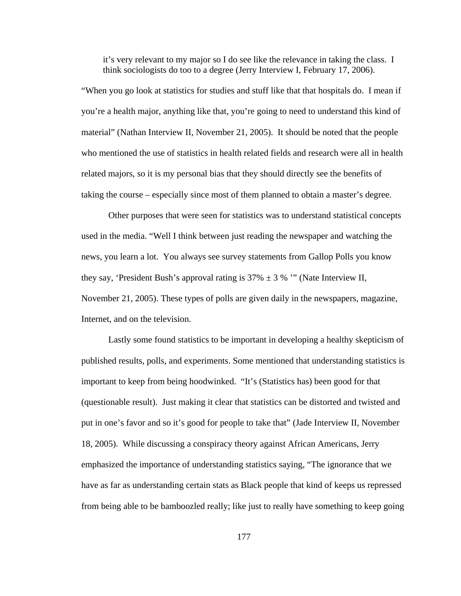it's very relevant to my major so I do see like the relevance in taking the class. I think sociologists do too to a degree (Jerry Interview I, February 17, 2006).

"When you go look at statistics for studies and stuff like that that hospitals do. I mean if you're a health major, anything like that, you're going to need to understand this kind of material" (Nathan Interview II, November 21, 2005). It should be noted that the people who mentioned the use of statistics in health related fields and research were all in health related majors, so it is my personal bias that they should directly see the benefits of taking the course – especially since most of them planned to obtain a master's degree.

Other purposes that were seen for statistics was to understand statistical concepts used in the media. "Well I think between just reading the newspaper and watching the news, you learn a lot. You always see survey statements from Gallop Polls you know they say, 'President Bush's approval rating is  $37\% \pm 3\%$  "' (Nate Interview II, November 21, 2005). These types of polls are given daily in the newspapers, magazine, Internet, and on the television.

Lastly some found statistics to be important in developing a healthy skepticism of published results, polls, and experiments. Some mentioned that understanding statistics is important to keep from being hoodwinked. "It's (Statistics has) been good for that (questionable result). Just making it clear that statistics can be distorted and twisted and put in one's favor and so it's good for people to take that" (Jade Interview II, November 18, 2005). While discussing a conspiracy theory against African Americans, Jerry emphasized the importance of understanding statistics saying, "The ignorance that we have as far as understanding certain stats as Black people that kind of keeps us repressed from being able to be bamboozled really; like just to really have something to keep going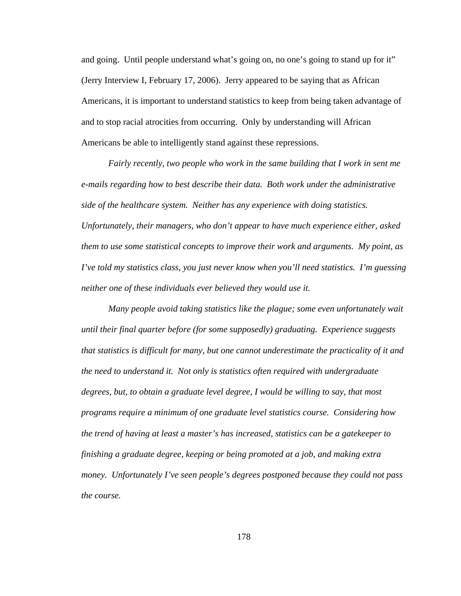and going. Until people understand what's going on, no one's going to stand up for it" (Jerry Interview I, February 17, 2006). Jerry appeared to be saying that as African Americans, it is important to understand statistics to keep from being taken advantage of and to stop racial atrocities from occurring. Only by understanding will African Americans be able to intelligently stand against these repressions.

*Fairly recently, two people who work in the same building that I work in sent me e-mails regarding how to best describe their data. Both work under the administrative side of the healthcare system. Neither has any experience with doing statistics. Unfortunately, their managers, who don't appear to have much experience either, asked them to use some statistical concepts to improve their work and arguments. My point, as I've told my statistics class, you just never know when you'll need statistics. I'm guessing neither one of these individuals ever believed they would use it.* 

*Many people avoid taking statistics like the plague; some even unfortunately wait until their final quarter before (for some supposedly) graduating. Experience suggests that statistics is difficult for many, but one cannot underestimate the practicality of it and the need to understand it. Not only is statistics often required with undergraduate degrees, but, to obtain a graduate level degree, I would be willing to say, that most programs require a minimum of one graduate level statistics course. Considering how the trend of having at least a master's has increased, statistics can be a gatekeeper to finishing a graduate degree, keeping or being promoted at a job, and making extra money. Unfortunately I've seen people's degrees postponed because they could not pass the course.*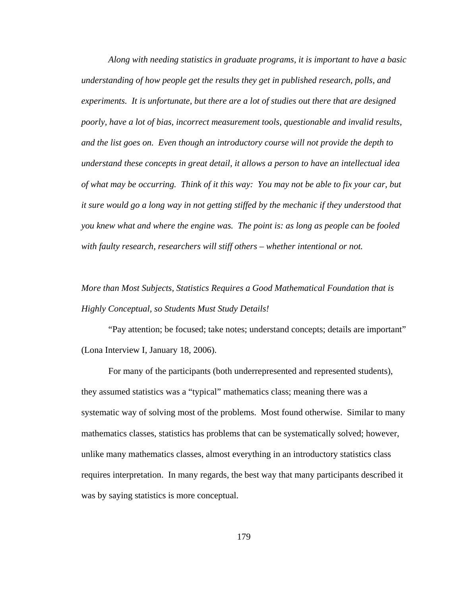*Along with needing statistics in graduate programs, it is important to have a basic understanding of how people get the results they get in published research, polls, and experiments. It is unfortunate, but there are a lot of studies out there that are designed poorly, have a lot of bias, incorrect measurement tools, questionable and invalid results, and the list goes on. Even though an introductory course will not provide the depth to understand these concepts in great detail, it allows a person to have an intellectual idea of what may be occurring. Think of it this way: You may not be able to fix your car, but it sure would go a long way in not getting stiffed by the mechanic if they understood that you knew what and where the engine was. The point is: as long as people can be fooled with faulty research, researchers will stiff others – whether intentional or not.* 

# *More than Most Subjects, Statistics Requires a Good Mathematical Foundation that is Highly Conceptual, so Students Must Study Details!*

"Pay attention; be focused; take notes; understand concepts; details are important" (Lona Interview I, January 18, 2006).

For many of the participants (both underrepresented and represented students), they assumed statistics was a "typical" mathematics class; meaning there was a systematic way of solving most of the problems. Most found otherwise. Similar to many mathematics classes, statistics has problems that can be systematically solved; however, unlike many mathematics classes, almost everything in an introductory statistics class requires interpretation. In many regards, the best way that many participants described it was by saying statistics is more conceptual.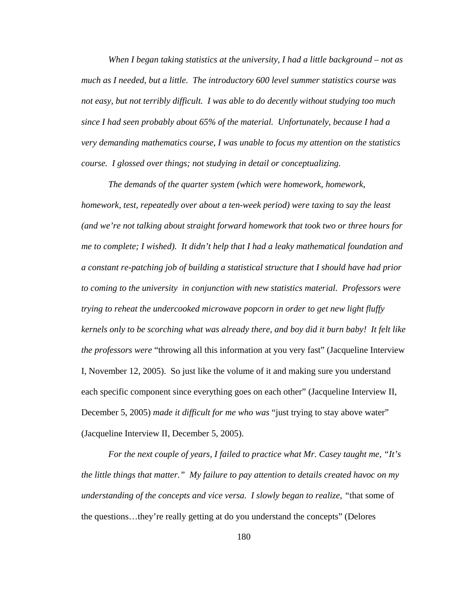*When I began taking statistics at the university, I had a little background – not as much as I needed, but a little. The introductory 600 level summer statistics course was not easy, but not terribly difficult. I was able to do decently without studying too much since I had seen probably about 65% of the material. Unfortunately, because I had a very demanding mathematics course, I was unable to focus my attention on the statistics course. I glossed over things; not studying in detail or conceptualizing.* 

*The demands of the quarter system (which were homework, homework, homework, test, repeatedly over about a ten-week period) were taxing to say the least (and we're not talking about straight forward homework that took two or three hours for me to complete; I wished). It didn't help that I had a leaky mathematical foundation and a constant re-patching job of building a statistical structure that I should have had prior to coming to the university in conjunction with new statistics material. Professors were trying to reheat the undercooked microwave popcorn in order to get new light fluffy kernels only to be scorching what was already there, and boy did it burn baby! It felt like the professors were* "throwing all this information at you very fast" (Jacqueline Interview I, November 12, 2005). So just like the volume of it and making sure you understand each specific component since everything goes on each other" (Jacqueline Interview II, December 5, 2005) *made it difficult for me who was* "just trying to stay above water" (Jacqueline Interview II, December 5, 2005).

*For the next couple of years, I failed to practice what Mr. Casey taught me, "It's the little things that matter." My failure to pay attention to details created havoc on my understanding of the concepts and vice versa. I slowly began to realize, "*that some of the questions…they're really getting at do you understand the concepts" (Delores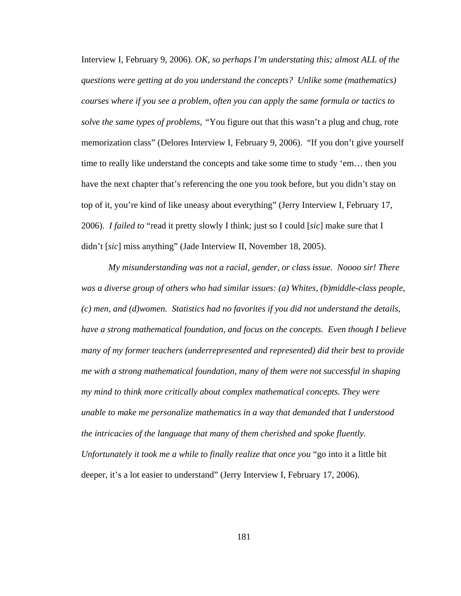Interview I, February 9, 2006). *OK, so perhaps I'm understating this; almost ALL of the questions were getting at do you understand the concepts? Unlike some (mathematics) courses where if you see a problem, often you can apply the same formula or tactics to solve the same types of problems, "*You figure out that this wasn't a plug and chug, rote memorization class" (Delores Interview I, February 9, 2006). "If you don't give yourself time to really like understand the concepts and take some time to study 'em… then you have the next chapter that's referencing the one you took before, but you didn't stay on top of it, you're kind of like uneasy about everything" (Jerry Interview I, February 17, 2006). *I failed to* "read it pretty slowly I think; just so I could [*sic*] make sure that I didn't [*sic*] miss anything" (Jade Interview II, November 18, 2005).

*My misunderstanding was not a racial, gender, or class issue. Noooo sir! There was a diverse group of others who had similar issues: (a) Whites, (b)middle-class people, (c) men, and (d)women. Statistics had no favorites if you did not understand the details, have a strong mathematical foundation, and focus on the concepts. Even though I believe many of my former teachers (underrepresented and represented) did their best to provide me with a strong mathematical foundation, many of them were not successful in shaping my mind to think more critically about complex mathematical concepts. They were unable to make me personalize mathematics in a way that demanded that I understood the intricacies of the language that many of them cherished and spoke fluently. Unfortunately it took me a while to finally realize that once you* "go into it a little bit deeper, it's a lot easier to understand" (Jerry Interview I, February 17, 2006).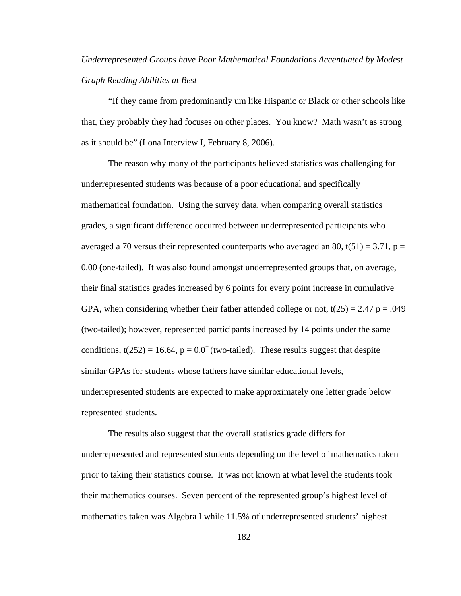## *Underrepresented Groups have Poor Mathematical Foundations Accentuated by Modest Graph Reading Abilities at Best*

"If they came from predominantly um like Hispanic or Black or other schools like that, they probably they had focuses on other places. You know? Math wasn't as strong as it should be" (Lona Interview I, February 8, 2006).

The reason why many of the participants believed statistics was challenging for underrepresented students was because of a poor educational and specifically mathematical foundation. Using the survey data, when comparing overall statistics grades, a significant difference occurred between underrepresented participants who averaged a 70 versus their represented counterparts who averaged an 80,  $t(51) = 3.71$ ,  $p =$ 0.00 (one-tailed). It was also found amongst underrepresented groups that, on average, their final statistics grades increased by 6 points for every point increase in cumulative GPA, when considering whether their father attended college or not,  $t(25) = 2.47$  p = .049 (two-tailed); however, represented participants increased by 14 points under the same conditions,  $t(252) = 16.64$ ,  $p = 0.0^+$  (two-tailed). These results suggest that despite similar GPAs for students whose fathers have similar educational levels, underrepresented students are expected to make approximately one letter grade below represented students.

The results also suggest that the overall statistics grade differs for underrepresented and represented students depending on the level of mathematics taken prior to taking their statistics course. It was not known at what level the students took their mathematics courses. Seven percent of the represented group's highest level of mathematics taken was Algebra I while 11.5% of underrepresented students' highest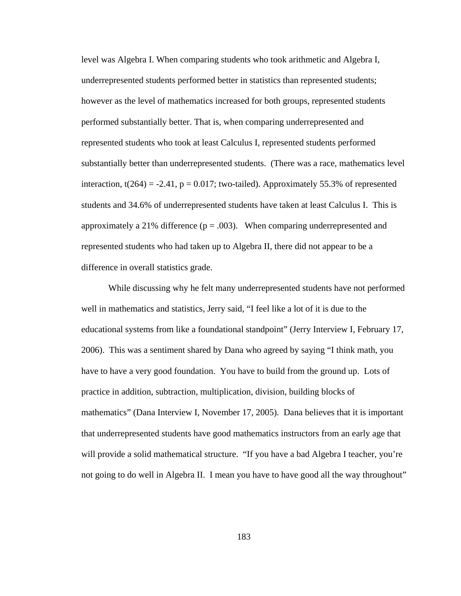level was Algebra I. When comparing students who took arithmetic and Algebra I, underrepresented students performed better in statistics than represented students; however as the level of mathematics increased for both groups, represented students performed substantially better. That is, when comparing underrepresented and represented students who took at least Calculus I, represented students performed substantially better than underrepresented students. (There was a race, mathematics level interaction,  $t(264) = -2.41$ ,  $p = 0.017$ ; two-tailed). Approximately 55.3% of represented students and 34.6% of underrepresented students have taken at least Calculus I. This is approximately a 21% difference  $(p = .003)$ . When comparing underrepresented and represented students who had taken up to Algebra II, there did not appear to be a difference in overall statistics grade.

While discussing why he felt many underrepresented students have not performed well in mathematics and statistics, Jerry said, "I feel like a lot of it is due to the educational systems from like a foundational standpoint" (Jerry Interview I, February 17, 2006). This was a sentiment shared by Dana who agreed by saying "I think math, you have to have a very good foundation. You have to build from the ground up. Lots of practice in addition, subtraction, multiplication, division, building blocks of mathematics" (Dana Interview I, November 17, 2005). Dana believes that it is important that underrepresented students have good mathematics instructors from an early age that will provide a solid mathematical structure. "If you have a bad Algebra I teacher, you're not going to do well in Algebra II. I mean you have to have good all the way throughout"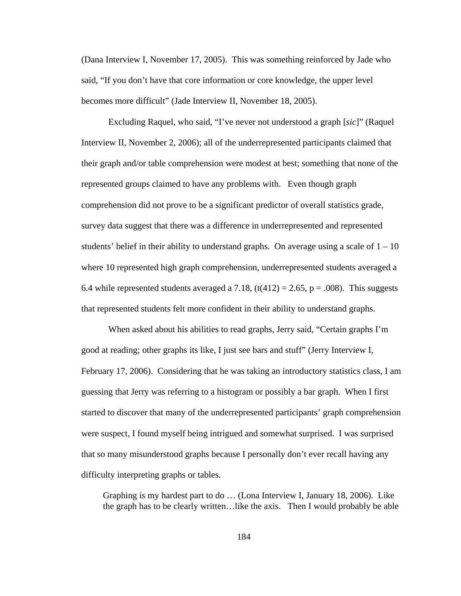(Dana Interview I, November 17, 2005). This was something reinforced by Jade who said, "If you don't have that core information or core knowledge, the upper level becomes more difficult" (Jade Interview II, November 18, 2005).

Excluding Raquel, who said, "I've never not understood a graph [*sic*]" (Raquel Interview II, November 2, 2006); all of the underrepresented participants claimed that their graph and/or table comprehension were modest at best; something that none of the represented groups claimed to have any problems with. Even though graph comprehension did not prove to be a significant predictor of overall statistics grade, survey data suggest that there was a difference in underrepresented and represented students' belief in their ability to understand graphs. On average using a scale of  $1 - 10$ where 10 represented high graph comprehension, underrepresented students averaged a 6.4 while represented students averaged a 7.18,  $(t(412) = 2.65, p = .008)$ . This suggests that represented students felt more confident in their ability to understand graphs.

When asked about his abilities to read graphs, Jerry said, "Certain graphs I'm good at reading; other graphs its like, I just see bars and stuff" (Jerry Interview I, February 17, 2006). Considering that he was taking an introductory statistics class, I am guessing that Jerry was referring to a histogram or possibly a bar graph. When I first started to discover that many of the underrepresented participants' graph comprehension were suspect, I found myself being intrigued and somewhat surprised. I was surprised that so many misunderstood graphs because I personally don't ever recall having any difficulty interpreting graphs or tables.

Graphing is my hardest part to do … (Lona Interview I, January 18, 2006). Like the graph has to be clearly written…like the axis. Then I would probably be able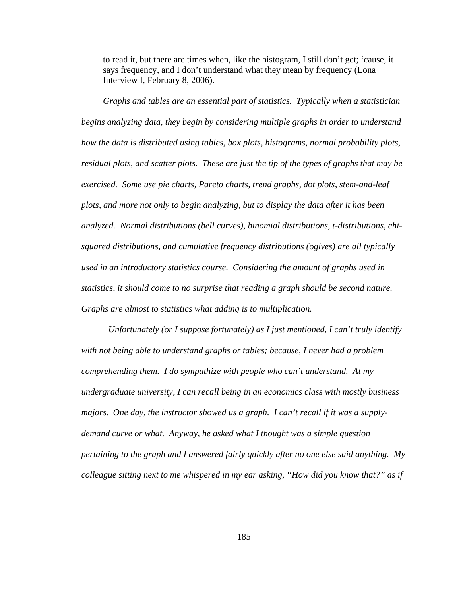to read it, but there are times when, like the histogram, I still don't get; 'cause, it says frequency, and I don't understand what they mean by frequency (Lona Interview I, February 8, 2006).

*Graphs and tables are an essential part of statistics. Typically when a statistician begins analyzing data, they begin by considering multiple graphs in order to understand how the data is distributed using tables, box plots, histograms, normal probability plots, residual plots, and scatter plots. These are just the tip of the types of graphs that may be exercised. Some use pie charts, Pareto charts, trend graphs, dot plots, stem-and-leaf plots, and more not only to begin analyzing, but to display the data after it has been analyzed. Normal distributions (bell curves), binomial distributions, t-distributions, chisquared distributions, and cumulative frequency distributions (ogives) are all typically used in an introductory statistics course. Considering the amount of graphs used in statistics, it should come to no surprise that reading a graph should be second nature. Graphs are almost to statistics what adding is to multiplication.* 

*Unfortunately (or I suppose fortunately) as I just mentioned, I can't truly identify with not being able to understand graphs or tables; because, I never had a problem comprehending them. I do sympathize with people who can't understand. At my undergraduate university, I can recall being in an economics class with mostly business majors. One day, the instructor showed us a graph. I can't recall if it was a supplydemand curve or what. Anyway, he asked what I thought was a simple question pertaining to the graph and I answered fairly quickly after no one else said anything. My colleague sitting next to me whispered in my ear asking, "How did you know that?" as if*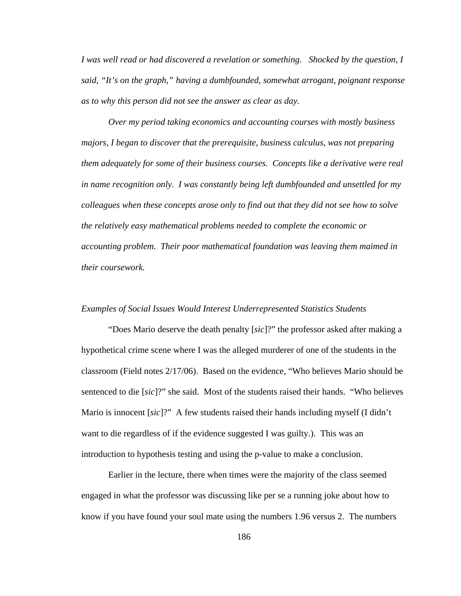*I was well read or had discovered a revelation or something. Shocked by the question, I said, "It's on the graph," having a dumbfounded, somewhat arrogant, poignant response as to why this person did not see the answer as clear as day.* 

*Over my period taking economics and accounting courses with mostly business majors, I began to discover that the prerequisite, business calculus, was not preparing them adequately for some of their business courses. Concepts like a derivative were real in name recognition only. I was constantly being left dumbfounded and unsettled for my colleagues when these concepts arose only to find out that they did not see how to solve the relatively easy mathematical problems needed to complete the economic or accounting problem. Their poor mathematical foundation was leaving them maimed in their coursework.* 

## *Examples of Social Issues Would Interest Underrepresented Statistics Students*

"Does Mario deserve the death penalty [*sic*]?" the professor asked after making a hypothetical crime scene where I was the alleged murderer of one of the students in the classroom (Field notes 2/17/06). Based on the evidence, "Who believes Mario should be sentenced to die [*sic*]?" she said. Most of the students raised their hands. "Who believes Mario is innocent [*sic*]?" A few students raised their hands including myself (I didn't want to die regardless of if the evidence suggested I was guilty.). This was an introduction to hypothesis testing and using the p-value to make a conclusion.

Earlier in the lecture, there when times were the majority of the class seemed engaged in what the professor was discussing like per se a running joke about how to know if you have found your soul mate using the numbers 1.96 versus 2. The numbers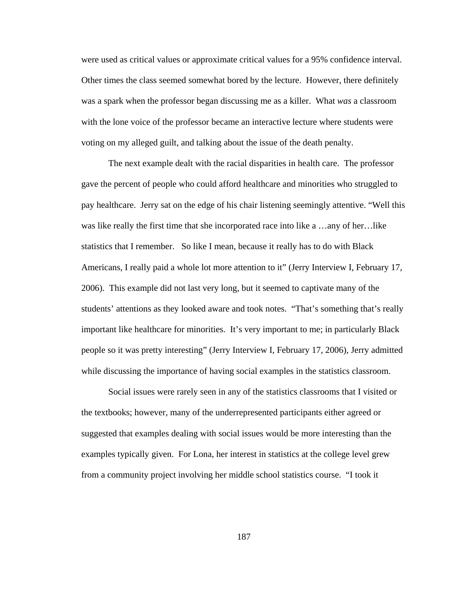were used as critical values or approximate critical values for a 95% confidence interval. Other times the class seemed somewhat bored by the lecture. However, there definitely was a spark when the professor began discussing me as a killer. What *was* a classroom with the lone voice of the professor became an interactive lecture where students were voting on my alleged guilt, and talking about the issue of the death penalty.

The next example dealt with the racial disparities in health care. The professor gave the percent of people who could afford healthcare and minorities who struggled to pay healthcare. Jerry sat on the edge of his chair listening seemingly attentive. "Well this was like really the first time that she incorporated race into like a …any of her…like statistics that I remember. So like I mean, because it really has to do with Black Americans, I really paid a whole lot more attention to it" (Jerry Interview I, February 17, 2006). This example did not last very long, but it seemed to captivate many of the students' attentions as they looked aware and took notes. "That's something that's really important like healthcare for minorities. It's very important to me; in particularly Black people so it was pretty interesting" (Jerry Interview I, February 17, 2006), Jerry admitted while discussing the importance of having social examples in the statistics classroom.

Social issues were rarely seen in any of the statistics classrooms that I visited or the textbooks; however, many of the underrepresented participants either agreed or suggested that examples dealing with social issues would be more interesting than the examples typically given. For Lona, her interest in statistics at the college level grew from a community project involving her middle school statistics course. "I took it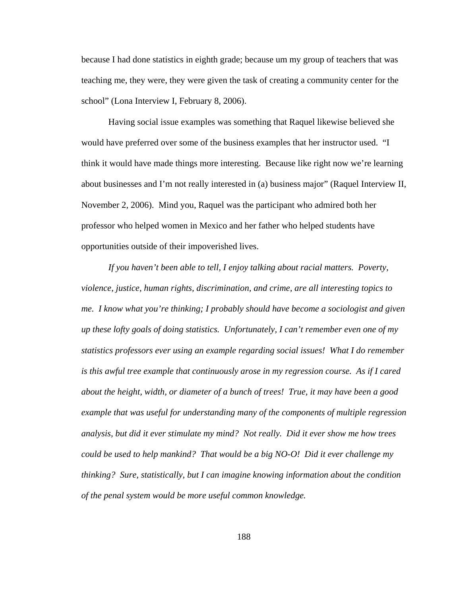because I had done statistics in eighth grade; because um my group of teachers that was teaching me, they were, they were given the task of creating a community center for the school" (Lona Interview I, February 8, 2006).

Having social issue examples was something that Raquel likewise believed she would have preferred over some of the business examples that her instructor used. "I think it would have made things more interesting. Because like right now we're learning about businesses and I'm not really interested in (a) business major" (Raquel Interview II, November 2, 2006). Mind you, Raquel was the participant who admired both her professor who helped women in Mexico and her father who helped students have opportunities outside of their impoverished lives.

*If you haven't been able to tell, I enjoy talking about racial matters. Poverty, violence, justice, human rights, discrimination, and crime, are all interesting topics to me. I know what you're thinking; I probably should have become a sociologist and given up these lofty goals of doing statistics. Unfortunately, I can't remember even one of my statistics professors ever using an example regarding social issues! What I do remember is this awful tree example that continuously arose in my regression course. As if I cared about the height, width, or diameter of a bunch of trees! True, it may have been a good example that was useful for understanding many of the components of multiple regression analysis, but did it ever stimulate my mind? Not really. Did it ever show me how trees could be used to help mankind? That would be a big NO-O! Did it ever challenge my thinking? Sure, statistically, but I can imagine knowing information about the condition of the penal system would be more useful common knowledge.*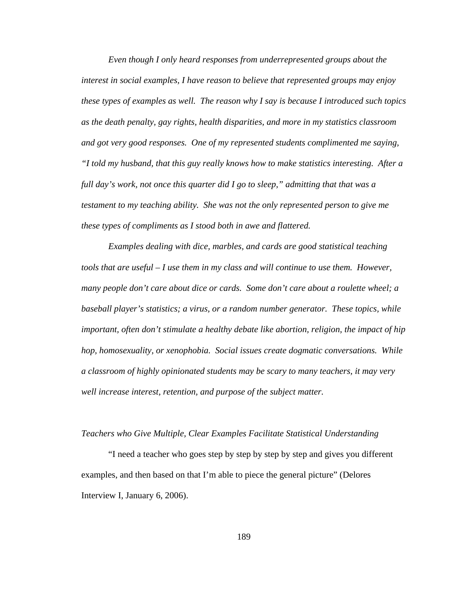*Even though I only heard responses from underrepresented groups about the interest in social examples, I have reason to believe that represented groups may enjoy these types of examples as well. The reason why I say is because I introduced such topics as the death penalty, gay rights, health disparities, and more in my statistics classroom and got very good responses. One of my represented students complimented me saying, "I told my husband, that this guy really knows how to make statistics interesting. After a full day's work, not once this quarter did I go to sleep," admitting that that was a testament to my teaching ability. She was not the only represented person to give me these types of compliments as I stood both in awe and flattered.* 

*Examples dealing with dice, marbles, and cards are good statistical teaching tools that are useful – I use them in my class and will continue to use them. However, many people don't care about dice or cards. Some don't care about a roulette wheel; a baseball player's statistics; a virus, or a random number generator. These topics, while important, often don't stimulate a healthy debate like abortion, religion, the impact of hip hop, homosexuality, or xenophobia. Social issues create dogmatic conversations. While a classroom of highly opinionated students may be scary to many teachers, it may very well increase interest, retention, and purpose of the subject matter.* 

### *Teachers who Give Multiple, Clear Examples Facilitate Statistical Understanding*

"I need a teacher who goes step by step by step by step and gives you different examples, and then based on that I'm able to piece the general picture" (Delores Interview I, January 6, 2006).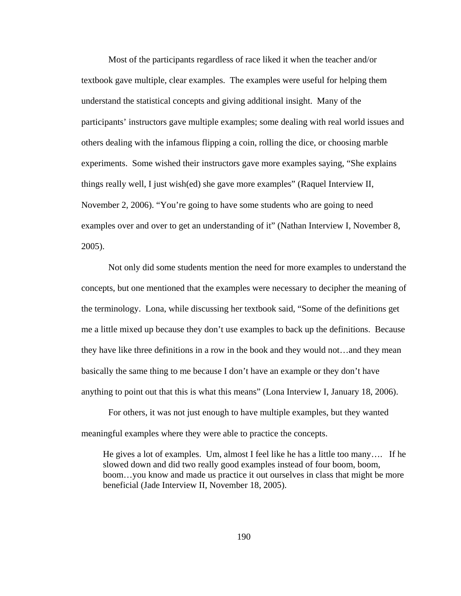Most of the participants regardless of race liked it when the teacher and/or textbook gave multiple, clear examples. The examples were useful for helping them understand the statistical concepts and giving additional insight. Many of the participants' instructors gave multiple examples; some dealing with real world issues and others dealing with the infamous flipping a coin, rolling the dice, or choosing marble experiments. Some wished their instructors gave more examples saying, "She explains things really well, I just wish(ed) she gave more examples" (Raquel Interview II, November 2, 2006). "You're going to have some students who are going to need examples over and over to get an understanding of it" (Nathan Interview I, November 8, 2005).

Not only did some students mention the need for more examples to understand the concepts, but one mentioned that the examples were necessary to decipher the meaning of the terminology. Lona, while discussing her textbook said, "Some of the definitions get me a little mixed up because they don't use examples to back up the definitions. Because they have like three definitions in a row in the book and they would not…and they mean basically the same thing to me because I don't have an example or they don't have anything to point out that this is what this means" (Lona Interview I, January 18, 2006).

For others, it was not just enough to have multiple examples, but they wanted meaningful examples where they were able to practice the concepts.

He gives a lot of examples. Um, almost I feel like he has a little too many…. If he slowed down and did two really good examples instead of four boom, boom, boom…you know and made us practice it out ourselves in class that might be more beneficial (Jade Interview II, November 18, 2005).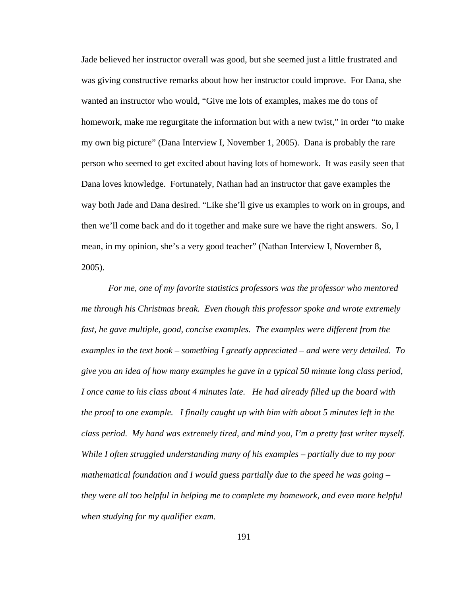Jade believed her instructor overall was good, but she seemed just a little frustrated and was giving constructive remarks about how her instructor could improve. For Dana, she wanted an instructor who would, "Give me lots of examples, makes me do tons of homework, make me regurgitate the information but with a new twist," in order "to make my own big picture" (Dana Interview I, November 1, 2005). Dana is probably the rare person who seemed to get excited about having lots of homework. It was easily seen that Dana loves knowledge. Fortunately, Nathan had an instructor that gave examples the way both Jade and Dana desired. "Like she'll give us examples to work on in groups, and then we'll come back and do it together and make sure we have the right answers. So, I mean, in my opinion, she's a very good teacher" (Nathan Interview I, November 8, 2005).

*For me, one of my favorite statistics professors was the professor who mentored me through his Christmas break. Even though this professor spoke and wrote extremely fast, he gave multiple, good, concise examples. The examples were different from the examples in the text book – something I greatly appreciated – and were very detailed. To give you an idea of how many examples he gave in a typical 50 minute long class period, I once came to his class about 4 minutes late. He had already filled up the board with the proof to one example. I finally caught up with him with about 5 minutes left in the class period. My hand was extremely tired, and mind you, I'm a pretty fast writer myself. While I often struggled understanding many of his examples – partially due to my poor mathematical foundation and I would guess partially due to the speed he was going – they were all too helpful in helping me to complete my homework, and even more helpful when studying for my qualifier exam.*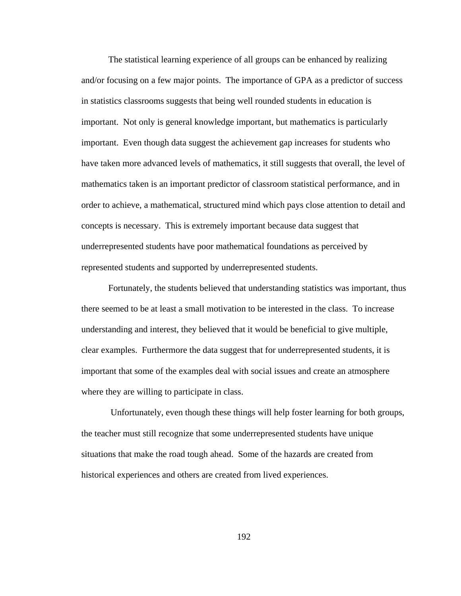The statistical learning experience of all groups can be enhanced by realizing and/or focusing on a few major points. The importance of GPA as a predictor of success in statistics classrooms suggests that being well rounded students in education is important. Not only is general knowledge important, but mathematics is particularly important. Even though data suggest the achievement gap increases for students who have taken more advanced levels of mathematics, it still suggests that overall, the level of mathematics taken is an important predictor of classroom statistical performance, and in order to achieve, a mathematical, structured mind which pays close attention to detail and concepts is necessary. This is extremely important because data suggest that underrepresented students have poor mathematical foundations as perceived by represented students and supported by underrepresented students.

Fortunately, the students believed that understanding statistics was important, thus there seemed to be at least a small motivation to be interested in the class. To increase understanding and interest, they believed that it would be beneficial to give multiple, clear examples. Furthermore the data suggest that for underrepresented students, it is important that some of the examples deal with social issues and create an atmosphere where they are willing to participate in class.

 Unfortunately, even though these things will help foster learning for both groups, the teacher must still recognize that some underrepresented students have unique situations that make the road tough ahead. Some of the hazards are created from historical experiences and others are created from lived experiences.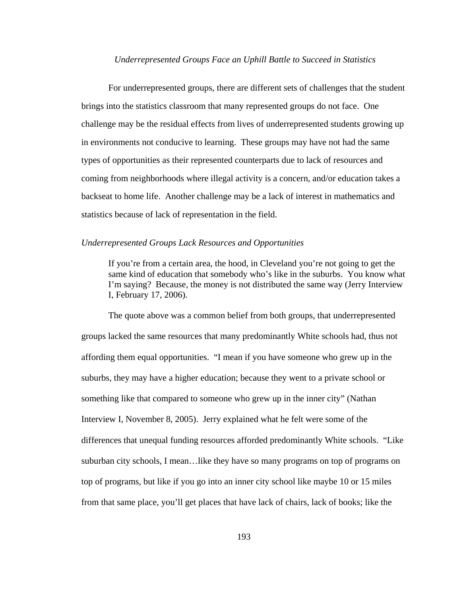#### *Underrepresented Groups Face an Uphill Battle to Succeed in Statistics*

For underrepresented groups, there are different sets of challenges that the student brings into the statistics classroom that many represented groups do not face. One challenge may be the residual effects from lives of underrepresented students growing up in environments not conducive to learning. These groups may have not had the same types of opportunities as their represented counterparts due to lack of resources and coming from neighborhoods where illegal activity is a concern, and/or education takes a backseat to home life. Another challenge may be a lack of interest in mathematics and statistics because of lack of representation in the field.

#### *Underrepresented Groups Lack Resources and Opportunities*

If you're from a certain area, the hood, in Cleveland you're not going to get the same kind of education that somebody who's like in the suburbs. You know what I'm saying? Because, the money is not distributed the same way (Jerry Interview I, February 17, 2006).

 The quote above was a common belief from both groups, that underrepresented groups lacked the same resources that many predominantly White schools had, thus not affording them equal opportunities. "I mean if you have someone who grew up in the suburbs, they may have a higher education; because they went to a private school or something like that compared to someone who grew up in the inner city" (Nathan Interview I, November 8, 2005). Jerry explained what he felt were some of the differences that unequal funding resources afforded predominantly White schools. "Like suburban city schools, I mean…like they have so many programs on top of programs on top of programs, but like if you go into an inner city school like maybe 10 or 15 miles from that same place, you'll get places that have lack of chairs, lack of books; like the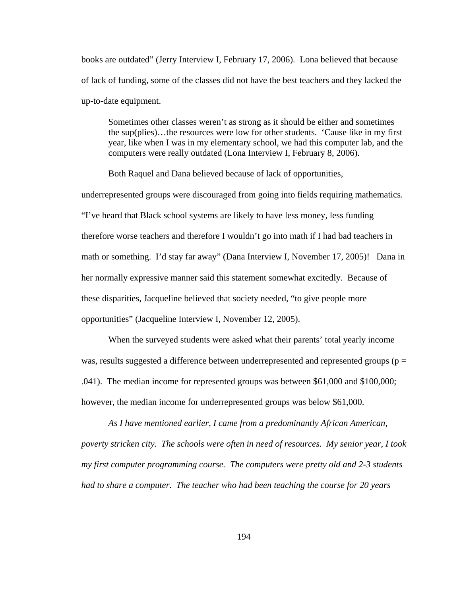books are outdated" (Jerry Interview I, February 17, 2006). Lona believed that because of lack of funding, some of the classes did not have the best teachers and they lacked the up-to-date equipment.

Sometimes other classes weren't as strong as it should be either and sometimes the sup(plies)…the resources were low for other students. 'Cause like in my first year, like when I was in my elementary school, we had this computer lab, and the computers were really outdated (Lona Interview I, February 8, 2006).

Both Raquel and Dana believed because of lack of opportunities,

underrepresented groups were discouraged from going into fields requiring mathematics. "I've heard that Black school systems are likely to have less money, less funding therefore worse teachers and therefore I wouldn't go into math if I had bad teachers in math or something. I'd stay far away" (Dana Interview I, November 17, 2005)! Dana in her normally expressive manner said this statement somewhat excitedly. Because of these disparities, Jacqueline believed that society needed, "to give people more opportunities" (Jacqueline Interview I, November 12, 2005).

 When the surveyed students were asked what their parents' total yearly income was, results suggested a difference between underrepresented and represented groups ( $p =$ .041). The median income for represented groups was between \$61,000 and \$100,000; however, the median income for underrepresented groups was below \$61,000.

*As I have mentioned earlier, I came from a predominantly African American, poverty stricken city. The schools were often in need of resources. My senior year, I took my first computer programming course. The computers were pretty old and 2-3 students had to share a computer. The teacher who had been teaching the course for 20 years*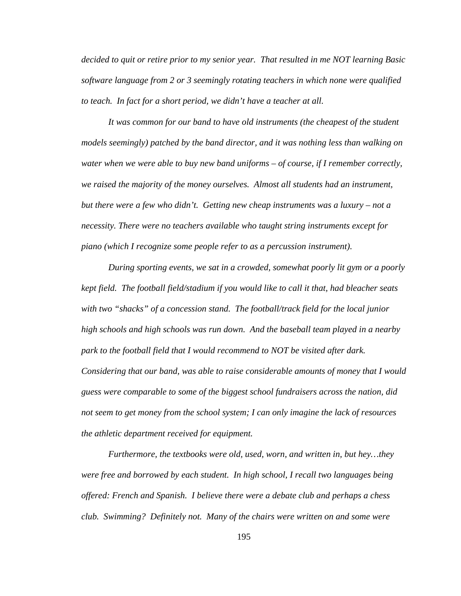*decided to quit or retire prior to my senior year. That resulted in me NOT learning Basic software language from 2 or 3 seemingly rotating teachers in which none were qualified to teach. In fact for a short period, we didn't have a teacher at all.* 

*It was common for our band to have old instruments (the cheapest of the student models seemingly) patched by the band director, and it was nothing less than walking on water when we were able to buy new band uniforms – of course, if I remember correctly, we raised the majority of the money ourselves. Almost all students had an instrument, but there were a few who didn't. Getting new cheap instruments was a luxury – not a necessity. There were no teachers available who taught string instruments except for piano (which I recognize some people refer to as a percussion instrument).* 

*During sporting events, we sat in a crowded, somewhat poorly lit gym or a poorly kept field. The football field/stadium if you would like to call it that, had bleacher seats with two "shacks" of a concession stand. The football/track field for the local junior high schools and high schools was run down. And the baseball team played in a nearby park to the football field that I would recommend to NOT be visited after dark. Considering that our band, was able to raise considerable amounts of money that I would guess were comparable to some of the biggest school fundraisers across the nation, did not seem to get money from the school system; I can only imagine the lack of resources the athletic department received for equipment.* 

*Furthermore, the textbooks were old, used, worn, and written in, but hey…they were free and borrowed by each student. In high school, I recall two languages being offered: French and Spanish. I believe there were a debate club and perhaps a chess club. Swimming? Definitely not. Many of the chairs were written on and some were*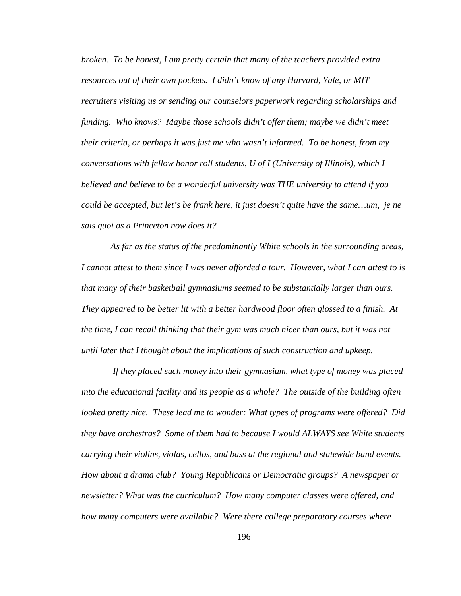*broken. To be honest, I am pretty certain that many of the teachers provided extra resources out of their own pockets. I didn't know of any Harvard, Yale, or MIT recruiters visiting us or sending our counselors paperwork regarding scholarships and funding. Who knows? Maybe those schools didn't offer them; maybe we didn't meet their criteria, or perhaps it was just me who wasn't informed. To be honest, from my conversations with fellow honor roll students, U of I (University of Illinois), which I believed and believe to be a wonderful university was THE university to attend if you could be accepted, but let's be frank here, it just doesn't quite have the same…um, je ne sais quoi as a Princeton now does it?* 

 *As far as the status of the predominantly White schools in the surrounding areas, I cannot attest to them since I was never afforded a tour. However, what I can attest to is that many of their basketball gymnasiums seemed to be substantially larger than ours. They appeared to be better lit with a better hardwood floor often glossed to a finish. At the time, I can recall thinking that their gym was much nicer than ours, but it was not until later that I thought about the implications of such construction and upkeep.* 

 *If they placed such money into their gymnasium, what type of money was placed into the educational facility and its people as a whole? The outside of the building often looked pretty nice. These lead me to wonder: What types of programs were offered? Did they have orchestras? Some of them had to because I would ALWAYS see White students carrying their violins, violas, cellos, and bass at the regional and statewide band events. How about a drama club? Young Republicans or Democratic groups? A newspaper or newsletter? What was the curriculum? How many computer classes were offered, and how many computers were available? Were there college preparatory courses where*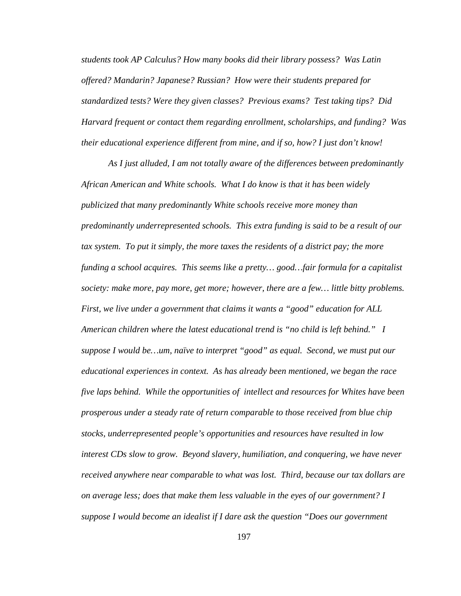*students took AP Calculus? How many books did their library possess? Was Latin offered? Mandarin? Japanese? Russian? How were their students prepared for standardized tests? Were they given classes? Previous exams? Test taking tips? Did Harvard frequent or contact them regarding enrollment, scholarships, and funding? Was their educational experience different from mine, and if so, how? I just don't know!* 

*As I just alluded, I am not totally aware of the differences between predominantly African American and White schools. What I do know is that it has been widely publicized that many predominantly White schools receive more money than predominantly underrepresented schools. This extra funding is said to be a result of our tax system. To put it simply, the more taxes the residents of a district pay; the more funding a school acquires. This seems like a pretty… good…fair formula for a capitalist society: make more, pay more, get more; however, there are a few… little bitty problems. First, we live under a government that claims it wants a "good" education for ALL American children where the latest educational trend is "no child is left behind." I suppose I would be…um, naïve to interpret "good" as equal. Second, we must put our educational experiences in context. As has already been mentioned, we began the race five laps behind. While the opportunities of intellect and resources for Whites have been prosperous under a steady rate of return comparable to those received from blue chip stocks, underrepresented people's opportunities and resources have resulted in low interest CDs slow to grow. Beyond slavery, humiliation, and conquering, we have never received anywhere near comparable to what was lost. Third, because our tax dollars are on average less; does that make them less valuable in the eyes of our government? I suppose I would become an idealist if I dare ask the question "Does our government*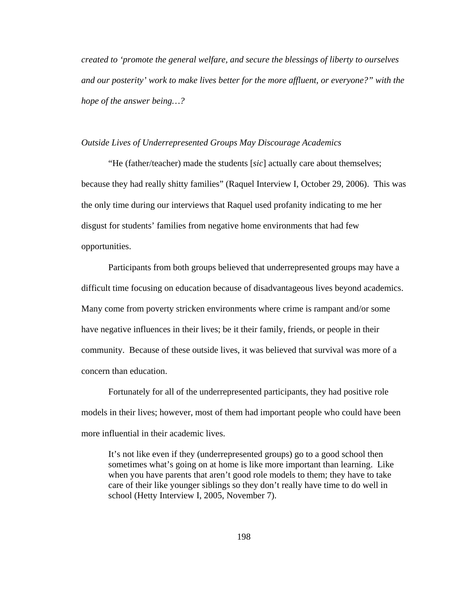*created to 'promote the general welfare, and secure the blessings of liberty to ourselves and our posterity' work to make lives better for the more affluent, or everyone?" with the hope of the answer being…?* 

#### *Outside Lives of Underrepresented Groups May Discourage Academics*

"He (father/teacher) made the students [*sic*] actually care about themselves; because they had really shitty families" (Raquel Interview I, October 29, 2006). This was the only time during our interviews that Raquel used profanity indicating to me her disgust for students' families from negative home environments that had few opportunities.

 Participants from both groups believed that underrepresented groups may have a difficult time focusing on education because of disadvantageous lives beyond academics. Many come from poverty stricken environments where crime is rampant and/or some have negative influences in their lives; be it their family, friends, or people in their community. Because of these outside lives, it was believed that survival was more of a concern than education.

 Fortunately for all of the underrepresented participants, they had positive role models in their lives; however, most of them had important people who could have been more influential in their academic lives.

It's not like even if they (underrepresented groups) go to a good school then sometimes what's going on at home is like more important than learning. Like when you have parents that aren't good role models to them; they have to take care of their like younger siblings so they don't really have time to do well in school (Hetty Interview I, 2005, November 7).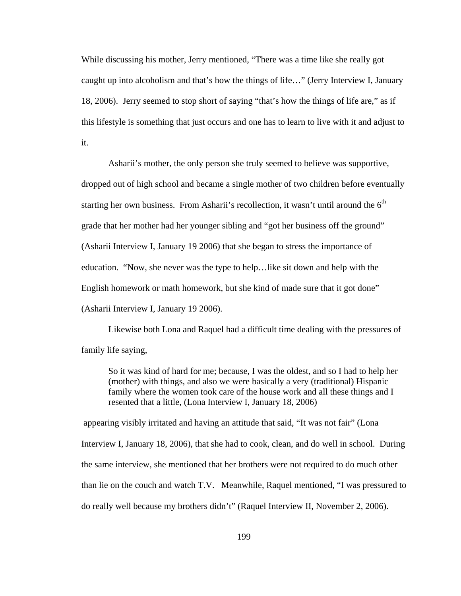While discussing his mother, Jerry mentioned, "There was a time like she really got caught up into alcoholism and that's how the things of life…" (Jerry Interview I, January 18, 2006). Jerry seemed to stop short of saying "that's how the things of life are," as if this lifestyle is something that just occurs and one has to learn to live with it and adjust to it.

Asharii's mother, the only person she truly seemed to believe was supportive, dropped out of high school and became a single mother of two children before eventually starting her own business. From Asharii's recollection, it wasn't until around the  $6<sup>th</sup>$ grade that her mother had her younger sibling and "got her business off the ground" (Asharii Interview I, January 19 2006) that she began to stress the importance of education. "Now, she never was the type to help…like sit down and help with the English homework or math homework, but she kind of made sure that it got done" (Asharii Interview I, January 19 2006).

 Likewise both Lona and Raquel had a difficult time dealing with the pressures of family life saying,

So it was kind of hard for me; because, I was the oldest, and so I had to help her (mother) with things, and also we were basically a very (traditional) Hispanic family where the women took care of the house work and all these things and I resented that a little, (Lona Interview I, January 18, 2006)

 appearing visibly irritated and having an attitude that said, "It was not fair" (Lona Interview I, January 18, 2006), that she had to cook, clean, and do well in school. During the same interview, she mentioned that her brothers were not required to do much other than lie on the couch and watch T.V.Meanwhile, Raquel mentioned, "I was pressured to do really well because my brothers didn't" (Raquel Interview II, November 2, 2006).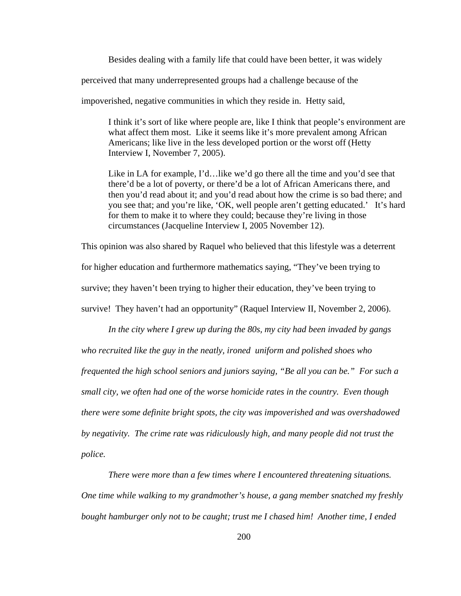Besides dealing with a family life that could have been better, it was widely

perceived that many underrepresented groups had a challenge because of the

impoverished, negative communities in which they reside in. Hetty said,

I think it's sort of like where people are, like I think that people's environment are what affect them most. Like it seems like it's more prevalent among African Americans; like live in the less developed portion or the worst off (Hetty Interview I, November 7, 2005).

Like in LA for example, I'd…like we'd go there all the time and you'd see that there'd be a lot of poverty, or there'd be a lot of African Americans there, and then you'd read about it; and you'd read about how the crime is so bad there; and you see that; and you're like, 'OK, well people aren't getting educated.' It's hard for them to make it to where they could; because they're living in those circumstances (Jacqueline Interview I, 2005 November 12).

This opinion was also shared by Raquel who believed that this lifestyle was a deterrent

for higher education and furthermore mathematics saying, "They've been trying to

survive; they haven't been trying to higher their education, they've been trying to

survive! They haven't had an opportunity" (Raquel Interview II, November 2, 2006).

*In the city where I grew up during the 80s, my city had been invaded by gangs who recruited like the guy in the neatly, ironed uniform and polished shoes who frequented the high school seniors and juniors saying, "Be all you can be." For such a small city, we often had one of the worse homicide rates in the country. Even though there were some definite bright spots, the city was impoverished and was overshadowed by negativity. The crime rate was ridiculously high, and many people did not trust the police.* 

 *There were more than a few times where I encountered threatening situations. One time while walking to my grandmother's house, a gang member snatched my freshly bought hamburger only not to be caught; trust me I chased him! Another time, I ended*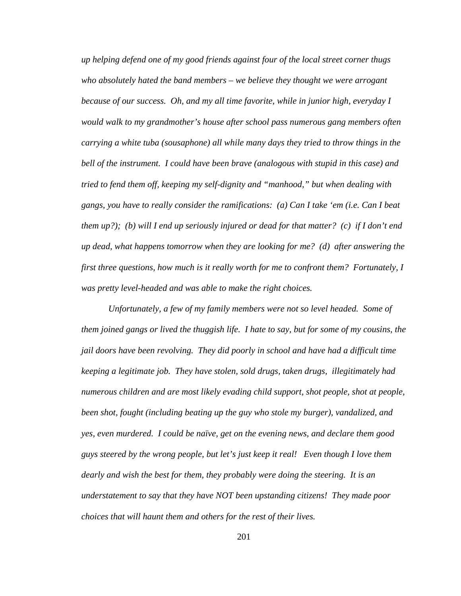*up helping defend one of my good friends against four of the local street corner thugs who absolutely hated the band members – we believe they thought we were arrogant because of our success. Oh, and my all time favorite, while in junior high, everyday I would walk to my grandmother's house after school pass numerous gang members often carrying a white tuba (sousaphone) all while many days they tried to throw things in the bell of the instrument. I could have been brave (analogous with stupid in this case) and tried to fend them off, keeping my self-dignity and "manhood," but when dealing with gangs, you have to really consider the ramifications: (a) Can I take 'em (i.e. Can I beat them up?); (b) will I end up seriously injured or dead for that matter? (c) if I don't end up dead, what happens tomorrow when they are looking for me? (d) after answering the first three questions, how much is it really worth for me to confront them? Fortunately, I was pretty level-headed and was able to make the right choices.* 

*Unfortunately, a few of my family members were not so level headed. Some of them joined gangs or lived the thuggish life. I hate to say, but for some of my cousins, the jail doors have been revolving. They did poorly in school and have had a difficult time keeping a legitimate job. They have stolen, sold drugs, taken drugs, illegitimately had numerous children and are most likely evading child support, shot people, shot at people, been shot, fought (including beating up the guy who stole my burger), vandalized, and yes, even murdered. I could be naïve, get on the evening news, and declare them good guys steered by the wrong people, but let's just keep it real! Even though I love them dearly and wish the best for them, they probably were doing the steering. It is an understatement to say that they have NOT been upstanding citizens! They made poor choices that will haunt them and others for the rest of their lives.*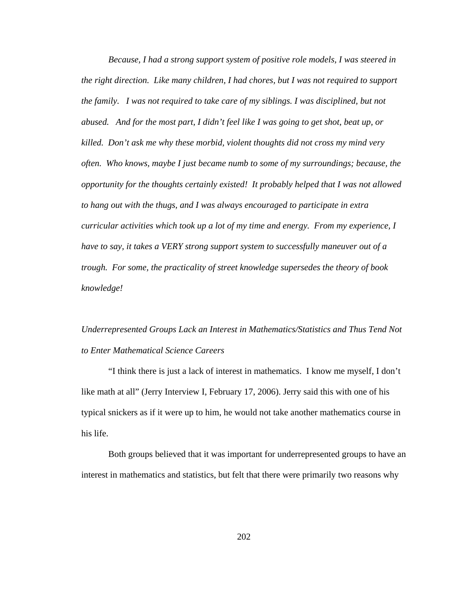*Because, I had a strong support system of positive role models, I was steered in the right direction. Like many children, I had chores, but I was not required to support the family. I was not required to take care of my siblings. I was disciplined, but not abused. And for the most part, I didn't feel like I was going to get shot, beat up, or killed. Don't ask me why these morbid, violent thoughts did not cross my mind very often. Who knows, maybe I just became numb to some of my surroundings; because, the opportunity for the thoughts certainly existed! It probably helped that I was not allowed to hang out with the thugs, and I was always encouraged to participate in extra curricular activities which took up a lot of my time and energy. From my experience, I have to say, it takes a VERY strong support system to successfully maneuver out of a trough. For some, the practicality of street knowledge supersedes the theory of book knowledge!* 

## *Underrepresented Groups Lack an Interest in Mathematics/Statistics and Thus Tend Not to Enter Mathematical Science Careers*

"I think there is just a lack of interest in mathematics. I know me myself, I don't like math at all" (Jerry Interview I, February 17, 2006). Jerry said this with one of his typical snickers as if it were up to him, he would not take another mathematics course in his life.

 Both groups believed that it was important for underrepresented groups to have an interest in mathematics and statistics, but felt that there were primarily two reasons why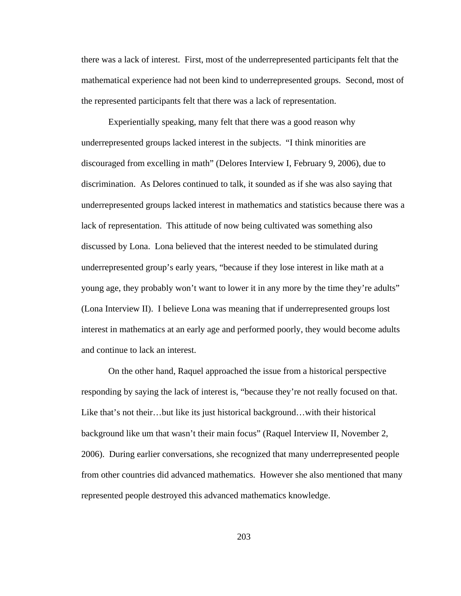there was a lack of interest. First, most of the underrepresented participants felt that the mathematical experience had not been kind to underrepresented groups. Second, most of the represented participants felt that there was a lack of representation.

Experientially speaking, many felt that there was a good reason why underrepresented groups lacked interest in the subjects. "I think minorities are discouraged from excelling in math" (Delores Interview I, February 9, 2006), due to discrimination. As Delores continued to talk, it sounded as if she was also saying that underrepresented groups lacked interest in mathematics and statistics because there was a lack of representation. This attitude of now being cultivated was something also discussed by Lona. Lona believed that the interest needed to be stimulated during underrepresented group's early years, "because if they lose interest in like math at a young age, they probably won't want to lower it in any more by the time they're adults" (Lona Interview II). I believe Lona was meaning that if underrepresented groups lost interest in mathematics at an early age and performed poorly, they would become adults and continue to lack an interest.

On the other hand, Raquel approached the issue from a historical perspective responding by saying the lack of interest is, "because they're not really focused on that. Like that's not their…but like its just historical background…with their historical background like um that wasn't their main focus" (Raquel Interview II, November 2, 2006). During earlier conversations, she recognized that many underrepresented people from other countries did advanced mathematics. However she also mentioned that many represented people destroyed this advanced mathematics knowledge.

203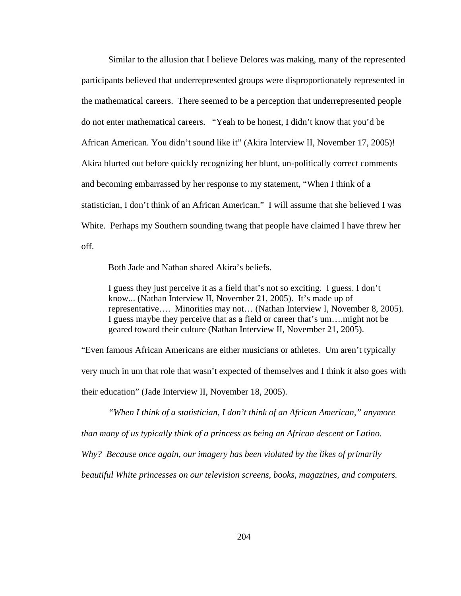Similar to the allusion that I believe Delores was making, many of the represented participants believed that underrepresented groups were disproportionately represented in the mathematical careers. There seemed to be a perception that underrepresented people do not enter mathematical careers. "Yeah to be honest, I didn't know that you'd be African American. You didn't sound like it" (Akira Interview II, November 17, 2005)! Akira blurted out before quickly recognizing her blunt, un-politically correct comments and becoming embarrassed by her response to my statement, "When I think of a statistician, I don't think of an African American." I will assume that she believed I was White. Perhaps my Southern sounding twang that people have claimed I have threw her off.

Both Jade and Nathan shared Akira's beliefs.

I guess they just perceive it as a field that's not so exciting. I guess. I don't know... (Nathan Interview II, November 21, 2005). It's made up of representative…. Minorities may not… (Nathan Interview I, November 8, 2005). I guess maybe they perceive that as a field or career that's um….might not be geared toward their culture (Nathan Interview II, November 21, 2005).

"Even famous African Americans are either musicians or athletes. Um aren't typically very much in um that role that wasn't expected of themselves and I think it also goes with their education" (Jade Interview II, November 18, 2005).

 *"When I think of a statistician, I don't think of an African American," anymore than many of us typically think of a princess as being an African descent or Latino. Why? Because once again, our imagery has been violated by the likes of primarily beautiful White princesses on our television screens, books, magazines, and computers.*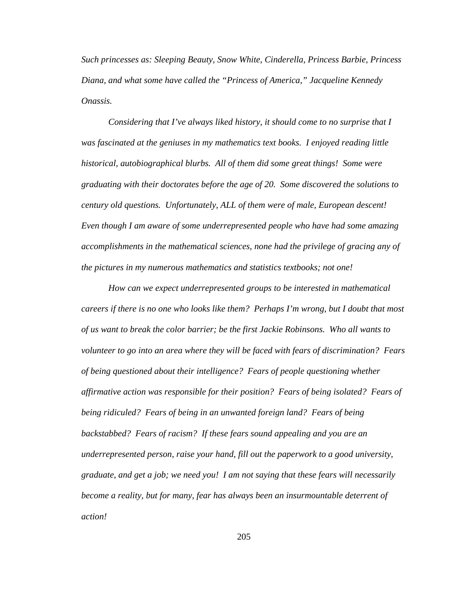*Such princesses as: Sleeping Beauty, Snow White, Cinderella, Princess Barbie, Princess Diana, and what some have called the "Princess of America," Jacqueline Kennedy Onassis.* 

 *Considering that I've always liked history, it should come to no surprise that I was fascinated at the geniuses in my mathematics text books. I enjoyed reading little historical, autobiographical blurbs. All of them did some great things! Some were graduating with their doctorates before the age of 20. Some discovered the solutions to century old questions. Unfortunately, ALL of them were of male, European descent! Even though I am aware of some underrepresented people who have had some amazing accomplishments in the mathematical sciences, none had the privilege of gracing any of the pictures in my numerous mathematics and statistics textbooks; not one!* 

 *How can we expect underrepresented groups to be interested in mathematical careers if there is no one who looks like them? Perhaps I'm wrong, but I doubt that most of us want to break the color barrier; be the first Jackie Robinsons. Who all wants to volunteer to go into an area where they will be faced with fears of discrimination? Fears of being questioned about their intelligence? Fears of people questioning whether affirmative action was responsible for their position? Fears of being isolated? Fears of being ridiculed? Fears of being in an unwanted foreign land? Fears of being backstabbed? Fears of racism? If these fears sound appealing and you are an underrepresented person, raise your hand, fill out the paperwork to a good university, graduate, and get a job; we need you! I am not saying that these fears will necessarily become a reality, but for many, fear has always been an insurmountable deterrent of action!*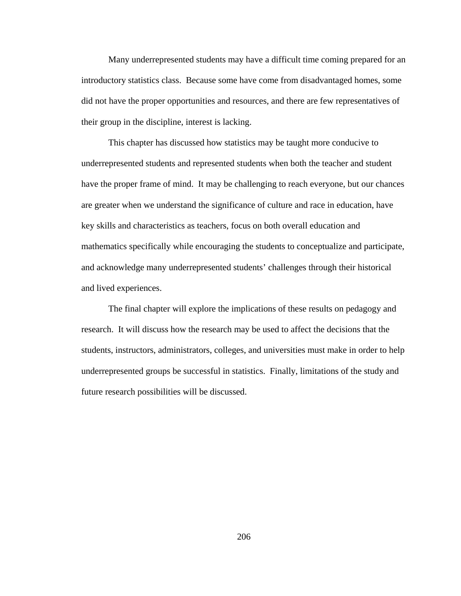Many underrepresented students may have a difficult time coming prepared for an introductory statistics class. Because some have come from disadvantaged homes, some did not have the proper opportunities and resources, and there are few representatives of their group in the discipline, interest is lacking.

 This chapter has discussed how statistics may be taught more conducive to underrepresented students and represented students when both the teacher and student have the proper frame of mind. It may be challenging to reach everyone, but our chances are greater when we understand the significance of culture and race in education, have key skills and characteristics as teachers, focus on both overall education and mathematics specifically while encouraging the students to conceptualize and participate, and acknowledge many underrepresented students' challenges through their historical and lived experiences.

The final chapter will explore the implications of these results on pedagogy and research. It will discuss how the research may be used to affect the decisions that the students, instructors, administrators, colleges, and universities must make in order to help underrepresented groups be successful in statistics. Finally, limitations of the study and future research possibilities will be discussed.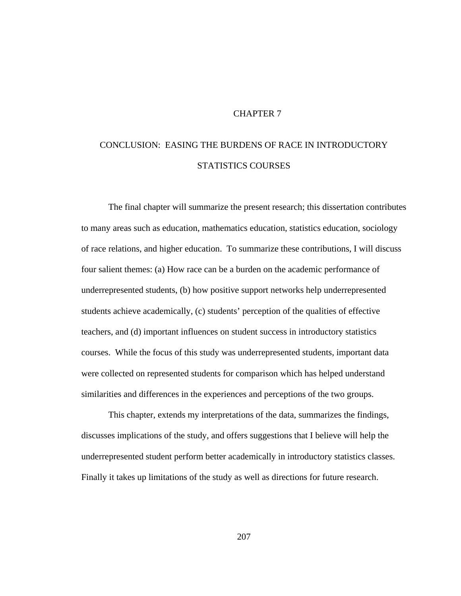#### CHAPTER 7

# CONCLUSION: EASING THE BURDENS OF RACE IN INTRODUCTORY STATISTICS COURSES

The final chapter will summarize the present research; this dissertation contributes to many areas such as education, mathematics education, statistics education, sociology of race relations, and higher education. To summarize these contributions, I will discuss four salient themes: (a) How race can be a burden on the academic performance of underrepresented students, (b) how positive support networks help underrepresented students achieve academically, (c) students' perception of the qualities of effective teachers, and (d) important influences on student success in introductory statistics courses. While the focus of this study was underrepresented students, important data were collected on represented students for comparison which has helped understand similarities and differences in the experiences and perceptions of the two groups.

This chapter, extends my interpretations of the data, summarizes the findings, discusses implications of the study, and offers suggestions that I believe will help the underrepresented student perform better academically in introductory statistics classes. Finally it takes up limitations of the study as well as directions for future research.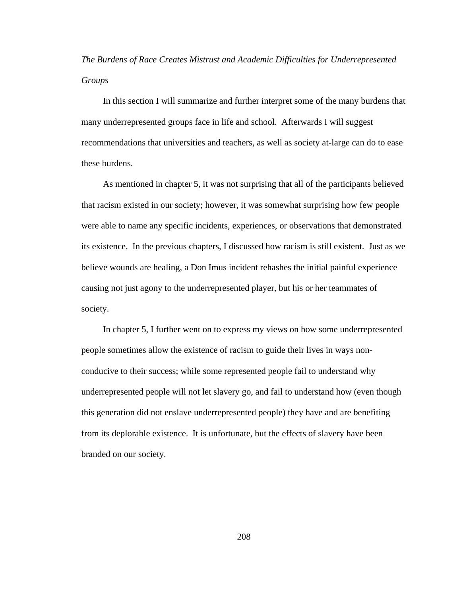*The Burdens of Race Creates Mistrust and Academic Difficulties for Underrepresented Groups* 

 In this section I will summarize and further interpret some of the many burdens that many underrepresented groups face in life and school. Afterwards I will suggest recommendations that universities and teachers, as well as society at-large can do to ease these burdens.

 As mentioned in chapter 5, it was not surprising that all of the participants believed that racism existed in our society; however, it was somewhat surprising how few people were able to name any specific incidents, experiences, or observations that demonstrated its existence. In the previous chapters, I discussed how racism is still existent. Just as we believe wounds are healing, a Don Imus incident rehashes the initial painful experience causing not just agony to the underrepresented player, but his or her teammates of society.

 In chapter 5, I further went on to express my views on how some underrepresented people sometimes allow the existence of racism to guide their lives in ways nonconducive to their success; while some represented people fail to understand why underrepresented people will not let slavery go, and fail to understand how (even though this generation did not enslave underrepresented people) they have and are benefiting from its deplorable existence. It is unfortunate, but the effects of slavery have been branded on our society.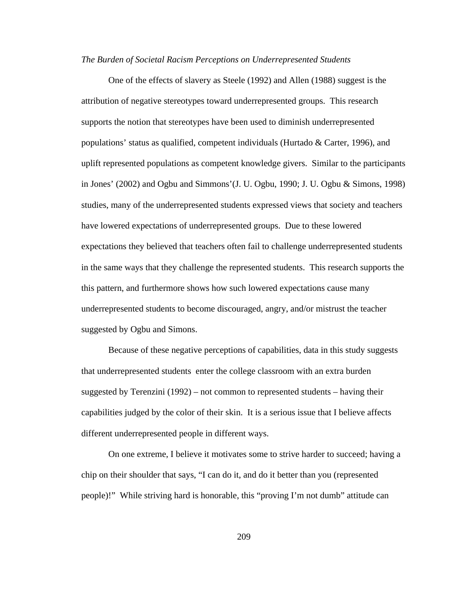#### *The Burden of Societal Racism Perceptions on Underrepresented Students*

One of the effects of slavery as Steele (1992) and Allen (1988) suggest is the attribution of negative stereotypes toward underrepresented groups. This research supports the notion that stereotypes have been used to diminish underrepresented populations' status as qualified, competent individuals (Hurtado & Carter, 1996), and uplift represented populations as competent knowledge givers. Similar to the participants in Jones' (2002) and Ogbu and Simmons'(J. U. Ogbu, 1990; J. U. Ogbu & Simons, 1998) studies, many of the underrepresented students expressed views that society and teachers have lowered expectations of underrepresented groups. Due to these lowered expectations they believed that teachers often fail to challenge underrepresented students in the same ways that they challenge the represented students. This research supports the this pattern, and furthermore shows how such lowered expectations cause many underrepresented students to become discouraged, angry, and/or mistrust the teacher suggested by Ogbu and Simons.

Because of these negative perceptions of capabilities, data in this study suggests that underrepresented students enter the college classroom with an extra burden suggested by Terenzini (1992) – not common to represented students – having their capabilities judged by the color of their skin. It is a serious issue that I believe affects different underrepresented people in different ways.

On one extreme, I believe it motivates some to strive harder to succeed; having a chip on their shoulder that says, "I can do it, and do it better than you (represented people)!" While striving hard is honorable, this "proving I'm not dumb" attitude can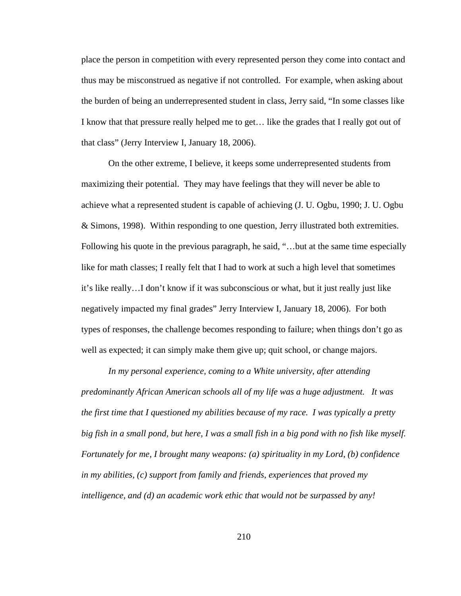place the person in competition with every represented person they come into contact and thus may be misconstrued as negative if not controlled. For example, when asking about the burden of being an underrepresented student in class, Jerry said, "In some classes like I know that that pressure really helped me to get… like the grades that I really got out of that class" (Jerry Interview I, January 18, 2006).

On the other extreme, I believe, it keeps some underrepresented students from maximizing their potential. They may have feelings that they will never be able to achieve what a represented student is capable of achieving (J. U. Ogbu, 1990; J. U. Ogbu & Simons, 1998). Within responding to one question, Jerry illustrated both extremities. Following his quote in the previous paragraph, he said, "…but at the same time especially like for math classes; I really felt that I had to work at such a high level that sometimes it's like really…I don't know if it was subconscious or what, but it just really just like negatively impacted my final grades" Jerry Interview I, January 18, 2006). For both types of responses, the challenge becomes responding to failure; when things don't go as well as expected; it can simply make them give up; quit school, or change majors.

*In my personal experience, coming to a White university, after attending predominantly African American schools all of my life was a huge adjustment. It was the first time that I questioned my abilities because of my race. I was typically a pretty big fish in a small pond, but here, I was a small fish in a big pond with no fish like myself. Fortunately for me, I brought many weapons: (a) spirituality in my Lord, (b) confidence in my abilities, (c) support from family and friends, experiences that proved my intelligence, and (d) an academic work ethic that would not be surpassed by any!*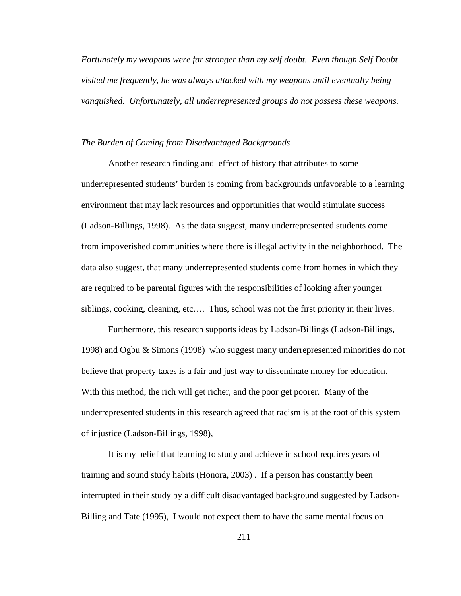*Fortunately my weapons were far stronger than my self doubt. Even though Self Doubt visited me frequently, he was always attacked with my weapons until eventually being vanquished. Unfortunately, all underrepresented groups do not possess these weapons.* 

#### *The Burden of Coming from Disadvantaged Backgrounds*

Another research finding and effect of history that attributes to some underrepresented students' burden is coming from backgrounds unfavorable to a learning environment that may lack resources and opportunities that would stimulate success (Ladson-Billings, 1998). As the data suggest, many underrepresented students come from impoverished communities where there is illegal activity in the neighborhood. The data also suggest, that many underrepresented students come from homes in which they are required to be parental figures with the responsibilities of looking after younger siblings, cooking, cleaning, etc…. Thus, school was not the first priority in their lives.

Furthermore, this research supports ideas by Ladson-Billings (Ladson-Billings, 1998) and Ogbu & Simons (1998) who suggest many underrepresented minorities do not believe that property taxes is a fair and just way to disseminate money for education. With this method, the rich will get richer, and the poor get poorer. Many of the underrepresented students in this research agreed that racism is at the root of this system of injustice (Ladson-Billings, 1998),

It is my belief that learning to study and achieve in school requires years of training and sound study habits (Honora, 2003) . If a person has constantly been interrupted in their study by a difficult disadvantaged background suggested by Ladson-Billing and Tate (1995), I would not expect them to have the same mental focus on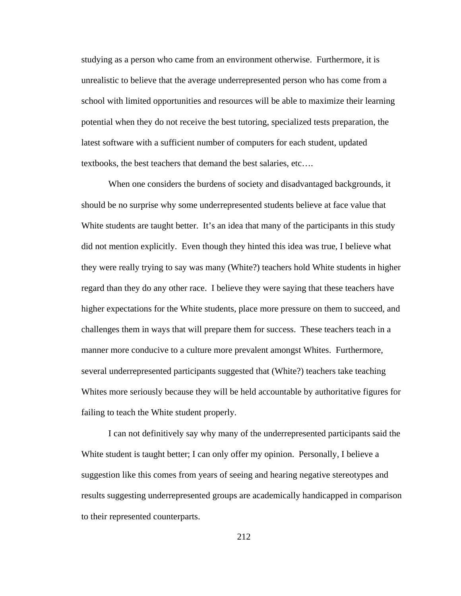studying as a person who came from an environment otherwise. Furthermore, it is unrealistic to believe that the average underrepresented person who has come from a school with limited opportunities and resources will be able to maximize their learning potential when they do not receive the best tutoring, specialized tests preparation, the latest software with a sufficient number of computers for each student, updated textbooks, the best teachers that demand the best salaries, etc….

When one considers the burdens of society and disadvantaged backgrounds, it should be no surprise why some underrepresented students believe at face value that White students are taught better. It's an idea that many of the participants in this study did not mention explicitly. Even though they hinted this idea was true, I believe what they were really trying to say was many (White?) teachers hold White students in higher regard than they do any other race. I believe they were saying that these teachers have higher expectations for the White students, place more pressure on them to succeed, and challenges them in ways that will prepare them for success. These teachers teach in a manner more conducive to a culture more prevalent amongst Whites. Furthermore, several underrepresented participants suggested that (White?) teachers take teaching Whites more seriously because they will be held accountable by authoritative figures for failing to teach the White student properly.

I can not definitively say why many of the underrepresented participants said the White student is taught better; I can only offer my opinion. Personally, I believe a suggestion like this comes from years of seeing and hearing negative stereotypes and results suggesting underrepresented groups are academically handicapped in comparison to their represented counterparts.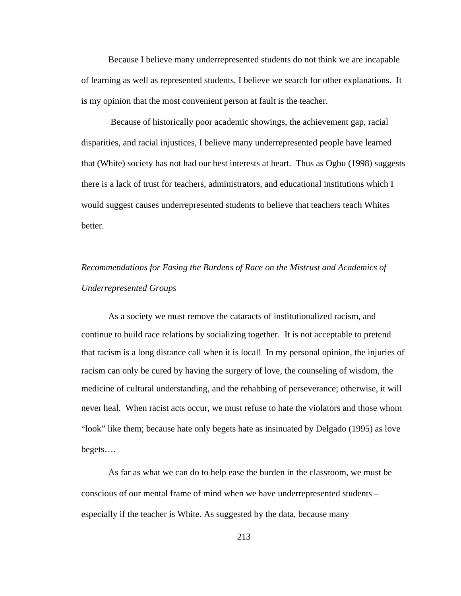Because I believe many underrepresented students do not think we are incapable of learning as well as represented students, I believe we search for other explanations. It is my opinion that the most convenient person at fault is the teacher.

 Because of historically poor academic showings, the achievement gap, racial disparities, and racial injustices, I believe many underrepresented people have learned that (White) society has not had our best interests at heart. Thus as Ogbu (1998) suggests there is a lack of trust for teachers, administrators, and educational institutions which I would suggest causes underrepresented students to believe that teachers teach Whites better.

# *Recommendations for Easing the Burdens of Race on the Mistrust and Academics of Underrepresented Groups*

As a society we must remove the cataracts of institutionalized racism, and continue to build race relations by socializing together. It is not acceptable to pretend that racism is a long distance call when it is local! In my personal opinion, the injuries of racism can only be cured by having the surgery of love, the counseling of wisdom, the medicine of cultural understanding, and the rehabbing of perseverance; otherwise, it will never heal. When racist acts occur, we must refuse to hate the violators and those whom "look" like them; because hate only begets hate as insinuated by Delgado (1995) as love begets….

As far as what we can do to help ease the burden in the classroom, we must be conscious of our mental frame of mind when we have underrepresented students – especially if the teacher is White. As suggested by the data, because many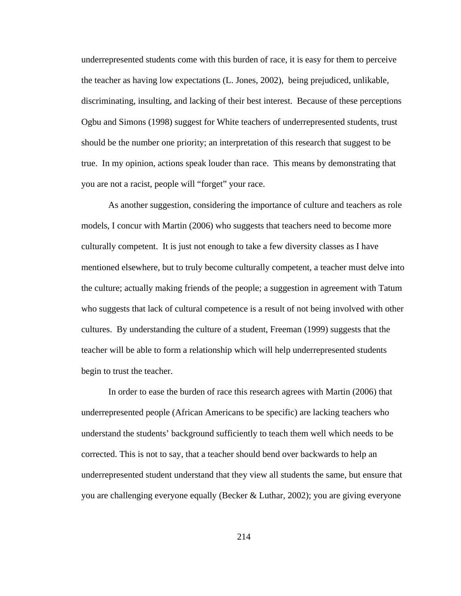underrepresented students come with this burden of race, it is easy for them to perceive the teacher as having low expectations (L. Jones, 2002), being prejudiced, unlikable, discriminating, insulting, and lacking of their best interest. Because of these perceptions Ogbu and Simons (1998) suggest for White teachers of underrepresented students, trust should be the number one priority; an interpretation of this research that suggest to be true. In my opinion, actions speak louder than race. This means by demonstrating that you are not a racist, people will "forget" your race.

As another suggestion, considering the importance of culture and teachers as role models, I concur with Martin (2006) who suggests that teachers need to become more culturally competent. It is just not enough to take a few diversity classes as I have mentioned elsewhere, but to truly become culturally competent, a teacher must delve into the culture; actually making friends of the people; a suggestion in agreement with Tatum who suggests that lack of cultural competence is a result of not being involved with other cultures. By understanding the culture of a student, Freeman (1999) suggests that the teacher will be able to form a relationship which will help underrepresented students begin to trust the teacher.

In order to ease the burden of race this research agrees with Martin (2006) that underrepresented people (African Americans to be specific) are lacking teachers who understand the students' background sufficiently to teach them well which needs to be corrected. This is not to say, that a teacher should bend over backwards to help an underrepresented student understand that they view all students the same, but ensure that you are challenging everyone equally (Becker & Luthar, 2002); you are giving everyone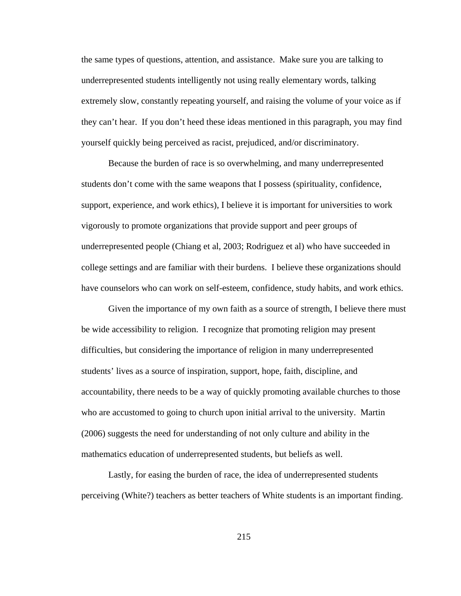the same types of questions, attention, and assistance. Make sure you are talking to underrepresented students intelligently not using really elementary words, talking extremely slow, constantly repeating yourself, and raising the volume of your voice as if they can't hear. If you don't heed these ideas mentioned in this paragraph, you may find yourself quickly being perceived as racist, prejudiced, and/or discriminatory.

Because the burden of race is so overwhelming, and many underrepresented students don't come with the same weapons that I possess (spirituality, confidence, support, experience, and work ethics), I believe it is important for universities to work vigorously to promote organizations that provide support and peer groups of underrepresented people (Chiang et al, 2003; Rodriguez et al) who have succeeded in college settings and are familiar with their burdens. I believe these organizations should have counselors who can work on self-esteem, confidence, study habits, and work ethics.

Given the importance of my own faith as a source of strength, I believe there must be wide accessibility to religion. I recognize that promoting religion may present difficulties, but considering the importance of religion in many underrepresented students' lives as a source of inspiration, support, hope, faith, discipline, and accountability, there needs to be a way of quickly promoting available churches to those who are accustomed to going to church upon initial arrival to the university. Martin (2006) suggests the need for understanding of not only culture and ability in the mathematics education of underrepresented students, but beliefs as well.

Lastly, for easing the burden of race, the idea of underrepresented students perceiving (White?) teachers as better teachers of White students is an important finding.

215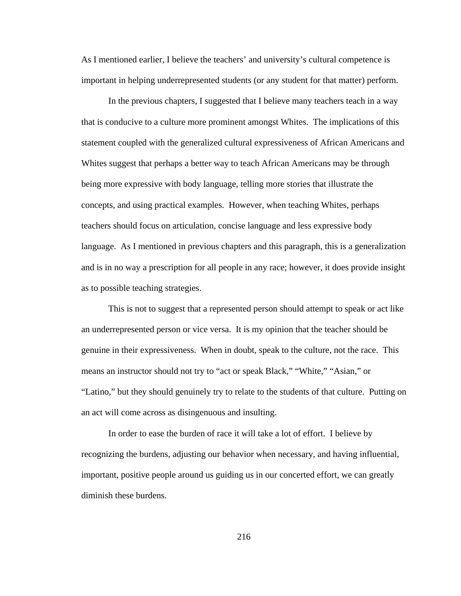As I mentioned earlier, I believe the teachers' and university's cultural competence is important in helping underrepresented students (or any student for that matter) perform.

In the previous chapters, I suggested that I believe many teachers teach in a way that is conducive to a culture more prominent amongst Whites. The implications of this statement coupled with the generalized cultural expressiveness of African Americans and Whites suggest that perhaps a better way to teach African Americans may be through being more expressive with body language, telling more stories that illustrate the concepts, and using practical examples. However, when teaching Whites, perhaps teachers should focus on articulation, concise language and less expressive body language. As I mentioned in previous chapters and this paragraph, this is a generalization and is in no way a prescription for all people in any race; however, it does provide insight as to possible teaching strategies.

This is not to suggest that a represented person should attempt to speak or act like an underrepresented person or vice versa. It is my opinion that the teacher should be genuine in their expressiveness. When in doubt, speak to the culture, not the race. This means an instructor should not try to "act or speak Black," "White," "Asian," or "Latino," but they should genuinely try to relate to the students of that culture. Putting on an act will come across as disingenuous and insulting.

In order to ease the burden of race it will take a lot of effort. I believe by recognizing the burdens, adjusting our behavior when necessary, and having influential, important, positive people around us guiding us in our concerted effort, we can greatly diminish these burdens.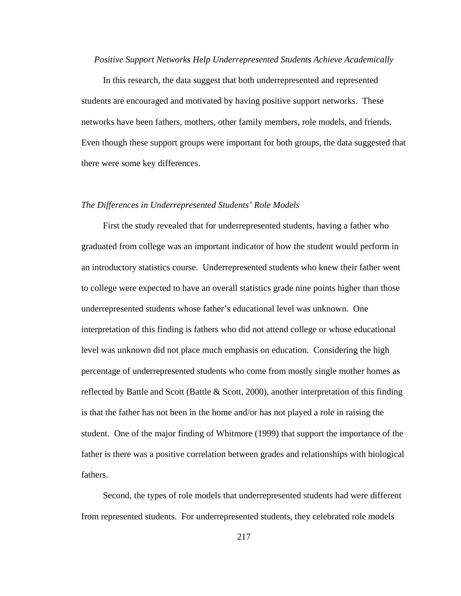#### *Positive Support Networks Help Underrepresented Students Achieve Academically*

 In this research, the data suggest that both underrepresented and represented students are encouraged and motivated by having positive support networks. These networks have been fathers, mothers, other family members, role models, and friends. Even though these support groups were important for both groups, the data suggested that there were some key differences.

#### *The Differences in Underrepresented Students' Role Models*

 First the study revealed that for underrepresented students, having a father who graduated from college was an important indicator of how the student would perform in an introductory statistics course. Underrepresented students who knew their father went to college were expected to have an overall statistics grade nine points higher than those underrepresented students whose father's educational level was unknown. One interpretation of this finding is fathers who did not attend college or whose educational level was unknown did not place much emphasis on education. Considering the high percentage of underrepresented students who come from mostly single mother homes as reflected by Battle and Scott (Battle & Scott, 2000), another interpretation of this finding is that the father has not been in the home and/or has not played a role in raising the student. One of the major finding of Whitmore (1999) that support the importance of the father is there was a positive correlation between grades and relationships with biological fathers.

 Second, the types of role models that underrepresented students had were different from represented students. For underrepresented students, they celebrated role models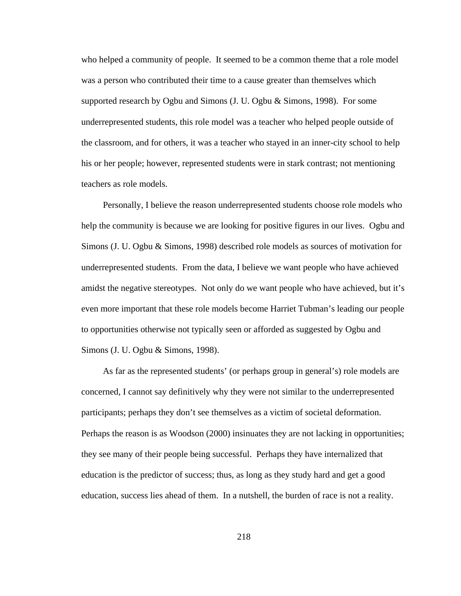who helped a community of people. It seemed to be a common theme that a role model was a person who contributed their time to a cause greater than themselves which supported research by Ogbu and Simons (J. U. Ogbu & Simons, 1998). For some underrepresented students, this role model was a teacher who helped people outside of the classroom, and for others, it was a teacher who stayed in an inner-city school to help his or her people; however, represented students were in stark contrast; not mentioning teachers as role models.

 Personally, I believe the reason underrepresented students choose role models who help the community is because we are looking for positive figures in our lives. Ogbu and Simons (J. U. Ogbu & Simons, 1998) described role models as sources of motivation for underrepresented students. From the data, I believe we want people who have achieved amidst the negative stereotypes. Not only do we want people who have achieved, but it's even more important that these role models become Harriet Tubman's leading our people to opportunities otherwise not typically seen or afforded as suggested by Ogbu and Simons (J. U. Ogbu & Simons, 1998).

 As far as the represented students' (or perhaps group in general's) role models are concerned, I cannot say definitively why they were not similar to the underrepresented participants; perhaps they don't see themselves as a victim of societal deformation. Perhaps the reason is as Woodson (2000) insinuates they are not lacking in opportunities; they see many of their people being successful. Perhaps they have internalized that education is the predictor of success; thus, as long as they study hard and get a good education, success lies ahead of them. In a nutshell, the burden of race is not a reality.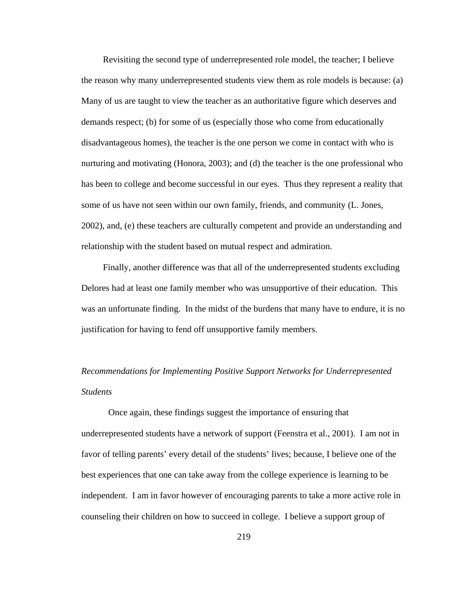Revisiting the second type of underrepresented role model, the teacher; I believe the reason why many underrepresented students view them as role models is because: (a) Many of us are taught to view the teacher as an authoritative figure which deserves and demands respect; (b) for some of us (especially those who come from educationally disadvantageous homes), the teacher is the one person we come in contact with who is nurturing and motivating (Honora, 2003); and (d) the teacher is the one professional who has been to college and become successful in our eyes. Thus they represent a reality that some of us have not seen within our own family, friends, and community (L. Jones, 2002), and, (e) these teachers are culturally competent and provide an understanding and relationship with the student based on mutual respect and admiration.

 Finally, another difference was that all of the underrepresented students excluding Delores had at least one family member who was unsupportive of their education. This was an unfortunate finding. In the midst of the burdens that many have to endure, it is no justification for having to fend off unsupportive family members.

## *Recommendations for Implementing Positive Support Networks for Underrepresented Students*

Once again, these findings suggest the importance of ensuring that underrepresented students have a network of support (Feenstra et al., 2001). I am not in favor of telling parents' every detail of the students' lives; because, I believe one of the best experiences that one can take away from the college experience is learning to be independent. I am in favor however of encouraging parents to take a more active role in counseling their children on how to succeed in college. I believe a support group of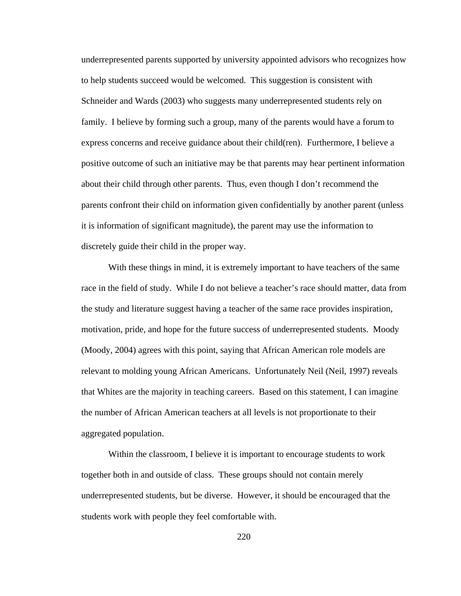underrepresented parents supported by university appointed advisors who recognizes how to help students succeed would be welcomed. This suggestion is consistent with Schneider and Wards (2003) who suggests many underrepresented students rely on family. I believe by forming such a group, many of the parents would have a forum to express concerns and receive guidance about their child(ren). Furthermore, I believe a positive outcome of such an initiative may be that parents may hear pertinent information about their child through other parents. Thus, even though I don't recommend the parents confront their child on information given confidentially by another parent (unless it is information of significant magnitude), the parent may use the information to discretely guide their child in the proper way.

With these things in mind, it is extremely important to have teachers of the same race in the field of study. While I do not believe a teacher's race should matter, data from the study and literature suggest having a teacher of the same race provides inspiration, motivation, pride, and hope for the future success of underrepresented students. Moody (Moody, 2004) agrees with this point, saying that African American role models are relevant to molding young African Americans. Unfortunately Neil (Neil, 1997) reveals that Whites are the majority in teaching careers. Based on this statement, I can imagine the number of African American teachers at all levels is not proportionate to their aggregated population.

Within the classroom, I believe it is important to encourage students to work together both in and outside of class. These groups should not contain merely underrepresented students, but be diverse. However, it should be encouraged that the students work with people they feel comfortable with.

220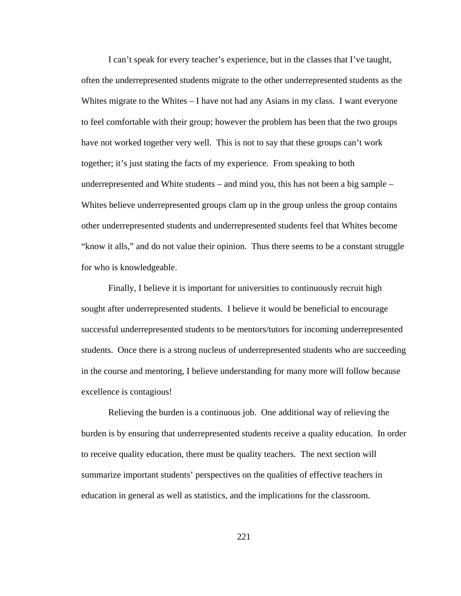I can't speak for every teacher's experience, but in the classes that I've taught, often the underrepresented students migrate to the other underrepresented students as the Whites migrate to the Whites – I have not had any Asians in my class. I want everyone to feel comfortable with their group; however the problem has been that the two groups have not worked together very well. This is not to say that these groups can't work together; it's just stating the facts of my experience. From speaking to both underrepresented and White students – and mind you, this has not been a big sample – Whites believe underrepresented groups clam up in the group unless the group contains other underrepresented students and underrepresented students feel that Whites become "know it alls," and do not value their opinion. Thus there seems to be a constant struggle for who is knowledgeable.

Finally, I believe it is important for universities to continuously recruit high sought after underrepresented students. I believe it would be beneficial to encourage successful underrepresented students to be mentors/tutors for incoming underrepresented students. Once there is a strong nucleus of underrepresented students who are succeeding in the course and mentoring, I believe understanding for many more will follow because excellence is contagious!

Relieving the burden is a continuous job. One additional way of relieving the burden is by ensuring that underrepresented students receive a quality education. In order to receive quality education, there must be quality teachers. The next section will summarize important students' perspectives on the qualities of effective teachers in education in general as well as statistics, and the implications for the classroom.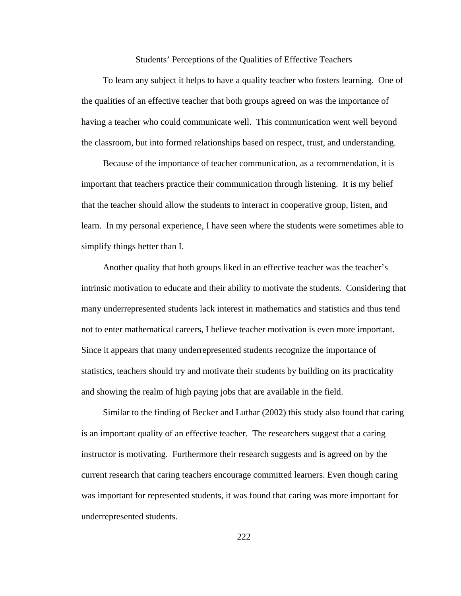Students' Perceptions of the Qualities of Effective Teachers

 To learn any subject it helps to have a quality teacher who fosters learning. One of the qualities of an effective teacher that both groups agreed on was the importance of having a teacher who could communicate well. This communication went well beyond the classroom, but into formed relationships based on respect, trust, and understanding.

 Because of the importance of teacher communication, as a recommendation, it is important that teachers practice their communication through listening. It is my belief that the teacher should allow the students to interact in cooperative group, listen, and learn. In my personal experience, I have seen where the students were sometimes able to simplify things better than I.

 Another quality that both groups liked in an effective teacher was the teacher's intrinsic motivation to educate and their ability to motivate the students. Considering that many underrepresented students lack interest in mathematics and statistics and thus tend not to enter mathematical careers, I believe teacher motivation is even more important. Since it appears that many underrepresented students recognize the importance of statistics, teachers should try and motivate their students by building on its practicality and showing the realm of high paying jobs that are available in the field.

 Similar to the finding of Becker and Luthar (2002) this study also found that caring is an important quality of an effective teacher. The researchers suggest that a caring instructor is motivating. Furthermore their research suggests and is agreed on by the current research that caring teachers encourage committed learners. Even though caring was important for represented students, it was found that caring was more important for underrepresented students.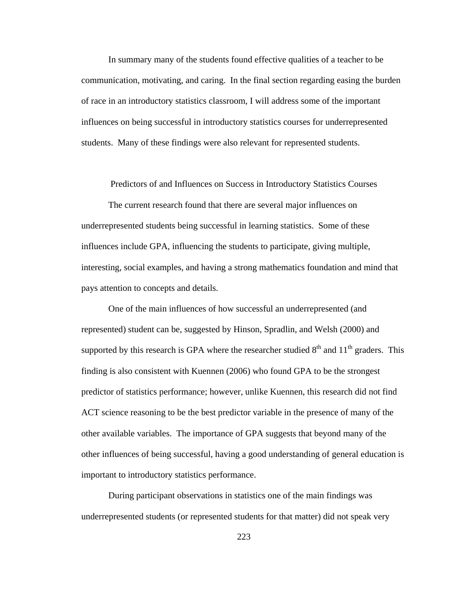In summary many of the students found effective qualities of a teacher to be communication, motivating, and caring. In the final section regarding easing the burden of race in an introductory statistics classroom, I will address some of the important influences on being successful in introductory statistics courses for underrepresented students. Many of these findings were also relevant for represented students.

Predictors of and Influences on Success in Introductory Statistics Courses

The current research found that there are several major influences on underrepresented students being successful in learning statistics. Some of these influences include GPA, influencing the students to participate, giving multiple, interesting, social examples, and having a strong mathematics foundation and mind that pays attention to concepts and details.

One of the main influences of how successful an underrepresented (and represented) student can be, suggested by Hinson, Spradlin, and Welsh (2000) and supported by this research is GPA where the researcher studied  $8<sup>th</sup>$  and  $11<sup>th</sup>$  graders. This finding is also consistent with Kuennen (2006) who found GPA to be the strongest predictor of statistics performance; however, unlike Kuennen, this research did not find ACT science reasoning to be the best predictor variable in the presence of many of the other available variables. The importance of GPA suggests that beyond many of the other influences of being successful, having a good understanding of general education is important to introductory statistics performance.

During participant observations in statistics one of the main findings was underrepresented students (or represented students for that matter) did not speak very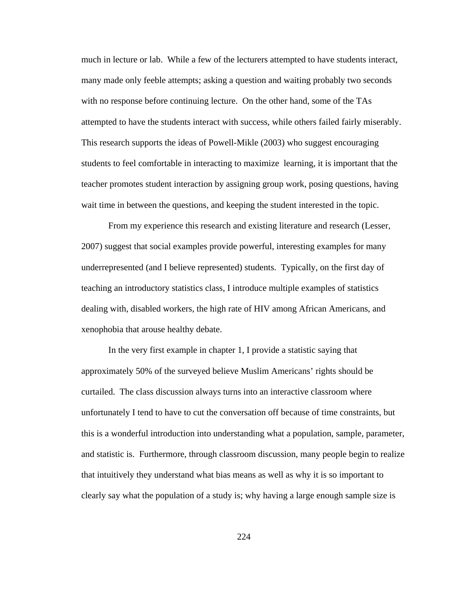much in lecture or lab. While a few of the lecturers attempted to have students interact, many made only feeble attempts; asking a question and waiting probably two seconds with no response before continuing lecture. On the other hand, some of the TAs attempted to have the students interact with success, while others failed fairly miserably. This research supports the ideas of Powell-Mikle (2003) who suggest encouraging students to feel comfortable in interacting to maximize learning, it is important that the teacher promotes student interaction by assigning group work, posing questions, having wait time in between the questions, and keeping the student interested in the topic.

From my experience this research and existing literature and research (Lesser, 2007) suggest that social examples provide powerful, interesting examples for many underrepresented (and I believe represented) students. Typically, on the first day of teaching an introductory statistics class, I introduce multiple examples of statistics dealing with, disabled workers, the high rate of HIV among African Americans, and xenophobia that arouse healthy debate.

In the very first example in chapter 1, I provide a statistic saying that approximately 50% of the surveyed believe Muslim Americans' rights should be curtailed. The class discussion always turns into an interactive classroom where unfortunately I tend to have to cut the conversation off because of time constraints, but this is a wonderful introduction into understanding what a population, sample, parameter, and statistic is. Furthermore, through classroom discussion, many people begin to realize that intuitively they understand what bias means as well as why it is so important to clearly say what the population of a study is; why having a large enough sample size is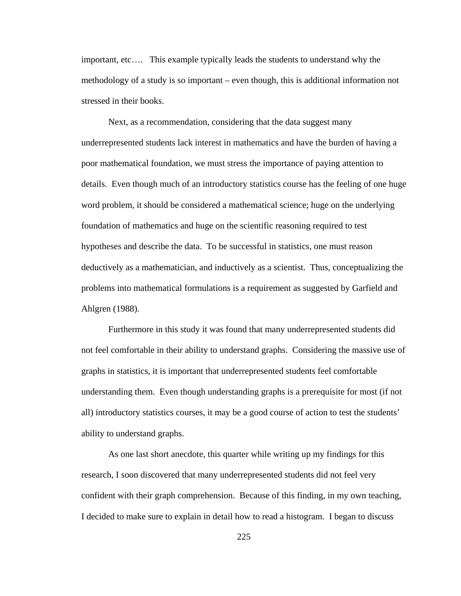important, etc…. This example typically leads the students to understand why the methodology of a study is so important – even though, this is additional information not stressed in their books.

Next, as a recommendation, considering that the data suggest many underrepresented students lack interest in mathematics and have the burden of having a poor mathematical foundation, we must stress the importance of paying attention to details. Even though much of an introductory statistics course has the feeling of one huge word problem, it should be considered a mathematical science; huge on the underlying foundation of mathematics and huge on the scientific reasoning required to test hypotheses and describe the data. To be successful in statistics, one must reason deductively as a mathematician, and inductively as a scientist. Thus, conceptualizing the problems into mathematical formulations is a requirement as suggested by Garfield and Ahlgren (1988).

Furthermore in this study it was found that many underrepresented students did not feel comfortable in their ability to understand graphs. Considering the massive use of graphs in statistics, it is important that underrepresented students feel comfortable understanding them. Even though understanding graphs is a prerequisite for most (if not all) introductory statistics courses, it may be a good course of action to test the students' ability to understand graphs.

As one last short anecdote, this quarter while writing up my findings for this research, I soon discovered that many underrepresented students did not feel very confident with their graph comprehension. Because of this finding, in my own teaching, I decided to make sure to explain in detail how to read a histogram. I began to discuss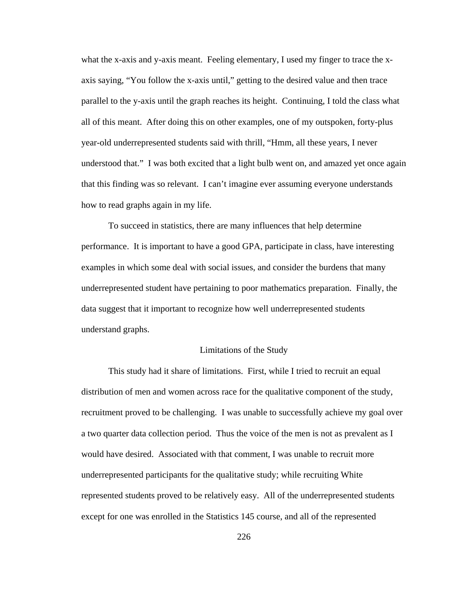what the x-axis and y-axis meant. Feeling elementary, I used my finger to trace the xaxis saying, "You follow the x-axis until," getting to the desired value and then trace parallel to the y-axis until the graph reaches its height. Continuing, I told the class what all of this meant. After doing this on other examples, one of my outspoken, forty-plus year-old underrepresented students said with thrill, "Hmm, all these years, I never understood that." I was both excited that a light bulb went on, and amazed yet once again that this finding was so relevant. I can't imagine ever assuming everyone understands how to read graphs again in my life.

To succeed in statistics, there are many influences that help determine performance. It is important to have a good GPA, participate in class, have interesting examples in which some deal with social issues, and consider the burdens that many underrepresented student have pertaining to poor mathematics preparation. Finally, the data suggest that it important to recognize how well underrepresented students understand graphs.

#### Limitations of the Study

This study had it share of limitations. First, while I tried to recruit an equal distribution of men and women across race for the qualitative component of the study, recruitment proved to be challenging. I was unable to successfully achieve my goal over a two quarter data collection period. Thus the voice of the men is not as prevalent as I would have desired. Associated with that comment, I was unable to recruit more underrepresented participants for the qualitative study; while recruiting White represented students proved to be relatively easy. All of the underrepresented students except for one was enrolled in the Statistics 145 course, and all of the represented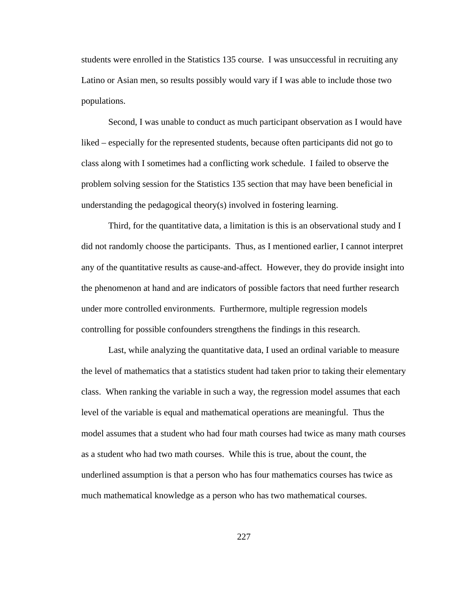students were enrolled in the Statistics 135 course. I was unsuccessful in recruiting any Latino or Asian men, so results possibly would vary if I was able to include those two populations.

Second, I was unable to conduct as much participant observation as I would have liked – especially for the represented students, because often participants did not go to class along with I sometimes had a conflicting work schedule. I failed to observe the problem solving session for the Statistics 135 section that may have been beneficial in understanding the pedagogical theory(s) involved in fostering learning.

Third, for the quantitative data, a limitation is this is an observational study and I did not randomly choose the participants. Thus, as I mentioned earlier, I cannot interpret any of the quantitative results as cause-and-affect. However, they do provide insight into the phenomenon at hand and are indicators of possible factors that need further research under more controlled environments. Furthermore, multiple regression models controlling for possible confounders strengthens the findings in this research.

Last, while analyzing the quantitative data, I used an ordinal variable to measure the level of mathematics that a statistics student had taken prior to taking their elementary class. When ranking the variable in such a way, the regression model assumes that each level of the variable is equal and mathematical operations are meaningful. Thus the model assumes that a student who had four math courses had twice as many math courses as a student who had two math courses. While this is true, about the count, the underlined assumption is that a person who has four mathematics courses has twice as much mathematical knowledge as a person who has two mathematical courses.

227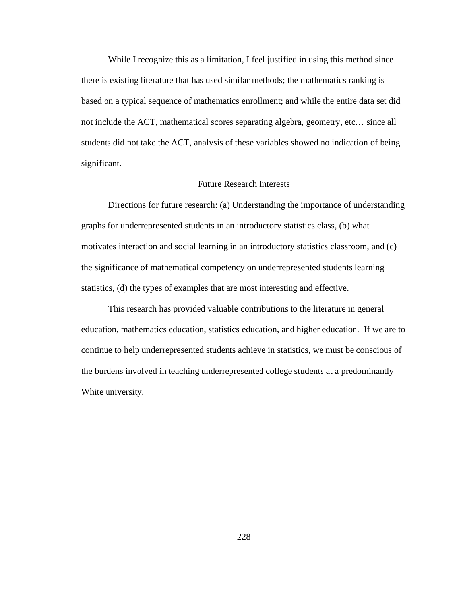While I recognize this as a limitation, I feel justified in using this method since there is existing literature that has used similar methods; the mathematics ranking is based on a typical sequence of mathematics enrollment; and while the entire data set did not include the ACT, mathematical scores separating algebra, geometry, etc… since all students did not take the ACT, analysis of these variables showed no indication of being significant.

#### Future Research Interests

Directions for future research: (a) Understanding the importance of understanding graphs for underrepresented students in an introductory statistics class, (b) what motivates interaction and social learning in an introductory statistics classroom, and (c) the significance of mathematical competency on underrepresented students learning statistics, (d) the types of examples that are most interesting and effective.

This research has provided valuable contributions to the literature in general education, mathematics education, statistics education, and higher education. If we are to continue to help underrepresented students achieve in statistics, we must be conscious of the burdens involved in teaching underrepresented college students at a predominantly White university.

228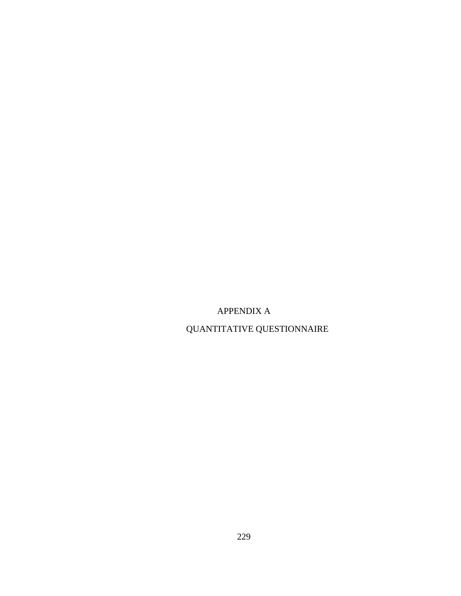APPENDIX A

QUANTITATIVE QUESTIONNAIRE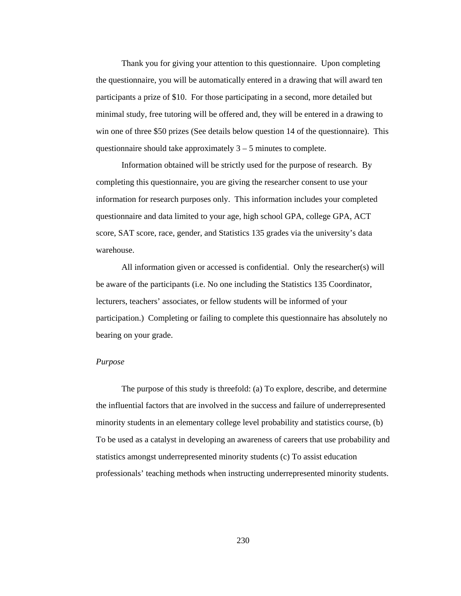Thank you for giving your attention to this questionnaire. Upon completing the questionnaire, you will be automatically entered in a drawing that will award ten participants a prize of \$10. For those participating in a second, more detailed but minimal study, free tutoring will be offered and, they will be entered in a drawing to win one of three \$50 prizes (See details below question 14 of the questionnaire). This questionnaire should take approximately  $3 - 5$  minutes to complete.

Information obtained will be strictly used for the purpose of research. By completing this questionnaire, you are giving the researcher consent to use your information for research purposes only. This information includes your completed questionnaire and data limited to your age, high school GPA, college GPA, ACT score, SAT score, race, gender, and Statistics 135 grades via the university's data warehouse.

All information given or accessed is confidential. Only the researcher(s) will be aware of the participants (i.e. No one including the Statistics 135 Coordinator, lecturers, teachers' associates, or fellow students will be informed of your participation.) Completing or failing to complete this questionnaire has absolutely no bearing on your grade.

#### *Purpose*

The purpose of this study is threefold: (a) To explore, describe, and determine the influential factors that are involved in the success and failure of underrepresented minority students in an elementary college level probability and statistics course, (b) To be used as a catalyst in developing an awareness of careers that use probability and statistics amongst underrepresented minority students (c) To assist education professionals' teaching methods when instructing underrepresented minority students.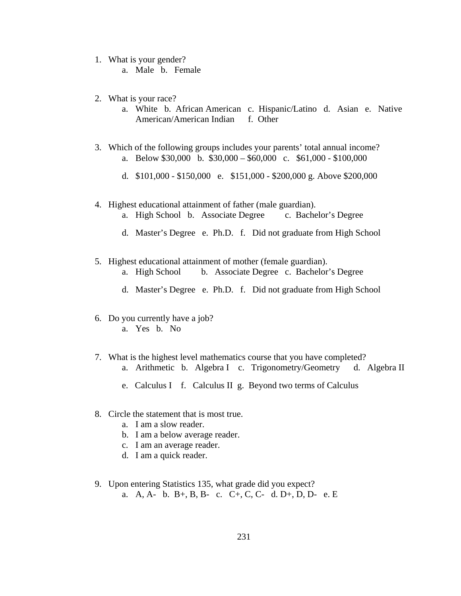- 1. What is your gender?
	- a. Male b. Female
- 2. What is your race?
	- a. White b. African American c. Hispanic/Latino d. Asian e. Native American/American Indian f. Other
- 3. Which of the following groups includes your parents' total annual income? a. Below \$30,000 b. \$30,000 – \$60,000 c. \$61,000 - \$100,000
	- d. \$101,000 \$150,000 e. \$151,000 \$200,000 g. Above \$200,000
- 4. Highest educational attainment of father (male guardian).
	- a. High School b. Associate Degree c. Bachelor's Degree
	- d. Master's Degree e. Ph.D. f. Did not graduate from High School
- 5. Highest educational attainment of mother (female guardian).
	- a. High School b. Associate Degree c. Bachelor's Degree
	- d. Master's Degree e. Ph.D. f. Did not graduate from High School
- 6. Do you currently have a job?
	- a. Yes b. No
- 7. What is the highest level mathematics course that you have completed?
	- a. Arithmetic b. Algebra I c. Trigonometry/Geometry d. Algebra II
	- e. Calculus I f. Calculus II g. Beyond two terms of Calculus
- 8. Circle the statement that is most true.
	- a. I am a slow reader.
	- b. I am a below average reader.
	- c. I am an average reader.
	- d. I am a quick reader.
- 9. Upon entering Statistics 135, what grade did you expect? a. A, A- b. B+, B, B- c. C+, C, C- d. D+, D, D- e. E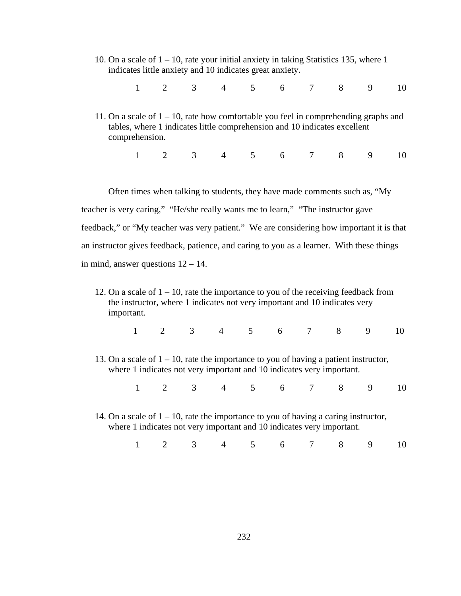- 10. On a scale of 1 10, rate your initial anxiety in taking Statistics 135, where 1 indicates little anxiety and 10 indicates great anxiety.
	- 1 2 3 4 5 6 7 8 9 10
- 11. On a scale of  $1 10$ , rate how comfortable you feel in comprehending graphs and tables, where 1 indicates little comprehension and 10 indicates excellent comprehension.
	- 1 2 3 4 5 6 7 8 9 10

Often times when talking to students, they have made comments such as, "My teacher is very caring," "He/she really wants me to learn," "The instructor gave feedback," or "My teacher was very patient." We are considering how important it is that an instructor gives feedback, patience, and caring to you as a learner. With these things in mind, answer questions 12 – 14.

- 12. On a scale of  $1 10$ , rate the importance to you of the receiving feedback from the instructor, where 1 indicates not very important and 10 indicates very important.
	- 1 2 3 4 5 6 7 8 9 10
- 13. On a scale of  $1 10$ , rate the importance to you of having a patient instructor, where 1 indicates not very important and 10 indicates very important.

1 2 3 4 5 6 7 8 9 10

14. On a scale of  $1 - 10$ , rate the importance to you of having a caring instructor, where 1 indicates not very important and 10 indicates very important.

|  |  |  |  |  |  |  |  |  |  | 1 2 3 4 5 6 7 8 9 10 |  |
|--|--|--|--|--|--|--|--|--|--|----------------------|--|
|--|--|--|--|--|--|--|--|--|--|----------------------|--|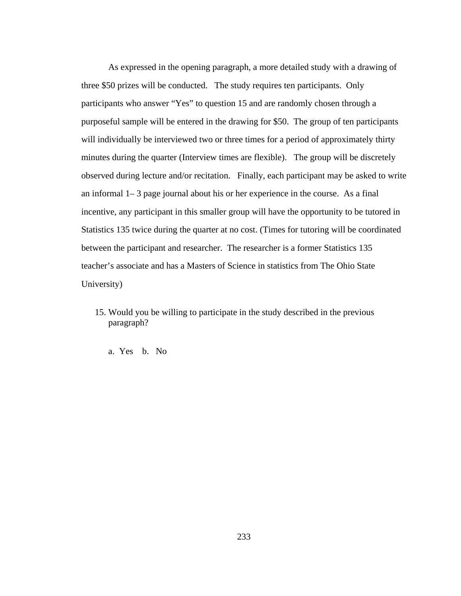As expressed in the opening paragraph, a more detailed study with a drawing of three \$50 prizes will be conducted. The study requires ten participants. Only participants who answer "Yes" to question 15 and are randomly chosen through a purposeful sample will be entered in the drawing for \$50. The group of ten participants will individually be interviewed two or three times for a period of approximately thirty minutes during the quarter (Interview times are flexible). The group will be discretely observed during lecture and/or recitation. Finally, each participant may be asked to write an informal 1– 3 page journal about his or her experience in the course. As a final incentive, any participant in this smaller group will have the opportunity to be tutored in Statistics 135 twice during the quarter at no cost. (Times for tutoring will be coordinated between the participant and researcher. The researcher is a former Statistics 135 teacher's associate and has a Masters of Science in statistics from The Ohio State University)

- 15. Would you be willing to participate in the study described in the previous paragraph?
	- a. Yes b. No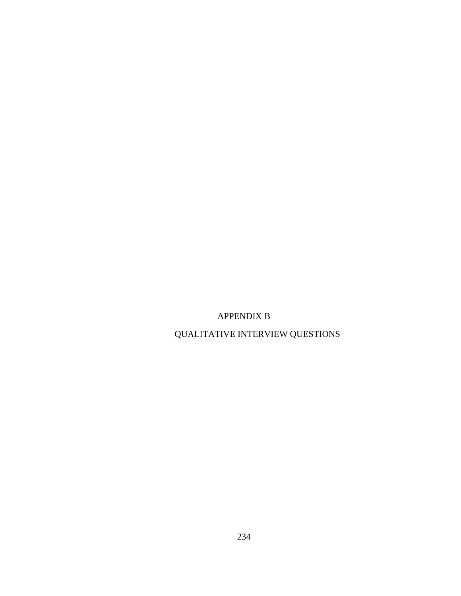### APPENDIX B

## QUALITATIVE INTERVIEW QUESTIONS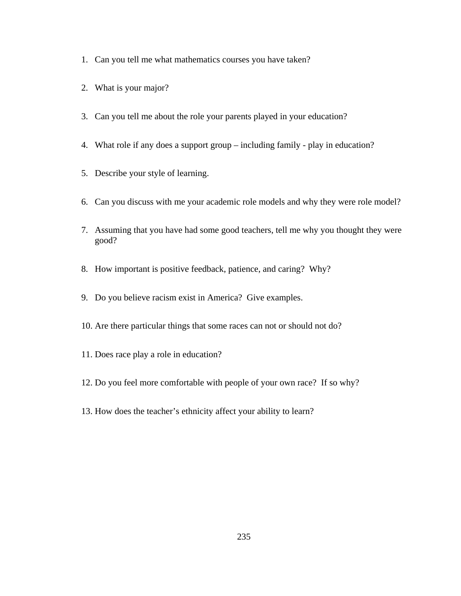- 1. Can you tell me what mathematics courses you have taken?
- 2. What is your major?
- 3. Can you tell me about the role your parents played in your education?
- 4. What role if any does a support group including family play in education?
- 5. Describe your style of learning.
- 6. Can you discuss with me your academic role models and why they were role model?
- 7. Assuming that you have had some good teachers, tell me why you thought they were good?
- 8. How important is positive feedback, patience, and caring? Why?
- 9. Do you believe racism exist in America? Give examples.
- 10. Are there particular things that some races can not or should not do?
- 11. Does race play a role in education?
- 12. Do you feel more comfortable with people of your own race? If so why?
- 13. How does the teacher's ethnicity affect your ability to learn?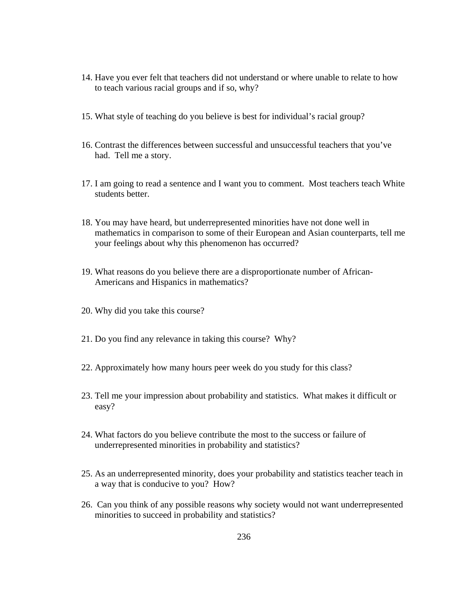- 14. Have you ever felt that teachers did not understand or where unable to relate to how to teach various racial groups and if so, why?
- 15. What style of teaching do you believe is best for individual's racial group?
- 16. Contrast the differences between successful and unsuccessful teachers that you've had. Tell me a story.
- 17. I am going to read a sentence and I want you to comment. Most teachers teach White students better.
- 18. You may have heard, but underrepresented minorities have not done well in mathematics in comparison to some of their European and Asian counterparts, tell me your feelings about why this phenomenon has occurred?
- 19. What reasons do you believe there are a disproportionate number of African-Americans and Hispanics in mathematics?
- 20. Why did you take this course?
- 21. Do you find any relevance in taking this course? Why?
- 22. Approximately how many hours peer week do you study for this class?
- 23. Tell me your impression about probability and statistics. What makes it difficult or easy?
- 24. What factors do you believe contribute the most to the success or failure of underrepresented minorities in probability and statistics?
- 25. As an underrepresented minority, does your probability and statistics teacher teach in a way that is conducive to you? How?
- 26. Can you think of any possible reasons why society would not want underrepresented minorities to succeed in probability and statistics?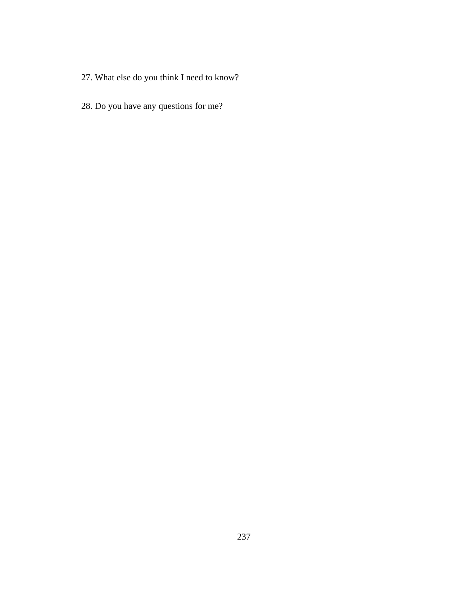- 27. What else do you think I need to know?
- 28. Do you have any questions for me?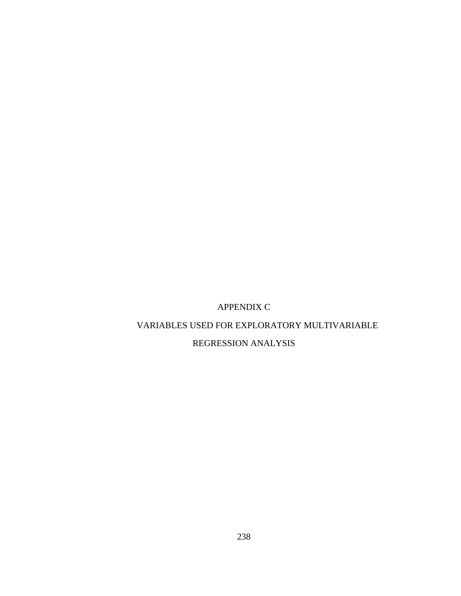### APPENDIX C

### VARIABLES USED FOR EXPLORATORY MULTIVARIABLE

### REGRESSION ANALYSIS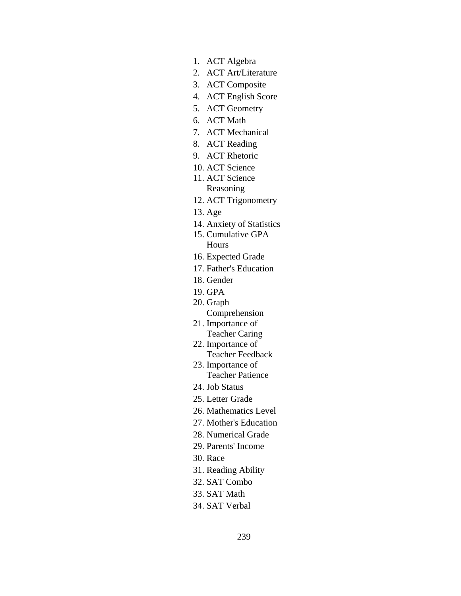- 1. ACT Algebra
- 2. ACT Art/Literature
- 3. ACT Composite
- 4. ACT English Score
- 5. ACT Geometry
- 6. ACT Math
- 7. ACT Mechanical
- 8. ACT Reading
- 9. ACT Rhetoric
- 10. ACT Science
- 11. ACT Science Reasoning
- 12. ACT Trigonometry
- 13. Age
- 14. Anxiety of Statistics
- 15. Cumulative GPA Hours
- 16. Expected Grade
- 17. Father's Education
- 18. Gender
- 19. GPA
- 20. Graph
	- Comprehension
- 21. Importance of Teacher Caring
- 22. Importance of Teacher Feedback
- 23. Importance of Teacher Patience
- 24. Job Status
- 25. Letter Grade
- 26. Mathematics Level
- 27. Mother's Education
- 28. Numerical Grade
- 29. Parents' Income
- 30. Race
- 31. Reading Ability
- 32. SAT Combo
- 33. SAT Math
- 34. SAT Verbal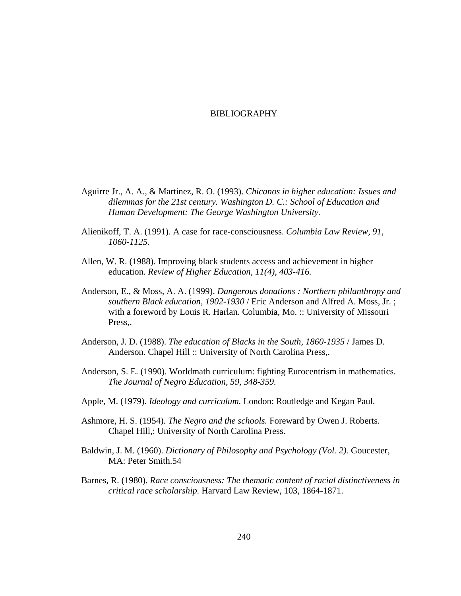## BIBLIOGRAPHY

- Aguirre Jr., A. A., & Martinez, R. O. (1993). *Chicanos in higher education: Issues and dilemmas for the 21st century. Washington D. C.: School of Education and Human Development: The George Washington University.*
- Alienikoff, T. A. (1991). A case for race-consciousness. *Columbia Law Review, 91, 1060-1125.*
- Allen, W. R. (1988). Improving black students access and achievement in higher education. *Review of Higher Education, 11(4), 403-416.*
- Anderson, E., & Moss, A. A. (1999). *Dangerous donations : Northern philanthropy and southern Black education, 1902-1930* / Eric Anderson and Alfred A. Moss, Jr. ; with a foreword by Louis R. Harlan. Columbia, Mo. :: University of Missouri Press,.
- Anderson, J. D. (1988). *The education of Blacks in the South, 1860-1935* / James D. Anderson. Chapel Hill :: University of North Carolina Press,.
- Anderson, S. E. (1990). Worldmath curriculum: fighting Eurocentrism in mathematics. *The Journal of Negro Education, 59, 348-359.*
- Apple, M. (1979)*. Ideology and curriculum.* London: Routledge and Kegan Paul.
- Ashmore, H. S. (1954). *The Negro and the schools.* Foreward by Owen J. Roberts. Chapel Hill,: University of North Carolina Press.
- Baldwin, J. M. (1960). *Dictionary of Philosophy and Psychology (Vol. 2)*. Goucester, MA: Peter Smith.54
- Barnes, R. (1980). *Race consciousness: The thematic content of racial distinctiveness in critical race scholarship.* Harvard Law Review, 103, 1864-1871.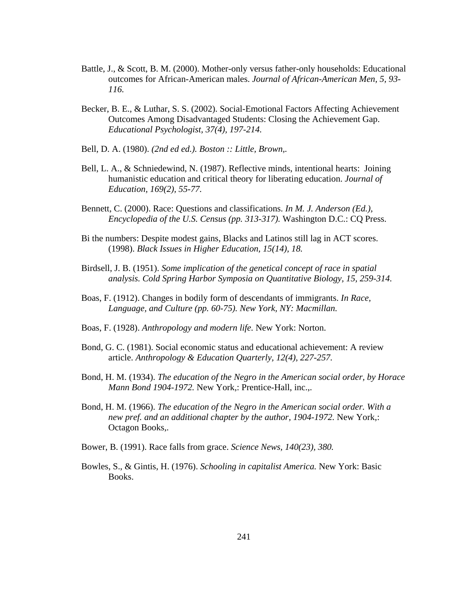- Battle, J., & Scott, B. M. (2000). Mother-only versus father-only households: Educational outcomes for African-American males. *Journal of African-American Men, 5, 93- 116.*
- Becker, B. E., & Luthar, S. S. (2002). Social-Emotional Factors Affecting Achievement Outcomes Among Disadvantaged Students: Closing the Achievement Gap. *Educational Psychologist, 37(4), 197-214.*
- Bell, D. A. (1980). *(2nd ed ed.). Boston :: Little, Brown,.*
- Bell, L. A., & Schniedewind, N. (1987). Reflective minds, intentional hearts: Joining humanistic education and critical theory for liberating education. *Journal of Education, 169(2), 55-77.*
- Bennett, C. (2000). Race: Questions and classifications. *In M. J. Anderson (Ed.), Encyclopedia of the U.S. Census (pp. 313-317).* Washington D.C.: CQ Press.
- Bi the numbers: Despite modest gains, Blacks and Latinos still lag in ACT scores. (1998). *Black Issues in Higher Education, 15(14), 18.*
- Birdsell, J. B. (1951). *Some implication of the genetical concept of race in spatial analysis. Cold Spring Harbor Symposia on Quantitative Biology, 15, 259-314.*
- Boas, F. (1912). Changes in bodily form of descendants of immigrants. *In Race, Language, and Culture (pp. 60-75). New York, NY: Macmillan.*
- Boas, F. (1928). *Anthropology and modern life.* New York: Norton.
- Bond, G. C. (1981). Social economic status and educational achievement: A review article. *Anthropology & Education Quarterly, 12(4), 227-257.*
- Bond, H. M. (1934). *The education of the Negro in the American social order, by Horace Mann Bond 1904-1972.* New York,: Prentice-Hall, inc.,.
- Bond, H. M. (1966). *The education of the Negro in the American social order. With a new pref. and an additional chapter by the author, 1904-1972.* New York,: Octagon Books,.
- Bower, B. (1991). Race falls from grace. *Science News, 140(23), 380.*
- Bowles, S., & Gintis, H. (1976). *Schooling in capitalist America.* New York: Basic Books.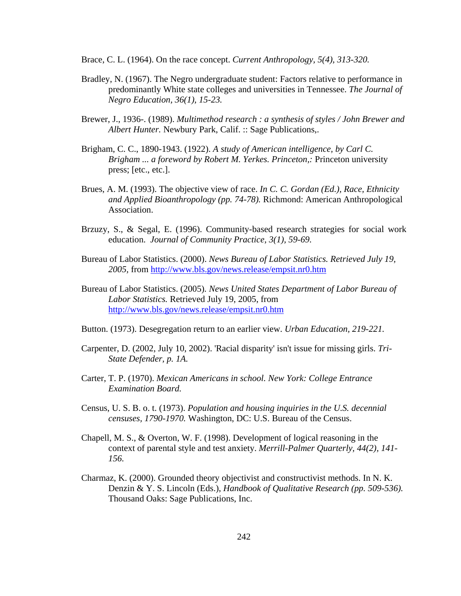Brace, C. L. (1964). On the race concept. *Current Anthropology, 5(4), 313-320.* 

- Bradley, N. (1967). The Negro undergraduate student: Factors relative to performance in predominantly White state colleges and universities in Tennessee. *The Journal of Negro Education, 36(1), 15-23.*
- Brewer, J., 1936-. (1989). *Multimethod research : a synthesis of styles / John Brewer and Albert Hunter.* Newbury Park, Calif. :: Sage Publications,.
- Brigham, C. C., 1890-1943. (1922). *A study of American intelligence, by Carl C. Brigham ... a foreword by Robert M. Yerkes. Princeton,:* Princeton university press; [etc., etc.].
- Brues, A. M. (1993). The objective view of race. *In C. C. Gordan (Ed.), Race, Ethnicity and Applied Bioanthropology (pp. 74-78).* Richmond: American Anthropological Association.
- Brzuzy, S., & Segal, E. (1996). Community-based research strategies for social work education. *Journal of Community Practice, 3(1), 59-69.*
- Bureau of Labor Statistics. (2000). *News Bureau of Labor Statistics. Retrieved July 19, 2005,* from http://www.bls.gov/news.release/empsit.nr0.htm
- Bureau of Labor Statistics. (2005)*. News United States Department of Labor Bureau of Labor Statistics.* Retrieved July 19, 2005, from http://www.bls.gov/news.release/empsit.nr0.htm
- Button. (1973). Desegregation return to an earlier view. *Urban Education, 219-221.*
- Carpenter, D. (2002, July 10, 2002). 'Racial disparity' isn't issue for missing girls. *Tri-State Defender, p. 1A.*
- Carter, T. P. (1970). *Mexican Americans in school. New York: College Entrance Examination Board.*
- Census, U. S. B. o. t. (1973). *Population and housing inquiries in the U.S. decennial censuses, 1790-1970.* Washington, DC: U.S. Bureau of the Census.
- Chapell, M. S., & Overton, W. F. (1998). Development of logical reasoning in the context of parental style and test anxiety. *Merrill-Palmer Quarterly, 44(2), 141- 156.*
- Charmaz, K. (2000). Grounded theory objectivist and constructivist methods. In N. K. Denzin & Y. S. Lincoln (Eds.), *Handbook of Qualitative Research (pp. 509-536).*  Thousand Oaks: Sage Publications, Inc.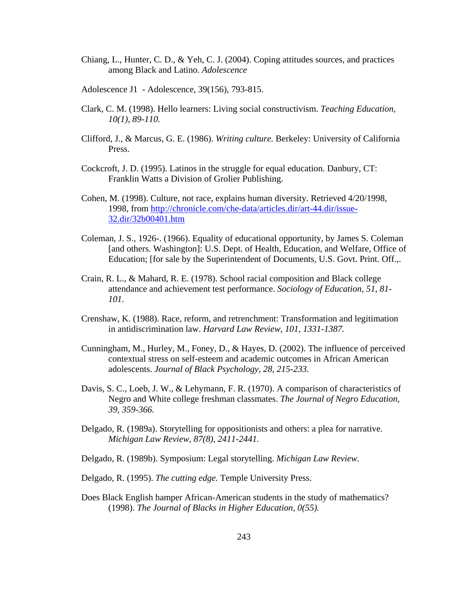- Chiang, L., Hunter, C. D., & Yeh, C. J. (2004). Coping attitudes sources, and practices among Black and Latino. *Adolescence*
- Adolescence J1 Adolescence, 39(156), 793-815.
- Clark, C. M. (1998). Hello learners: Living social constructivism. *Teaching Education, 10(1), 89-110.*
- Clifford, J., & Marcus, G. E. (1986). *Writing culture.* Berkeley: University of California Press.
- Cockcroft, J. D. (1995). Latinos in the struggle for equal education. Danbury, CT: Franklin Watts a Division of Grolier Publishing.
- Cohen, M. (1998). Culture, not race, explains human diversity. Retrieved 4/20/1998, 1998, from http://chronicle.com/che-data/articles.dir/art-44.dir/issue-32.dir/32b00401.htm
- Coleman, J. S., 1926-. (1966). Equality of educational opportunity, by James S. Coleman [and others. Washington]: U.S. Dept. of Health, Education, and Welfare, Office of Education; [for sale by the Superintendent of Documents, U.S. Govt. Print. Off.,.
- Crain, R. L., & Mahard, R. E. (1978). School racial composition and Black college attendance and achievement test performance. *Sociology of Education, 51, 81- 101.*
- Crenshaw, K. (1988). Race, reform, and retrenchment: Transformation and legitimation in antidiscrimination law. *Harvard Law Review, 101, 1331-1387.*
- Cunningham, M., Hurley, M., Foney, D., & Hayes, D. (2002). The influence of perceived contextual stress on self-esteem and academic outcomes in African American adolescents. *Journal of Black Psychology, 28, 215-233.*
- Davis, S. C., Loeb, J. W., & Lehymann, F. R. (1970). A comparison of characteristics of Negro and White college freshman classmates. *The Journal of Negro Education, 39, 359-366.*
- Delgado, R. (1989a). Storytelling for oppositionists and others: a plea for narrative. *Michigan Law Review, 87(8), 2411-2441.*
- Delgado, R. (1989b). Symposium: Legal storytelling. *Michigan Law Review.*
- Delgado, R. (1995). *The cutting edge.* Temple University Press.
- Does Black English hamper African-American students in the study of mathematics? (1998). *The Journal of Blacks in Higher Education, 0(55).*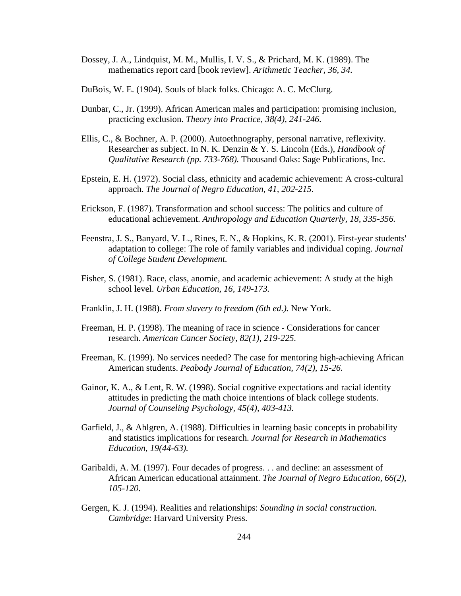- Dossey, J. A., Lindquist, M. M., Mullis, I. V. S., & Prichard, M. K. (1989). The mathematics report card [book review]. *Arithmetic Teacher, 36, 34.*
- DuBois, W. E. (1904). Souls of black folks. Chicago: A. C. McClurg.
- Dunbar, C., Jr. (1999). African American males and participation: promising inclusion, practicing exclusion. *Theory into Practice, 38(4), 241-246.*
- Ellis, C., & Bochner, A. P. (2000). Autoethnography, personal narrative, reflexivity. Researcher as subject. In N. K. Denzin & Y. S. Lincoln (Eds.), *Handbook of Qualitative Research (pp. 733-768).* Thousand Oaks: Sage Publications, Inc.
- Epstein, E. H. (1972). Social class, ethnicity and academic achievement: A cross-cultural approach. *The Journal of Negro Education, 41, 202-215.*
- Erickson, F. (1987). Transformation and school success: The politics and culture of educational achievement. *Anthropology and Education Quarterly, 18, 335-356.*
- Feenstra, J. S., Banyard, V. L., Rines, E. N., & Hopkins, K. R. (2001). First-year students' adaptation to college: The role of family variables and individual coping. *Journal of College Student Development.*
- Fisher, S. (1981). Race, class, anomie, and academic achievement: A study at the high school level. *Urban Education, 16, 149-173.*
- Franklin, J. H. (1988). *From slavery to freedom (6th ed.).* New York.
- Freeman, H. P. (1998). The meaning of race in science Considerations for cancer research. *American Cancer Society, 82(1), 219-225.*
- Freeman, K. (1999). No services needed? The case for mentoring high-achieving African American students. *Peabody Journal of Education, 74(2), 15-26.*
- Gainor, K. A., & Lent, R. W. (1998). Social cognitive expectations and racial identity attitudes in predicting the math choice intentions of black college students. *Journal of Counseling Psychology, 45(4), 403-413.*
- Garfield, J., & Ahlgren, A. (1988). Difficulties in learning basic concepts in probability and statistics implications for research. *Journal for Research in Mathematics Education, 19(44-63).*
- Garibaldi, A. M. (1997). Four decades of progress. . . and decline: an assessment of African American educational attainment. *The Journal of Negro Education, 66(2), 105-120.*
- Gergen, K. J. (1994). Realities and relationships: *Sounding in social construction. Cambridge*: Harvard University Press.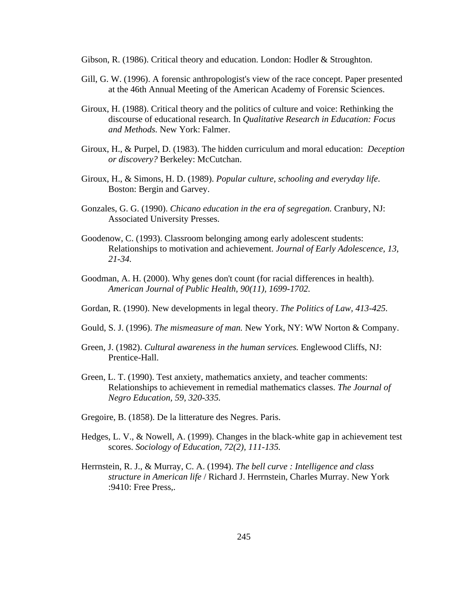Gibson, R. (1986). Critical theory and education. London: Hodler & Stroughton.

- Gill, G. W. (1996). A forensic anthropologist's view of the race concept. Paper presented at the 46th Annual Meeting of the American Academy of Forensic Sciences.
- Giroux, H. (1988). Critical theory and the politics of culture and voice: Rethinking the discourse of educational research. In *Qualitative Research in Education: Focus and Methods.* New York: Falmer.
- Giroux, H., & Purpel, D. (1983). The hidden curriculum and moral education: *Deception or discovery?* Berkeley: McCutchan.
- Giroux, H., & Simons, H. D. (1989). *Popular culture, schooling and everyday life*. Boston: Bergin and Garvey.
- Gonzales, G. G. (1990). *Chicano education in the era of segregation.* Cranbury, NJ: Associated University Presses.
- Goodenow, C. (1993). Classroom belonging among early adolescent students: Relationships to motivation and achievement. *Journal of Early Adolescence, 13, 21-34.*
- Goodman, A. H. (2000). Why genes don't count (for racial differences in health). *American Journal of Public Health, 90(11), 1699-1702.*
- Gordan, R. (1990). New developments in legal theory. *The Politics of Law, 413-425.*
- Gould, S. J. (1996). *The mismeasure of man.* New York, NY: WW Norton & Company.
- Green, J. (1982). *Cultural awareness in the human services.* Englewood Cliffs, NJ: Prentice-Hall.
- Green, L. T. (1990). Test anxiety, mathematics anxiety, and teacher comments: Relationships to achievement in remedial mathematics classes. *The Journal of Negro Education, 59, 320-335.*
- Gregoire, B. (1858). De la litterature des Negres. Paris.
- Hedges, L. V., & Nowell, A. (1999). Changes in the black-white gap in achievement test scores. *Sociology of Education, 72(2), 111-135.*
- Herrnstein, R. J., & Murray, C. A. (1994). *The bell curve : Intelligence and class structure in American life* / Richard J. Herrnstein, Charles Murray. New York :9410: Free Press,.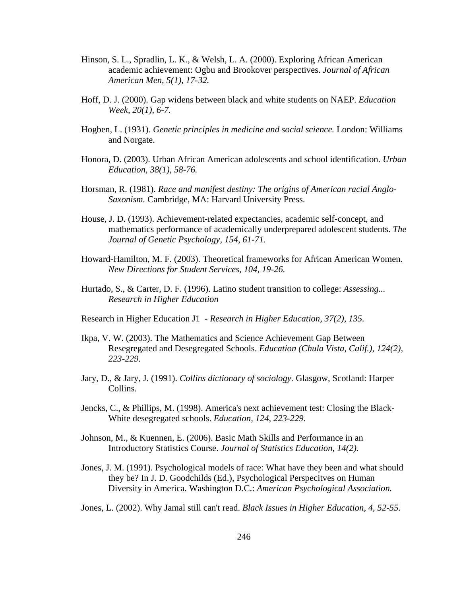- Hinson, S. L., Spradlin, L. K., & Welsh, L. A. (2000). Exploring African American academic achievement: Ogbu and Brookover perspectives. *Journal of African American Men, 5(1), 17-32.*
- Hoff, D. J. (2000). Gap widens between black and white students on NAEP. *Education Week, 20(1), 6-7.*
- Hogben, L. (1931). *Genetic principles in medicine and social science.* London: Williams and Norgate.
- Honora, D. (2003). Urban African American adolescents and school identification. *Urban Education, 38(1), 58-76.*
- Horsman, R. (1981). *Race and manifest destiny: The origins of American racial Anglo-Saxonism.* Cambridge, MA: Harvard University Press.
- House, J. D. (1993). Achievement-related expectancies, academic self-concept, and mathematics performance of academically underprepared adolescent students. *The Journal of Genetic Psychology, 154, 61-71.*
- Howard-Hamilton, M. F. (2003). Theoretical frameworks for African American Women. *New Directions for Student Services, 104, 19-26.*
- Hurtado, S., & Carter, D. F. (1996). Latino student transition to college: *Assessing... Research in Higher Education*
- Research in Higher Education J1 *Research in Higher Education, 37(2), 135.*
- Ikpa, V. W. (2003). The Mathematics and Science Achievement Gap Between Resegregated and Desegregated Schools. *Education (Chula Vista, Calif.), 124(2), 223-229.*
- Jary, D., & Jary, J. (1991). *Collins dictionary of sociology.* Glasgow, Scotland: Harper Collins.
- Jencks, C., & Phillips, M. (1998). America's next achievement test: Closing the Black-White desegregated schools. *Education, 124, 223-229.*
- Johnson, M., & Kuennen, E. (2006). Basic Math Skills and Performance in an Introductory Statistics Course. *Journal of Statistics Education, 14(2).*
- Jones, J. M. (1991). Psychological models of race: What have they been and what should they be? In J. D. Goodchilds (Ed.), Psychological Perspecitves on Human Diversity in America. Washington D.C.: *American Psychological Association.*
- Jones, L. (2002). Why Jamal still can't read. *Black Issues in Higher Education, 4, 52-55.*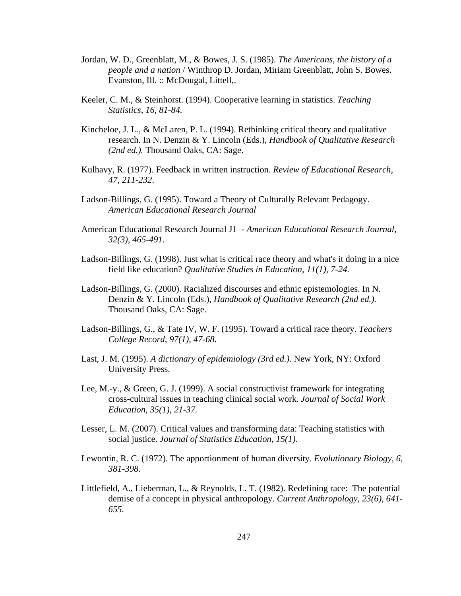- Jordan, W. D., Greenblatt, M., & Bowes, J. S. (1985). *The Americans, the history of a people and a nation* / Winthrop D. Jordan, Miriam Greenblatt, John S. Bowes. Evanston, Ill. :: McDougal, Littell,.
- Keeler, C. M., & Steinhorst. (1994). Cooperative learning in statistics. *Teaching Statistics, 16, 81-84.*
- Kincheloe, J. L., & McLaren, P. L. (1994). Rethinking critical theory and qualitative research. In N. Denzin & Y. Lincoln (Eds.), *Handbook of Qualitative Research (2nd ed.).* Thousand Oaks, CA: Sage.
- Kulhavy, R. (1977). Feedback in written instruction. *Review of Educational Research, 47, 211-232*.
- Ladson-Billings, G. (1995). Toward a Theory of Culturally Relevant Pedagogy. *American Educational Research Journal*
- American Educational Research Journal J1 *American Educational Research Journal, 32(3), 465-491.*
- Ladson-Billings, G. (1998). Just what is critical race theory and what's it doing in a nice field like education? *Qualitative Studies in Education, 11(1), 7-24.*
- Ladson-Billings, G. (2000). Racialized discourses and ethnic epistemologies. In N. Denzin & Y. Lincoln (Eds.), *Handbook of Qualitative Research (2nd ed.).* Thousand Oaks, CA: Sage.
- Ladson-Billings, G., & Tate IV, W. F. (1995). Toward a critical race theory. *Teachers College Record, 97(1), 47-68.*
- Last, J. M. (1995). *A dictionary of epidemiology (3rd ed.).* New York, NY: Oxford University Press.
- Lee, M.-y., & Green, G. J. (1999). A social constructivist framework for integrating cross-cultural issues in teaching clinical social work. *Journal of Social Work Education, 35(1), 21-37.*
- Lesser, L. M. (2007). Critical values and transforming data: Teaching statistics with social justice. *Journal of Statistics Education, 15(1).*
- Lewontin, R. C. (1972). The apportionment of human diversity. *Evolutionary Biology, 6, 381-398.*
- Littlefield, A., Lieberman, L., & Reynolds, L. T. (1982). Redefining race: The potential demise of a concept in physical anthropology. *Current Anthropology, 23(6), 641- 655.*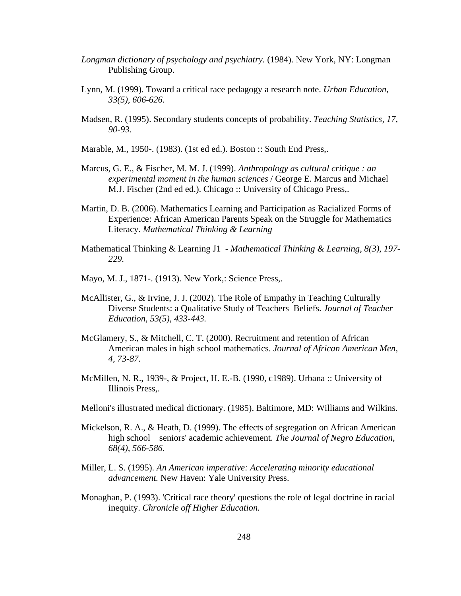- *Longman dictionary of psychology and psychiatry.* (1984). New York, NY: Longman Publishing Group.
- Lynn, M. (1999). Toward a critical race pedagogy a research note. *Urban Education, 33(5), 606-626.*
- Madsen, R. (1995). Secondary students concepts of probability. *Teaching Statistics, 17, 90-93.*
- Marable, M., 1950-. (1983). (1st ed ed.). Boston :: South End Press,.
- Marcus, G. E., & Fischer, M. M. J. (1999). *Anthropology as cultural critique : an experimental moment in the human sciences* / George E. Marcus and Michael M.J. Fischer (2nd ed ed.). Chicago :: University of Chicago Press,.
- Martin, D. B. (2006). Mathematics Learning and Participation as Racialized Forms of Experience: African American Parents Speak on the Struggle for Mathematics Literacy. *Mathematical Thinking & Learning*
- Mathematical Thinking & Learning J1 *Mathematical Thinking & Learning, 8(3), 197- 229.*
- Mayo, M. J., 1871-. (1913). New York,: Science Press,.
- McAllister, G., & Irvine, J. J. (2002). The Role of Empathy in Teaching Culturally Diverse Students: a Qualitative Study of Teachers Beliefs. *Journal of Teacher Education, 53(5), 433-443.*
- McGlamery, S., & Mitchell, C. T. (2000). Recruitment and retention of African American males in high school mathematics. *Journal of African American Men, 4, 73-87.*
- McMillen, N. R., 1939-, & Project, H. E.-B. (1990, c1989). Urbana :: University of Illinois Press,.
- Melloni's illustrated medical dictionary. (1985). Baltimore, MD: Williams and Wilkins.
- Mickelson, R. A., & Heath, D. (1999). The effects of segregation on African American high school seniors' academic achievement. *The Journal of Negro Education, 68(4), 566-586.*
- Miller, L. S. (1995). *An American imperative: Accelerating minority educational advancement.* New Haven: Yale University Press.
- Monaghan, P. (1993). 'Critical race theory' questions the role of legal doctrine in racial inequity. *Chronicle off Higher Education.*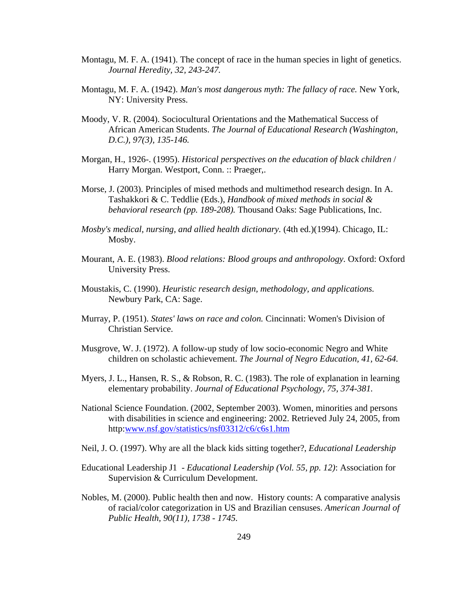- Montagu, M. F. A. (1941). The concept of race in the human species in light of genetics. *Journal Heredity, 32, 243-247.*
- Montagu, M. F. A. (1942). *Man's most dangerous myth: The fallacy of race.* New York, NY: University Press.
- Moody, V. R. (2004). Sociocultural Orientations and the Mathematical Success of African American Students. *The Journal of Educational Research (Washington, D.C.), 97(3), 135-146.*
- Morgan, H., 1926-. (1995). *Historical perspectives on the education of black children* / Harry Morgan. Westport, Conn. :: Praeger,.
- Morse, J. (2003). Principles of mised methods and multimethod research design. In A. Tashakkori & C. Teddlie (Eds.), *Handbook of mixed methods in social & behavioral research (pp. 189-208).* Thousand Oaks: Sage Publications, Inc.
- *Mosby's medical, nursing, and allied health dictionary.* (4th ed.)(1994). Chicago, IL: Mosby.
- Mourant, A. E. (1983). *Blood relations: Blood groups and anthropology.* Oxford: Oxford University Press.
- Moustakis, C. (1990). *Heuristic research design, methodology, and applications.*  Newbury Park, CA: Sage.
- Murray, P. (1951). *States' laws on race and colon.* Cincinnati: Women's Division of Christian Service.
- Musgrove, W. J. (1972). A follow-up study of low socio-economic Negro and White children on scholastic achievement. *The Journal of Negro Education, 41, 62-64.*
- Myers, J. L., Hansen, R. S., & Robson, R. C. (1983). The role of explanation in learning elementary probability. *Journal of Educational Psychology, 75, 374-381.*
- National Science Foundation. (2002, September 2003). Women, minorities and persons with disabilities in science and engineering: 2002. Retrieved July 24, 2005, from http:www.nsf.gov/statistics/nsf03312/c6/c6s1.htm
- Neil, J. O. (1997). Why are all the black kids sitting together?, *Educational Leadership*
- Educational Leadership J1 *Educational Leadership (Vol. 55, pp. 12)*: Association for Supervision & Curriculum Development.
- Nobles, M. (2000). Public health then and now. History counts: A comparative analysis of racial/color categorization in US and Brazilian censuses. *American Journal of Public Health, 90(11), 1738 - 1745.*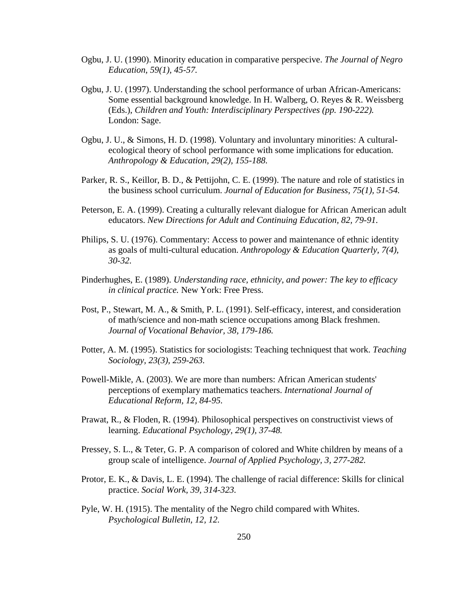- Ogbu, J. U. (1990). Minority education in comparative perspecive. *The Journal of Negro Education, 59(1), 45-57.*
- Ogbu, J. U. (1997). Understanding the school performance of urban African-Americans: Some essential background knowledge. In H. Walberg, O. Reyes & R. Weissberg (Eds.), *Children and Youth: Interdisciplinary Perspectives (pp. 190-222).* London: Sage.
- Ogbu, J. U., & Simons, H. D. (1998). Voluntary and involuntary minorities: A culturalecological theory of school performance with some implications for education. *Anthropology & Education, 29(2), 155-188.*
- Parker, R. S., Keillor, B. D., & Pettijohn, C. E. (1999). The nature and role of statistics in the business school curriculum. *Journal of Education for Business, 75(1), 51-54.*
- Peterson, E. A. (1999). Creating a culturally relevant dialogue for African American adult educators. *New Directions for Adult and Continuing Education, 82, 79-91.*
- Philips, S. U. (1976). Commentary: Access to power and maintenance of ethnic identity as goals of multi-cultural education. *Anthropology & Education Quarterly, 7(4), 30-32.*
- Pinderhughes, E. (1989). *Understanding race, ethnicity, and power: The key to efficacy in clinical practice.* New York: Free Press.
- Post, P., Stewart, M. A., & Smith, P. L. (1991). Self-efficacy, interest, and consideration of math/science and non-math science occupations among Black freshmen. *Journal of Vocational Behavior, 38, 179-186.*
- Potter, A. M. (1995). Statistics for sociologists: Teaching techniquest that work. *Teaching Sociology, 23(3), 259-263.*
- Powell-Mikle, A. (2003). We are more than numbers: African American students' perceptions of exemplary mathematics teachers. *International Journal of Educational Reform, 12, 84-95.*
- Prawat, R., & Floden, R. (1994). Philosophical perspectives on constructivist views of learning. *Educational Psychology, 29(1), 37-48.*
- Pressey, S. L., & Teter, G. P. A comparison of colored and White children by means of a group scale of intelligence. *Journal of Applied Psychology, 3, 277-282.*
- Protor, E. K., & Davis, L. E. (1994). The challenge of racial difference: Skills for clinical practice. *Social Work, 39, 314-323.*
- Pyle, W. H. (1915). The mentality of the Negro child compared with Whites. *Psychological Bulletin, 12, 12.*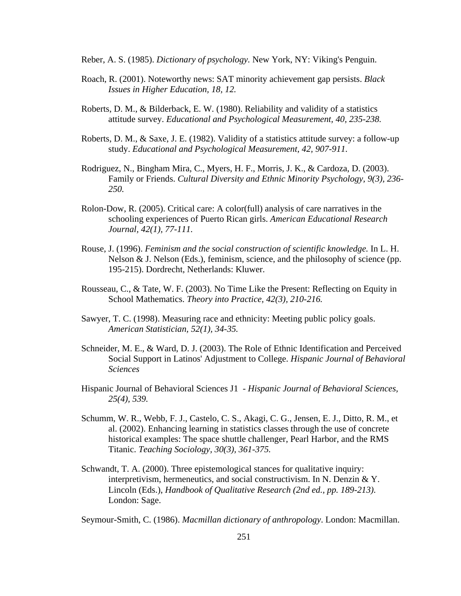- Reber, A. S. (1985). *Dictionary of psychology.* New York, NY: Viking's Penguin.
- Roach, R. (2001). Noteworthy news: SAT minority achievement gap persists. *Black Issues in Higher Education, 18, 12.*
- Roberts, D. M., & Bilderback, E. W. (1980). Reliability and validity of a statistics attitude survey. *Educational and Psychological Measurement, 40, 235-238.*
- Roberts, D. M., & Saxe, J. E. (1982). Validity of a statistics attitude survey: a follow-up study. *Educational and Psychological Measurement, 42, 907-911.*
- Rodriguez, N., Bingham Mira, C., Myers, H. F., Morris, J. K., & Cardoza, D. (2003). Family or Friends. *Cultural Diversity and Ethnic Minority Psychology, 9(3), 236- 250.*
- Rolon-Dow, R. (2005). Critical care: A color(full) analysis of care narratives in the schooling experiences of Puerto Rican girls. *American Educational Research Journal, 42(1), 77-111.*
- Rouse, J. (1996). *Feminism and the social construction of scientific knowledge.* In L. H. Nelson & J. Nelson (Eds.), feminism, science, and the philosophy of science (pp. 195-215). Dordrecht, Netherlands: Kluwer.
- Rousseau, C., & Tate, W. F. (2003). No Time Like the Present: Reflecting on Equity in School Mathematics. *Theory into Practice, 42(3), 210-216.*
- Sawyer, T. C. (1998). Measuring race and ethnicity: Meeting public policy goals. *American Statistician, 52(1), 34-35.*
- Schneider, M. E., & Ward, D. J. (2003). The Role of Ethnic Identification and Perceived Social Support in Latinos' Adjustment to College. *Hispanic Journal of Behavioral Sciences*
- Hispanic Journal of Behavioral Sciences J1 *Hispanic Journal of Behavioral Sciences, 25(4), 539.*
- Schumm, W. R., Webb, F. J., Castelo, C. S., Akagi, C. G., Jensen, E. J., Ditto, R. M., et al. (2002). Enhancing learning in statistics classes through the use of concrete historical examples: The space shuttle challenger, Pearl Harbor, and the RMS Titanic. *Teaching Sociology, 30(3), 361-375.*
- Schwandt, T. A. (2000). Three epistemological stances for qualitative inquiry: interpretivism, hermeneutics, and social constructivism. In N. Denzin & Y. Lincoln (Eds.), *Handbook of Qualitative Research (2nd ed., pp. 189-213).*  London: Sage.

Seymour-Smith, C. (1986). *Macmillan dictionary of anthropology*. London: Macmillan.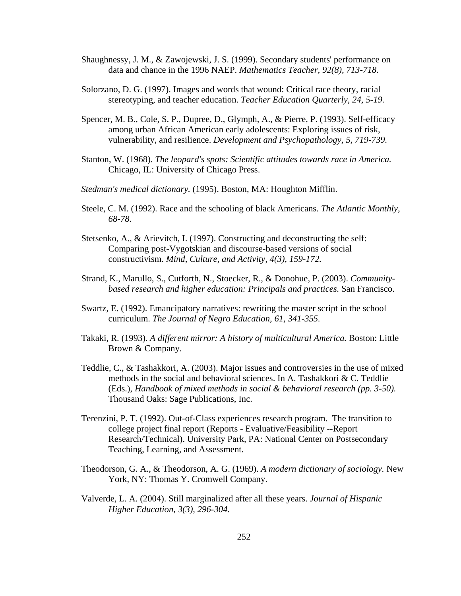- Shaughnessy, J. M., & Zawojewski, J. S. (1999). Secondary students' performance on data and chance in the 1996 NAEP. *Mathematics Teacher, 92(8), 713-718.*
- Solorzano, D. G. (1997). Images and words that wound: Critical race theory, racial stereotyping, and teacher education. *Teacher Education Quarterly, 24, 5-19.*
- Spencer, M. B., Cole, S. P., Dupree, D., Glymph, A., & Pierre, P. (1993). Self-efficacy among urban African American early adolescents: Exploring issues of risk, vulnerability, and resilience. *Development and Psychopathology, 5, 719-739.*
- Stanton, W. (1968). *The leopard's spots: Scientific attitudes towards race in America.*  Chicago, IL: University of Chicago Press.
- *Stedman's medical dictionary.* (1995). Boston, MA: Houghton Mifflin.
- Steele, C. M. (1992). Race and the schooling of black Americans. *The Atlantic Monthly, 68-78.*
- Stetsenko, A., & Arievitch, I. (1997). Constructing and deconstructing the self: Comparing post-Vygotskian and discourse-based versions of social constructivism. *Mind, Culture, and Activity, 4(3), 159-172.*
- Strand, K., Marullo, S., Cutforth, N., Stoecker, R., & Donohue, P. (2003). *Communitybased research and higher education: Principals and practices.* San Francisco.
- Swartz, E. (1992). Emancipatory narratives: rewriting the master script in the school curriculum. *The Journal of Negro Education, 61, 341-355.*
- Takaki, R. (1993). *A different mirror: A history of multicultural America.* Boston: Little Brown & Company.
- Teddlie, C., & Tashakkori, A. (2003). Major issues and controversies in the use of mixed methods in the social and behavioral sciences. In A. Tashakkori & C. Teddlie (Eds.), *Handbook of mixed methods in social & behavioral research (pp. 3-50).* Thousand Oaks: Sage Publications, Inc.
- Terenzini, P. T. (1992). Out-of-Class experiences research program. The transition to college project final report (Reports - Evaluative/Feasibility --Report Research/Technical). University Park, PA: National Center on Postsecondary Teaching, Learning, and Assessment.
- Theodorson, G. A., & Theodorson, A. G. (1969). *A modern dictionary of sociology.* New York, NY: Thomas Y. Cromwell Company.
- Valverde, L. A. (2004). Still marginalized after all these years. *Journal of Hispanic Higher Education, 3(3), 296-304.*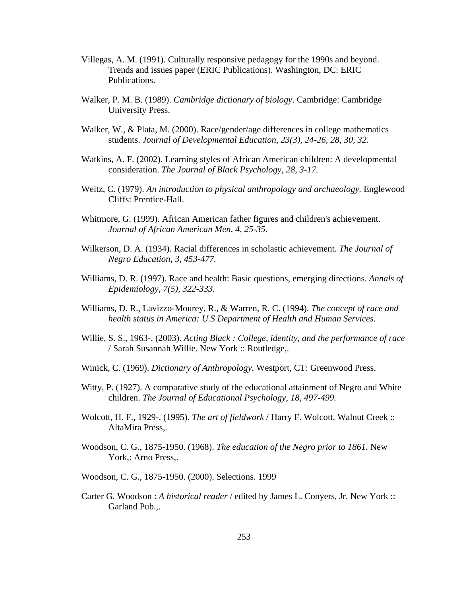- Villegas, A. M. (1991). Culturally responsive pedagogy for the 1990s and beyond. Trends and issues paper (ERIC Publications). Washington, DC: ERIC Publications.
- Walker, P. M. B. (1989). *Cambridge dictionary of biology*. Cambridge: Cambridge University Press.
- Walker, W., & Plata, M. (2000). Race/gender/age differences in college mathematics students. *Journal of Developmental Education, 23(3), 24-26, 28, 30, 32.*
- Watkins, A. F. (2002). Learning styles of African American children: A developmental consideration. *The Journal of Black Psychology, 28, 3-17.*
- Weitz, C. (1979). *An introduction to physical anthropology and archaeology.* Englewood Cliffs: Prentice-Hall.
- Whitmore, G. (1999). African American father figures and children's achievement. *Journal of African American Men, 4, 25-35.*
- Wilkerson, D. A. (1934). Racial differences in scholastic achievement. *The Journal of Negro Education, 3, 453-477.*
- Williams, D. R. (1997). Race and health: Basic questions, emerging directions. *Annals of Epidemiology, 7(5), 322-333.*
- Williams, D. R., Lavizzo-Mourey, R., & Warren, R. C. (1994). *The concept of race and health status in America: U.S Department of Health and Human Services.*
- Willie, S. S., 1963-. (2003). *Acting Black : College, identity, and the performance of race*  / Sarah Susannah Willie. New York :: Routledge,.
- Winick, C. (1969). *Dictionary of Anthropology.* Westport, CT: Greenwood Press.
- Witty, P. (1927). A comparative study of the educational attainment of Negro and White children. *The Journal of Educational Psychology, 18, 497-499.*
- Wolcott, H. F., 1929-. (1995). *The art of fieldwork* / Harry F. Wolcott. Walnut Creek :: AltaMira Press,.
- Woodson, C. G., 1875-1950. (1968). *The education of the Negro prior to 1861.* New York,: Arno Press,.
- Woodson, C. G., 1875-1950. (2000). Selections. 1999
- Carter G. Woodson : *A historical reader* / edited by James L. Conyers, Jr. New York :: Garland Pub.,.